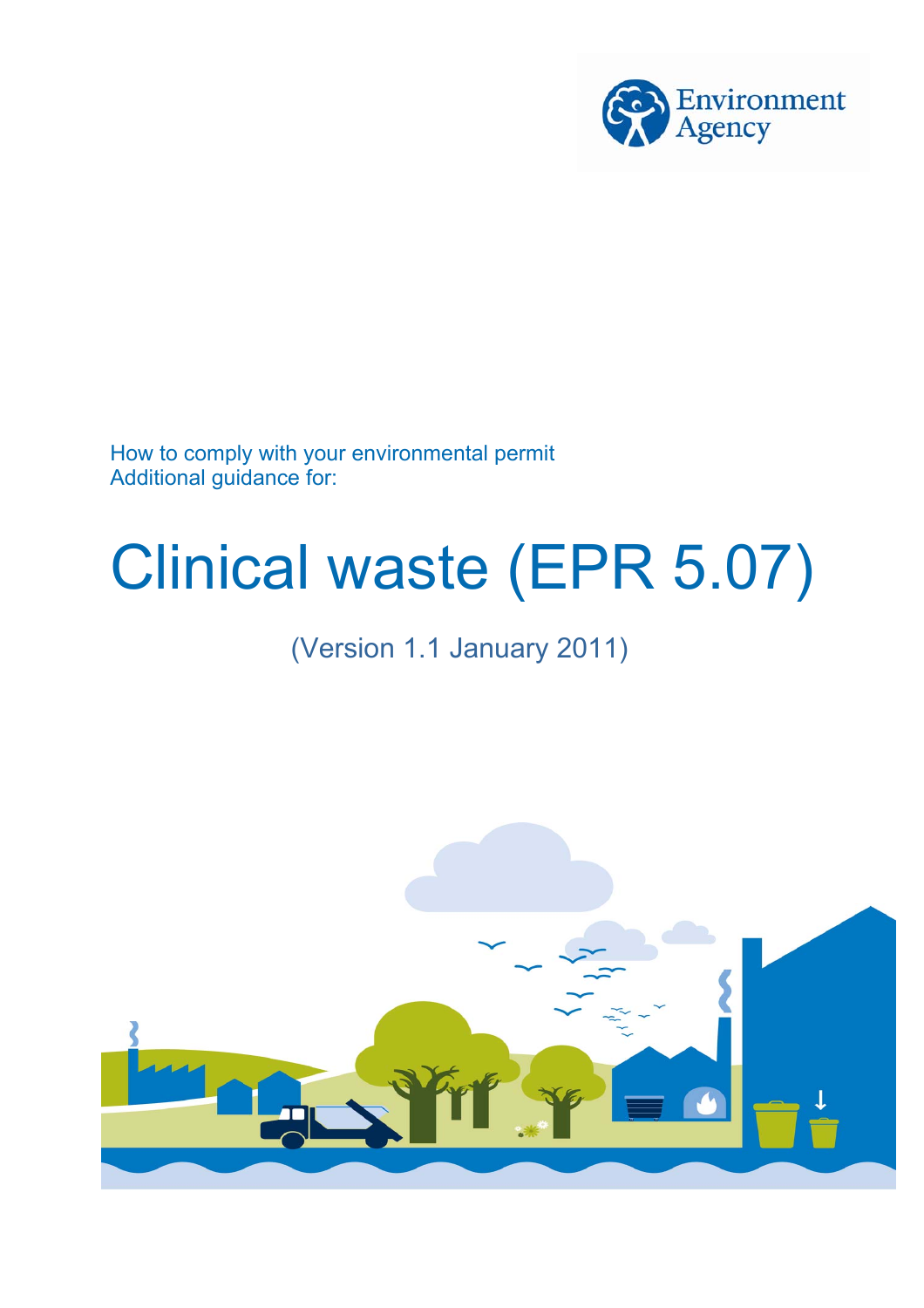

How to comply with your environmental permit Additional guidance for:

## Clinical waste (EPR 5.07)

### (Version 1.1 January 2011)

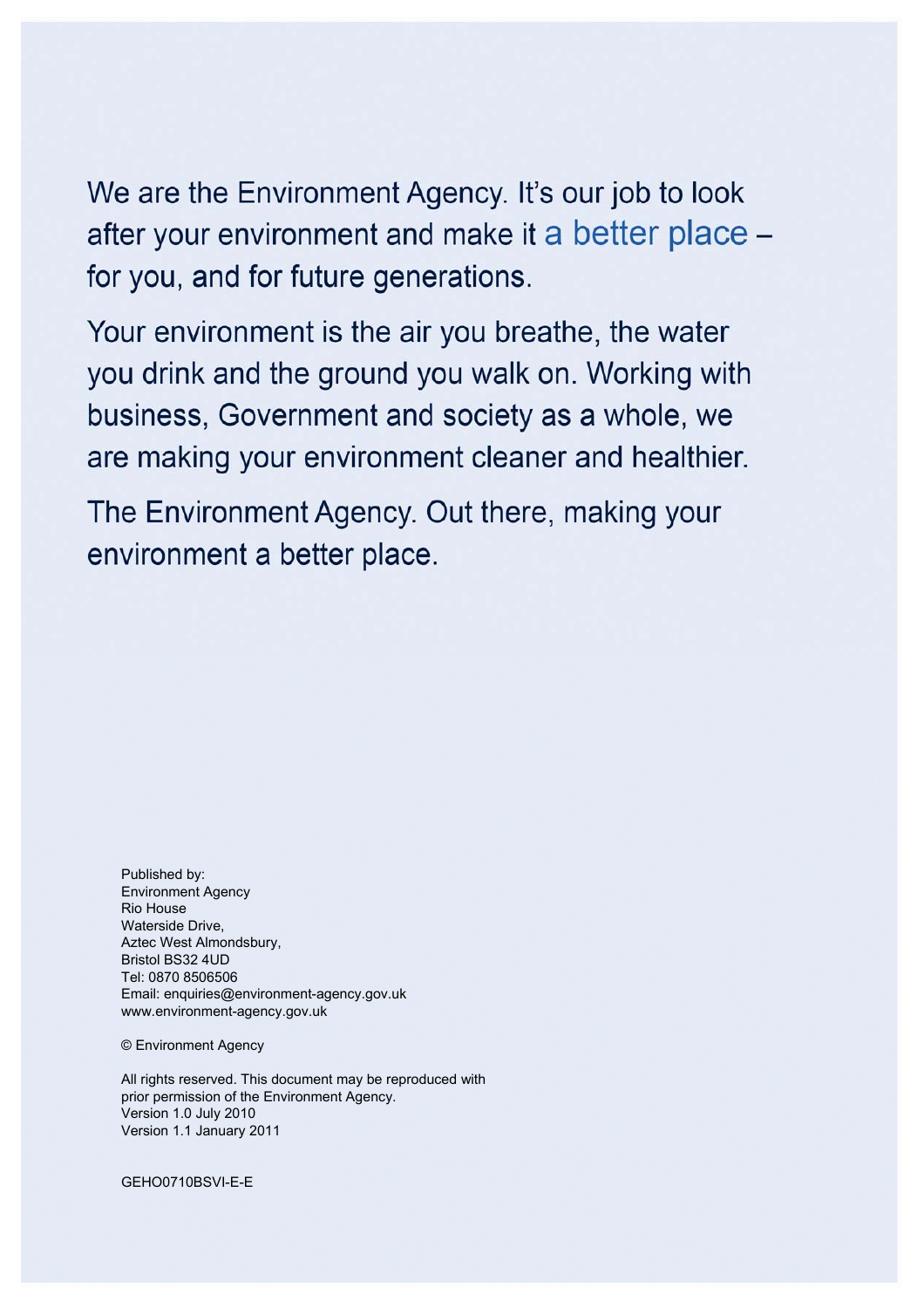We are the Environment Agency. It's our job to look after your environment and make it a better place for you, and for future generations.

Your environment is the air you breathe, the water you drink and the ground you walk on. Working with business, Government and society as a whole, we are making your environment cleaner and healthier.

The Environment Agency. Out there, making your environment a better place.

Published by: Environment Agency Rio House Waterside Drive, Aztec West Almondsbury, Bristol BS32 4UD Tel: 0870 8506506 Email: enquiries@environment-agency.gov.uk www.environment-agency.gov.uk

© Environment Agency

All rights reserved. This document may be reproduced with prior permission of the Environment Agency. Version 1.0 July 2010 Version 1.1 January 2011

GEHO0710BSVI-E-E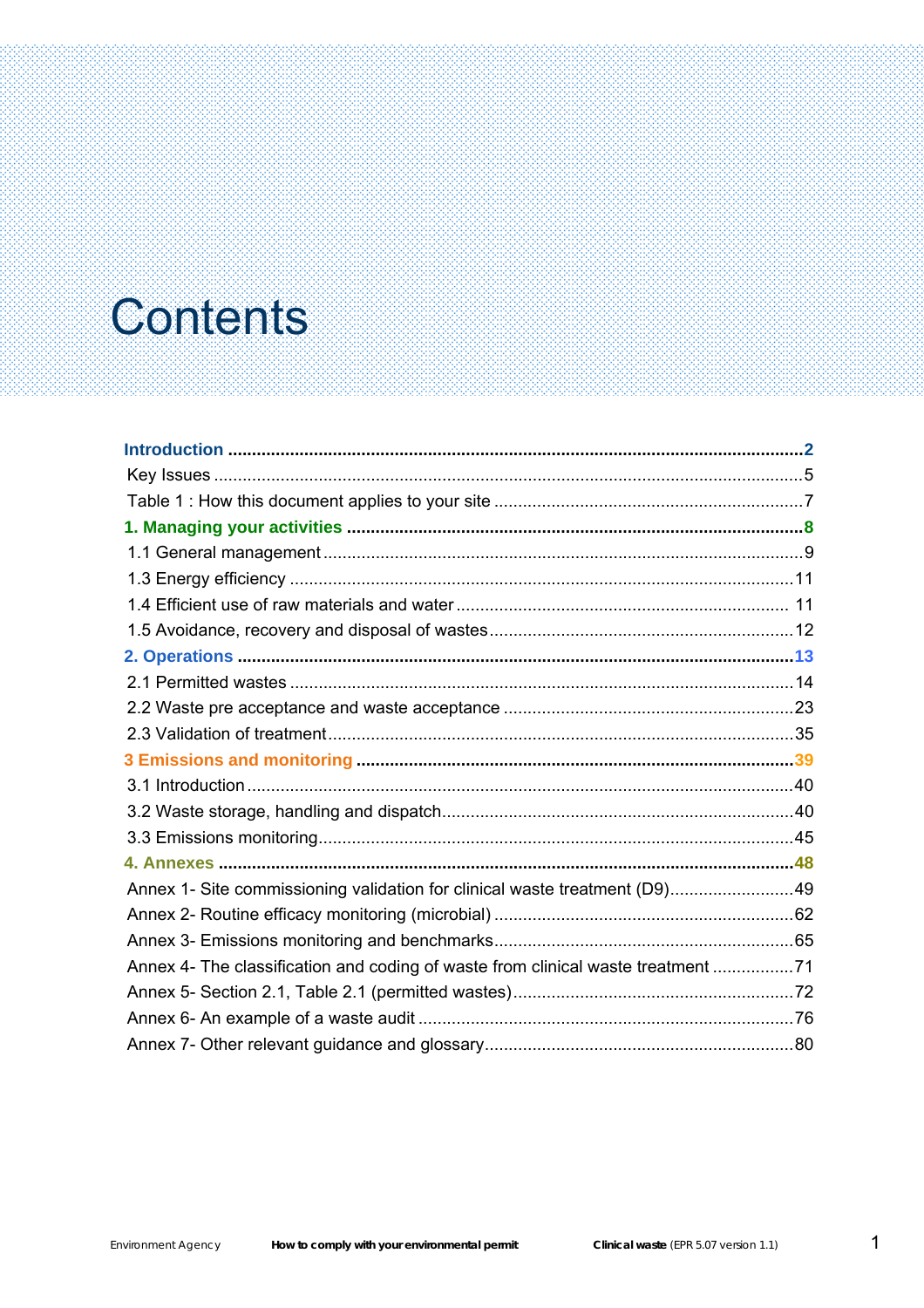### **Contents**

| Annex 1- Site commissioning validation for clinical waste treatment (D9)49       |  |
|----------------------------------------------------------------------------------|--|
|                                                                                  |  |
|                                                                                  |  |
| Annex 4- The classification and coding of waste from clinical waste treatment 71 |  |
|                                                                                  |  |
|                                                                                  |  |
|                                                                                  |  |
|                                                                                  |  |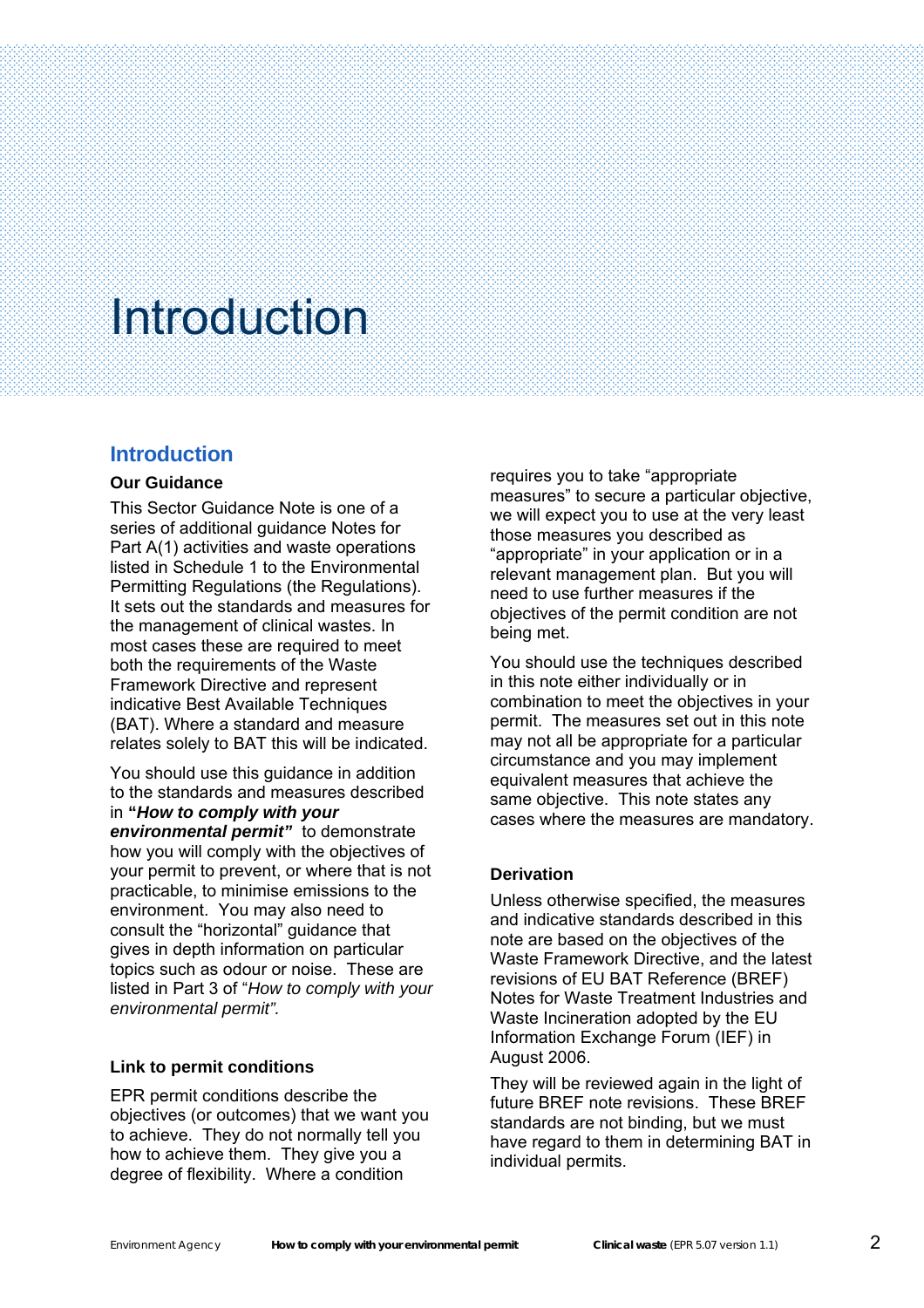#### **Introduction**

#### **Our Guidance**

<span id="page-3-0"></span>Š

This Sector Guidance Note is one of a series of additional guidance Notes for Part A(1) activities and waste operations listed in Schedule 1 to the Environmental Permitting Regulations (the Regulations). It sets out the standards and measures for the management of clinical wastes. In most cases these are required to meet both the requirements of the Waste Framework Directive and represent indicative Best Available Techniques (BAT). Where a standard and measure relates solely to BAT this will be indicated.

You should use this guidance in addition to the standards and measures described in **"***How to comply with your environmental permit"* to demonstrate how you will comply with the objectives of your permit to prevent, or where that is not practicable, to minimise emissions to the environment. You may also need to consult the "horizontal" guidance that gives in depth information on particular topics such as odour or noise. These are listed in Part 3 of "*How to comply with your environmental permit".*

#### **Link to permit conditions**

EPR permit conditions describe the objectives (or outcomes) that we want you to achieve. They do not normally tell you how to achieve them. They give you a degree of flexibility. Where a condition

requires you to take "appropriate measures" to secure a particular objective, we will expect you to use at the very least those measures you described as "appropriate" in your application or in a relevant management plan. But you will need to use further measures if the objectives of the permit condition are not being met.

You should use the techniques described in this note either individually or in combination to meet the objectives in your permit. The measures set out in this note may not all be appropriate for a particular circumstance and you may implement equivalent measures that achieve the same objective. This note states any cases where the measures are mandatory.

#### **Derivation**

Unless otherwise specified, the measures and indicative standards described in this note are based on the objectives of the Waste Framework Directive, and the latest revisions of EU BAT Reference (BREF) Notes for Waste Treatment Industries and Waste Incineration adopted by the EU Information Exchange Forum (IEF) in August 2006.

They will be reviewed again in the light of future BREF note revisions. These BREF standards are not binding, but we must have regard to them in determining BAT in individual permits.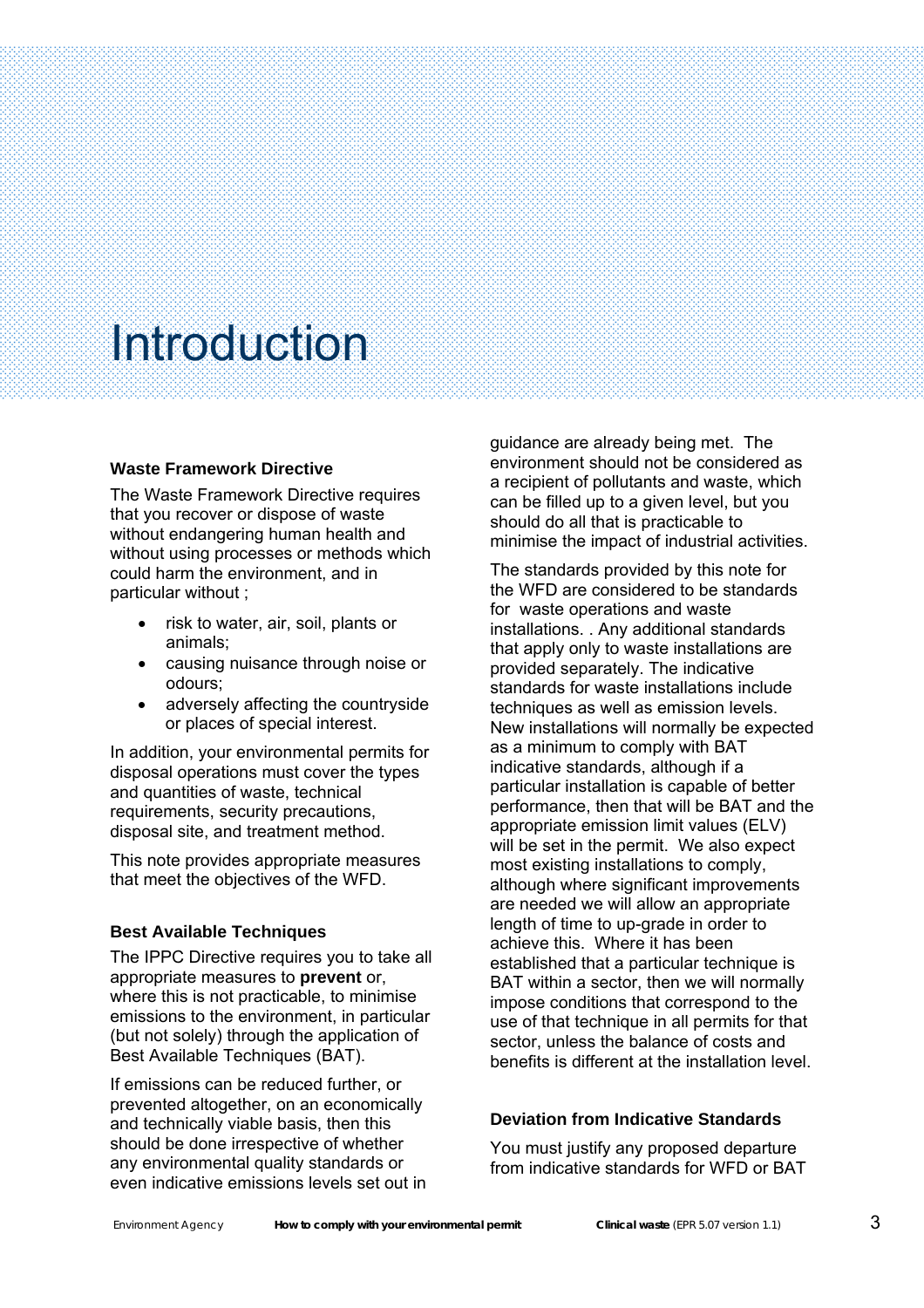Š

#### **Waste Framework Directive**

The Waste Framework Directive requires that you recover or dispose of waste without endangering human health and without using processes or methods which could harm the environment, and in particular without ;

- risk to water, air, soil, plants or animals;
- causing nuisance through noise or odours;
- adversely affecting the countryside or places of special interest.

In addition, your environmental permits for disposal operations must cover the types and quantities of waste, technical requirements, security precautions, disposal site, and treatment method.

This note provides appropriate measures that meet the objectives of the WFD.

#### **Best Available Techniques**

The IPPC Directive requires you to take all appropriate measures to **prevent** or, where this is not practicable, to minimise emissions to the environment, in particular (but not solely) through the application of Best Available Techniques (BAT).

If emissions can be reduced further, or prevented altogether, on an economically and technically viable basis, then this should be done irrespective of whether any environmental quality standards or even indicative emissions levels set out in guidance are already being met. The environment should not be considered as a recipient of pollutants and waste, which can be filled up to a given level, but you should do all that is practicable to minimise the impact of industrial activities.

The standards provided by this note for the WFD are considered to be standards for waste operations and waste installations. . Any additional standards that apply only to waste installations are provided separately. The indicative standards for waste installations include techniques as well as emission levels. New installations will normally be expected as a minimum to comply with BAT indicative standards, although if a particular installation is capable of better performance, then that will be BAT and the appropriate emission limit values (ELV) will be set in the permit. We also expect most existing installations to comply, although where significant improvements are needed we will allow an appropriate length of time to up-grade in order to achieve this. Where it has been established that a particular technique is BAT within a sector, then we will normally impose conditions that correspond to the use of that technique in all permits for that sector, unless the balance of costs and benefits is different at the installation level.

#### **Deviation from Indicative Standards**

You must justify any proposed departure from indicative standards for WFD or BAT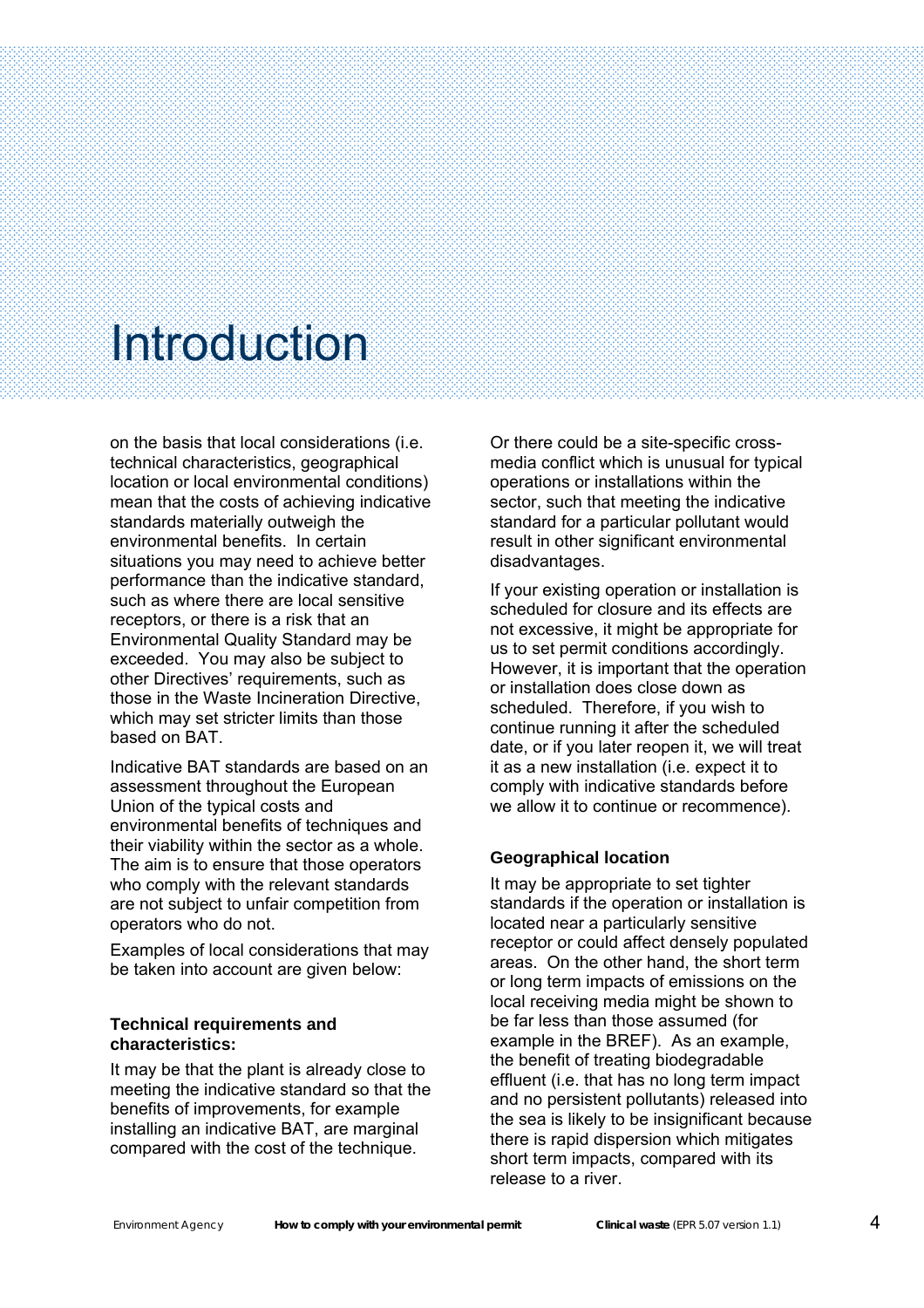Š

on the basis that local considerations (i.e. technical characteristics, geographical location or local environmental conditions) mean that the costs of achieving indicative standards materially outweigh the environmental benefits. In certain situations you may need to achieve better performance than the indicative standard, such as where there are local sensitive receptors, or there is a risk that an Environmental Quality Standard may be exceeded. You may also be subject to other Directives' requirements, such as those in the Waste Incineration Directive, which may set stricter limits than those based on BAT.

Indicative BAT standards are based on an assessment throughout the European Union of the typical costs and environmental benefits of techniques and their viability within the sector as a whole. The aim is to ensure that those operators who comply with the relevant standards are not subject to unfair competition from operators who do not.

Examples of local considerations that may be taken into account are given below:

#### **Technical requirements and characteristics:**

It may be that the plant is already close to meeting the indicative standard so that the benefits of improvements, for example installing an indicative BAT, are marginal compared with the cost of the technique.

Or there could be a site-specific crossmedia conflict which is unusual for typical operations or installations within the sector, such that meeting the indicative standard for a particular pollutant would result in other significant environmental disadvantages.

If your existing operation or installation is scheduled for closure and its effects are not excessive, it might be appropriate for us to set permit conditions accordingly. However, it is important that the operation or installation does close down as scheduled. Therefore, if you wish to continue running it after the scheduled date, or if you later reopen it, we will treat it as a new installation (i.e. expect it to comply with indicative standards before we allow it to continue or recommence).

#### **Geographical location**

It may be appropriate to set tighter standards if the operation or installation is located near a particularly sensitive receptor or could affect densely populated areas. On the other hand, the short term or long term impacts of emissions on the local receiving media might be shown to be far less than those assumed (for example in the BREF). As an example, the benefit of treating biodegradable effluent (i.e. that has no long term impact and no persistent pollutants) released into the sea is likely to be insignificant because there is rapid dispersion which mitigates short term impacts, compared with its release to a river.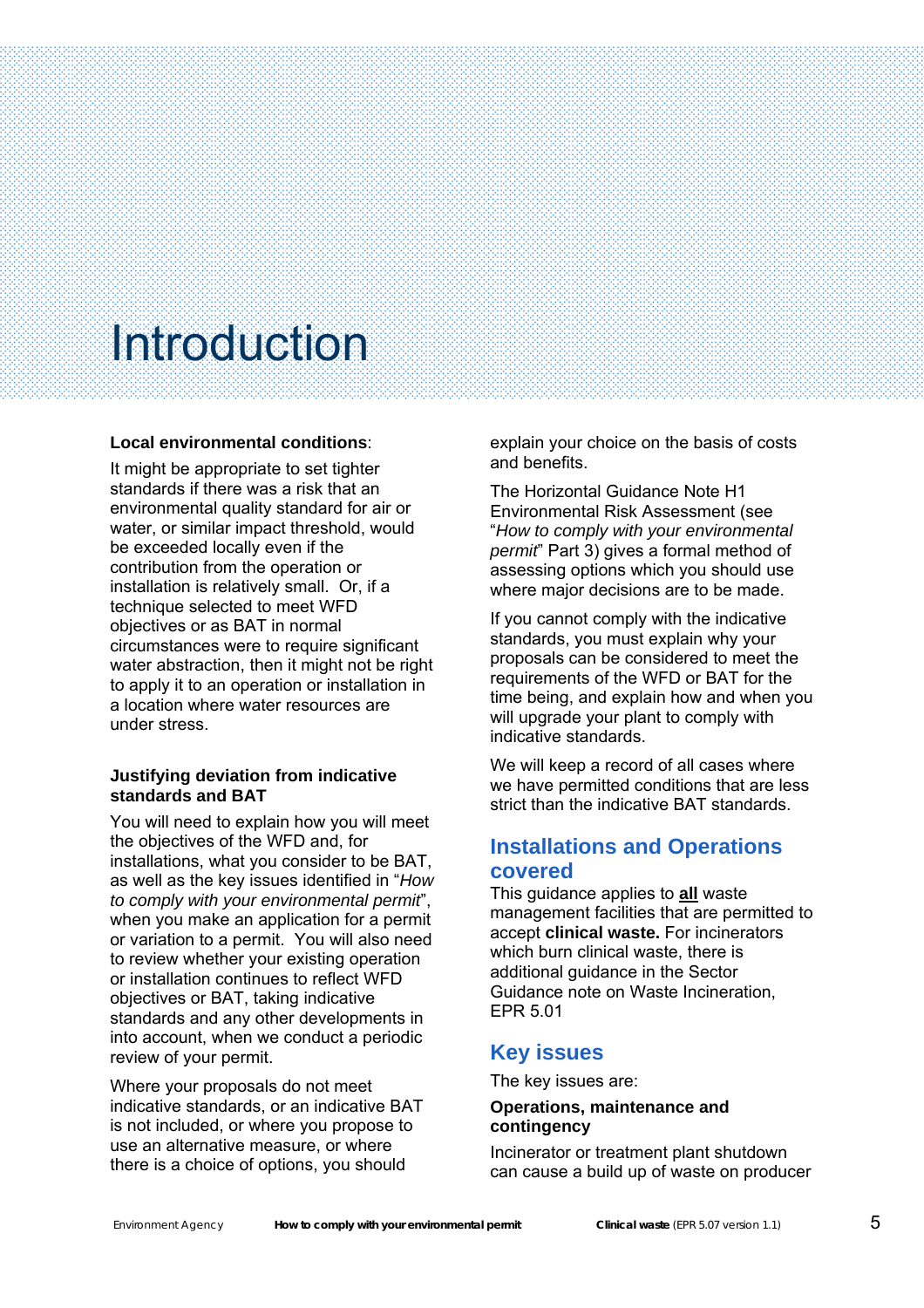<span id="page-6-0"></span>Š

#### **Local environmental conditions**:

It might be appropriate to set tighter standards if there was a risk that an environmental quality standard for air or water, or similar impact threshold, would be exceeded locally even if the contribution from the operation or installation is relatively small. Or, if a technique selected to meet WFD objectives or as BAT in normal circumstances were to require significant water abstraction, then it might not be right to apply it to an operation or installation in a location where water resources are under stress.

#### **Justifying deviation from indicative standards and BAT**

You will need to explain how you will meet the objectives of the WFD and, for installations, what you consider to be BAT, as well as the key issues identified in "*How to comply with your environmental permit*", when you make an application for a permit or variation to a permit. You will also need to review whether your existing operation or installation continues to reflect WFD objectives or BAT, taking indicative standards and any other developments in into account, when we conduct a periodic review of your permit.

Where your proposals do not meet indicative standards, or an indicative BAT is not included, or where you propose to use an alternative measure, or where there is a choice of options, you should

explain your choice on the basis of costs and benefits.

The Horizontal Guidance Note H1 Environmental Risk Assessment (see "*How to comply with your environmental permit*" Part 3) gives a formal method of assessing options which you should use where major decisions are to be made.

If you cannot comply with the indicative standards, you must explain why your proposals can be considered to meet the requirements of the WFD or BAT for the time being, and explain how and when you will upgrade your plant to comply with indicative standards.

We will keep a record of all cases where we have permitted conditions that are less strict than the indicative BAT standards.

#### **Installations and Operations covered**

This guidance applies to **all** waste management facilities that are permitted to accept **clinical waste.** For incinerators which burn clinical waste, there is additional guidance in the Sector Guidance note on Waste Incineration, EPR 5.01

#### **Key issues**

The key issues are:

#### **Operations, maintenance and contingency**

Incinerator or treatment plant shutdown can cause a build up of waste on producer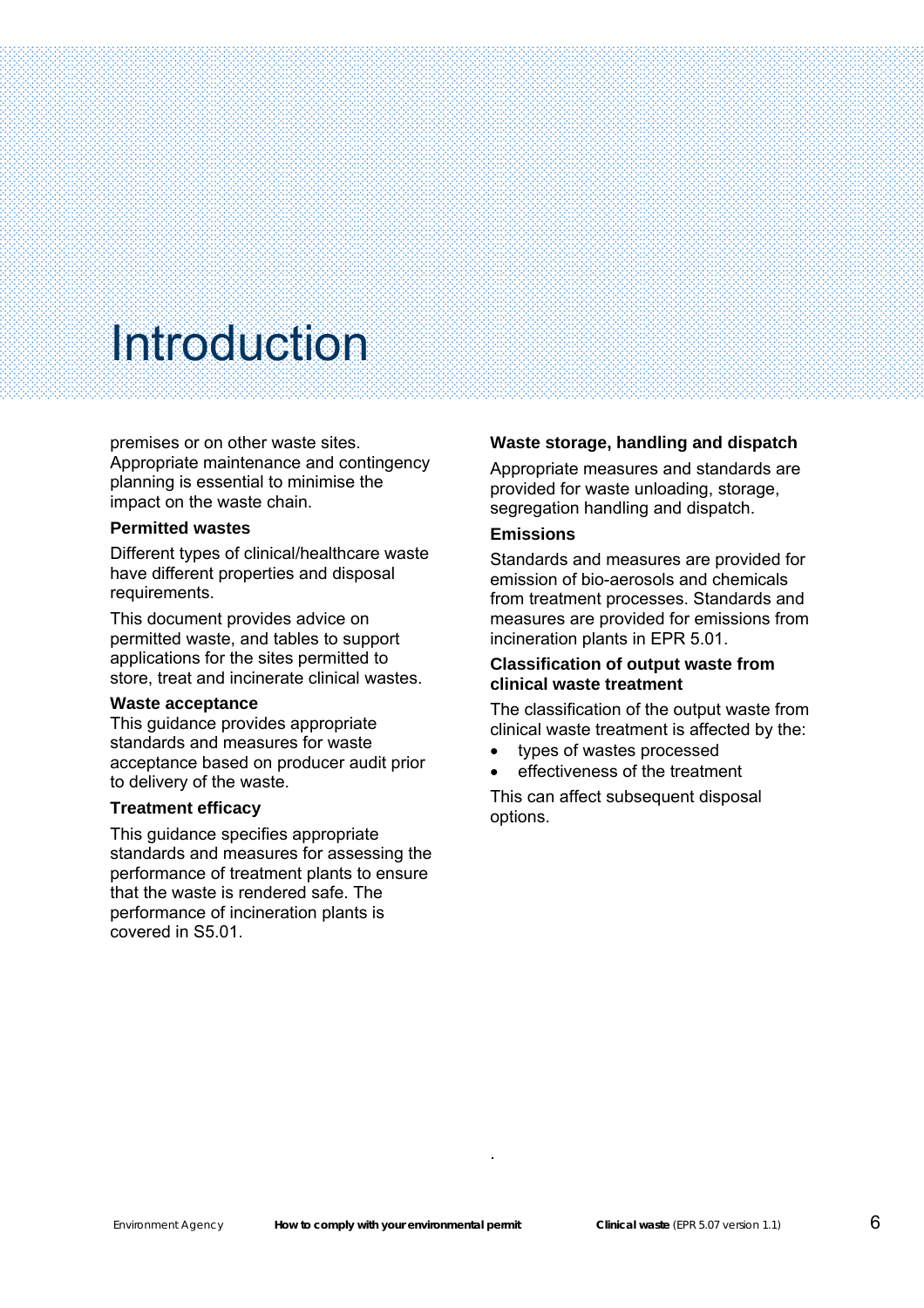premises or on other waste sites. Appropriate maintenance and contingency planning is essential to minimise the impact on the waste chain.

#### **Permitted wastes**

Š

Different types of clinical/healthcare waste have different properties and disposal requirements.

This document provides advice on permitted waste, and tables to support applications for the sites permitted to store, treat and incinerate clinical wastes.

#### **Waste acceptance**

This guidance provides appropriate standards and measures for waste acceptance based on producer audit prior to delivery of the waste.

#### **Treatment efficacy**

This guidance specifies appropriate standards and measures for assessing the performance of treatment plants to ensure that the waste is rendered safe. The performance of incineration plants is covered in S5.01.

#### **Waste storage, handling and dispatch**

Appropriate measures and standards are provided for waste unloading, storage, segregation handling and dispatch.

#### **Emissions**

Standards and measures are provided for emission of bio-aerosols and chemicals from treatment processes. Standards and measures are provided for emissions from incineration plants in EPR 5.01.

#### **Classification of output waste from clinical waste treatment**

The classification of the output waste from clinical waste treatment is affected by the:

- types of wastes processed
- effectiveness of the treatment

This can affect subsequent disposal options.

.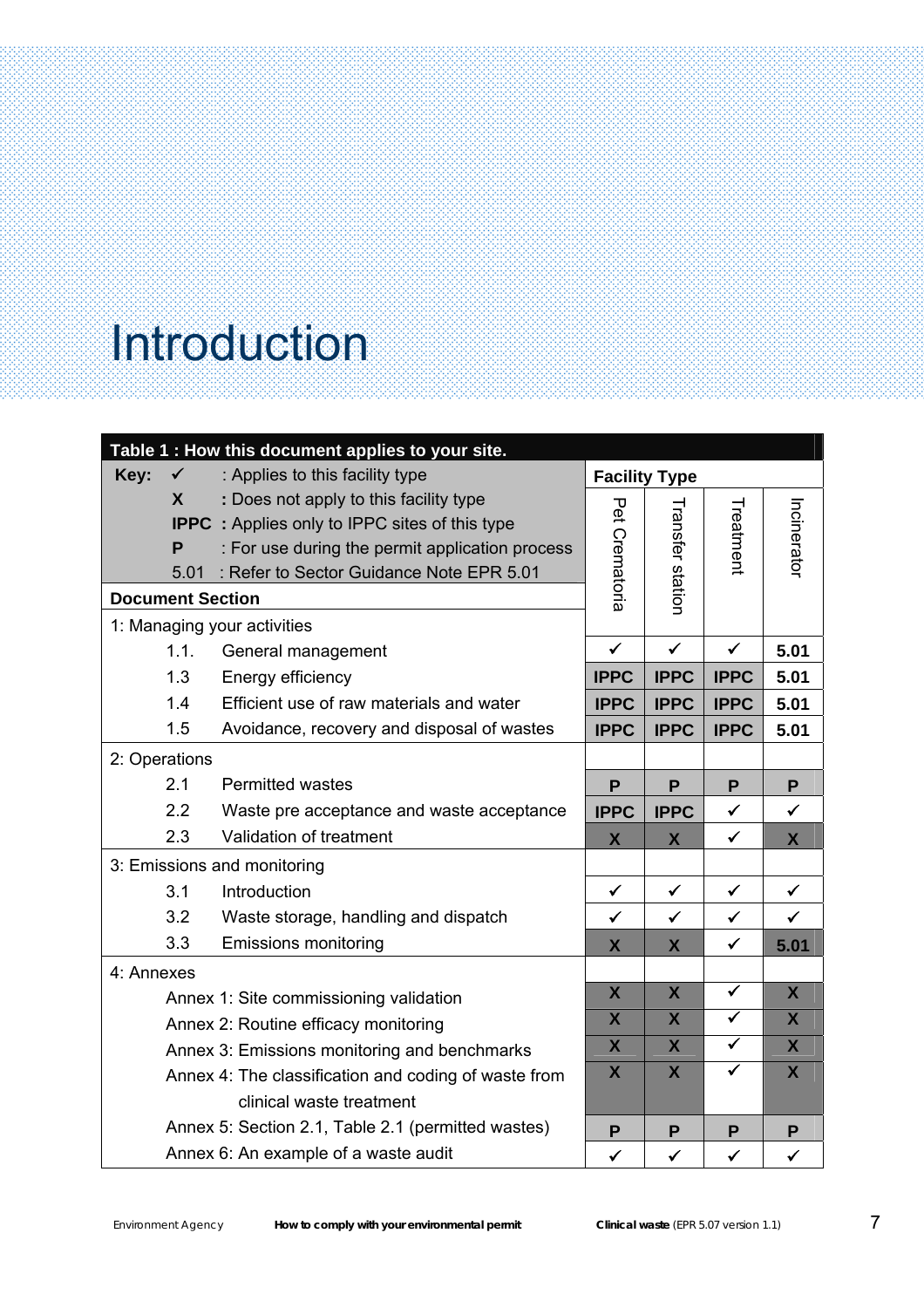Š

| Table 1 : How this document applies to your site.    |                                                  |                                                       |                         |                         |                      |              |
|------------------------------------------------------|--------------------------------------------------|-------------------------------------------------------|-------------------------|-------------------------|----------------------|--------------|
| Key:                                                 | $\checkmark$                                     | : Applies to this facility type                       | <b>Facility Type</b>    |                         |                      |              |
|                                                      | X                                                | : Does not apply to this facility type                |                         |                         |                      |              |
|                                                      |                                                  | <b>IPPC</b> : Applies only to IPPC sites of this type | Pet                     |                         | Treatment            | Incinerator  |
|                                                      | P                                                | : For use during the permit application process       |                         |                         |                      |              |
|                                                      | : Refer to Sector Guidance Note EPR 5.01<br>5.01 |                                                       | Crematoria              | Transfer statior        |                      |              |
|                                                      | <b>Document Section</b>                          |                                                       |                         |                         |                      |              |
|                                                      | 1: Managing your activities                      |                                                       |                         |                         |                      |              |
|                                                      | 1.1.                                             | General management                                    | $\checkmark$            | $\checkmark$            | $\checkmark$         | 5.01         |
|                                                      | 1.3                                              | Energy efficiency                                     | <b>IPPC</b>             | <b>IPPC</b>             | <b>IPPC</b>          | 5.01         |
|                                                      | 1.4                                              | Efficient use of raw materials and water              | <b>IPPC</b>             | <b>IPPC</b>             | <b>IPPC</b>          | 5.01         |
|                                                      | 1.5                                              | Avoidance, recovery and disposal of wastes            | <b>IPPC</b>             | <b>IPPC</b>             | <b>IPPC</b>          | 5.01         |
| 2: Operations                                        |                                                  |                                                       |                         |                         |                      |              |
|                                                      | 2.1                                              | <b>Permitted wastes</b>                               | P                       | P                       | P                    | P            |
|                                                      | 2.2                                              | Waste pre acceptance and waste acceptance             | <b>IPPC</b>             | <b>IPPC</b>             | $\checkmark$         | $\checkmark$ |
|                                                      | 2.3                                              | Validation of treatment                               | $\mathsf{X}$            | X                       | $\checkmark$         | $\mathsf{X}$ |
|                                                      | 3: Emissions and monitoring                      |                                                       |                         |                         |                      |              |
|                                                      | 3.1<br>Introduction                              |                                                       | $\checkmark$            | $\checkmark$            | $\checkmark$         | $\checkmark$ |
|                                                      | 3.2                                              | Waste storage, handling and dispatch                  | $\checkmark$            | $\checkmark$            | $\checkmark$         | $\checkmark$ |
|                                                      | 3.3                                              | <b>Emissions monitoring</b>                           | X                       | X                       | $\checkmark$         | 5.01         |
|                                                      | 4: Annexes                                       |                                                       |                         |                         |                      |              |
|                                                      |                                                  | Annex 1: Site commissioning validation                | $\mathsf{X}$            | $\overline{\mathsf{X}}$ | $\checkmark$         | $\mathsf{X}$ |
|                                                      | Annex 2: Routine efficacy monitoring             |                                                       |                         | $\mathsf{X}$            | $\blacktriangledown$ | $\mathsf{X}$ |
| Annex 3: Emissions monitoring and benchmarks         |                                                  |                                                       | $\overline{\mathsf{X}}$ | $\mathsf{\overline{X}}$ | $\blacktriangledown$ | $\mathsf{X}$ |
| Annex 4: The classification and coding of waste from |                                                  | $\boldsymbol{X}$                                      | $\mathsf{X}$            | $\checkmark$            | $\mathsf{X}$         |              |
|                                                      |                                                  | clinical waste treatment                              |                         |                         |                      |              |
|                                                      |                                                  | Annex 5: Section 2.1, Table 2.1 (permitted wastes)    | P                       | P                       | P                    | P            |
|                                                      |                                                  | Annex 6: An example of a waste audit                  | $\checkmark$            | $\checkmark$            | $\checkmark$         | $\checkmark$ |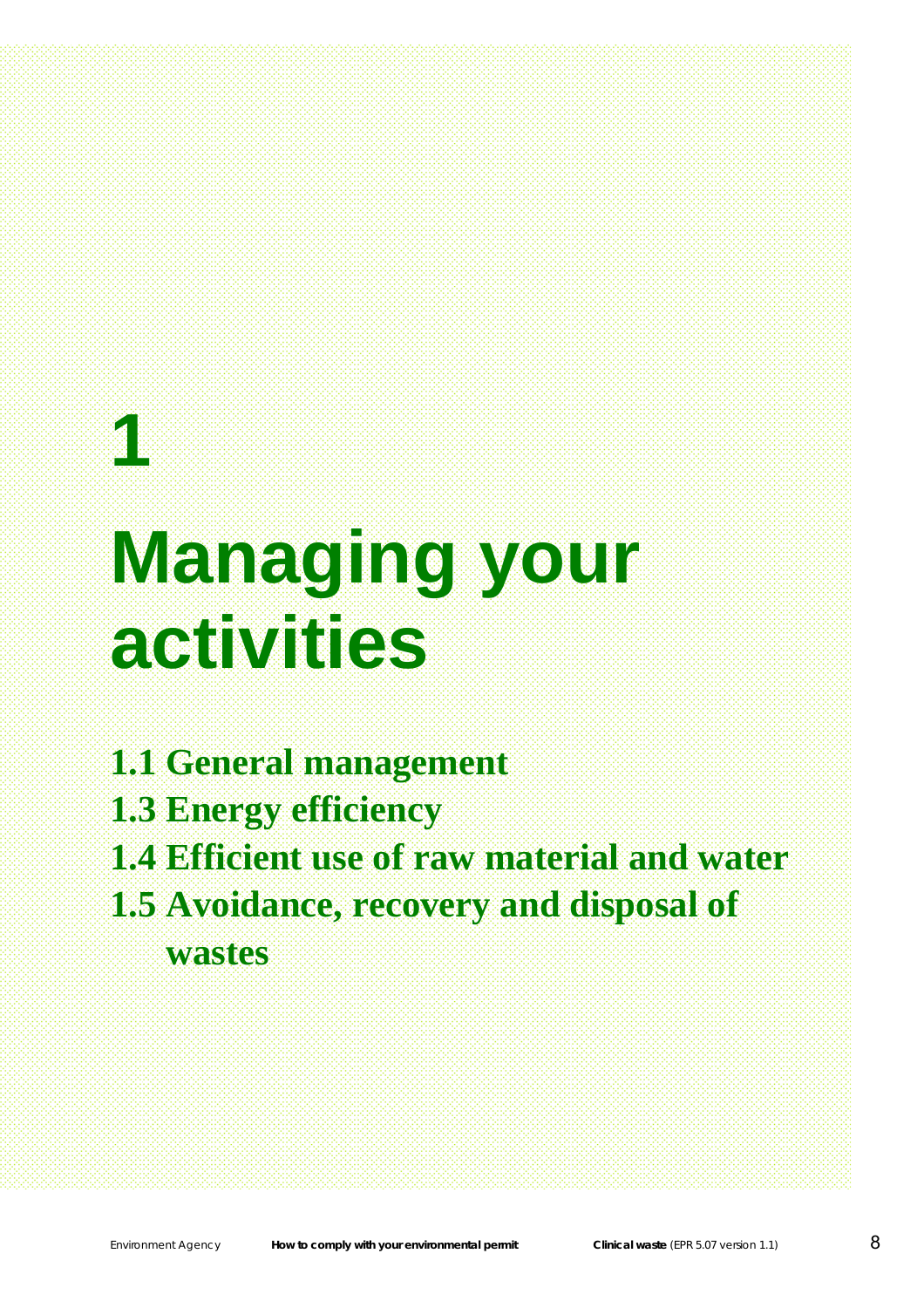# **1 Managing your activities**

- **1.1 General management**
- **1.3 Energy efficiency**
- **1.4 Efficient use of raw material and water**
- **1.5 Avoidance, recovery and disposal of wastes**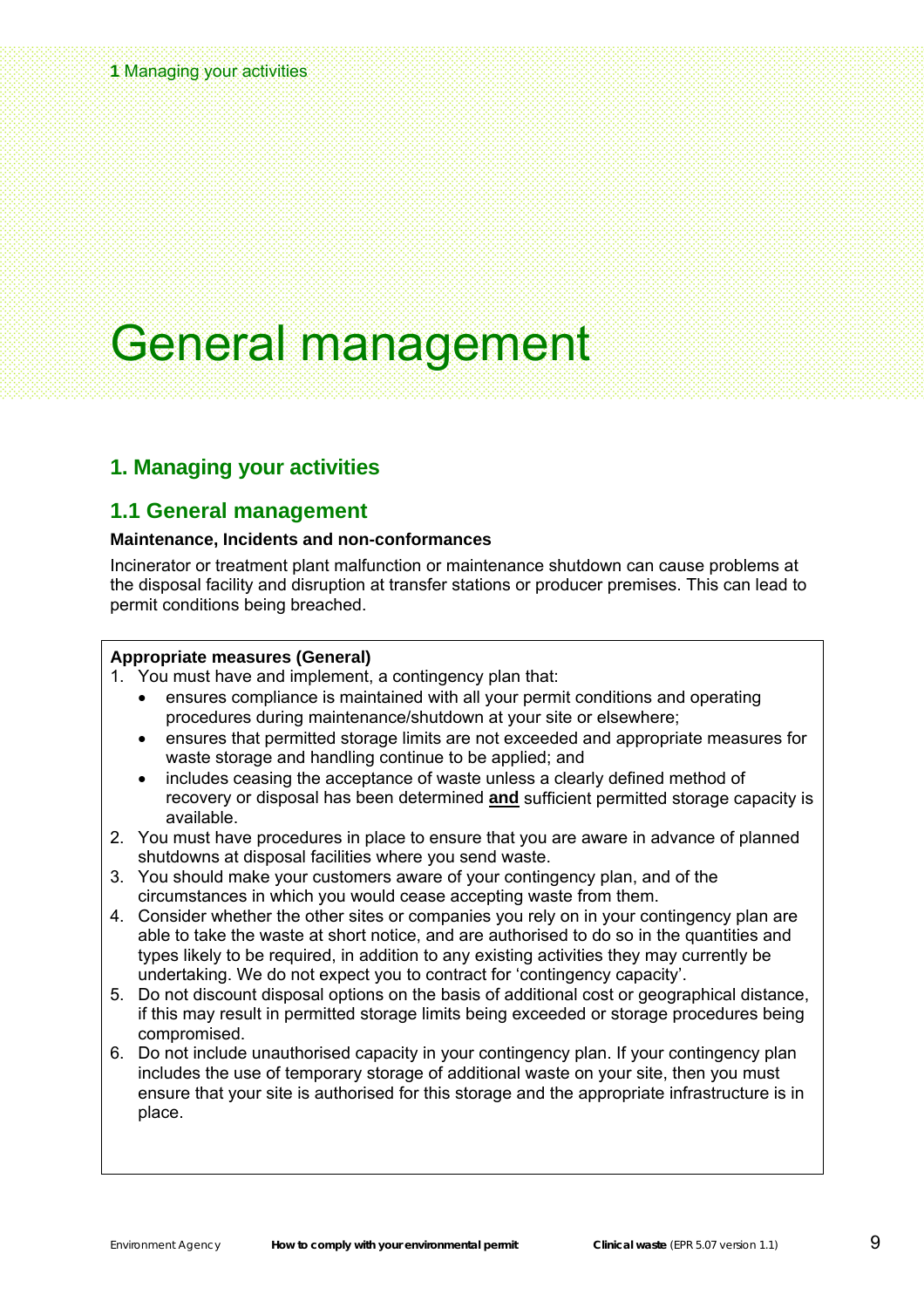#### <span id="page-10-0"></span>**1** Managing your activities

### General management

#### **1. Managing your activities**

#### **1.1 General management**

#### **Maintenance, Incidents and non-conformances**

Incinerator or treatment plant malfunction or maintenance shutdown can cause problems at the disposal facility and disruption at transfer stations or producer premises. This can lead to permit conditions being breached.

#### **Appropriate measures (General)**

1. You must have and implement, a contingency plan that:

- ensures compliance is maintained with all your permit conditions and operating procedures during maintenance/shutdown at your site or elsewhere;
- ensures that permitted storage limits are not exceeded and appropriate measures for waste storage and handling continue to be applied; and
- includes ceasing the acceptance of waste unless a clearly defined method of recovery or disposal has been determined **and** sufficient permitted storage capacity is available.
- 2. You must have procedures in place to ensure that you are aware in advance of planned shutdowns at disposal facilities where you send waste.
- 3. You should make your customers aware of your contingency plan, and of the circumstances in which you would cease accepting waste from them.
- 4. Consider whether the other sites or companies you rely on in your contingency plan are able to take the waste at short notice, and are authorised to do so in the quantities and types likely to be required, in addition to any existing activities they may currently be undertaking. We do not expect you to contract for 'contingency capacity'.
- 5. Do not discount disposal options on the basis of additional cost or geographical distance, if this may result in permitted storage limits being exceeded or storage procedures being compromised.
- 6. Do not include unauthorised capacity in your contingency plan. If your contingency plan includes the use of temporary storage of additional waste on your site, then you must ensure that your site is authorised for this storage and the appropriate infrastructure is in place.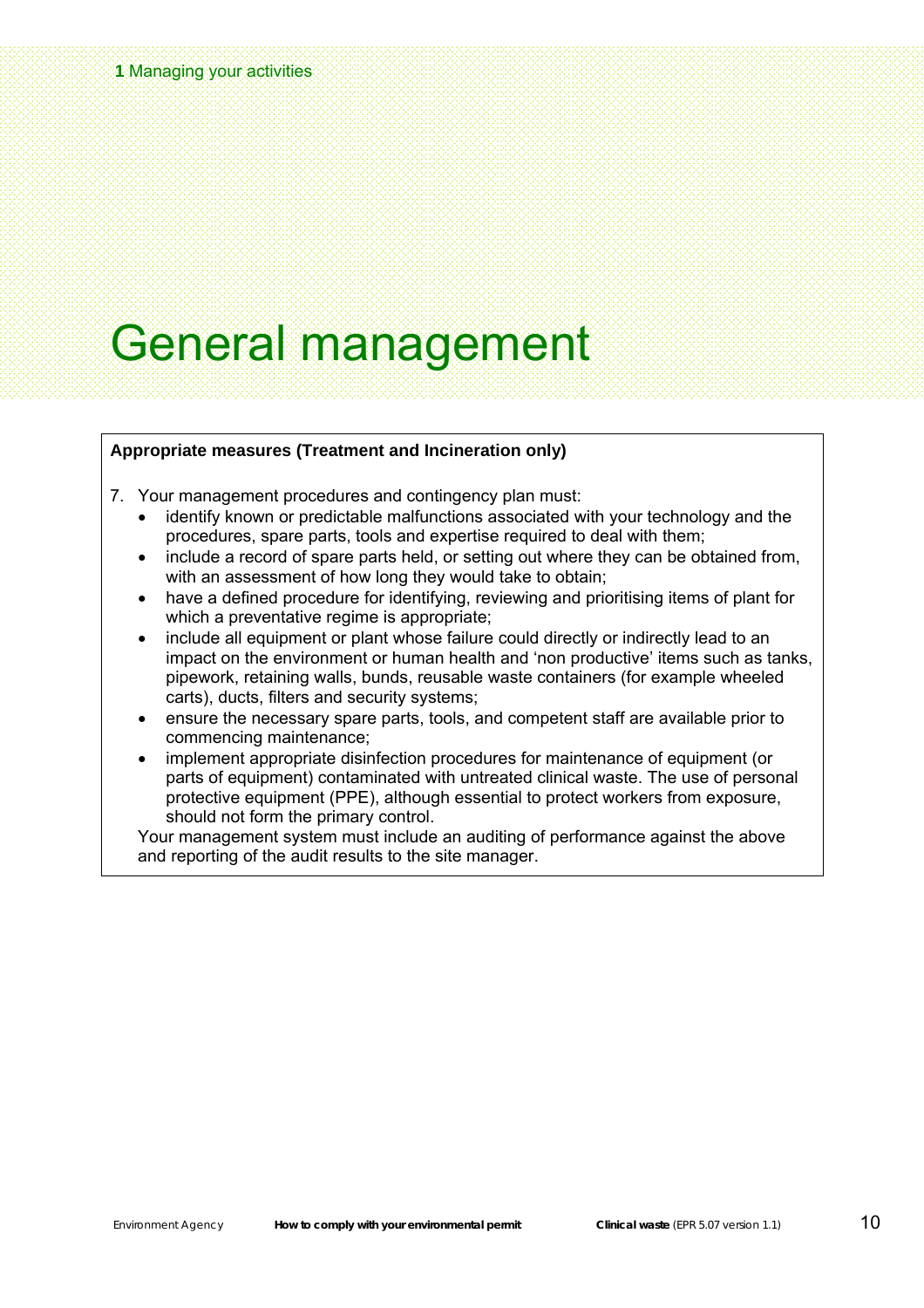### General management

#### **Appropriate measures (Treatment and Incineration only)**

- 7. Your management procedures and contingency plan must:
	- identify known or predictable malfunctions associated with your technology and the procedures, spare parts, tools and expertise required to deal with them;
	- include a record of spare parts held, or setting out where they can be obtained from, with an assessment of how long they would take to obtain;
	- have a defined procedure for identifying, reviewing and prioritising items of plant for which a preventative regime is appropriate;
	- include all equipment or plant whose failure could directly or indirectly lead to an impact on the environment or human health and 'non productive' items such as tanks, pipework, retaining walls, bunds, reusable waste containers (for example wheeled carts), ducts, filters and security systems;
	- ensure the necessary spare parts, tools, and competent staff are available prior to commencing maintenance;
	- implement appropriate disinfection procedures for maintenance of equipment (or parts of equipment) contaminated with untreated clinical waste. The use of personal protective equipment (PPE), although essential to protect workers from exposure, should not form the primary control.

Your management system must include an auditing of performance against the above and reporting of the audit results to the site manager.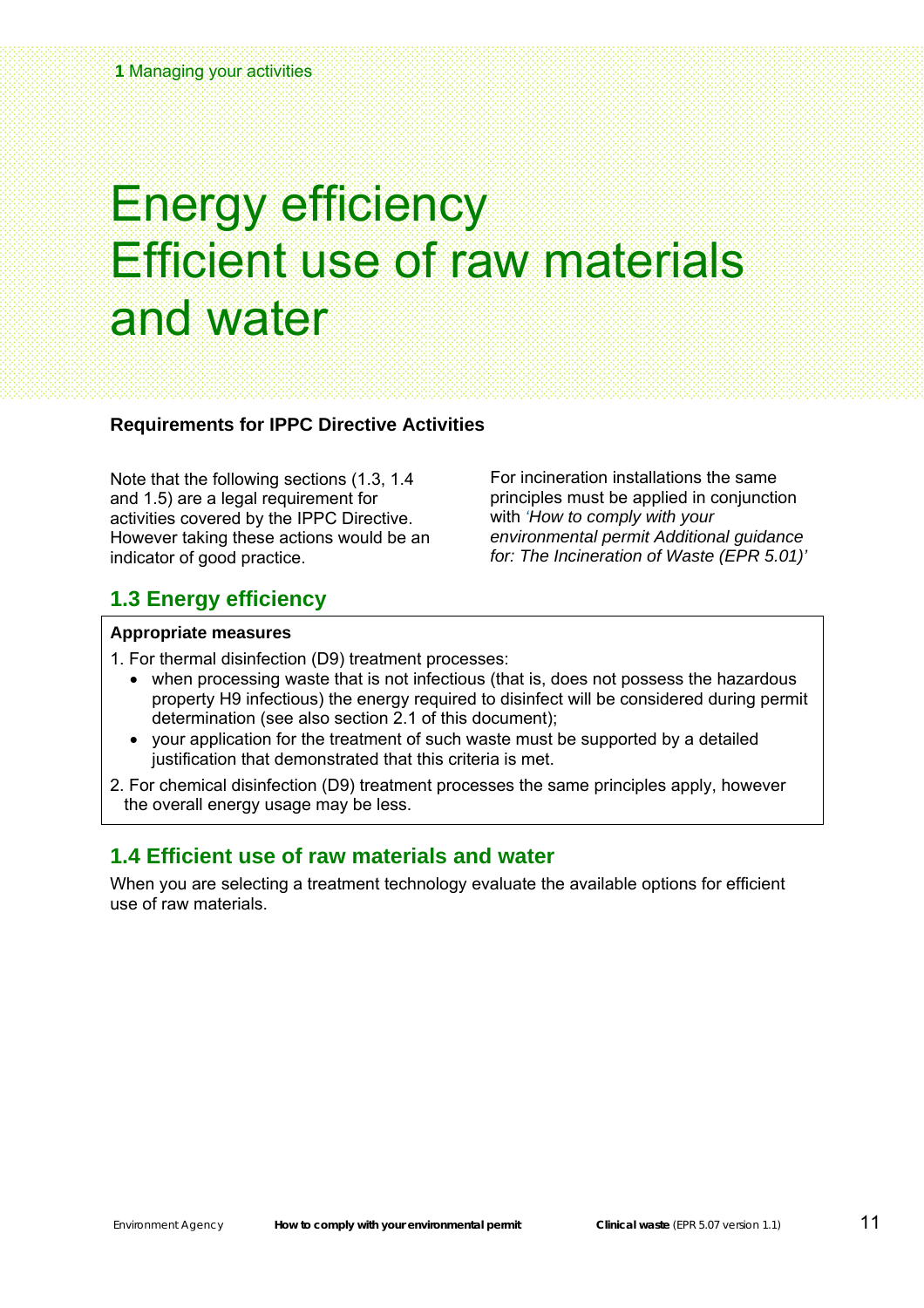### Energy efficiency Efficient use of raw materials and water

#### **Requirements for IPPC Directive Activities**

Note that the following sections (1.3, 1.4 and 1.5) are a legal requirement for activities covered by the IPPC Directive. However taking these actions would be an indicator of good practice.

For incineration installations the same principles must be applied in conjunction with *'How to comply with your environmental permit Additional guidance for: The Incineration of Waste (EPR 5.01)'*

#### **1.3 Energy efficiency**

#### **Appropriate measures**

1. For thermal disinfection (D9) treatment processes:

- when processing waste that is not infectious (that is, does not possess the hazardous property H9 infectious) the energy required to disinfect will be considered during permit determination (see also section 2.1 of this document);
- your application for the treatment of such waste must be supported by a detailed justification that demonstrated that this criteria is met.
- 2. For chemical disinfection (D9) treatment processes the same principles apply, however the overall energy usage may be less.

#### **1.4 Efficient use of raw materials and water**

When you are selecting a treatment technology evaluate the available options for efficient use of raw materials.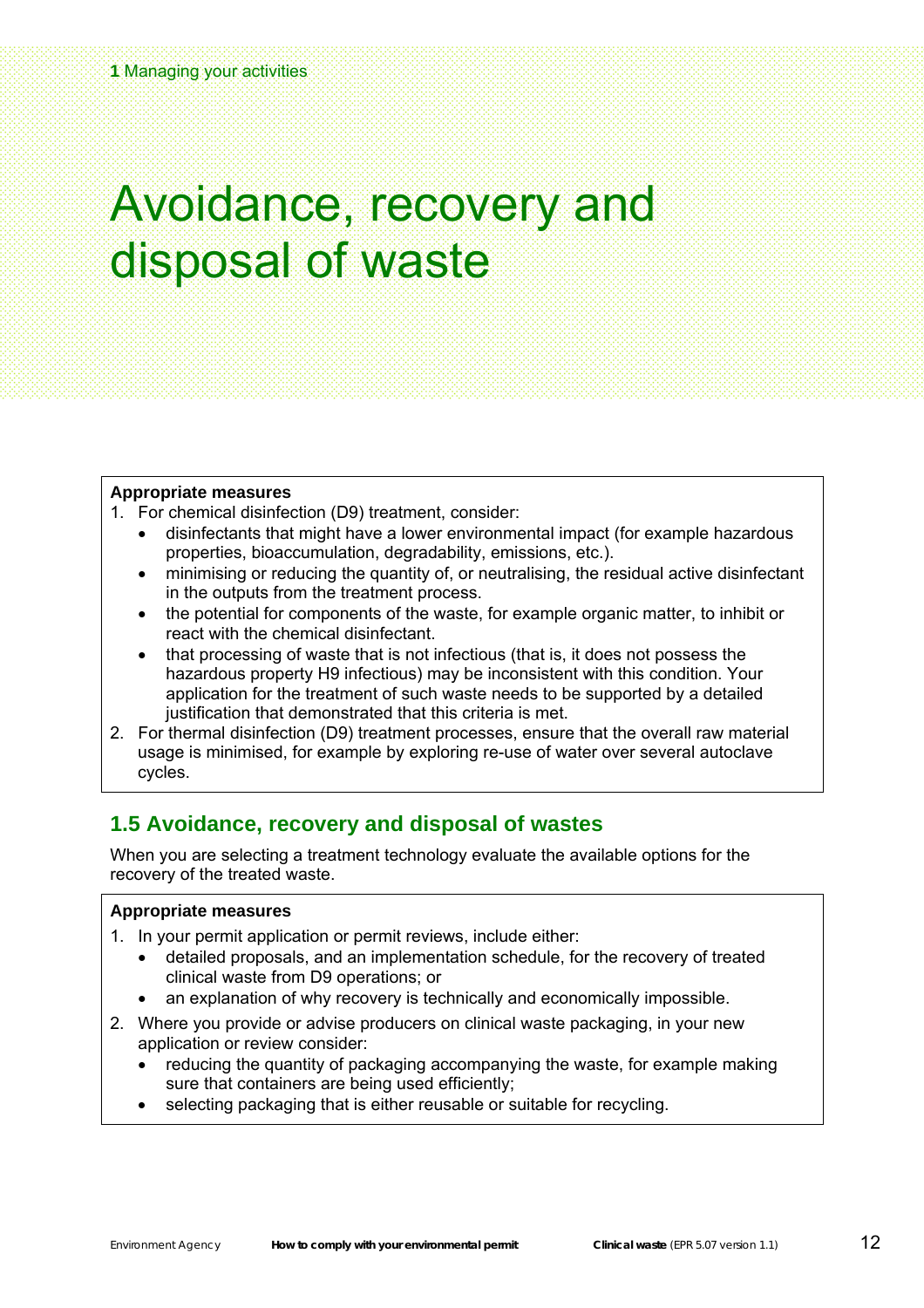### <span id="page-13-0"></span>Avoidance, recovery and disposal of waste

#### **Appropriate measures**

- 1. For chemical disinfection (D9) treatment, consider:
	- disinfectants that might have a lower environmental impact (for example hazardous properties, bioaccumulation, degradability, emissions, etc.).
	- minimising or reducing the quantity of, or neutralising, the residual active disinfectant in the outputs from the treatment process.
	- the potential for components of the waste, for example organic matter, to inhibit or react with the chemical disinfectant.
	- that processing of waste that is not infectious (that is, it does not possess the hazardous property H9 infectious) may be inconsistent with this condition. Your application for the treatment of such waste needs to be supported by a detailed justification that demonstrated that this criteria is met.
- 2. For thermal disinfection (D9) treatment processes, ensure that the overall raw material usage is minimised, for example by exploring re-use of water over several autoclave cycles.

#### **1.5 Avoidance, recovery and disposal of wastes**

When you are selecting a treatment technology evaluate the available options for the recovery of the treated waste.

#### **Appropriate measures**

- 1. In your permit application or permit reviews, include either:
	- detailed proposals, and an implementation schedule, for the recovery of treated clinical waste from D9 operations; or
	- an explanation of why recovery is technically and economically impossible.
- 2. Where you provide or advise producers on clinical waste packaging, in your new application or review consider:
	- reducing the quantity of packaging accompanying the waste, for example making sure that containers are being used efficiently;
	- selecting packaging that is either reusable or suitable for recycling.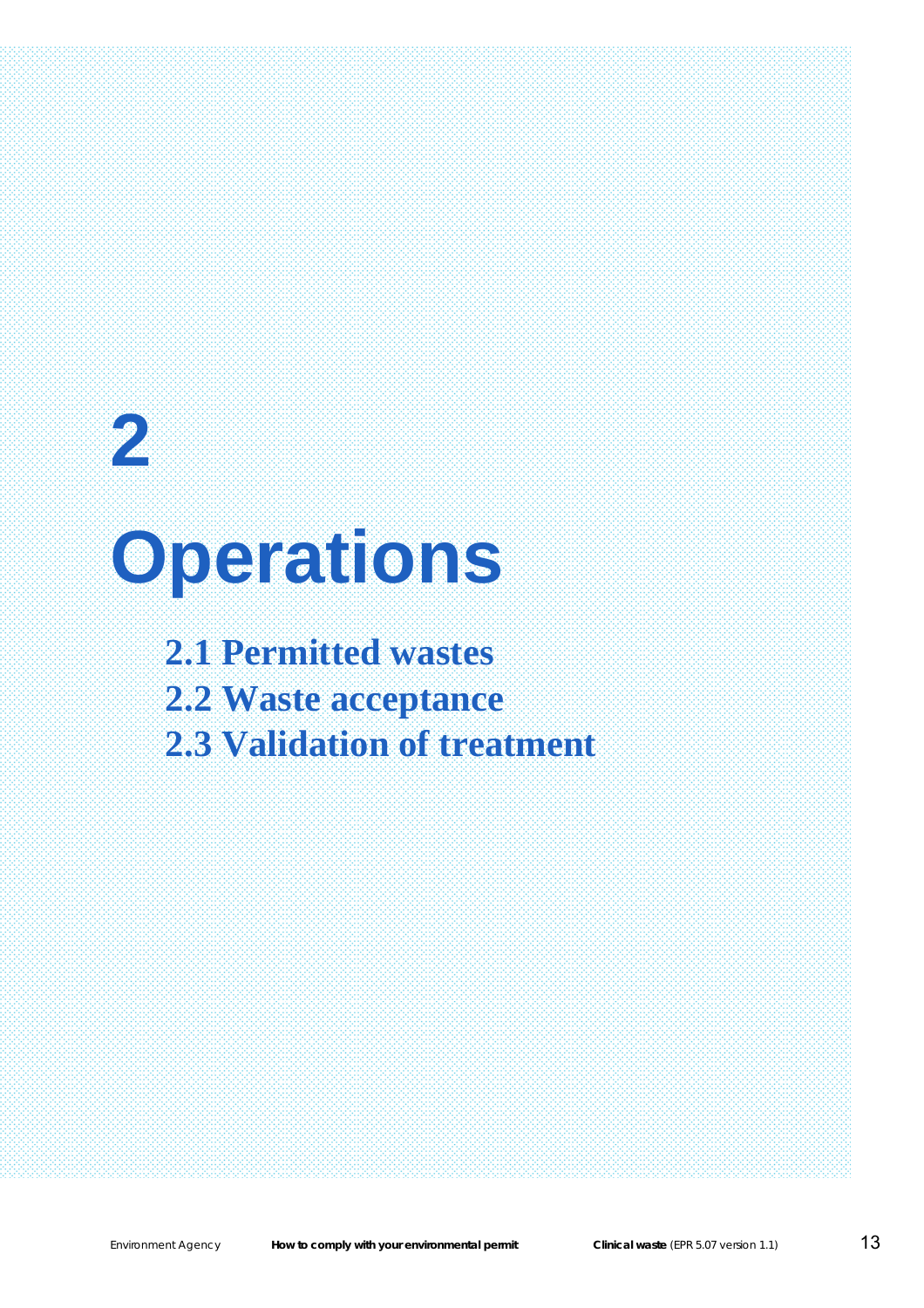## **2 Operations 2.1 Permitted wastes**

**2.2 Waste acceptance 2.3 Validation of treatment** 

**2** Chapter title

Section title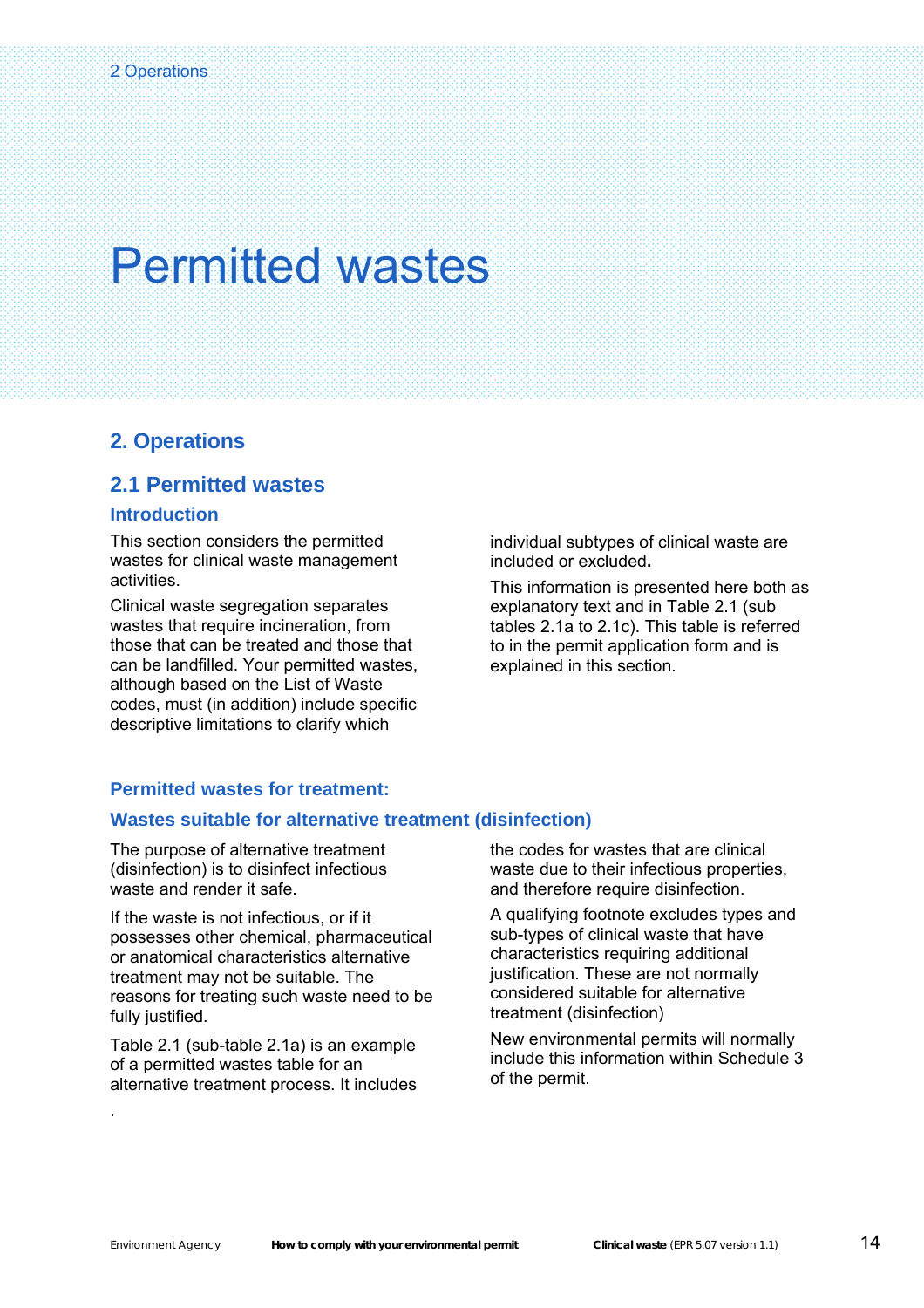#### <span id="page-15-0"></span>**2. Operations**

#### **2.1 Permitted wastes**

#### **Introduction**

This section considers the permitted wastes for clinical waste management activities.

Clinical waste segregation separates wastes that require incineration, from those that can be treated and those that can be landfilled. Your permitted wastes, although based on the List of Waste codes, must (in addition) include specific descriptive limitations to clarify which

individual subtypes of clinical waste are included or excluded**.**

This information is presented here both as explanatory text and in Table 2.1 (sub tables 2.1a to 2.1c). This table is referred to in the permit application form and is explained in this section.

#### **Permitted wastes for treatment:**

#### **Wastes suitable for alternative treatment (disinfection)**

The purpose of alternative treatment (disinfection) is to disinfect infectious waste and render it safe.

If the waste is not infectious, or if it possesses other chemical, pharmaceutical or anatomical characteristics alternative treatment may not be suitable. The reasons for treating such waste need to be fully justified.

Table 2.1 (sub-table 2.1a) is an example of a permitted wastes table for an alternative treatment process. It includes

.

the codes for wastes that are clinical waste due to their infectious properties, and therefore require disinfection.

A qualifying footnote excludes types and sub-types of clinical waste that have characteristics requiring additional justification. These are not normally considered suitable for alternative treatment (disinfection)

New environmental permits will normally include this information within Schedule 3 of the permit.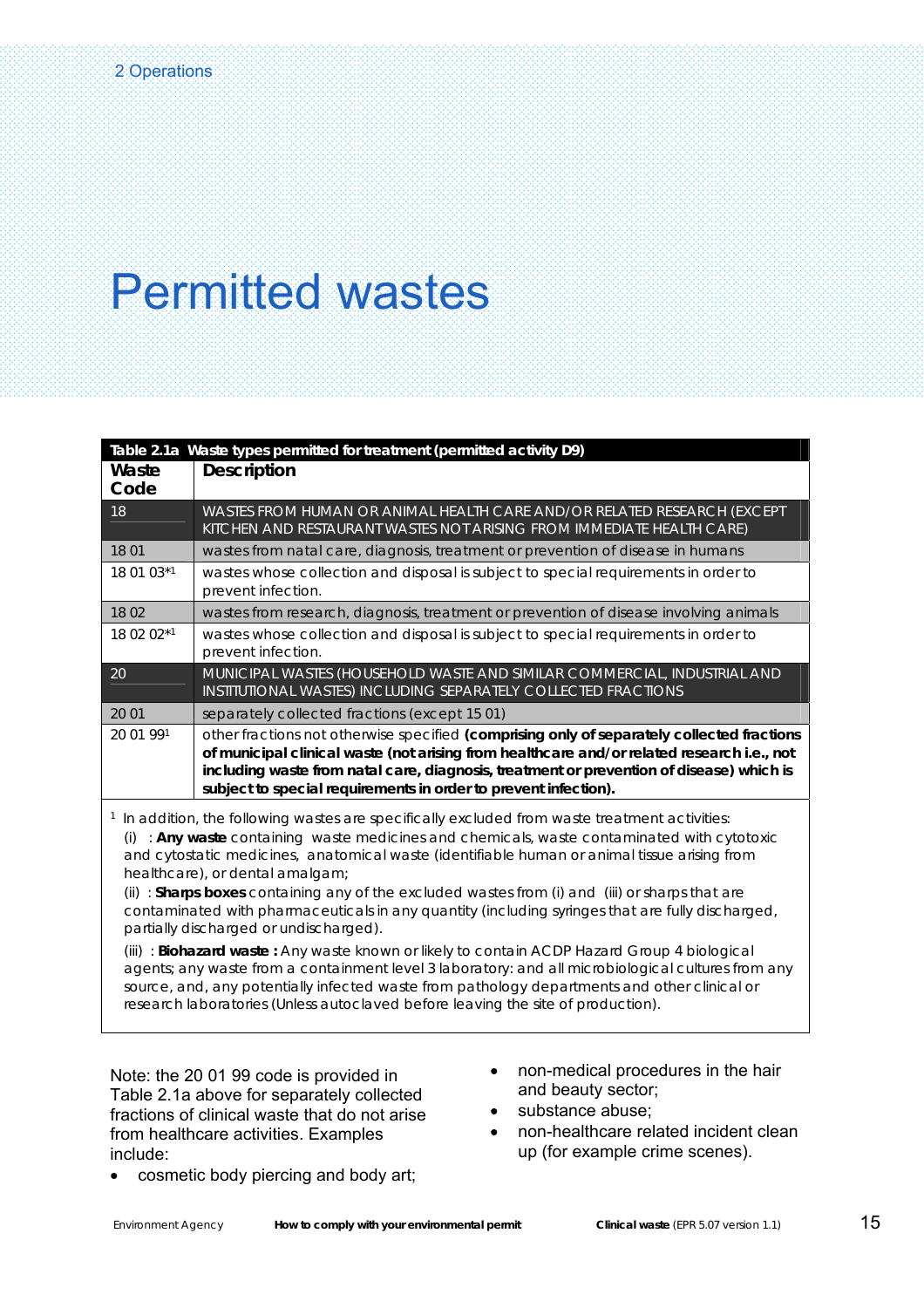|                                                                                                                                                                                                                                                                                                                                                                                                                                                                                                                                                                                                                                                                                                                                                                                                                                                                                                                                                                                              | Table 2.1a Waste types permitted for treatment (permitted activity D9)                                                                                                                                                                                                                                                                                  |
|----------------------------------------------------------------------------------------------------------------------------------------------------------------------------------------------------------------------------------------------------------------------------------------------------------------------------------------------------------------------------------------------------------------------------------------------------------------------------------------------------------------------------------------------------------------------------------------------------------------------------------------------------------------------------------------------------------------------------------------------------------------------------------------------------------------------------------------------------------------------------------------------------------------------------------------------------------------------------------------------|---------------------------------------------------------------------------------------------------------------------------------------------------------------------------------------------------------------------------------------------------------------------------------------------------------------------------------------------------------|
| Waste<br>Code                                                                                                                                                                                                                                                                                                                                                                                                                                                                                                                                                                                                                                                                                                                                                                                                                                                                                                                                                                                | <b>Description</b>                                                                                                                                                                                                                                                                                                                                      |
| 18                                                                                                                                                                                                                                                                                                                                                                                                                                                                                                                                                                                                                                                                                                                                                                                                                                                                                                                                                                                           | WASTES FROM HUMAN OR ANIMAL HEALTH CARE AND/OR RELATED RESEARCH (EXCEPT<br>KITCHEN AND RESTAURANT WASTES NOT ARISING FROM IMMEDIATE HEALTH CARE)                                                                                                                                                                                                        |
| 18 01                                                                                                                                                                                                                                                                                                                                                                                                                                                                                                                                                                                                                                                                                                                                                                                                                                                                                                                                                                                        | wastes from natal care, diagnosis, treatment or prevention of disease in humans                                                                                                                                                                                                                                                                         |
| 18 01 03*1                                                                                                                                                                                                                                                                                                                                                                                                                                                                                                                                                                                                                                                                                                                                                                                                                                                                                                                                                                                   | wastes whose collection and disposal is subject to special requirements in order to<br>prevent infection.                                                                                                                                                                                                                                               |
| 18 02                                                                                                                                                                                                                                                                                                                                                                                                                                                                                                                                                                                                                                                                                                                                                                                                                                                                                                                                                                                        | wastes from research, diagnosis, treatment or prevention of disease involving animals                                                                                                                                                                                                                                                                   |
| 18 02 02*1                                                                                                                                                                                                                                                                                                                                                                                                                                                                                                                                                                                                                                                                                                                                                                                                                                                                                                                                                                                   | wastes whose collection and disposal is subject to special requirements in order to<br>prevent infection.                                                                                                                                                                                                                                               |
| 20                                                                                                                                                                                                                                                                                                                                                                                                                                                                                                                                                                                                                                                                                                                                                                                                                                                                                                                                                                                           | MUNICIPAL WASTES (HOUSEHOLD WASTE AND SIMILAR COMMERCIAL, INDUSTRIAL AND<br>INSTITUTIONAL WASTES) INCLUDING SEPARATELY COLLECTED FRACTIONS                                                                                                                                                                                                              |
| 20 01                                                                                                                                                                                                                                                                                                                                                                                                                                                                                                                                                                                                                                                                                                                                                                                                                                                                                                                                                                                        | separately collected fractions (except 15 01)                                                                                                                                                                                                                                                                                                           |
| 20 01 991                                                                                                                                                                                                                                                                                                                                                                                                                                                                                                                                                                                                                                                                                                                                                                                                                                                                                                                                                                                    | other fractions not otherwise specified (comprising only of separately collected fractions<br>of municipal clinical waste (not arising from healthcare and/or related research i.e., not<br>including waste from natal care, diagnosis, treatment or prevention of disease) which is<br>subject to special requirements in order to prevent infection). |
| <sup>1</sup> In addition, the following wastes are specifically excluded from waste treatment activities:<br>(i) : Any waste containing waste medicines and chemicals, waste contaminated with cytotoxic<br>and cytostatic medicines, anatomical waste (identifiable human or animal tissue arising from<br>healthcare), or dental amalgam;<br>(ii) : <b>Sharps boxes</b> containing any of the excluded wastes from (i) and (iii) or sharps that are<br>contaminated with pharmaceuticals in any quantity (including syringes that are fully discharged,<br>partially discharged or undischarged).<br>(iii): Biohazard waste: Any waste known or likely to contain ACDP Hazard Group 4 biological<br>agents; any waste from a containment level 3 laboratory: and all microbiological cultures from any<br>source, and, any potentially infected waste from pathology departments and other clinical or<br>research laboratories (Unless autoclaved before leaving the site of production). |                                                                                                                                                                                                                                                                                                                                                         |

Note: the 20 01 99 code is provided in Table 2.1a above for separately collected fractions of clinical waste that do not arise from healthcare activities. Examples include:

- non-medical procedures in the hair and beauty sector;
- substance abuse;
- non-healthcare related incident clean up (for example crime scenes).
- cosmetic body piercing and body art;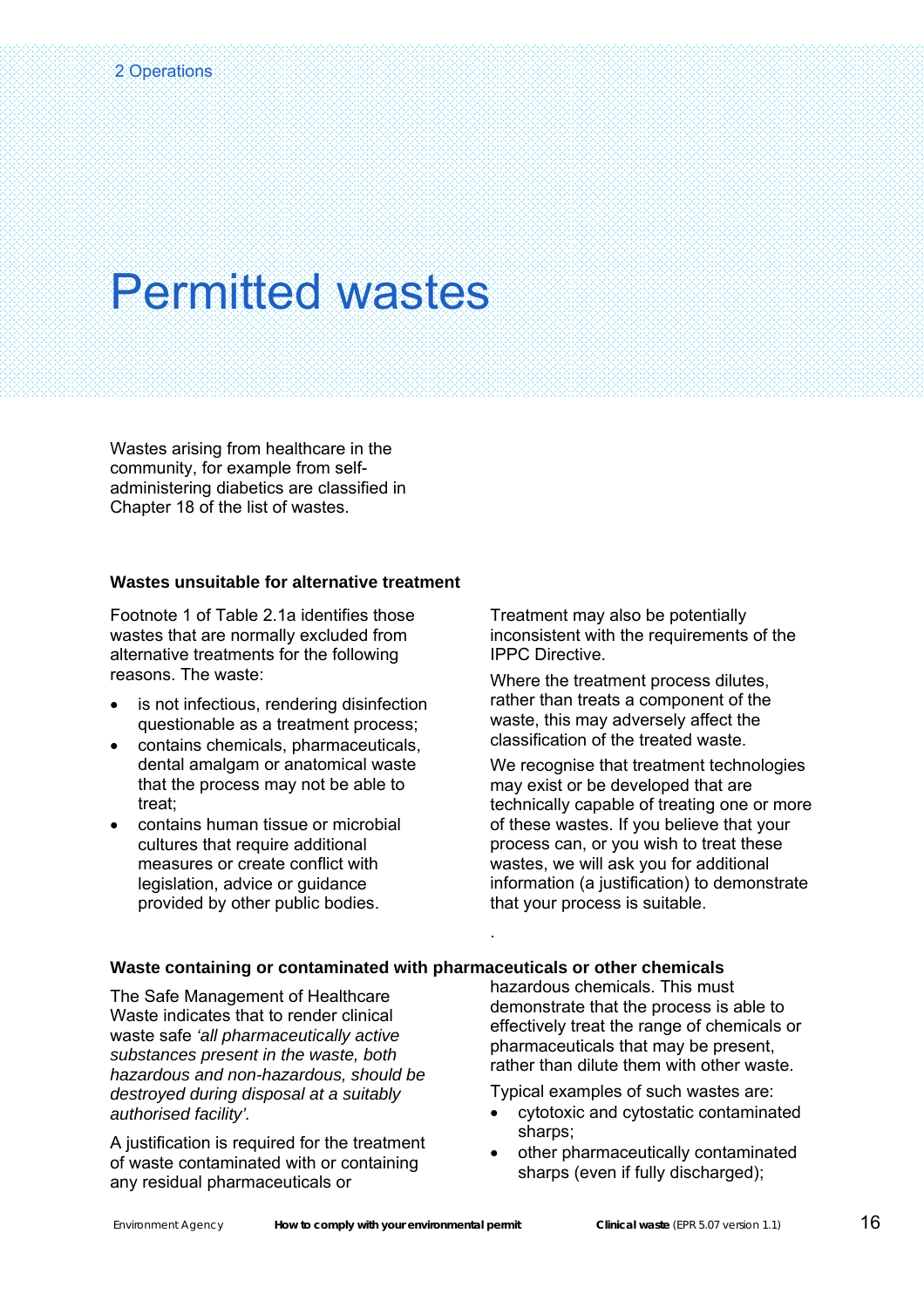Wastes arising from healthcare in the community, for example from selfadministering diabetics are classified in Chapter 18 of the list of wastes.

#### **Wastes unsuitable for alternative treatment**

Footnote 1 of Table 2.1a identifies those wastes that are normally excluded from alternative treatments for the following reasons. The waste:

- is not infectious, rendering disinfection questionable as a treatment process;
- contains chemicals, pharmaceuticals, dental amalgam or anatomical waste that the process may not be able to treat;
- contains human tissue or microbial cultures that require additional measures or create conflict with legislation, advice or guidance provided by other public bodies.

Treatment may also be potentially inconsistent with the requirements of the IPPC Directive.

Where the treatment process dilutes, rather than treats a component of the waste, this may adversely affect the classification of the treated waste.

We recognise that treatment technologies may exist or be developed that are technically capable of treating one or more of these wastes. If you believe that your process can, or you wish to treat these wastes, we will ask you for additional information (a justification) to demonstrate that your process is suitable.

#### **Waste containing or contaminated with pharmaceuticals or other chemicals**

.

The Safe Management of Healthcare Waste indicates that to render clinical waste safe *'all pharmaceutically active substances present in the waste, both hazardous and non-hazardous, should be destroyed during disposal at a suitably authorised facility'.* 

A justification is required for the treatment of waste contaminated with or containing any residual pharmaceuticals or

hazardous chemicals. This must demonstrate that the process is able to effectively treat the range of chemicals or pharmaceuticals that may be present, rather than dilute them with other waste.

Typical examples of such wastes are:

- cytotoxic and cytostatic contaminated sharps:
- other pharmaceutically contaminated sharps (even if fully discharged);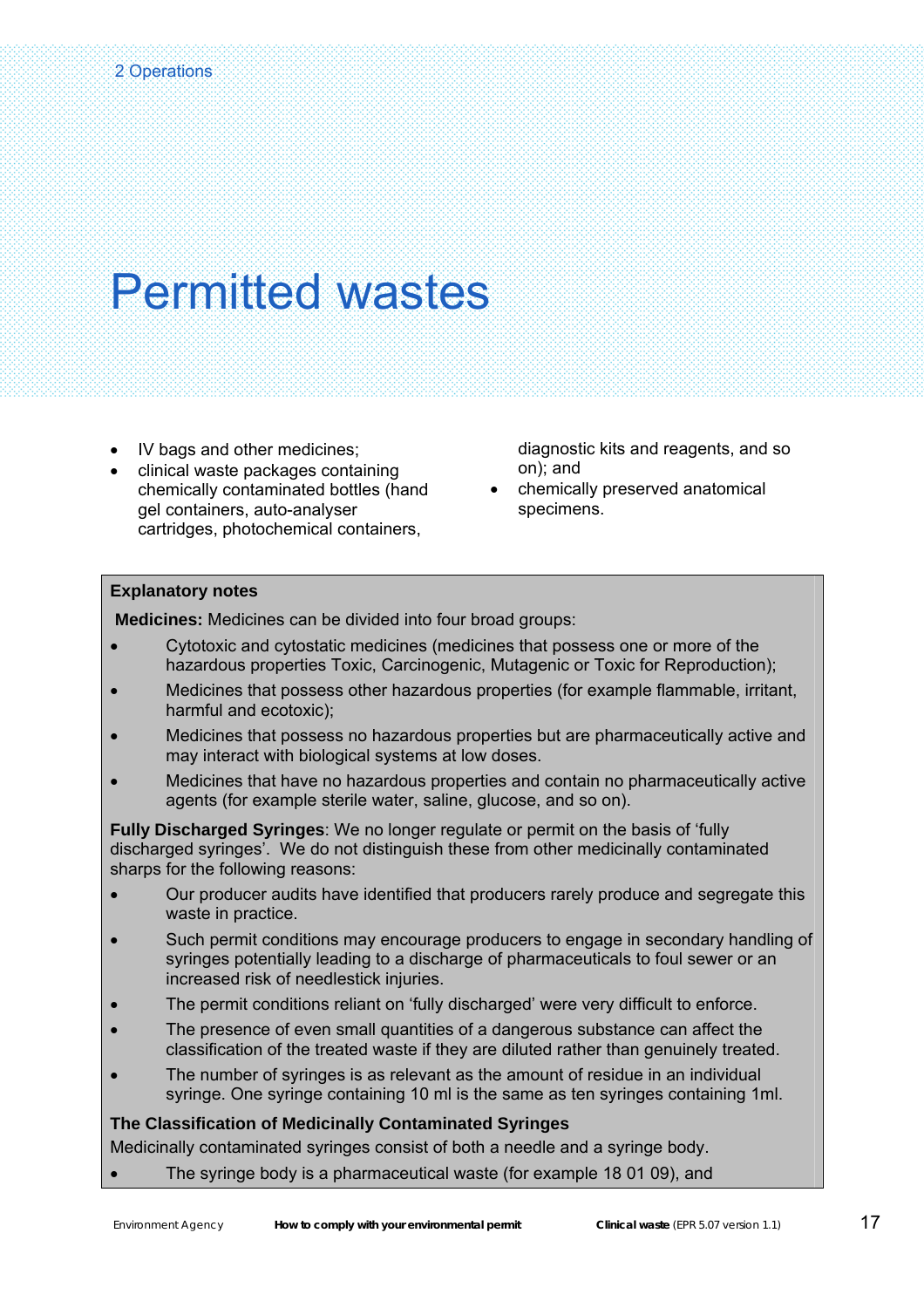- IV bags and other medicines;
- clinical waste packages containing chemically contaminated bottles (hand gel containers, auto-analyser cartridges, photochemical containers,

diagnostic kits and reagents, and so on); and

• chemically preserved anatomical specimens.

#### **Explanatory notes**

 **Medicines:** Medicines can be divided into four broad groups:

- Cytotoxic and cytostatic medicines (medicines that possess one or more of the hazardous properties Toxic, Carcinogenic, Mutagenic or Toxic for Reproduction);
- Medicines that possess other hazardous properties (for example flammable, irritant, harmful and ecotoxic);
- Medicines that possess no hazardous properties but are pharmaceutically active and may interact with biological systems at low doses.
- Medicines that have no hazardous properties and contain no pharmaceutically active agents (for example sterile water, saline, glucose, and so on).

**Fully Discharged Syringes**: We no longer regulate or permit on the basis of 'fully discharged syringes'. We do not distinguish these from other medicinally contaminated sharps for the following reasons:

- Our producer audits have identified that producers rarely produce and segregate this waste in practice.
- Such permit conditions may encourage producers to engage in secondary handling of syringes potentially leading to a discharge of pharmaceuticals to foul sewer or an increased risk of needlestick injuries.
- The permit conditions reliant on 'fully discharged' were very difficult to enforce.
- The presence of even small quantities of a dangerous substance can affect the classification of the treated waste if they are diluted rather than genuinely treated.
- The number of syringes is as relevant as the amount of residue in an individual syringe. One syringe containing 10 ml is the same as ten syringes containing 1ml.

**The Classification of Medicinally Contaminated Syringes** 

Medicinally contaminated syringes consist of both a needle and a syringe body.

• The syringe body is a pharmaceutical waste (for example 18 01 09), and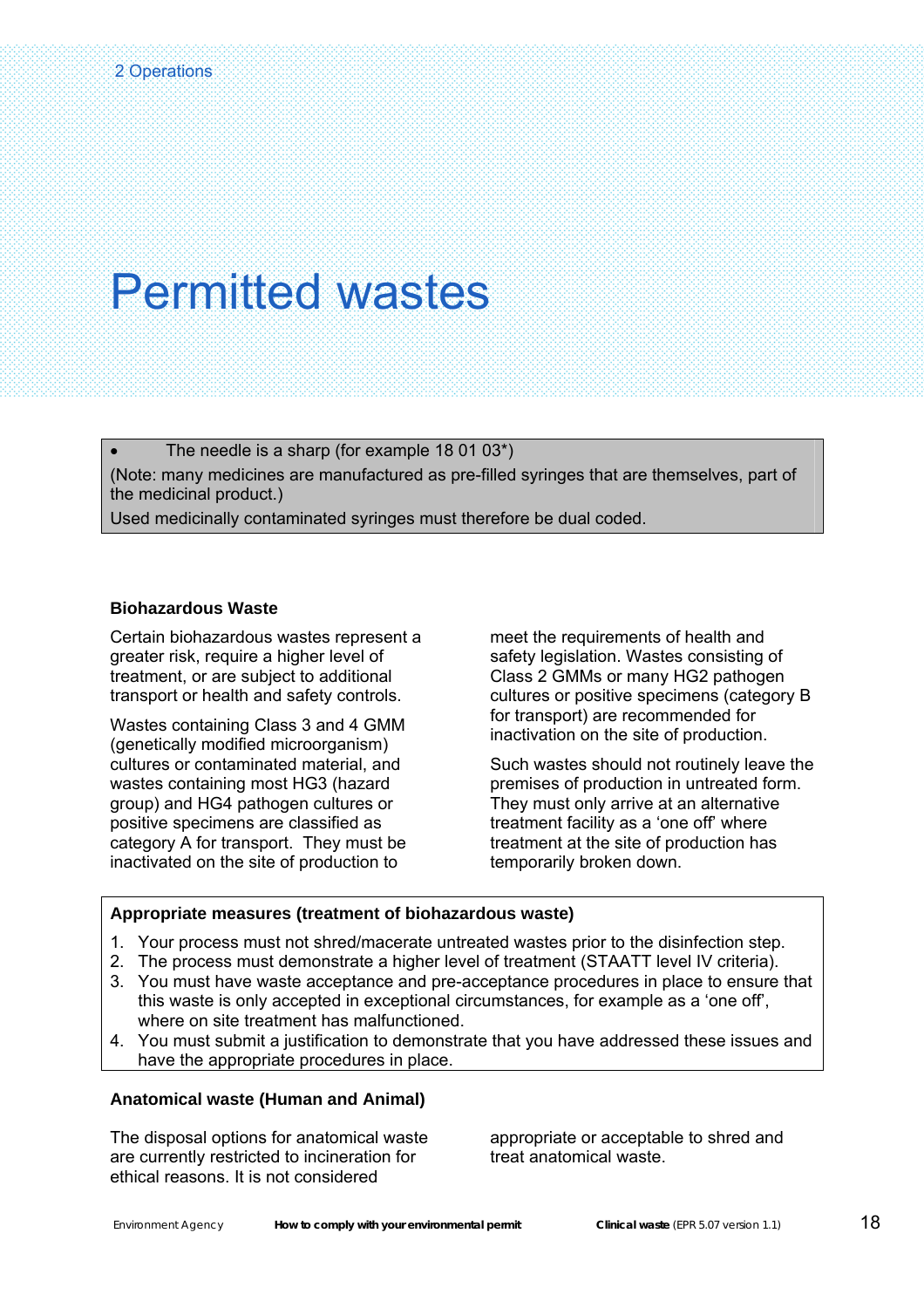The needle is a sharp (for example  $18\ 01\ 03^*$ ) (Note: many medicines are manufactured as pre-filled syringes that are themselves, part of the medicinal product.) Used medicinally contaminated syringes must therefore be dual coded.

#### **Biohazardous Waste**

Certain biohazardous wastes represent a greater risk, require a higher level of treatment, or are subject to additional transport or health and safety controls.

Wastes containing Class 3 and 4 GMM (genetically modified microorganism) cultures or contaminated material, and wastes containing most HG3 (hazard group) and HG4 pathogen cultures or positive specimens are classified as category A for transport. They must be inactivated on the site of production to

meet the requirements of health and safety legislation. Wastes consisting of Class 2 GMMs or many HG2 pathogen cultures or positive specimens (category B for transport) are recommended for inactivation on the site of production.

Such wastes should not routinely leave the premises of production in untreated form. They must only arrive at an alternative treatment facility as a 'one off' where treatment at the site of production has temporarily broken down.

#### **Appropriate measures (treatment of biohazardous waste)**

- 1. Your process must not shred/macerate untreated wastes prior to the disinfection step.
- 2. The process must demonstrate a higher level of treatment (STAATT level IV criteria).
- 3. You must have waste acceptance and pre-acceptance procedures in place to ensure that this waste is only accepted in exceptional circumstances, for example as a 'one off', where on site treatment has malfunctioned.
- 4. You must submit a justification to demonstrate that you have addressed these issues and have the appropriate procedures in place.

#### **Anatomical waste (Human and Animal)**

The disposal options for anatomical waste are currently restricted to incineration for ethical reasons. It is not considered

appropriate or acceptable to shred and treat anatomical waste.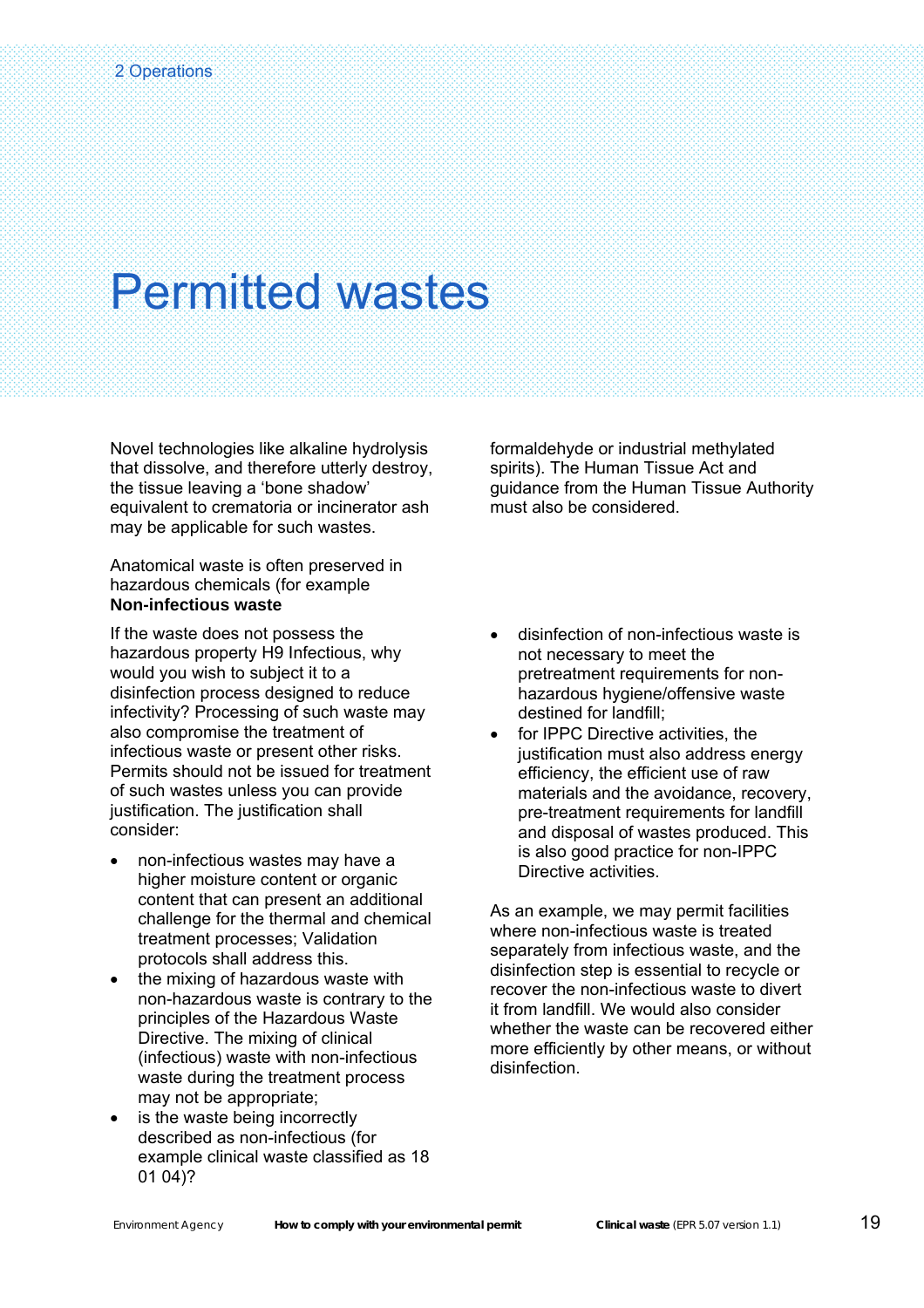Novel technologies like alkaline hydrolysis that dissolve, and therefore utterly destroy, the tissue leaving a 'bone shadow' equivalent to crematoria or incinerator ash may be applicable for such wastes.

Anatomical waste is often preserved in hazardous chemicals (for example **Non-infectious waste**

If the waste does not possess the hazardous property H9 Infectious, why would you wish to subject it to a disinfection process designed to reduce infectivity? Processing of such waste may also compromise the treatment of infectious waste or present other risks. Permits should not be issued for treatment of such wastes unless you can provide justification. The justification shall consider:

- non-infectious wastes may have a higher moisture content or organic content that can present an additional challenge for the thermal and chemical treatment processes; Validation protocols shall address this.
- the mixing of hazardous waste with non-hazardous waste is contrary to the principles of the Hazardous Waste Directive. The mixing of clinical (infectious) waste with non-infectious waste during the treatment process may not be appropriate;
- is the waste being incorrectly described as non-infectious (for example clinical waste classified as 18 01 04)?

formaldehyde or industrial methylated spirits). The Human Tissue Act and guidance from the Human Tissue Authority must also be considered.

- disinfection of non-infectious waste is not necessary to meet the pretreatment requirements for nonhazardous hygiene/offensive waste destined for landfill;
- for IPPC Directive activities, the justification must also address energy efficiency, the efficient use of raw materials and the avoidance, recovery, pre-treatment requirements for landfill and disposal of wastes produced. This is also good practice for non-IPPC Directive activities.

As an example, we may permit facilities where non-infectious waste is treated separately from infectious waste, and the disinfection step is essential to recycle or recover the non-infectious waste to divert it from landfill. We would also consider whether the waste can be recovered either more efficiently by other means, or without disinfection.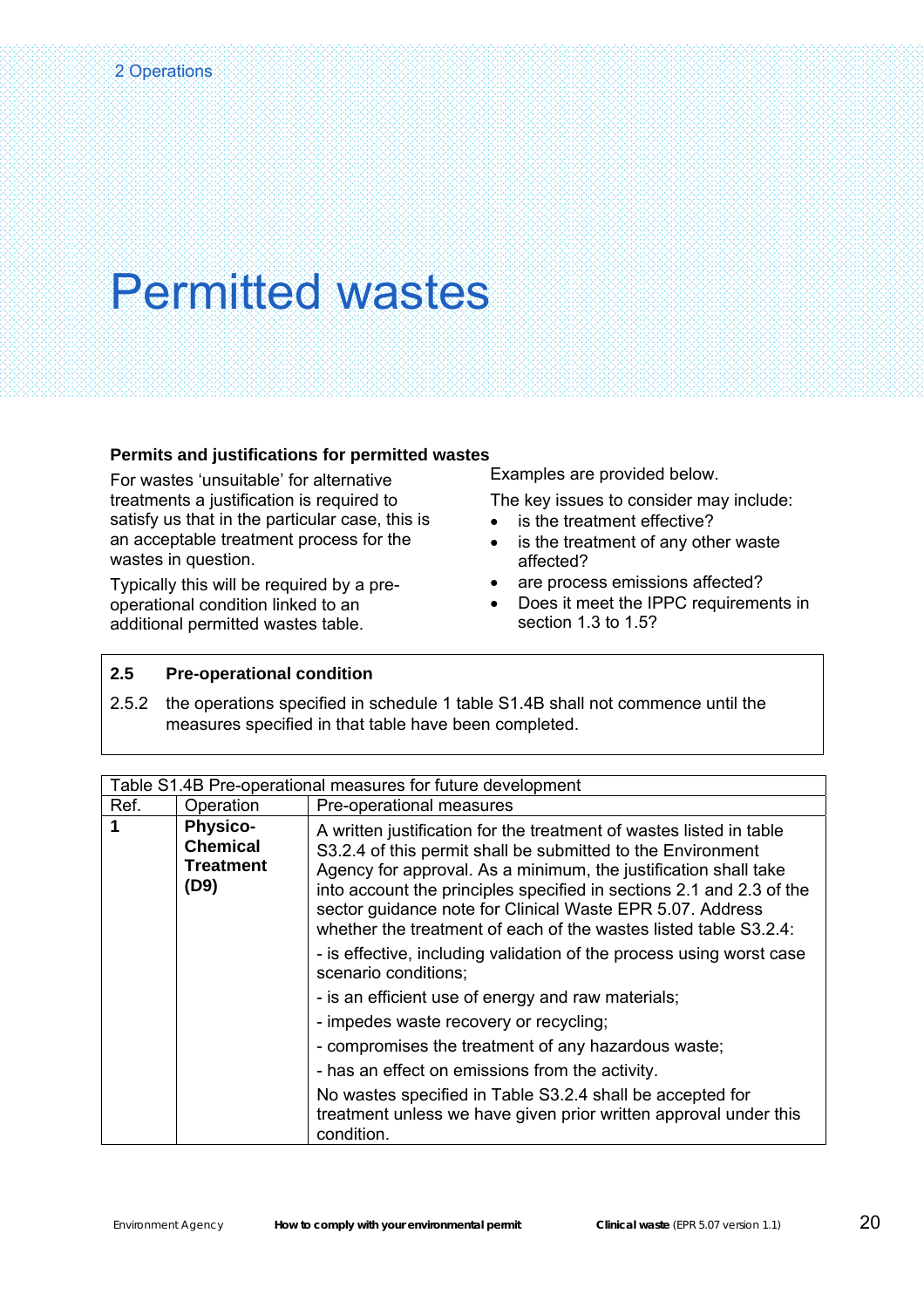#### **Permits and justifications for permitted wastes**

For wastes 'unsuitable' for alternative treatments a justification is required to satisfy us that in the particular case, this is an acceptable treatment process for the wastes in question.

Typically this will be required by a preoperational condition linked to an additional permitted wastes table.

Examples are provided below.

The key issues to consider may include:

- is the treatment effective?
- is the treatment of any other waste affected?
- are process emissions affected?
- Does it meet the IPPC requirements in section 1.3 to 1.5?

#### **2.5 Pre-operational condition**

2.5.2 the operations specified in schedule 1 table S1.4B shall not commence until the measures specified in that table have been completed.

| Table S1.4B Pre-operational measures for future development |                                                         |                                                                                                                                                                                                                                                                                                                                                                                                                |
|-------------------------------------------------------------|---------------------------------------------------------|----------------------------------------------------------------------------------------------------------------------------------------------------------------------------------------------------------------------------------------------------------------------------------------------------------------------------------------------------------------------------------------------------------------|
| Ref.                                                        | Operation                                               | Pre-operational measures                                                                                                                                                                                                                                                                                                                                                                                       |
| $\blacktriangleleft$                                        | <b>Physico-</b><br><b>Chemical</b><br>Treatment<br>(D9) | A written justification for the treatment of wastes listed in table<br>S3.2.4 of this permit shall be submitted to the Environment<br>Agency for approval. As a minimum, the justification shall take<br>into account the principles specified in sections 2.1 and 2.3 of the<br>sector guidance note for Clinical Waste EPR 5.07. Address<br>whether the treatment of each of the wastes listed table S3.2.4: |
|                                                             |                                                         | - is effective, including validation of the process using worst case<br>scenario conditions;                                                                                                                                                                                                                                                                                                                   |
|                                                             |                                                         | - is an efficient use of energy and raw materials;                                                                                                                                                                                                                                                                                                                                                             |
|                                                             |                                                         | - impedes waste recovery or recycling;                                                                                                                                                                                                                                                                                                                                                                         |
|                                                             |                                                         | - compromises the treatment of any hazardous waste;                                                                                                                                                                                                                                                                                                                                                            |
|                                                             |                                                         | - has an effect on emissions from the activity.                                                                                                                                                                                                                                                                                                                                                                |
|                                                             |                                                         | No wastes specified in Table S3.2.4 shall be accepted for<br>treatment unless we have given prior written approval under this<br>condition.                                                                                                                                                                                                                                                                    |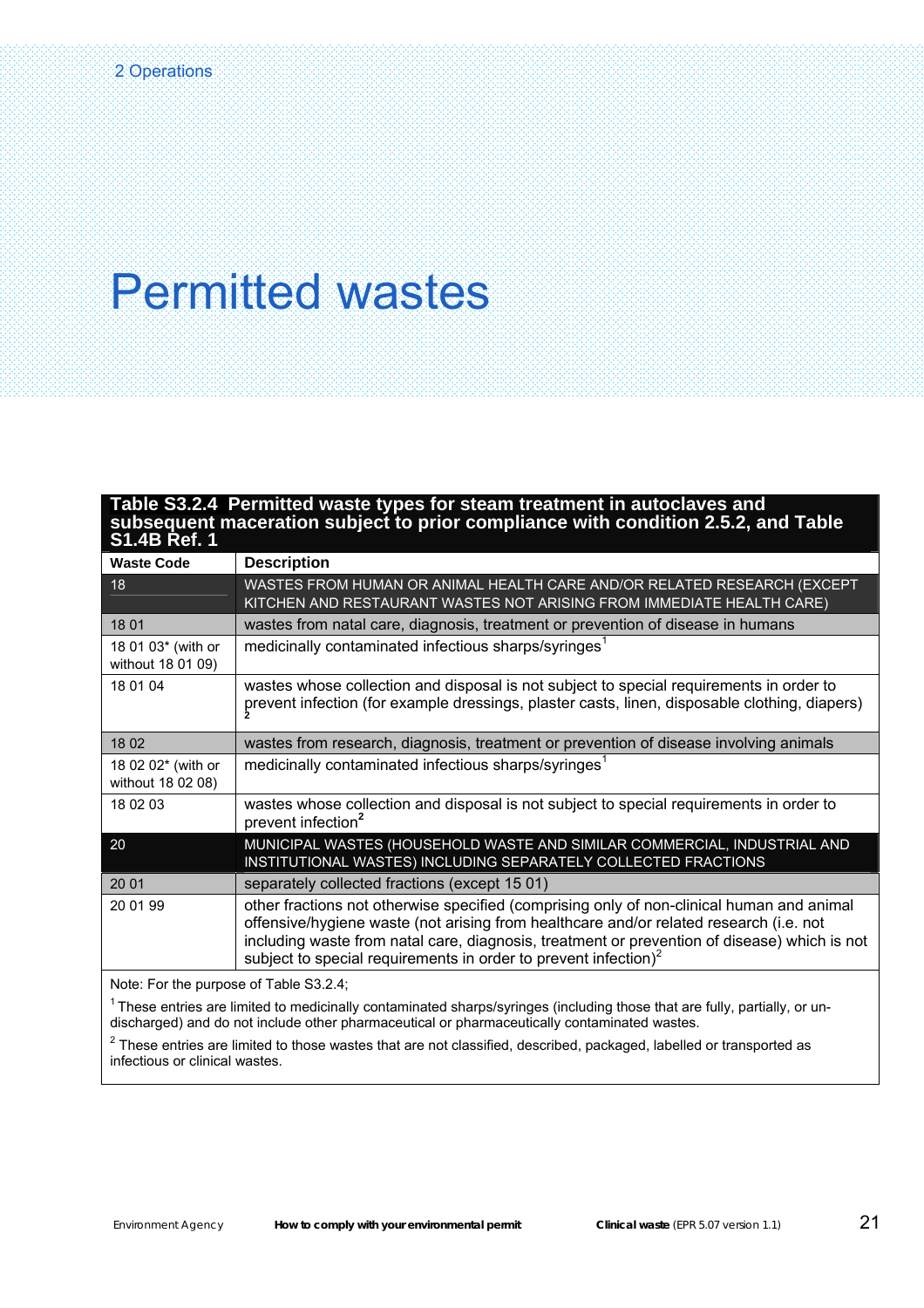#### **Table S3.2.4 Permitted waste types for steam treatment in autoclaves and subsequent maceration subject to prior compliance with condition 2.5.2, and Table S1.4B Ref. 1**

| <b>Waste Code</b>                             | <b>Description</b>                                                                                                                                                                                                                                                                                                                                        |
|-----------------------------------------------|-----------------------------------------------------------------------------------------------------------------------------------------------------------------------------------------------------------------------------------------------------------------------------------------------------------------------------------------------------------|
| 18                                            | WASTES FROM HUMAN OR ANIMAL HEALTH CARE AND/OR RELATED RESEARCH (EXCEPT<br>KITCHEN AND RESTAURANT WASTES NOT ARISING FROM IMMEDIATE HEALTH CARE)                                                                                                                                                                                                          |
| 18 01                                         | wastes from natal care, diagnosis, treatment or prevention of disease in humans                                                                                                                                                                                                                                                                           |
| 18 01 03* (with or<br>without 18 01 09)       | medicinally contaminated infectious sharps/syringes <sup>1</sup>                                                                                                                                                                                                                                                                                          |
| 18 01 04                                      | wastes whose collection and disposal is not subject to special requirements in order to<br>prevent infection (for example dressings, plaster casts, linen, disposable clothing, diapers)                                                                                                                                                                  |
| 18 02                                         | wastes from research, diagnosis, treatment or prevention of disease involving animals                                                                                                                                                                                                                                                                     |
| 18 02 02* (with or<br>without 18 02 08)       | medicinally contaminated infectious sharps/syringes <sup>1</sup>                                                                                                                                                                                                                                                                                          |
| 18 02 03                                      | wastes whose collection and disposal is not subject to special requirements in order to<br>prevent infection <sup>2</sup>                                                                                                                                                                                                                                 |
| 20                                            | MUNICIPAL WASTES (HOUSEHOLD WASTE AND SIMILAR COMMERCIAL, INDUSTRIAL AND<br>INSTITUTIONAL WASTES) INCLUDING SEPARATELY COLLECTED FRACTIONS                                                                                                                                                                                                                |
| 20 01                                         | separately collected fractions (except 15 01)                                                                                                                                                                                                                                                                                                             |
| 20 01 99                                      | other fractions not otherwise specified (comprising only of non-clinical human and animal<br>offensive/hygiene waste (not arising from healthcare and/or related research (i.e. not<br>including waste from natal care, diagnosis, treatment or prevention of disease) which is not<br>subject to special requirements in order to prevent infection) $2$ |
| Note: For the nurnose of Table $93.2 \pm 1.1$ |                                                                                                                                                                                                                                                                                                                                                           |

Note: For the purpose of Table S3.2.4;

 $1$  These entries are limited to medicinally contaminated sharps/syringes (including those that are fully, partially, or undischarged) and do not include other pharmaceutical or pharmaceutically contaminated wastes.

 $^2$  These entries are limited to those wastes that are not classified, described, packaged, labelled or transported as infectious or clinical wastes.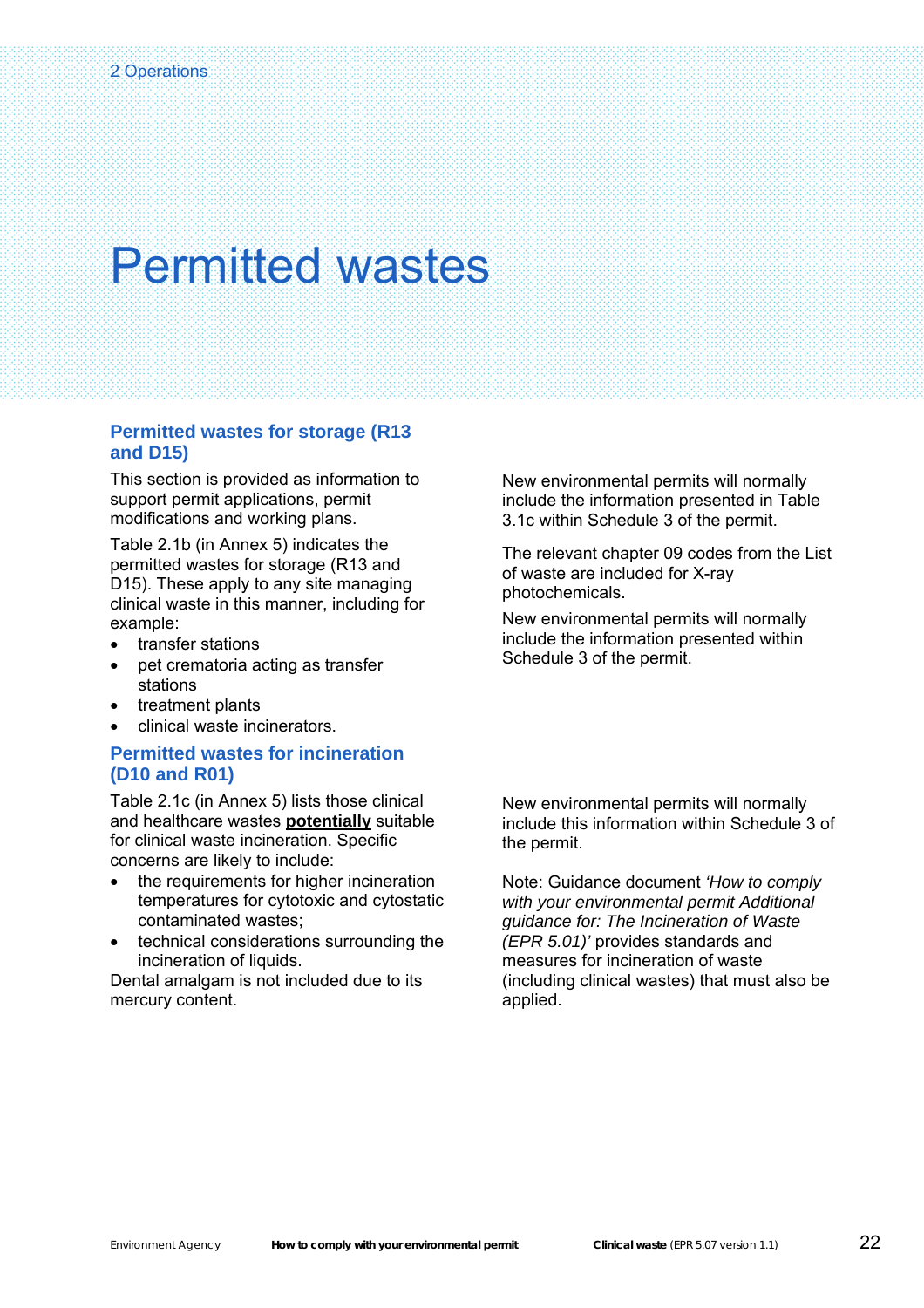#### **Permitted wastes for storage (R13 and D15)**

This section is provided as information to support permit applications, permit modifications and working plans.

Table 2.1b (in Annex 5) indicates the permitted wastes for storage (R13 and D15). These apply to any site managing clinical waste in this manner, including for example:

- transfer stations
- pet crematoria acting as transfer stations
- treatment plants
- clinical waste incinerators.

#### **Permitted wastes for incineration (D10 and R01)**

Table 2.1c (in Annex 5) lists those clinical and healthcare wastes **potentially** suitable for clinical waste incineration. Specific concerns are likely to include:

- the requirements for higher incineration temperatures for cytotoxic and cytostatic contaminated wastes;
- technical considerations surrounding the incineration of liquids.

Dental amalgam is not included due to its mercury content.

New environmental permits will normally include the information presented in Table 3.1c within Schedule 3 of the permit.

The relevant chapter 09 codes from the List of waste are included for X-ray photochemicals.

New environmental permits will normally include the information presented within Schedule 3 of the permit.

New environmental permits will normally include this information within Schedule 3 of the permit.

Note: Guidance document *'How to comply with your environmental permit Additional guidance for: The Incineration of Waste (EPR 5.01)'* provides standards and measures for incineration of waste (including clinical wastes) that must also be applied.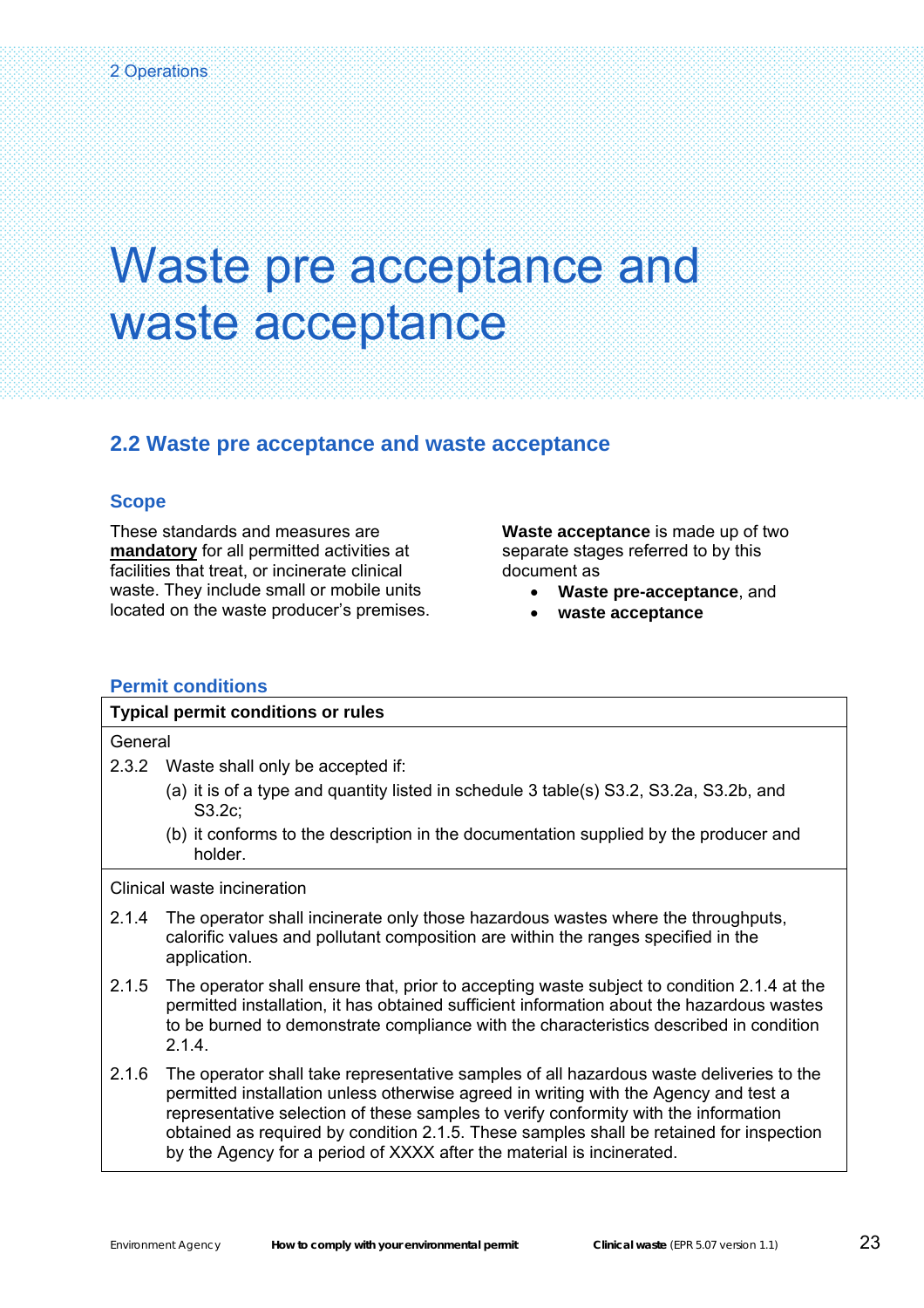### <span id="page-24-0"></span>Waste pre acceptance and waste acceptance

#### **2.2 Waste pre acceptance and waste acceptance**

#### **Scope**

These standards and measures are **mandatory** for all permitted activities at facilities that treat, or incinerate clinical waste. They include small or mobile units located on the waste producer's premises. **Waste acceptance** is made up of two separate stages referred to by this document as

- **Waste pre-acceptance**, and
- **waste acceptance**

#### **Permit conditions**

| <b>Typical permit conditions or rules</b> |                                                                                                                                                                                         |  |
|-------------------------------------------|-----------------------------------------------------------------------------------------------------------------------------------------------------------------------------------------|--|
| General                                   |                                                                                                                                                                                         |  |
| 2.3.2                                     | Waste shall only be accepted if:                                                                                                                                                        |  |
|                                           | (a) it is of a type and quantity listed in schedule 3 table(s) S3.2, S3.2a, S3.2b, and<br>S3.2c                                                                                         |  |
|                                           | (b) it conforms to the description in the documentation supplied by the producer and<br>holder.                                                                                         |  |
|                                           | Clinical waste incineration                                                                                                                                                             |  |
| 2.1.4                                     | The operator shall incinerate only those hazardous wastes where the throughputs,<br>calorific values and pollutant composition are within the ranges specified in the<br>application.   |  |
| 2.1.5                                     | The operator shall ensure that, prior to accepting waste subject to condition 2.1.4 at the<br>permitted installation, it has obtained sufficient information about the hazardous wastes |  |

- to be burned to demonstrate compliance with the characteristics described in condition 2.1.4.
- 2.1.6 The operator shall take representative samples of all hazardous waste deliveries to the permitted installation unless otherwise agreed in writing with the Agency and test a representative selection of these samples to verify conformity with the information obtained as required by condition 2.1.5. These samples shall be retained for inspection by the Agency for a period of XXXX after the material is incinerated.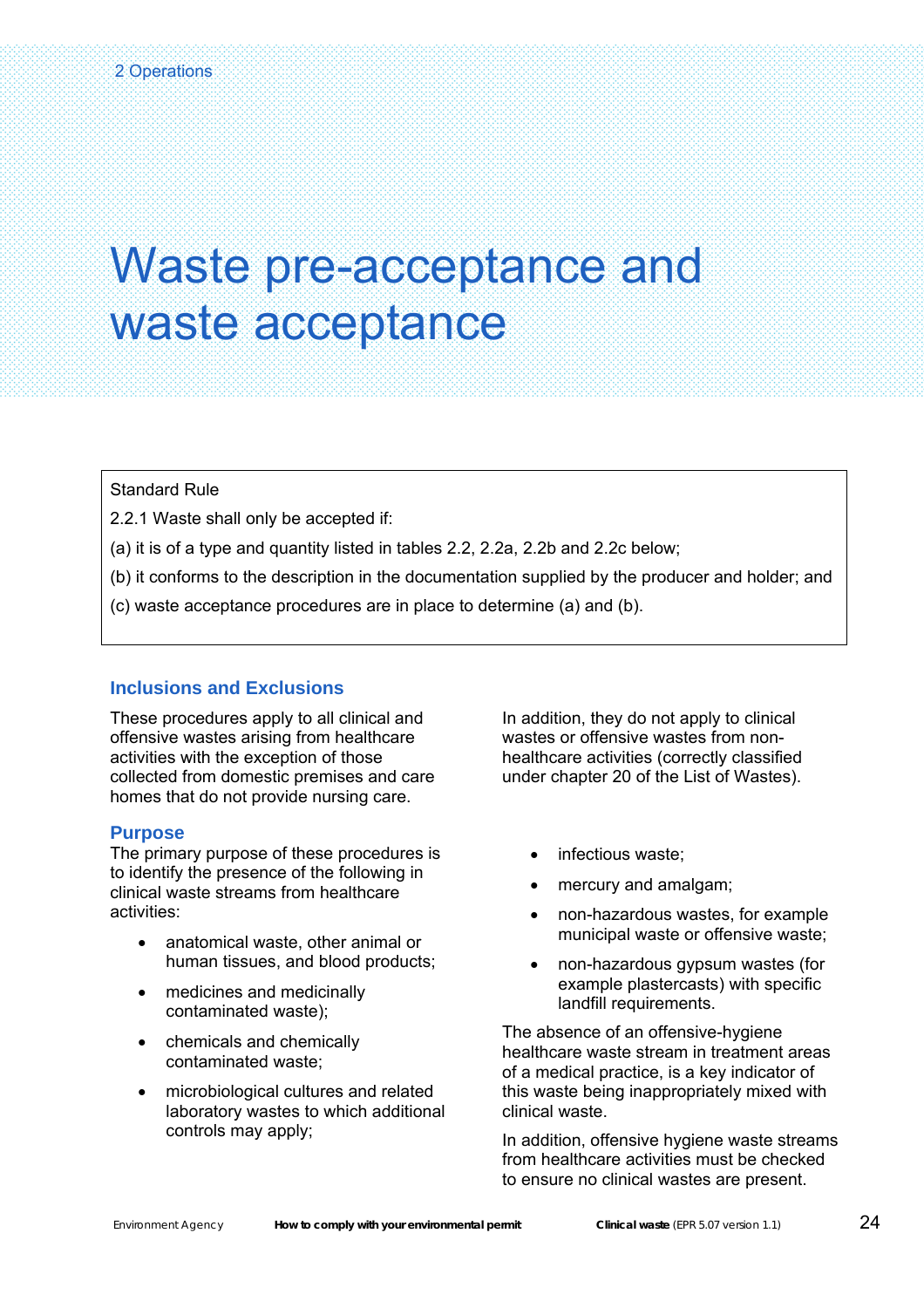### Waste pre-acceptance and waste acceptance

Standard Rule

Ŝ

2.2.1 Waste shall only be accepted if:

- (a) it is of a type and quantity listed in tables 2.2, 2.2a, 2.2b and 2.2c below;
- (b) it conforms to the description in the documentation supplied by the producer and holder; and
- (c) waste acceptance procedures are in place to determine (a) and (b).

#### **Inclusions and Exclusions**

These procedures apply to all clinical and offensive wastes arising from healthcare activities with the exception of those collected from domestic premises and care homes that do not provide nursing care.

#### **Purpose**

The primary purpose of these procedures is to identify the presence of the following in clinical waste streams from healthcare activities:

- anatomical waste, other animal or human tissues, and blood products;
- medicines and medicinally contaminated waste);
- chemicals and chemically contaminated waste;
- microbiological cultures and related laboratory wastes to which additional controls may apply;

In addition, they do not apply to clinical wastes or offensive wastes from nonhealthcare activities (correctly classified under chapter 20 of the List of Wastes).

- infectious waste;
- mercury and amalgam;
- non-hazardous wastes, for example municipal waste or offensive waste;
- non-hazardous gypsum wastes (for example plastercasts) with specific landfill requirements.

The absence of an offensive-hygiene healthcare waste stream in treatment areas of a medical practice, is a key indicator of this waste being inappropriately mixed with clinical waste.

In addition, offensive hygiene waste streams from healthcare activities must be checked to ensure no clinical wastes are present.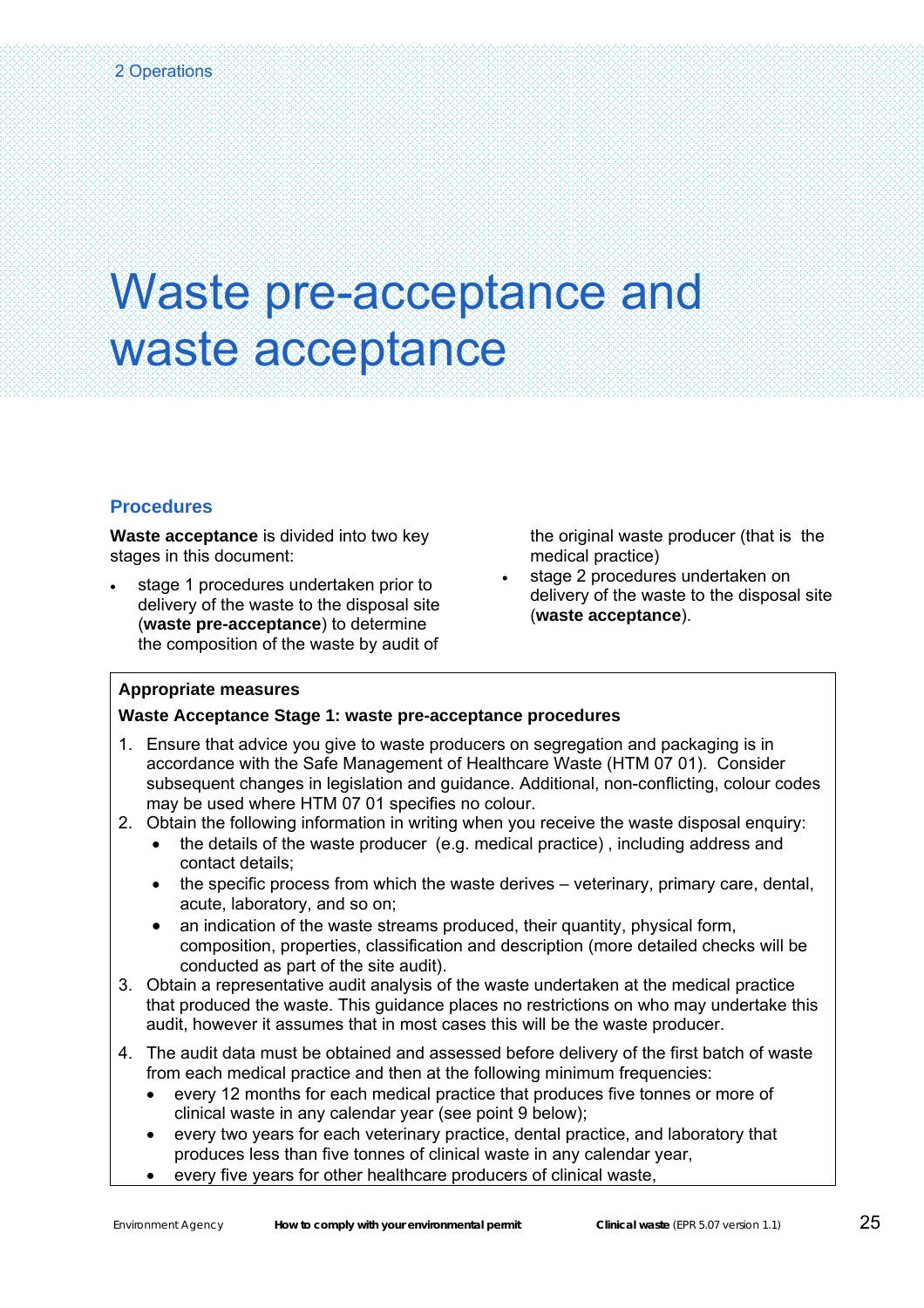### Waste pre-acceptance and waste acceptance

#### **Procedures**

er<br>S

**Waste acceptance** is divided into two key stages in this document:

stage 1 procedures undertaken prior to delivery of the waste to the disposal site (**waste pre-acceptance**) to determine the composition of the waste by audit of

the original waste producer (that is the medical practice)

stage 2 procedures undertaken on delivery of the waste to the disposal site (**waste acceptance**).

#### **Appropriate measures**

#### **Waste Acceptance Stage 1: waste pre-acceptance procedures**

- 1. Ensure that advice you give to waste producers on segregation and packaging is in accordance with the Safe Management of Healthcare Waste (HTM 07 01). Consider subsequent changes in legislation and guidance. Additional, non-conflicting, colour codes may be used where HTM 07 01 specifies no colour.
- 2. Obtain the following information in writing when you receive the waste disposal enquiry:
	- the details of the waste producer (e.g. medical practice) , including address and contact details;
	- the specific process from which the waste derives veterinary, primary care, dental, acute, laboratory, and so on;
	- an indication of the waste streams produced, their quantity, physical form, composition, properties, classification and description (more detailed checks will be conducted as part of the site audit).
- 3. Obtain a representative audit analysis of the waste undertaken at the medical practice that produced the waste. This guidance places no restrictions on who may undertake this audit, however it assumes that in most cases this will be the waste producer.
- 4. The audit data must be obtained and assessed before delivery of the first batch of waste from each medical practice and then at the following minimum frequencies:
	- every 12 months for each medical practice that produces five tonnes or more of clinical waste in any calendar year (see point 9 below);
	- every two years for each veterinary practice, dental practice, and laboratory that produces less than five tonnes of clinical waste in any calendar year,
	- every five years for other healthcare producers of clinical waste,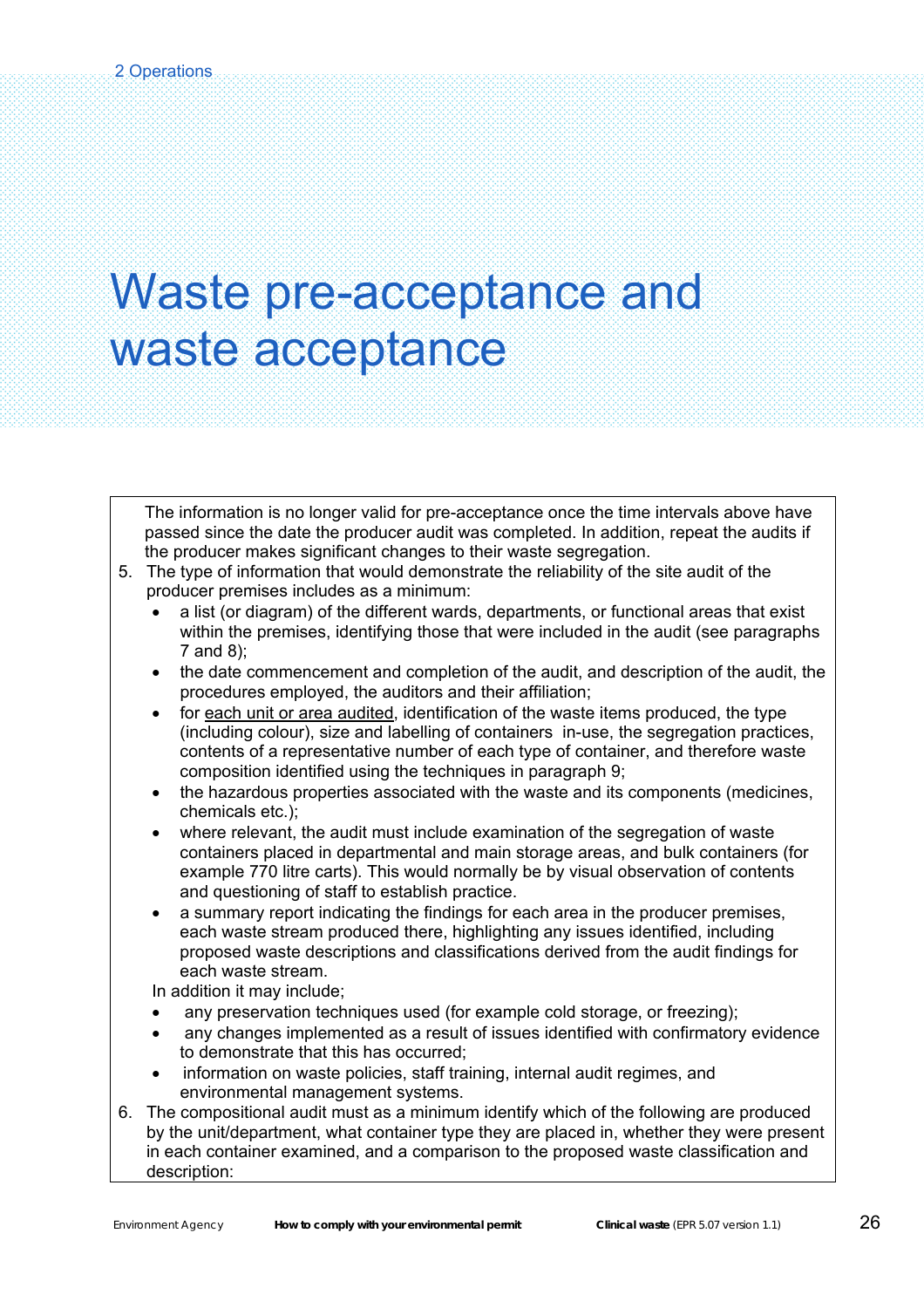### Waste pre-acceptance and waste acceptance

The information is no longer valid for pre-acceptance once the time intervals above have passed since the date the producer audit was completed. In addition, repeat the audits if the producer makes significant changes to their waste segregation.

- 5. The type of information that would demonstrate the reliability of the site audit of the producer premises includes as a minimum:
	- a list (or diagram) of the different wards, departments, or functional areas that exist within the premises, identifying those that were included in the audit (see paragraphs 7 and 8);
	- the date commencement and completion of the audit, and description of the audit, the procedures employed, the auditors and their affiliation;
	- for each unit or area audited, identification of the waste items produced, the type (including colour), size and labelling of containers in-use, the segregation practices, contents of a representative number of each type of container, and therefore waste composition identified using the techniques in paragraph 9;
	- the hazardous properties associated with the waste and its components (medicines, chemicals etc.);
	- where relevant, the audit must include examination of the segregation of waste containers placed in departmental and main storage areas, and bulk containers (for example 770 litre carts). This would normally be by visual observation of contents and questioning of staff to establish practice.
	- a summary report indicating the findings for each area in the producer premises, each waste stream produced there, highlighting any issues identified, including proposed waste descriptions and classifications derived from the audit findings for each waste stream.

In addition it may include;

- any preservation techniques used (for example cold storage, or freezing);
- any changes implemented as a result of issues identified with confirmatory evidence to demonstrate that this has occurred;
- information on waste policies, staff training, internal audit regimes, and environmental management systems.
- 6. The compositional audit must as a minimum identify which of the following are produced by the unit/department, what container type they are placed in, whether they were present in each container examined, and a comparison to the proposed waste classification and description: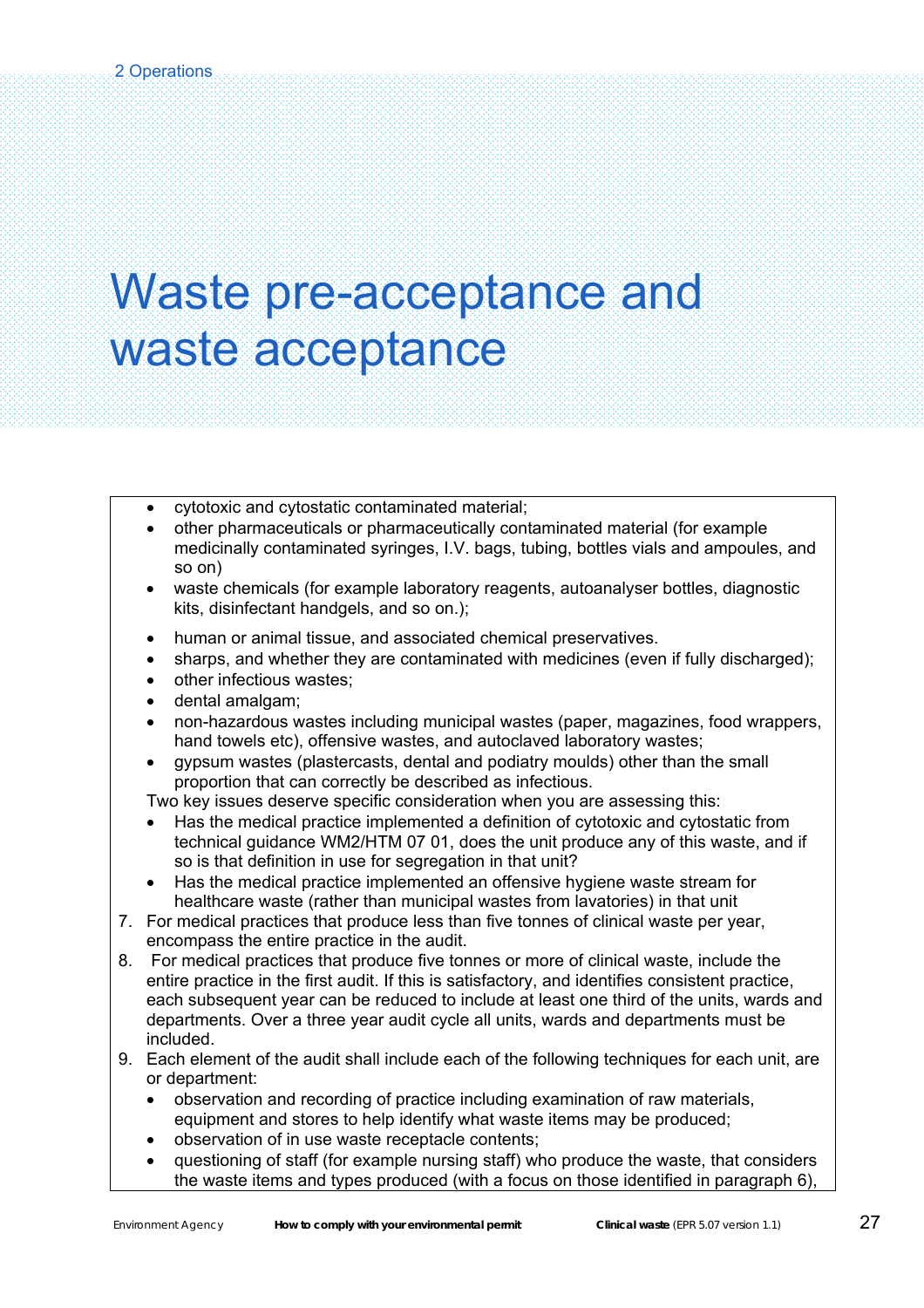### Waste pre-acceptance and waste acceptance

- cytotoxic and cytostatic contaminated material;
- other pharmaceuticals or pharmaceutically contaminated material (for example medicinally contaminated syringes, I.V. bags, tubing, bottles vials and ampoules, and so on)
- waste chemicals (for example laboratory reagents, autoanalyser bottles, diagnostic kits, disinfectant handgels, and so on.);
- human or animal tissue, and associated chemical preservatives.
- sharps, and whether they are contaminated with medicines (even if fully discharged);
- other infectious wastes;
- dental amalgam;
- non-hazardous wastes including municipal wastes (paper, magazines, food wrappers, hand towels etc), offensive wastes, and autoclaved laboratory wastes;
- gypsum wastes (plastercasts, dental and podiatry moulds) other than the small proportion that can correctly be described as infectious.

Two key issues deserve specific consideration when you are assessing this:

- Has the medical practice implemented a definition of cytotoxic and cytostatic from technical guidance WM2/HTM 07 01, does the unit produce any of this waste, and if so is that definition in use for segregation in that unit?
- Has the medical practice implemented an offensive hygiene waste stream for healthcare waste (rather than municipal wastes from lavatories) in that unit
- 7. For medical practices that produce less than five tonnes of clinical waste per year, encompass the entire practice in the audit.
- 8. For medical practices that produce five tonnes or more of clinical waste, include the entire practice in the first audit. If this is satisfactory, and identifies consistent practice, each subsequent year can be reduced to include at least one third of the units, wards and departments. Over a three year audit cycle all units, wards and departments must be included.
- 9. Each element of the audit shall include each of the following techniques for each unit, are or department:
	- observation and recording of practice including examination of raw materials, equipment and stores to help identify what waste items may be produced;
	- observation of in use waste receptacle contents;
	- questioning of staff (for example nursing staff) who produce the waste, that considers the waste items and types produced (with a focus on those identified in paragraph 6),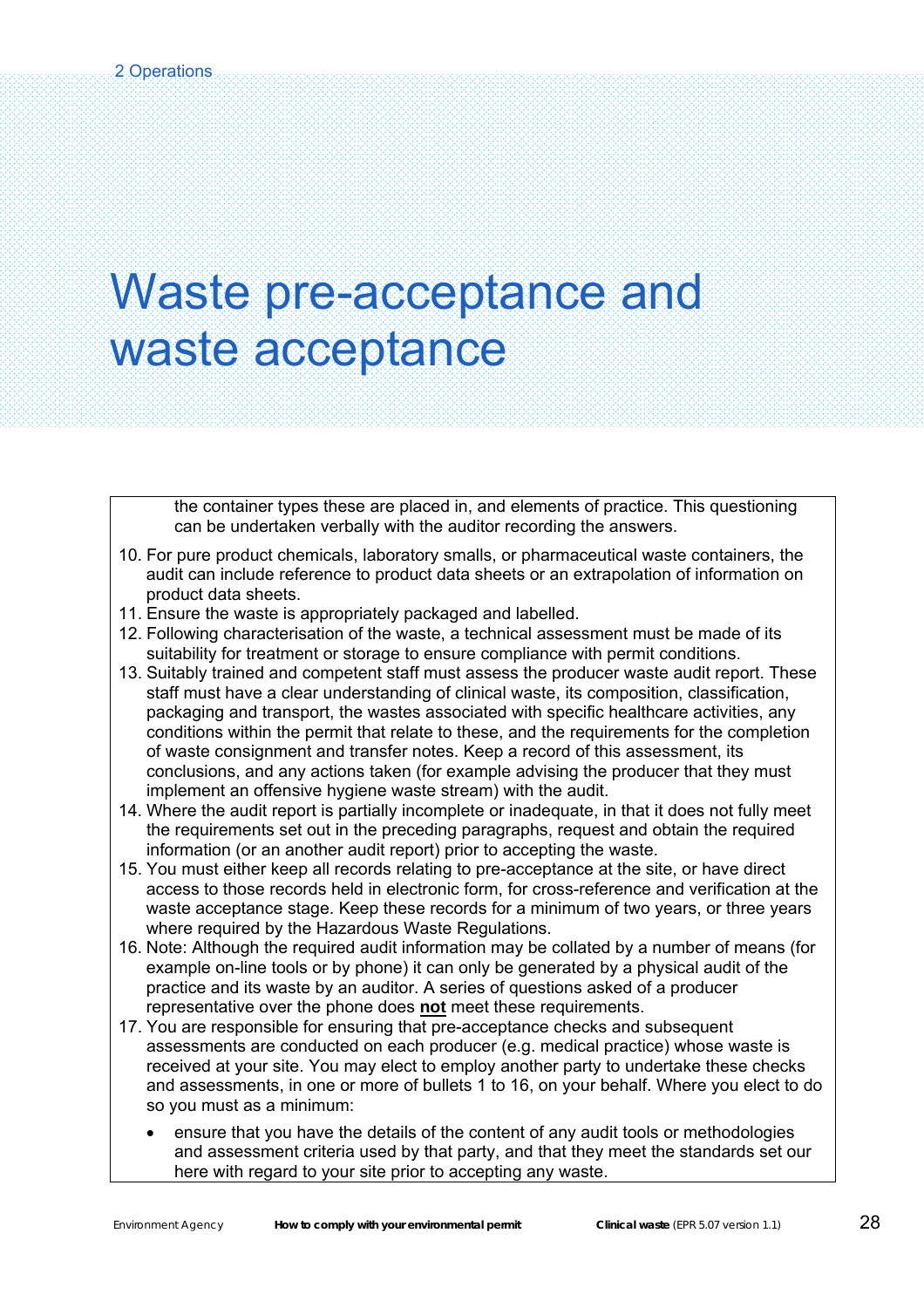### Waste pre-acceptance and waste acceptance

the container types these are placed in, and elements of practice. This questioning can be undertaken verbally with the auditor recording the answers.

- 10. For pure product chemicals, laboratory smalls, or pharmaceutical waste containers, the audit can include reference to product data sheets or an extrapolation of information on product data sheets.
- 11. Ensure the waste is appropriately packaged and labelled.
- 12. Following characterisation of the waste, a technical assessment must be made of its suitability for treatment or storage to ensure compliance with permit conditions.
- 13. Suitably trained and competent staff must assess the producer waste audit report. These staff must have a clear understanding of clinical waste, its composition, classification, packaging and transport, the wastes associated with specific healthcare activities, any conditions within the permit that relate to these, and the requirements for the completion of waste consignment and transfer notes. Keep a record of this assessment, its conclusions, and any actions taken (for example advising the producer that they must implement an offensive hygiene waste stream) with the audit.
- 14. Where the audit report is partially incomplete or inadequate, in that it does not fully meet the requirements set out in the preceding paragraphs, request and obtain the required information (or an another audit report) prior to accepting the waste.
- 15. You must either keep all records relating to pre-acceptance at the site, or have direct access to those records held in electronic form, for cross-reference and verification at the waste acceptance stage. Keep these records for a minimum of two years, or three years where required by the Hazardous Waste Regulations.
- 16. Note: Although the required audit information may be collated by a number of means (for example on-line tools or by phone) it can only be generated by a physical audit of the practice and its waste by an auditor. A series of questions asked of a producer representative over the phone does **not** meet these requirements.
- 17. You are responsible for ensuring that pre-acceptance checks and subsequent assessments are conducted on each producer (e.g. medical practice) whose waste is received at your site. You may elect to employ another party to undertake these checks and assessments, in one or more of bullets 1 to 16, on your behalf. Where you elect to do so you must as a minimum:
	- ensure that you have the details of the content of any audit tools or methodologies and assessment criteria used by that party, and that they meet the standards set our here with regard to your site prior to accepting any waste.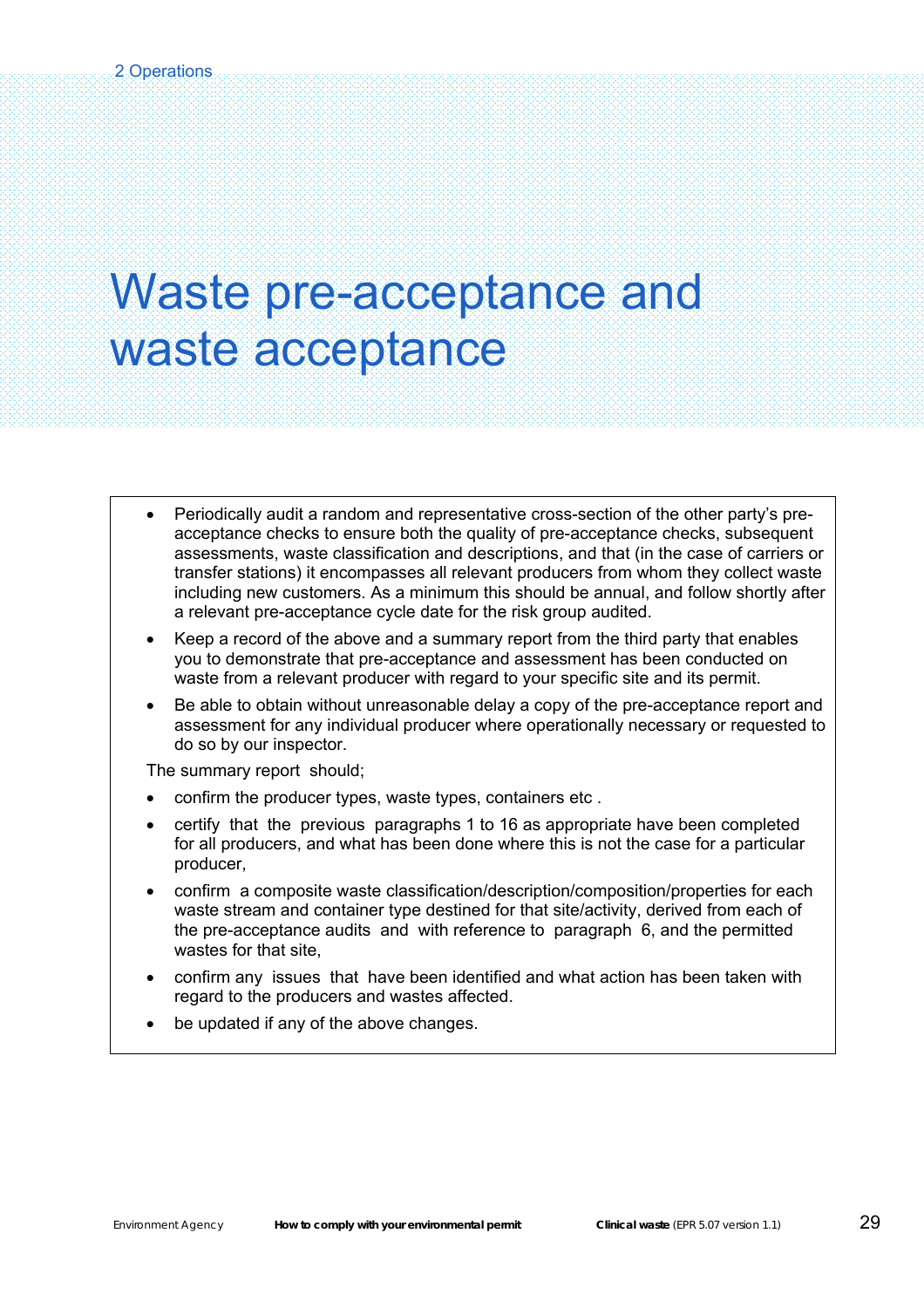### Waste pre-acceptance and waste acceptance

- Periodically audit a random and representative cross-section of the other party's preacceptance checks to ensure both the quality of pre-acceptance checks, subsequent assessments, waste classification and descriptions, and that (in the case of carriers or transfer stations) it encompasses all relevant producers from whom they collect waste including new customers. As a minimum this should be annual, and follow shortly after a relevant pre-acceptance cycle date for the risk group audited.
- Keep a record of the above and a summary report from the third party that enables you to demonstrate that pre-acceptance and assessment has been conducted on waste from a relevant producer with regard to your specific site and its permit.
- Be able to obtain without unreasonable delay a copy of the pre-acceptance report and assessment for any individual producer where operationally necessary or requested to do so by our inspector.

The summary report should;

- confirm the producer types, waste types, containers etc .
- certify that the previous paragraphs 1 to 16 as appropriate have been completed for all producers, and what has been done where this is not the case for a particular producer,
- confirm a composite waste classification/description/composition/properties for each waste stream and container type destined for that site/activity, derived from each of the pre-acceptance audits and with reference to paragraph 6, and the permitted wastes for that site,
- confirm any issues that have been identified and what action has been taken with regard to the producers and wastes affected.
- be updated if any of the above changes.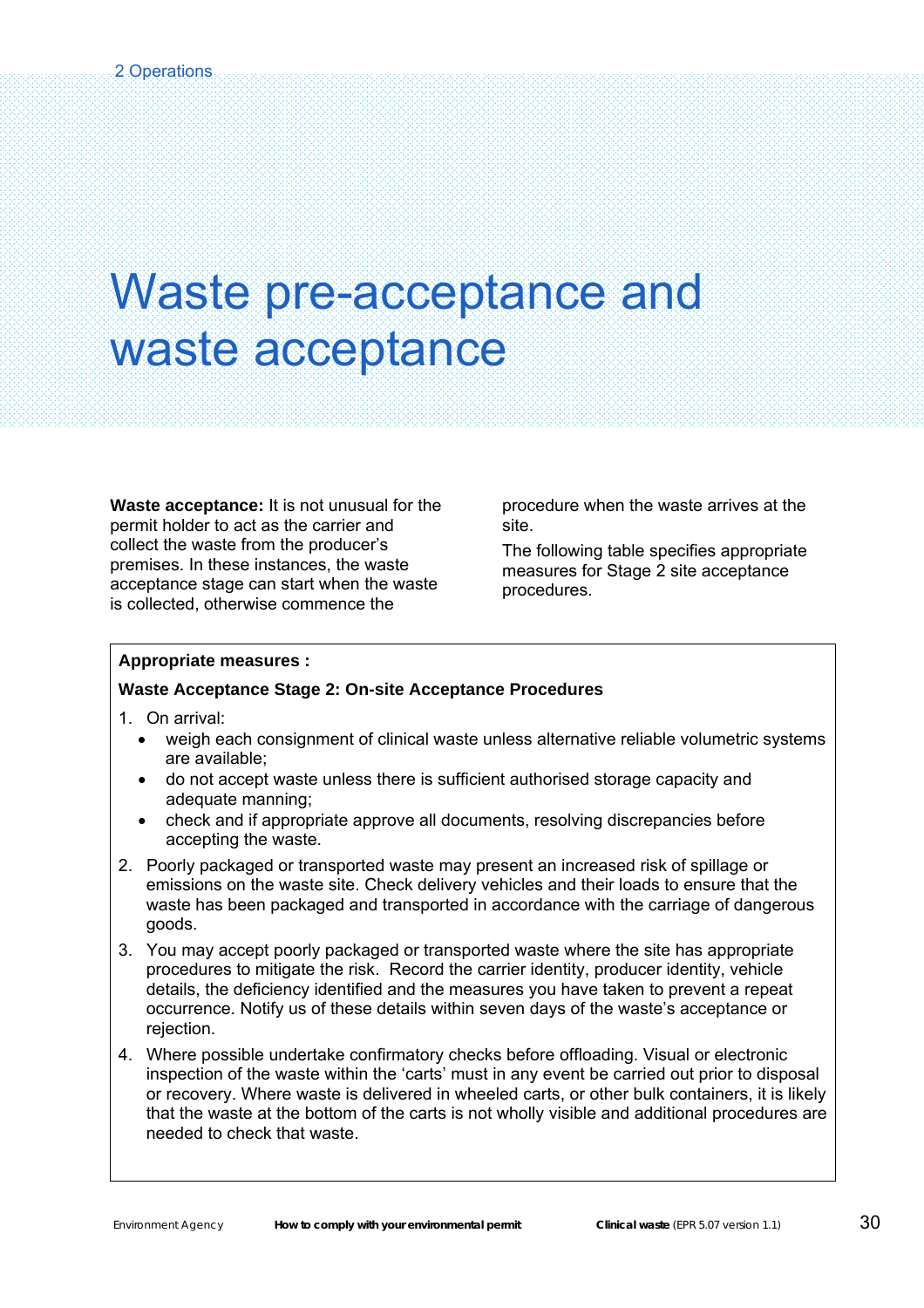### Waste pre-acceptance and waste acceptance

**Waste acceptance:** It is not unusual for the permit holder to act as the carrier and collect the waste from the producer's premises. In these instances, the waste acceptance stage can start when the waste is collected, otherwise commence the

procedure when the waste arrives at the site.

The following table specifies appropriate measures for Stage 2 site acceptance procedures.

#### **Appropriate measures :**

#### **Waste Acceptance Stage 2: On-site Acceptance Procedures**

1. On arrival:

Ŝ

- weigh each consignment of clinical waste unless alternative reliable volumetric systems are available;
- do not accept waste unless there is sufficient authorised storage capacity and adequate manning;
- check and if appropriate approve all documents, resolving discrepancies before accepting the waste.
- 2. Poorly packaged or transported waste may present an increased risk of spillage or emissions on the waste site. Check delivery vehicles and their loads to ensure that the waste has been packaged and transported in accordance with the carriage of dangerous goods.
- 3. You may accept poorly packaged or transported waste where the site has appropriate procedures to mitigate the risk. Record the carrier identity, producer identity, vehicle details, the deficiency identified and the measures you have taken to prevent a repeat occurrence. Notify us of these details within seven days of the waste's acceptance or rejection.
- 4. Where possible undertake confirmatory checks before offloading. Visual or electronic inspection of the waste within the 'carts' must in any event be carried out prior to disposal or recovery. Where waste is delivered in wheeled carts, or other bulk containers, it is likely that the waste at the bottom of the carts is not wholly visible and additional procedures are needed to check that waste.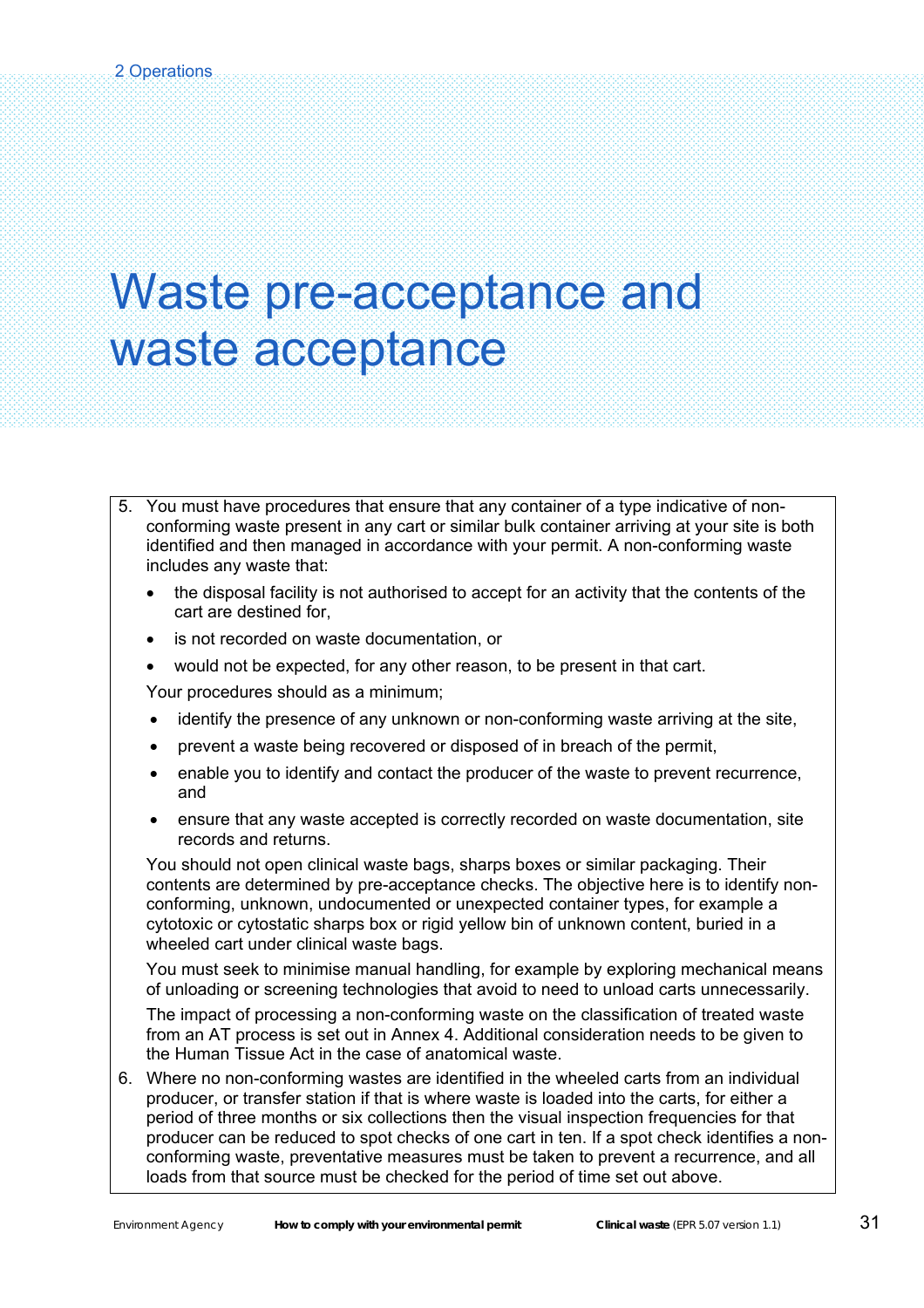### Waste pre-acceptance and waste acceptance

- 5. You must have procedures that ensure that any container of a type indicative of nonconforming waste present in any cart or similar bulk container arriving at your site is both identified and then managed in accordance with your permit. A non-conforming waste includes any waste that:
	- the disposal facility is not authorised to accept for an activity that the contents of the cart are destined for,
	- is not recorded on waste documentation, or
	- would not be expected, for any other reason, to be present in that cart.

Your procedures should as a minimum;

- identify the presence of any unknown or non-conforming waste arriving at the site,
- prevent a waste being recovered or disposed of in breach of the permit,
- enable you to identify and contact the producer of the waste to prevent recurrence, and
- ensure that any waste accepted is correctly recorded on waste documentation, site records and returns.

You should not open clinical waste bags, sharps boxes or similar packaging. Their contents are determined by pre-acceptance checks. The objective here is to identify nonconforming, unknown, undocumented or unexpected container types, for example a cytotoxic or cytostatic sharps box or rigid yellow bin of unknown content, buried in a wheeled cart under clinical waste bags.

You must seek to minimise manual handling, for example by exploring mechanical means of unloading or screening technologies that avoid to need to unload carts unnecessarily.

The impact of processing a non-conforming waste on the classification of treated waste from an AT process is set out in Annex 4. Additional consideration needs to be given to the Human Tissue Act in the case of anatomical waste.

6. Where no non-conforming wastes are identified in the wheeled carts from an individual producer, or transfer station if that is where waste is loaded into the carts, for either a period of three months or six collections then the visual inspection frequencies for that producer can be reduced to spot checks of one cart in ten. If a spot check identifies a nonconforming waste, preventative measures must be taken to prevent a recurrence, and all loads from that source must be checked for the period of time set out above.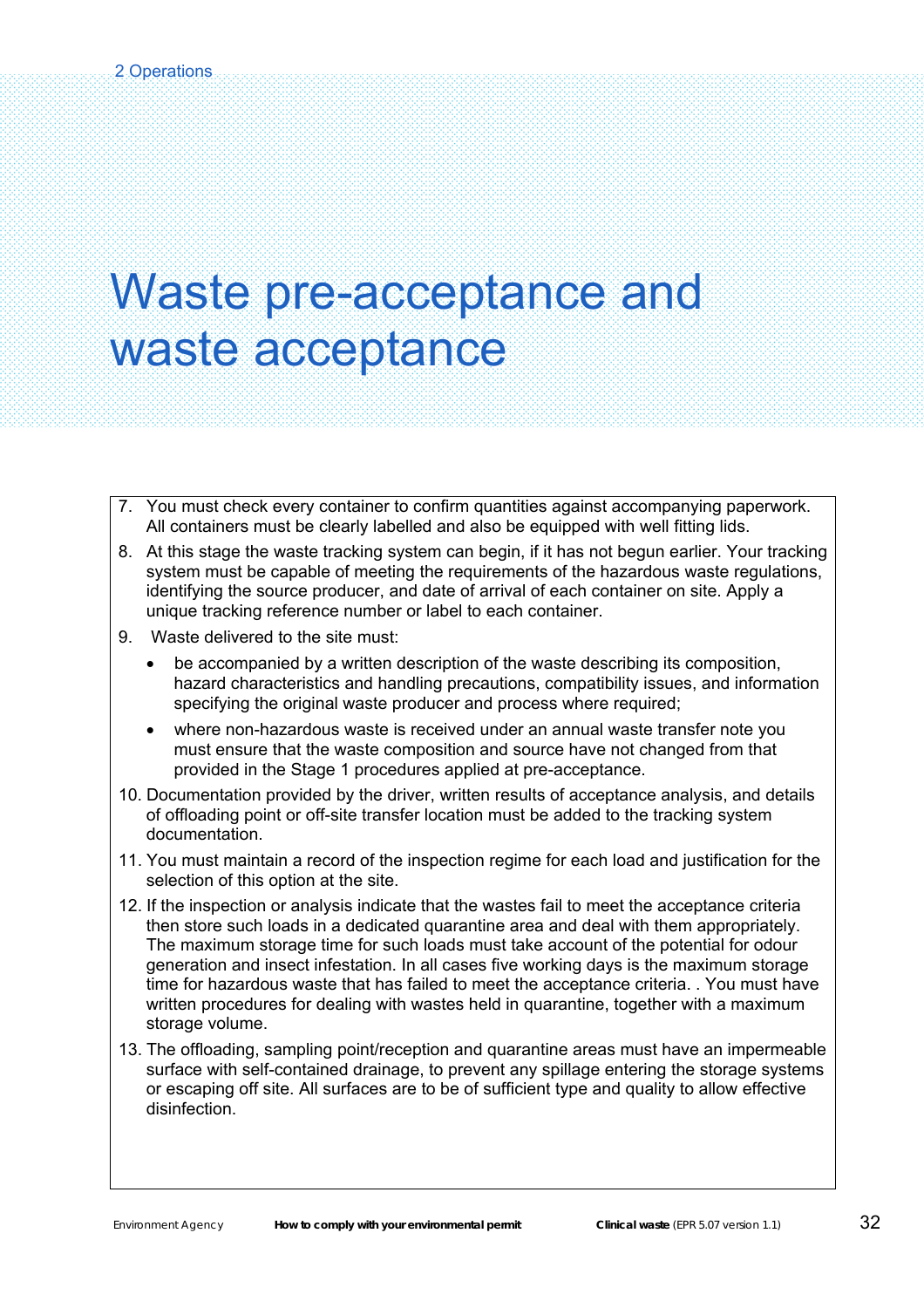### Waste pre-acceptance and waste acceptance

- 7. You must check every container to confirm quantities against accompanying paperwork. All containers must be clearly labelled and also be equipped with well fitting lids.
- 8. At this stage the waste tracking system can begin, if it has not begun earlier. Your tracking system must be capable of meeting the requirements of the hazardous waste regulations, identifying the source producer, and date of arrival of each container on site. Apply a unique tracking reference number or label to each container.
- 9. Waste delivered to the site must:
	- be accompanied by a written description of the waste describing its composition, hazard characteristics and handling precautions, compatibility issues, and information specifying the original waste producer and process where required;
	- where non-hazardous waste is received under an annual waste transfer note you must ensure that the waste composition and source have not changed from that provided in the Stage 1 procedures applied at pre-acceptance.
- 10. Documentation provided by the driver, written results of acceptance analysis, and details of offloading point or off-site transfer location must be added to the tracking system documentation.
- 11. You must maintain a record of the inspection regime for each load and justification for the selection of this option at the site.
- 12. If the inspection or analysis indicate that the wastes fail to meet the acceptance criteria then store such loads in a dedicated quarantine area and deal with them appropriately. The maximum storage time for such loads must take account of the potential for odour generation and insect infestation. In all cases five working days is the maximum storage time for hazardous waste that has failed to meet the acceptance criteria. . You must have written procedures for dealing with wastes held in quarantine, together with a maximum storage volume.
- 13. The offloading, sampling point/reception and quarantine areas must have an impermeable surface with self-contained drainage, to prevent any spillage entering the storage systems or escaping off site. All surfaces are to be of sufficient type and quality to allow effective disinfection.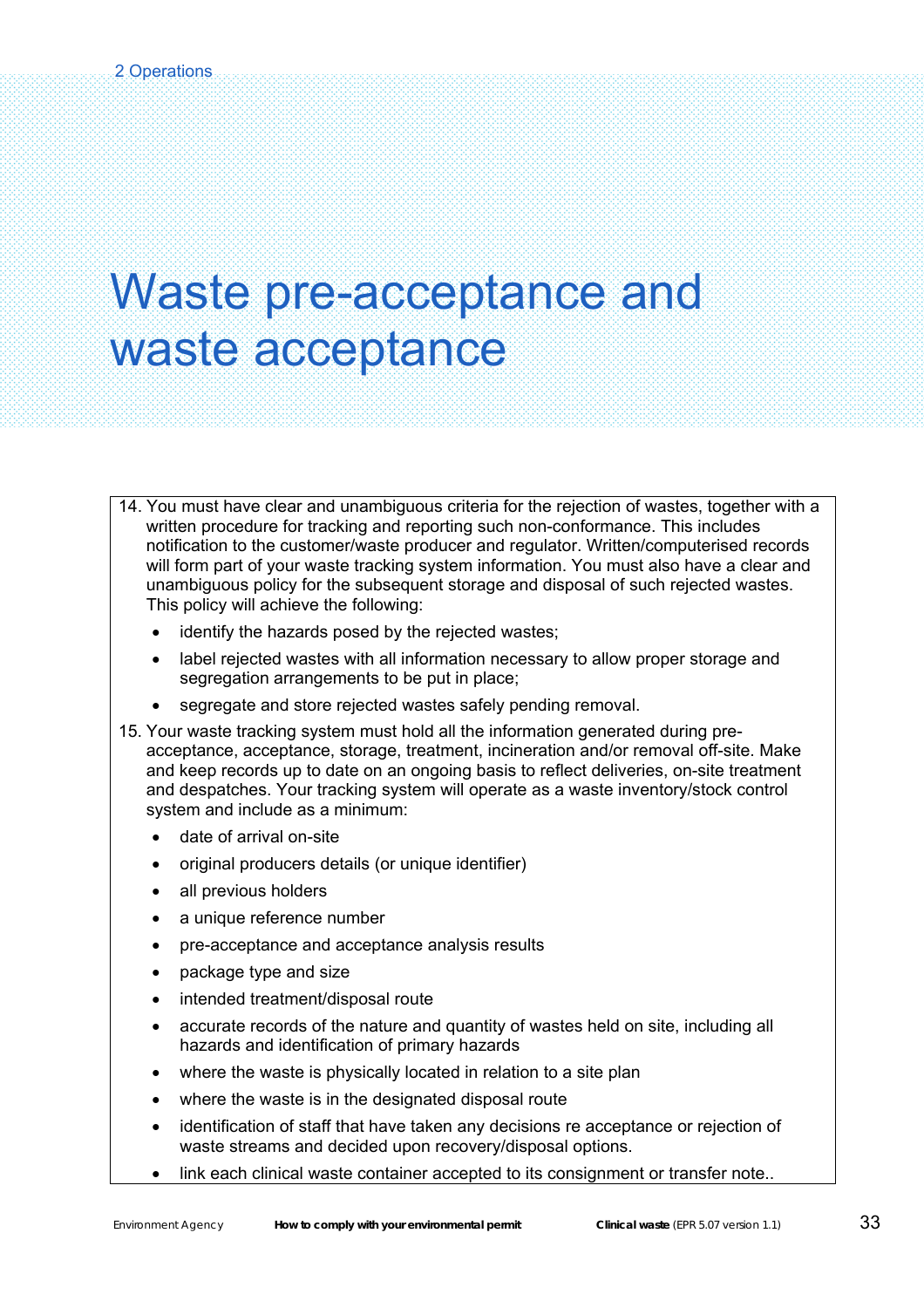### Waste pre-acceptance and waste acceptance

- 14. You must have clear and unambiguous criteria for the rejection of wastes, together with a written procedure for tracking and reporting such non-conformance. This includes notification to the customer/waste producer and regulator. Written/computerised records will form part of your waste tracking system information. You must also have a clear and unambiguous policy for the subsequent storage and disposal of such rejected wastes. This policy will achieve the following:
	- identify the hazards posed by the rejected wastes:
	- label rejected wastes with all information necessary to allow proper storage and segregation arrangements to be put in place;
	- segregate and store rejected wastes safely pending removal.
- 15. Your waste tracking system must hold all the information generated during preacceptance, acceptance, storage, treatment, incineration and/or removal off-site. Make and keep records up to date on an ongoing basis to reflect deliveries, on-site treatment and despatches. Your tracking system will operate as a waste inventory/stock control system and include as a minimum:
	- date of arrival on-site
	- original producers details (or unique identifier)
	- all previous holders
	- a unique reference number
	- pre-acceptance and acceptance analysis results
	- package type and size
	- intended treatment/disposal route
	- accurate records of the nature and quantity of wastes held on site, including all hazards and identification of primary hazards
	- where the waste is physically located in relation to a site plan
	- where the waste is in the designated disposal route
	- identification of staff that have taken any decisions re acceptance or rejection of waste streams and decided upon recovery/disposal options.
	- link each clinical waste container accepted to its consignment or transfer note..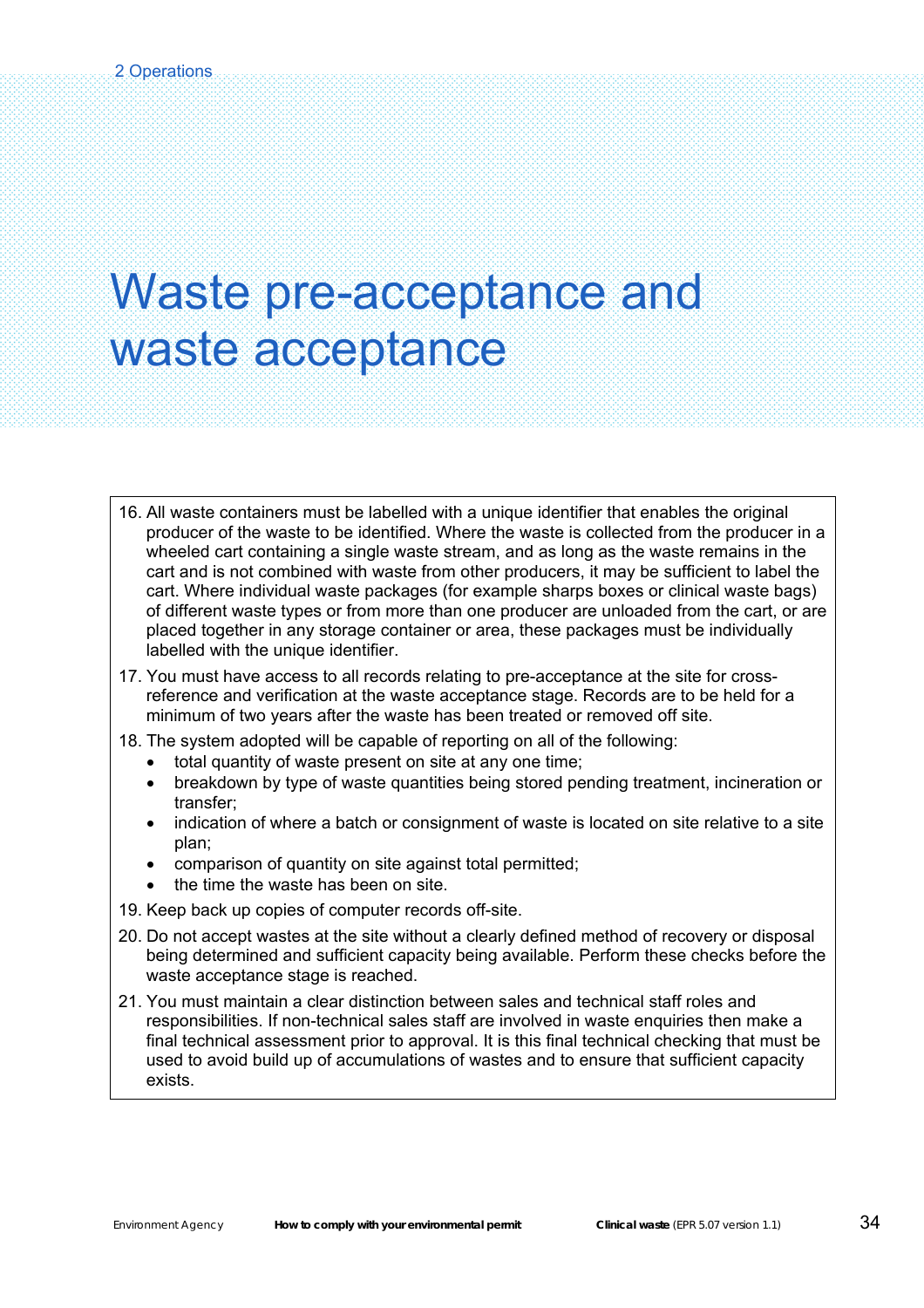### Waste pre-acceptance and waste acceptance

- 16. All waste containers must be labelled with a unique identifier that enables the original producer of the waste to be identified. Where the waste is collected from the producer in a wheeled cart containing a single waste stream, and as long as the waste remains in the cart and is not combined with waste from other producers, it may be sufficient to label the cart. Where individual waste packages (for example sharps boxes or clinical waste bags) of different waste types or from more than one producer are unloaded from the cart, or are placed together in any storage container or area, these packages must be individually labelled with the unique identifier.
- 17. You must have access to all records relating to pre-acceptance at the site for crossreference and verification at the waste acceptance stage. Records are to be held for a minimum of two years after the waste has been treated or removed off site.
- 18. The system adopted will be capable of reporting on all of the following:
	- total quantity of waste present on site at any one time;
	- breakdown by type of waste quantities being stored pending treatment, incineration or transfer;
	- indication of where a batch or consignment of waste is located on site relative to a site plan;
	- comparison of quantity on site against total permitted;
	- the time the waste has been on site.
- 19. Keep back up copies of computer records off-site.
- 20. Do not accept wastes at the site without a clearly defined method of recovery or disposal being determined and sufficient capacity being available. Perform these checks before the waste acceptance stage is reached.
- 21. You must maintain a clear distinction between sales and technical staff roles and responsibilities. If non-technical sales staff are involved in waste enquiries then make a final technical assessment prior to approval. It is this final technical checking that must be used to avoid build up of accumulations of wastes and to ensure that sufficient capacity exists.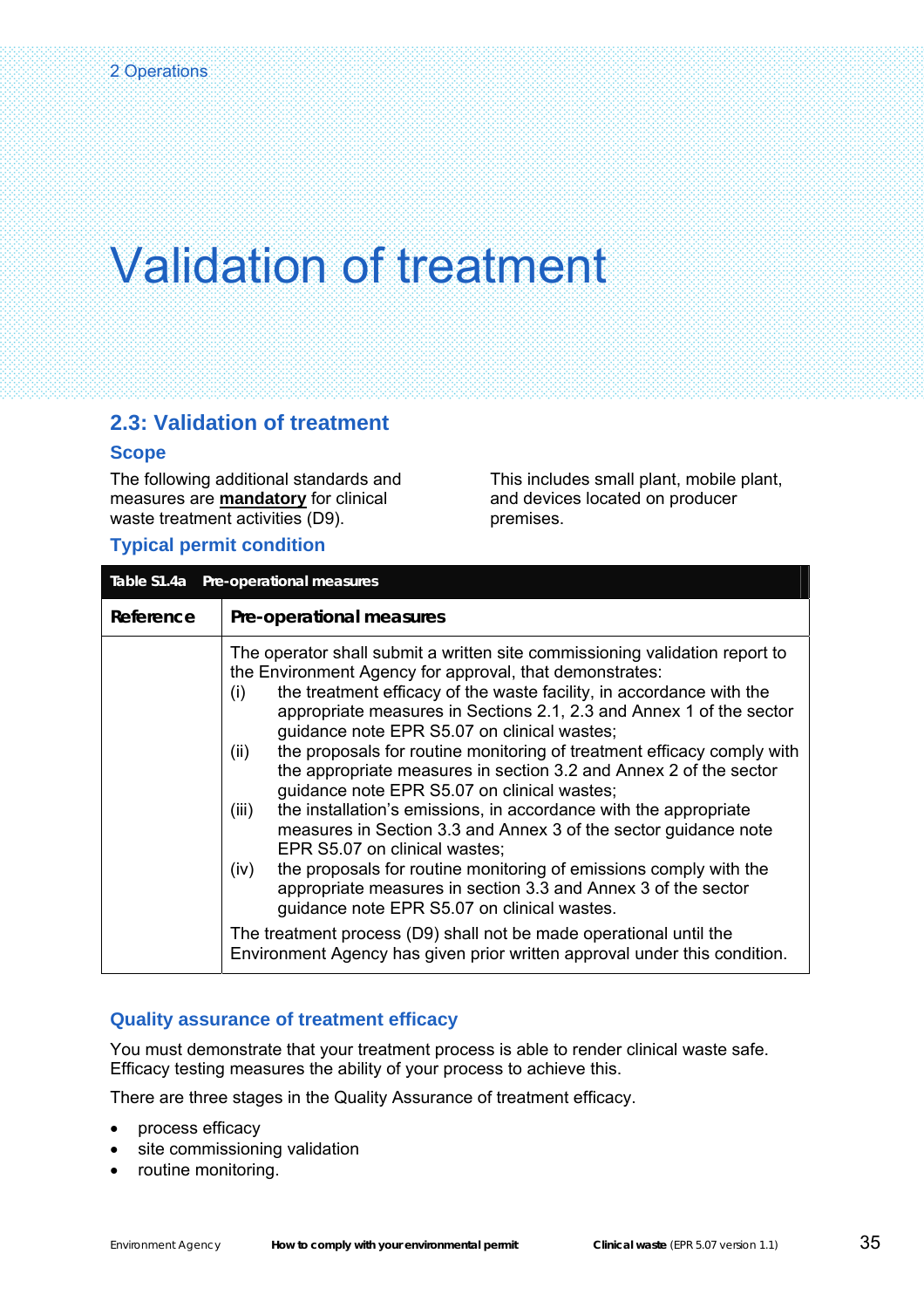### **2.3: Validation of treatment**

### **Scope**

The following additional standards and measures are **mandatory** for clinical waste treatment activities (D9).

This includes small plant, mobile plant, and devices located on producer premises.

### **Typical permit condition**

|           | Table \$1.4a Pre-operational measures                                                                                                                                                                                                                                                                                                                                                                                                                                                                                                                                                                                                                                                                                                                                                                                                                                                                                                                                                                                                                                              |
|-----------|------------------------------------------------------------------------------------------------------------------------------------------------------------------------------------------------------------------------------------------------------------------------------------------------------------------------------------------------------------------------------------------------------------------------------------------------------------------------------------------------------------------------------------------------------------------------------------------------------------------------------------------------------------------------------------------------------------------------------------------------------------------------------------------------------------------------------------------------------------------------------------------------------------------------------------------------------------------------------------------------------------------------------------------------------------------------------------|
| Reference | Pre-operational measures                                                                                                                                                                                                                                                                                                                                                                                                                                                                                                                                                                                                                                                                                                                                                                                                                                                                                                                                                                                                                                                           |
|           | The operator shall submit a written site commissioning validation report to<br>the Environment Agency for approval, that demonstrates:<br>the treatment efficacy of the waste facility, in accordance with the<br>(i)<br>appropriate measures in Sections 2.1, 2.3 and Annex 1 of the sector<br>guidance note EPR S5.07 on clinical wastes;<br>the proposals for routine monitoring of treatment efficacy comply with<br>(ii)<br>the appropriate measures in section 3.2 and Annex 2 of the sector<br>guidance note EPR S5.07 on clinical wastes;<br>the installation's emissions, in accordance with the appropriate<br>(iii)<br>measures in Section 3.3 and Annex 3 of the sector guidance note<br>EPR S5.07 on clinical wastes;<br>the proposals for routine monitoring of emissions comply with the<br>(iv)<br>appropriate measures in section 3.3 and Annex 3 of the sector<br>guidance note EPR S5.07 on clinical wastes.<br>The treatment process (D9) shall not be made operational until the<br>Environment Agency has given prior written approval under this condition. |
|           |                                                                                                                                                                                                                                                                                                                                                                                                                                                                                                                                                                                                                                                                                                                                                                                                                                                                                                                                                                                                                                                                                    |

### **Quality assurance of treatment efficacy**

You must demonstrate that your treatment process is able to render clinical waste safe. Efficacy testing measures the ability of your process to achieve this.

There are three stages in the Quality Assurance of treatment efficacy.

- process efficacy
- site commissioning validation
- routine monitoring.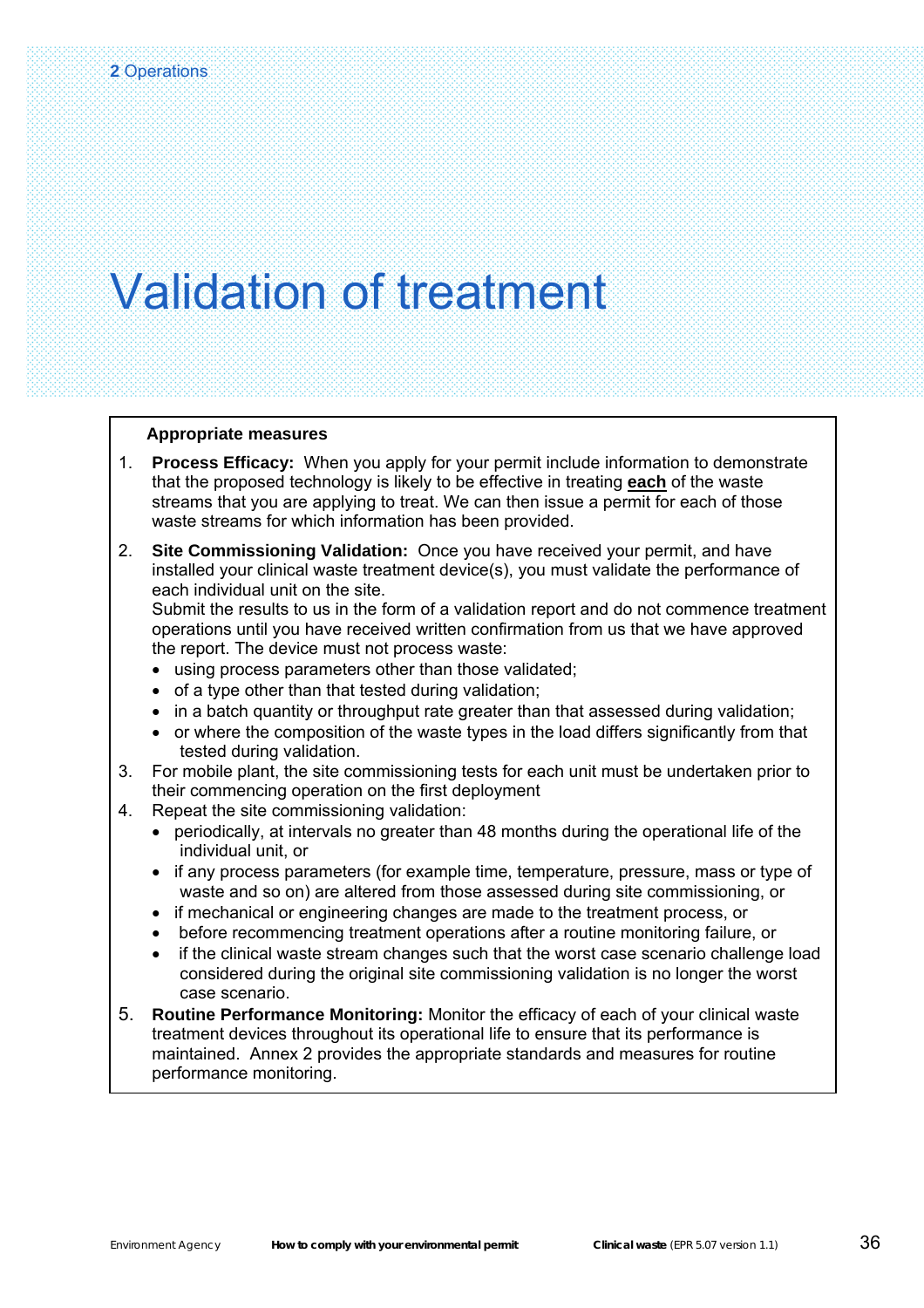#### **Appropriate measures**

- 1. **Process Efficacy:** When you apply for your permit include information to demonstrate that the proposed technology is likely to be effective in treating **each** of the waste streams that you are applying to treat. We can then issue a permit for each of those waste streams for which information has been provided.
- 2. **Site Commissioning Validation:** Once you have received your permit, and have installed your clinical waste treatment device(s), you must validate the performance of each individual unit on the site.

Submit the results to us in the form of a validation report and do not commence treatment operations until you have received written confirmation from us that we have approved the report. The device must not process waste:

- using process parameters other than those validated;
- of a type other than that tested during validation;
- in a batch quantity or throughput rate greater than that assessed during validation;
- or where the composition of the waste types in the load differs significantly from that tested during validation.
- 3. For mobile plant, the site commissioning tests for each unit must be undertaken prior to their commencing operation on the first deployment
- 4. Repeat the site commissioning validation:
	- periodically, at intervals no greater than 48 months during the operational life of the individual unit, or
	- if any process parameters (for example time, temperature, pressure, mass or type of waste and so on) are altered from those assessed during site commissioning, or
	- if mechanical or engineering changes are made to the treatment process, or
	- before recommencing treatment operations after a routine monitoring failure, or
	- if the clinical waste stream changes such that the worst case scenario challenge load considered during the original site commissioning validation is no longer the worst case scenario.
- 5. **Routine Performance Monitoring:** Monitor the efficacy of each of your clinical waste treatment devices throughout its operational life to ensure that its performance is maintained. Annex 2 provides the appropriate standards and measures for routine performance monitoring.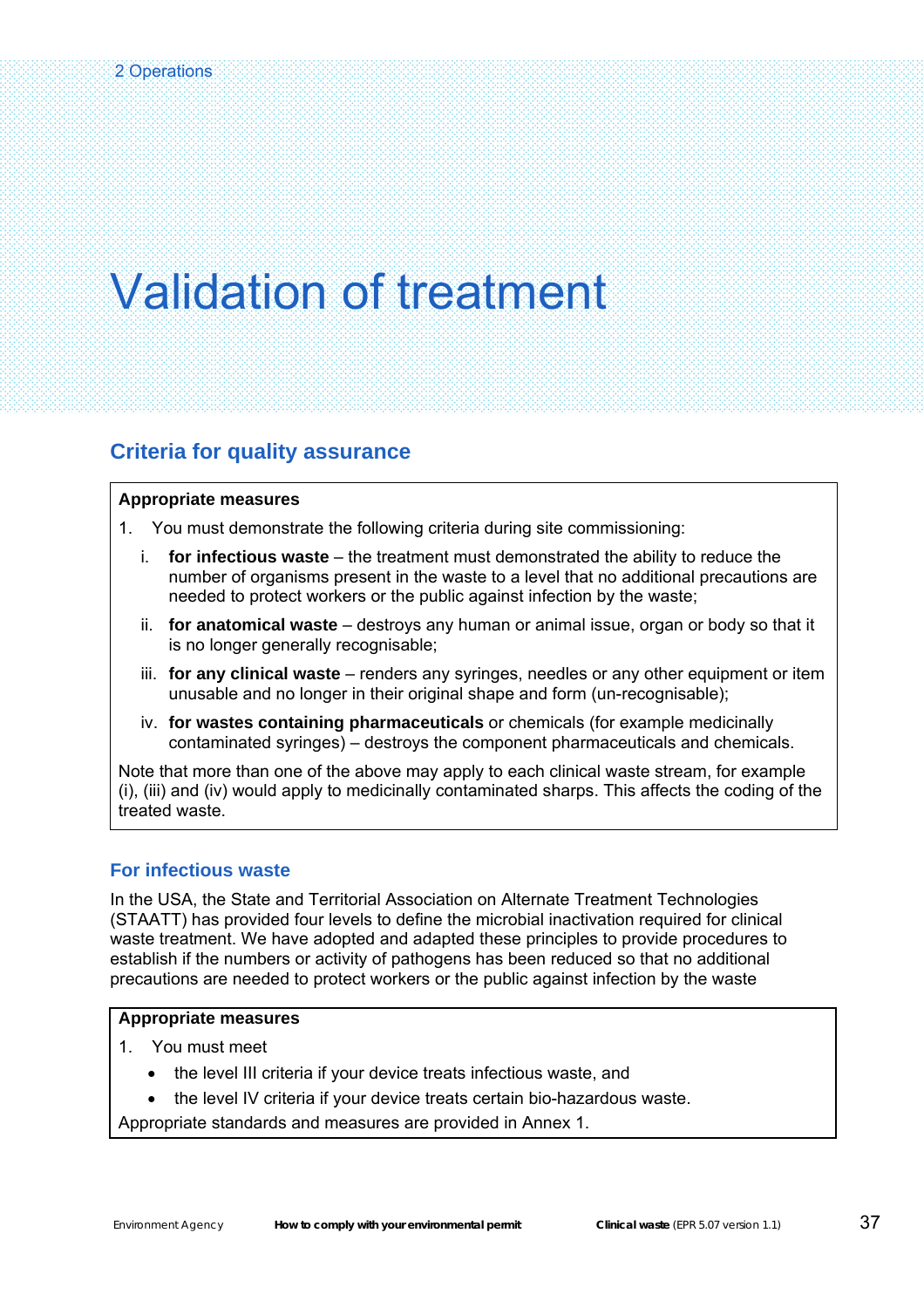### **Criteria for quality assurance**

#### **Appropriate measures**

1. You must demonstrate the following criteria during site commissioning:

- i. **for infectious waste** the treatment must demonstrated the ability to reduce the number of organisms present in the waste to a level that no additional precautions are needed to protect workers or the public against infection by the waste;
- ii. **for anatomical waste** destroys any human or animal issue, organ or body so that it is no longer generally recognisable;
- iii. **for any clinical waste** renders any syringes, needles or any other equipment or item unusable and no longer in their original shape and form (un-recognisable);
- iv. **for wastes containing pharmaceuticals** or chemicals (for example medicinally contaminated syringes) – destroys the component pharmaceuticals and chemicals.

Note that more than one of the above may apply to each clinical waste stream, for example (i), (iii) and (iv) would apply to medicinally contaminated sharps. This affects the coding of the treated waste.

### **For infectious waste**

In the USA, the State and Territorial Association on Alternate Treatment Technologies (STAATT) has provided four levels to define the microbial inactivation required for clinical waste treatment. We have adopted and adapted these principles to provide procedures to establish if the numbers or activity of pathogens has been reduced so that no additional precautions are needed to protect workers or the public against infection by the waste

#### **Appropriate measures**

- 1. You must meet
	- the level III criteria if your device treats infectious waste, and
	- the level IV criteria if your device treats certain bio-hazardous waste.

Appropriate standards and measures are provided in Annex 1.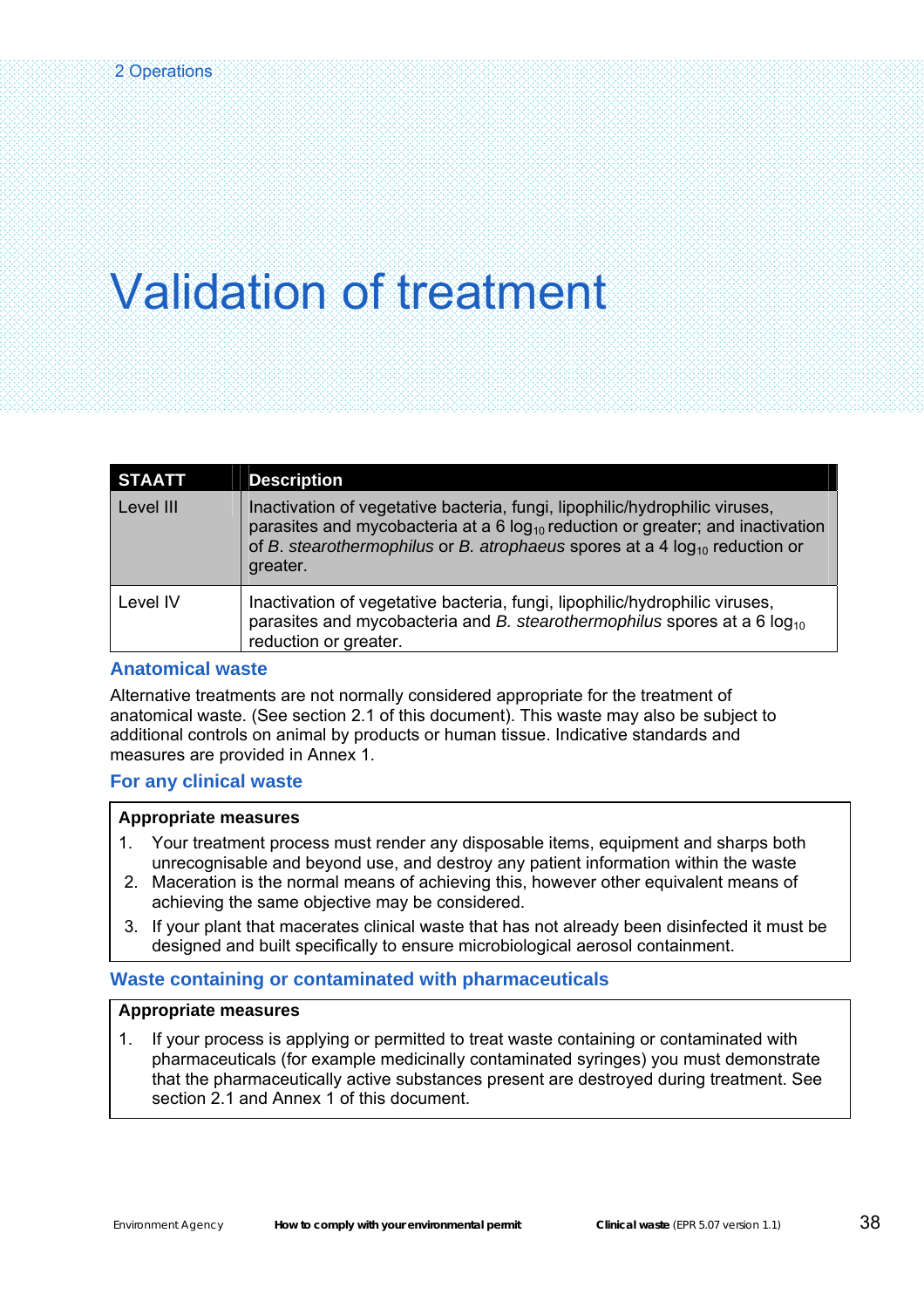| <b>STAATT</b> | <b>Description</b>                                                                                                                                                                                                                                                |
|---------------|-------------------------------------------------------------------------------------------------------------------------------------------------------------------------------------------------------------------------------------------------------------------|
| Level III     | Inactivation of vegetative bacteria, fungi, lipophilic/hydrophilic viruses,<br>parasites and mycobacteria at a 6 $log_{10}$ reduction or greater; and inactivation<br>of B. stearothermophilus or B. atrophaeus spores at a 4 $log_{10}$ reduction or<br>greater. |
| Level IV      | Inactivation of vegetative bacteria, fungi, lipophilic/hydrophilic viruses,<br>parasites and mycobacteria and B. stearothermophilus spores at a 6 $log_{10}$<br>reduction or greater.                                                                             |

### **Anatomical waste**

Alternative treatments are not normally considered appropriate for the treatment of anatomical waste. (See section 2.1 of this document). This waste may also be subject to additional controls on animal by products or human tissue. Indicative standards and measures are provided in Annex 1.

### **For any clinical waste**

#### **Appropriate measures**

- 1. Your treatment process must render any disposable items, equipment and sharps both unrecognisable and beyond use, and destroy any patient information within the waste
- 2. Maceration is the normal means of achieving this, however other equivalent means of achieving the same objective may be considered.
- 3. If your plant that macerates clinical waste that has not already been disinfected it must be designed and built specifically to ensure microbiological aerosol containment.

### **Waste containing or contaminated with pharmaceuticals**

#### **Appropriate measures**

1. If your process is applying or permitted to treat waste containing or contaminated with pharmaceuticals (for example medicinally contaminated syringes) you must demonstrate that the pharmaceutically active substances present are destroyed during treatment. See section 2.1 and Annex 1 of this document.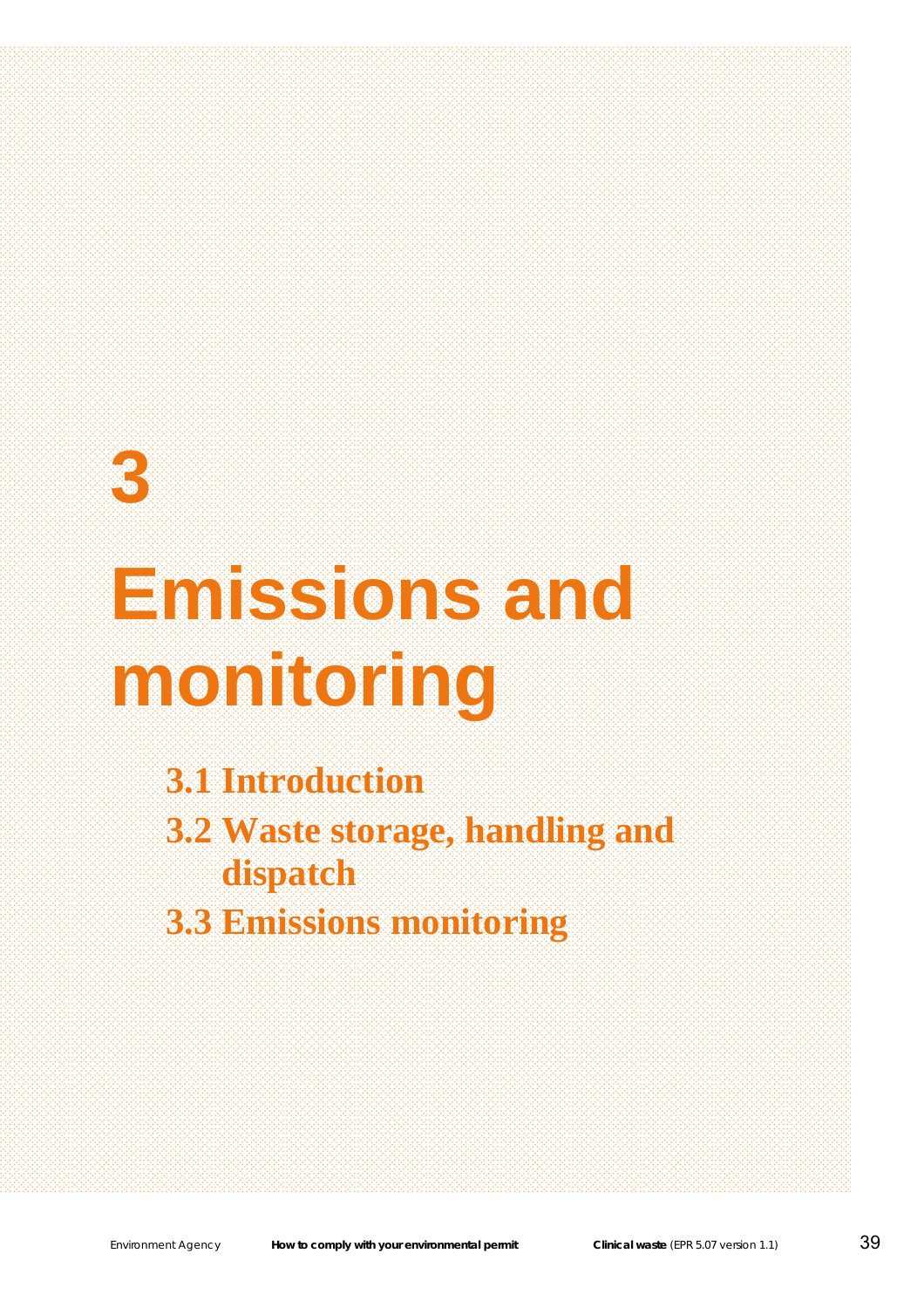# **3**

# **Emissions and monitoring**

**3.1 Introduction** 

**3.2 Waste storage, handling and dispatch** 

**3.3 Emissions monitoring**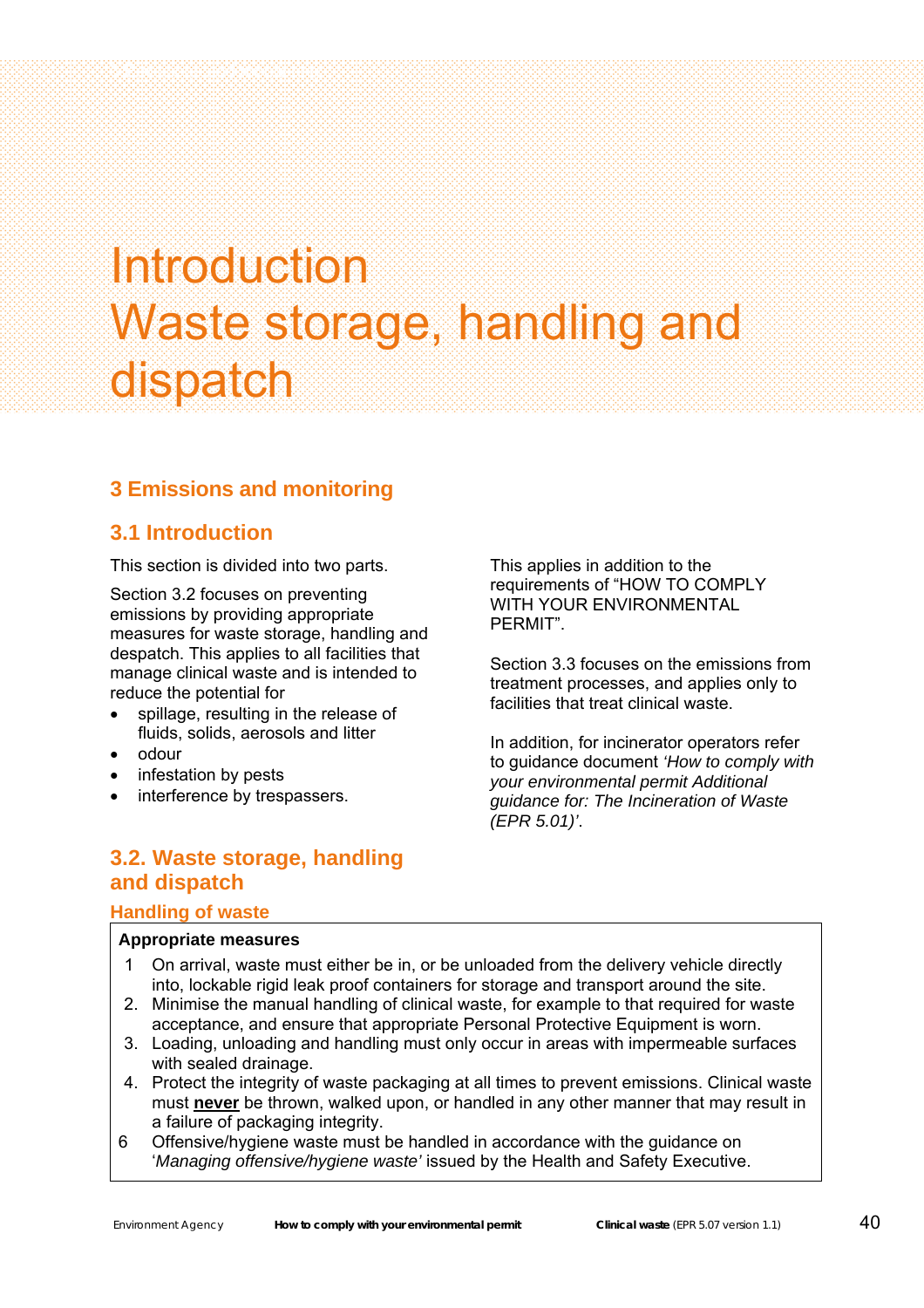# Introduction Waste storage, handling and dispatch

### **3 Emissions and monitoring**

### **3.1 Introduction**

3 Emissions and monitoring

This section is divided into two parts.

Section 3.2 focuses on preventing emissions by providing appropriate measures for waste storage, handling and despatch. This applies to all facilities that manage clinical waste and is intended to reduce the potential for

- spillage, resulting in the release of fluids, solids, aerosols and litter
- odour
- infestation by pests
- interference by trespassers.

This applies in addition to the requirements of "HOW TO COMPLY WITH YOUR ENVIRONMENTAL PERMIT".

Section 3.3 focuses on the emissions from treatment processes, and applies only to facilities that treat clinical waste.

In addition, for incinerator operators refer to guidance document *'How to comply with your environmental permit Additional guidance for: The Incineration of Waste (EPR 5.01)'*.

### **3.2. Waste storage, handling and dispatch**

### **Handling of waste**

- 1 On arrival, waste must either be in, or be unloaded from the delivery vehicle directly into, lockable rigid leak proof containers for storage and transport around the site.
- 2. Minimise the manual handling of clinical waste, for example to that required for waste acceptance, and ensure that appropriate Personal Protective Equipment is worn.
- 3. Loading, unloading and handling must only occur in areas with impermeable surfaces with sealed drainage.
- 4. Protect the integrity of waste packaging at all times to prevent emissions. Clinical waste must **never** be thrown, walked upon, or handled in any other manner that may result in a failure of packaging integrity.
- 6 Offensive/hygiene waste must be handled in accordance with the guidance on '*Managing offensive/hygiene waste'* issued by the Health and Safety Executive.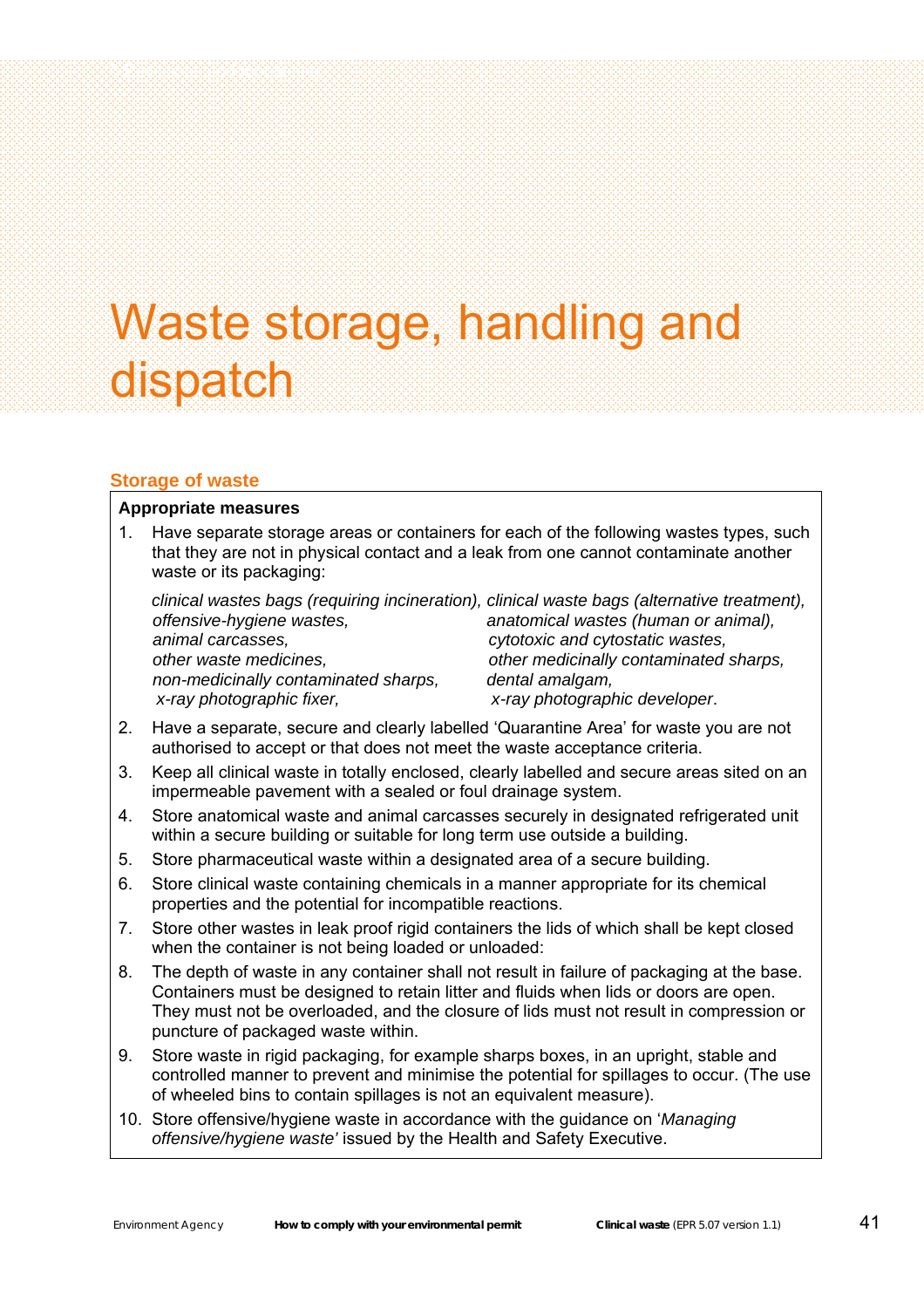# Waste storage, handling and dispatch

### **Storage of waste**

#### **Appropriate measures**

3 Emissions and monitoring

1. Have separate storage areas or containers for each of the following wastes types, such that they are not in physical contact and a leak from one cannot contaminate another waste or its packaging:

 *clinical wastes bags (requiring incineration), clinical waste bags (alternative treatment), offensive-hygiene wastes, anatomical wastes (human or animal), animal carcasses, cytotoxic and cytostatic wastes, other waste medicines, other medicinally contaminated sharps, non-medicinally contaminated sharps, dental amalgam, x-ray photographic fixer, x-ray photographic developer*.

- 2. Have a separate, secure and clearly labelled 'Quarantine Area' for waste you are not authorised to accept or that does not meet the waste acceptance criteria.
- 3. Keep all clinical waste in totally enclosed, clearly labelled and secure areas sited on an impermeable pavement with a sealed or foul drainage system.
- 4. Store anatomical waste and animal carcasses securely in designated refrigerated unit within a secure building or suitable for long term use outside a building.
- 5. Store pharmaceutical waste within a designated area of a secure building.
- 6. Store clinical waste containing chemicals in a manner appropriate for its chemical properties and the potential for incompatible reactions.
- 7. Store other wastes in leak proof rigid containers the lids of which shall be kept closed when the container is not being loaded or unloaded:
- 8. The depth of waste in any container shall not result in failure of packaging at the base. Containers must be designed to retain litter and fluids when lids or doors are open. They must not be overloaded, and the closure of lids must not result in compression or puncture of packaged waste within.
- 9. Store waste in rigid packaging, for example sharps boxes, in an upright, stable and controlled manner to prevent and minimise the potential for spillages to occur. (The use of wheeled bins to contain spillages is not an equivalent measure).
- 10. Store offensive/hygiene waste in accordance with the guidance on '*Managing offensive/hygiene waste'* issued by the Health and Safety Executive.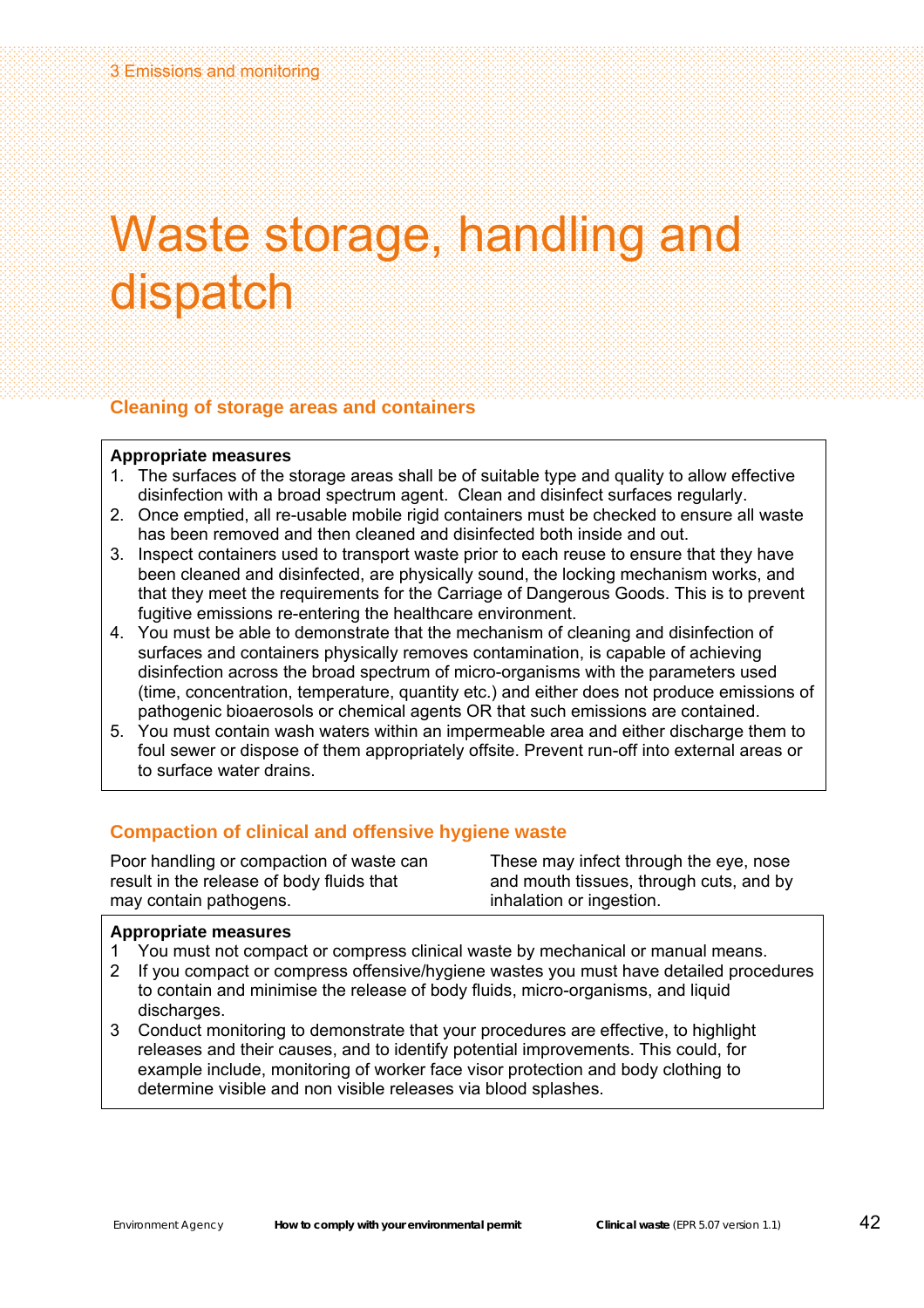### Waste storage, handling and dispatch

### **Cleaning of storage areas and containers**

#### **Appropriate measures**

- 1. The surfaces of the storage areas shall be of suitable type and quality to allow effective disinfection with a broad spectrum agent. Clean and disinfect surfaces regularly.
- 2. Once emptied, all re-usable mobile rigid containers must be checked to ensure all waste has been removed and then cleaned and disinfected both inside and out.
- 3. Inspect containers used to transport waste prior to each reuse to ensure that they have been cleaned and disinfected, are physically sound, the locking mechanism works, and that they meet the requirements for the Carriage of Dangerous Goods. This is to prevent fugitive emissions re-entering the healthcare environment.
- 4. You must be able to demonstrate that the mechanism of cleaning and disinfection of surfaces and containers physically removes contamination, is capable of achieving disinfection across the broad spectrum of micro-organisms with the parameters used (time, concentration, temperature, quantity etc.) and either does not produce emissions of pathogenic bioaerosols or chemical agents OR that such emissions are contained.
- 5. You must contain wash waters within an impermeable area and either discharge them to foul sewer or dispose of them appropriately offsite. Prevent run-off into external areas or to surface water drains.

### **Compaction of clinical and offensive hygiene waste**

Poor handling or compaction of waste can result in the release of body fluids that may contain pathogens.

These may infect through the eye, nose and mouth tissues, through cuts, and by inhalation or ingestion.

- 1 You must not compact or compress clinical waste by mechanical or manual means.
- 2 If you compact or compress offensive/hygiene wastes you must have detailed procedures to contain and minimise the release of body fluids, micro-organisms, and liquid discharges.
- 3 Conduct monitoring to demonstrate that your procedures are effective, to highlight releases and their causes, and to identify potential improvements. This could, for example include, monitoring of worker face visor protection and body clothing to determine visible and non visible releases via blood splashes.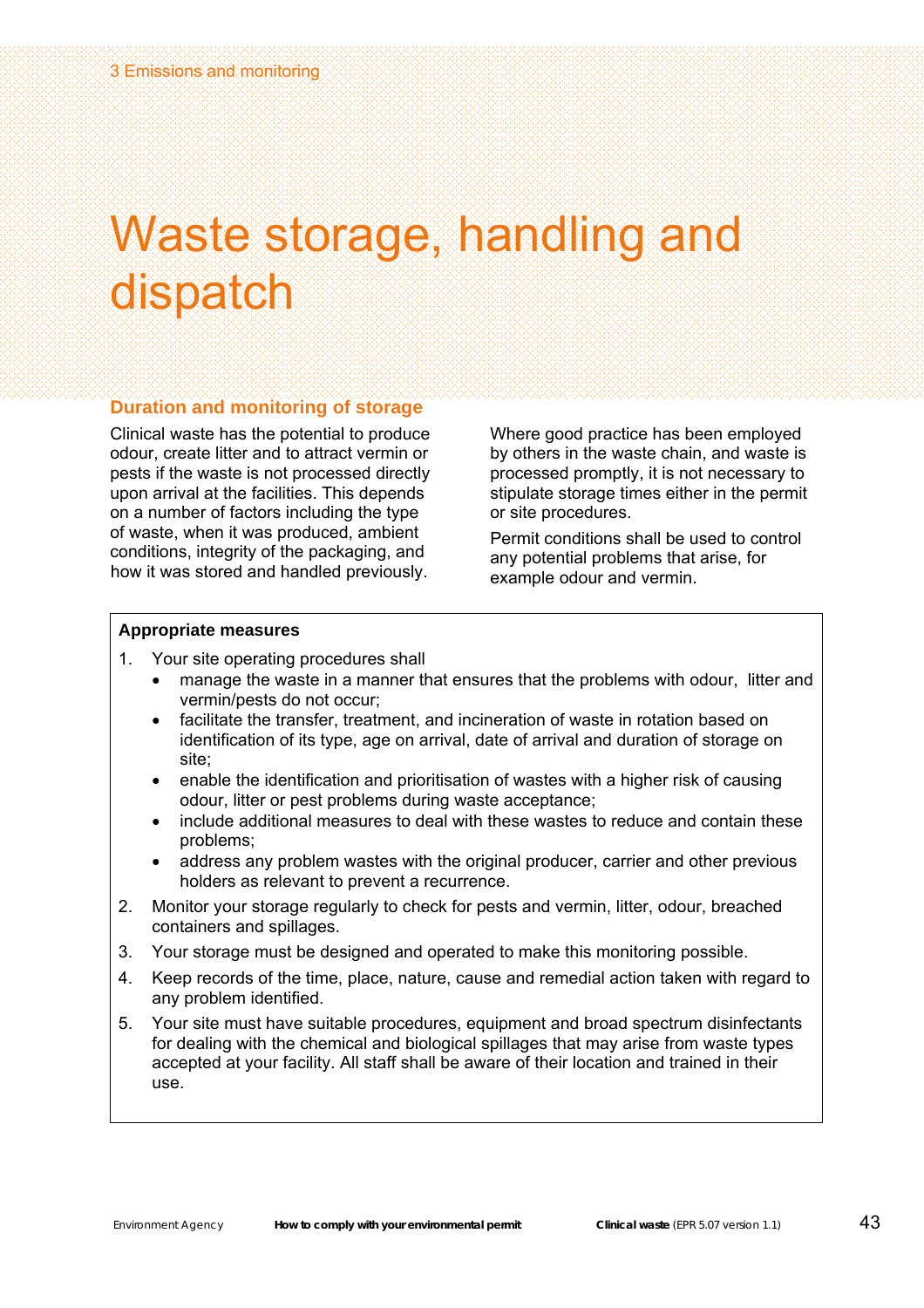### Waste storage, handling and dispatch

### **Duration and monitoring of storage**

Clinical waste has the potential to produce odour, create litter and to attract vermin or pests if the waste is not processed directly upon arrival at the facilities. This depends on a number of factors including the type of waste, when it was produced, ambient conditions, integrity of the packaging, and how it was stored and handled previously.

Where good practice has been employed by others in the waste chain, and waste is processed promptly, it is not necessary to stipulate storage times either in the permit or site procedures.

Permit conditions shall be used to control any potential problems that arise, for example odour and vermin.

- 1. Your site operating procedures shall
	- manage the waste in a manner that ensures that the problems with odour, litter and vermin/pests do not occur;
	- facilitate the transfer, treatment, and incineration of waste in rotation based on identification of its type, age on arrival, date of arrival and duration of storage on site;
	- enable the identification and prioritisation of wastes with a higher risk of causing odour, litter or pest problems during waste acceptance;
	- include additional measures to deal with these wastes to reduce and contain these problems;
	- address any problem wastes with the original producer, carrier and other previous holders as relevant to prevent a recurrence.
- 2. Monitor your storage regularly to check for pests and vermin, litter, odour, breached containers and spillages.
- 3. Your storage must be designed and operated to make this monitoring possible.
- 4. Keep records of the time, place, nature, cause and remedial action taken with regard to any problem identified.
- 5. Your site must have suitable procedures, equipment and broad spectrum disinfectants for dealing with the chemical and biological spillages that may arise from waste types accepted at your facility. All staff shall be aware of their location and trained in their use.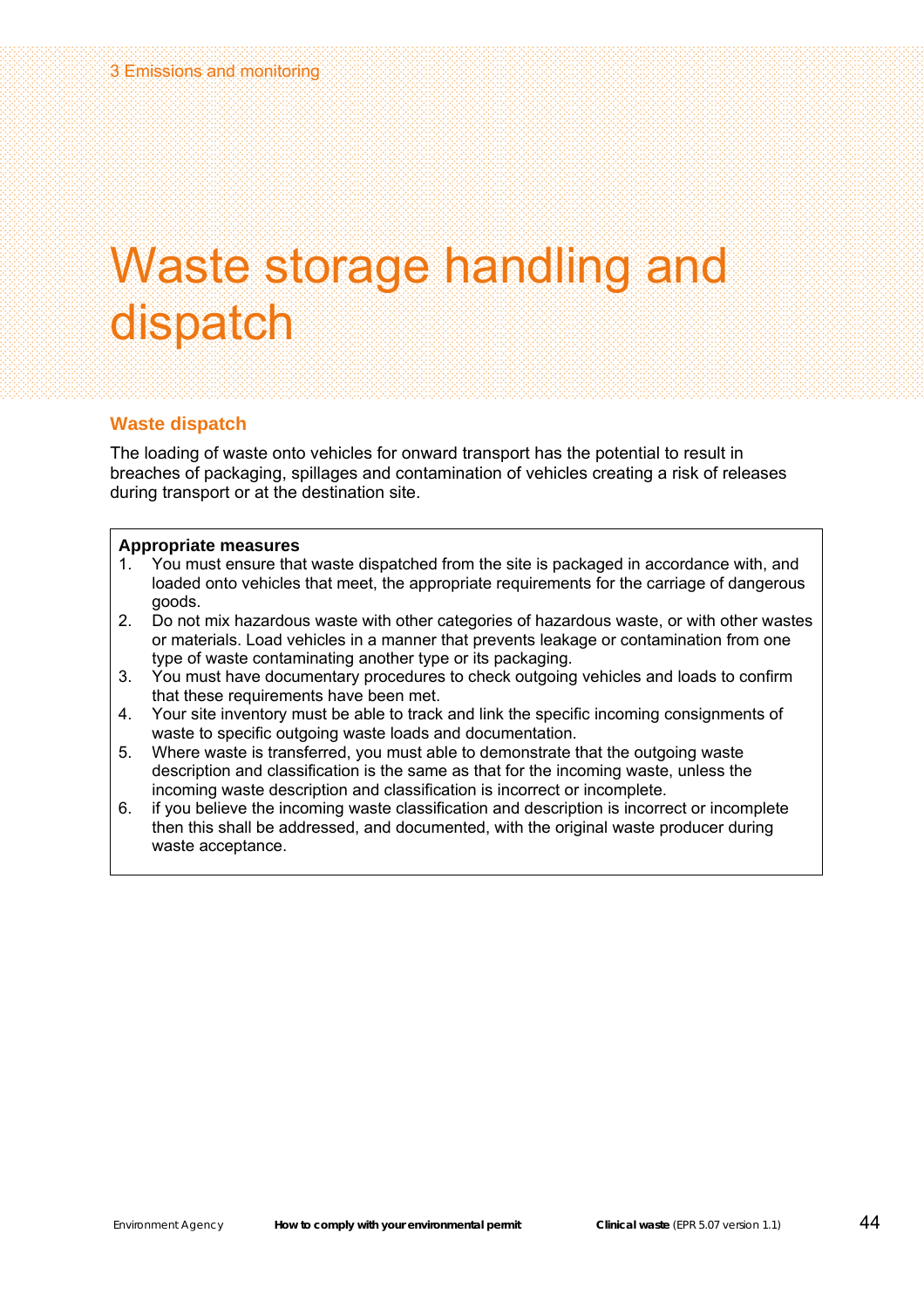### Waste storage handling and dispatch

### **Waste dispatch**

The loading of waste onto vehicles for onward transport has the potential to result in breaches of packaging, spillages and contamination of vehicles creating a risk of releases during transport or at the destination site.

- 1. You must ensure that waste dispatched from the site is packaged in accordance with, and loaded onto vehicles that meet, the appropriate requirements for the carriage of dangerous goods.
- 2. Do not mix hazardous waste with other categories of hazardous waste, or with other wastes or materials. Load vehicles in a manner that prevents leakage or contamination from one type of waste contaminating another type or its packaging.
- 3. You must have documentary procedures to check outgoing vehicles and loads to confirm that these requirements have been met.
- 4. Your site inventory must be able to track and link the specific incoming consignments of waste to specific outgoing waste loads and documentation.
- 5. Where waste is transferred, you must able to demonstrate that the outgoing waste description and classification is the same as that for the incoming waste, unless the incoming waste description and classification is incorrect or incomplete.
- 6. if you believe the incoming waste classification and description is incorrect or incomplete then this shall be addressed, and documented, with the original waste producer during waste acceptance.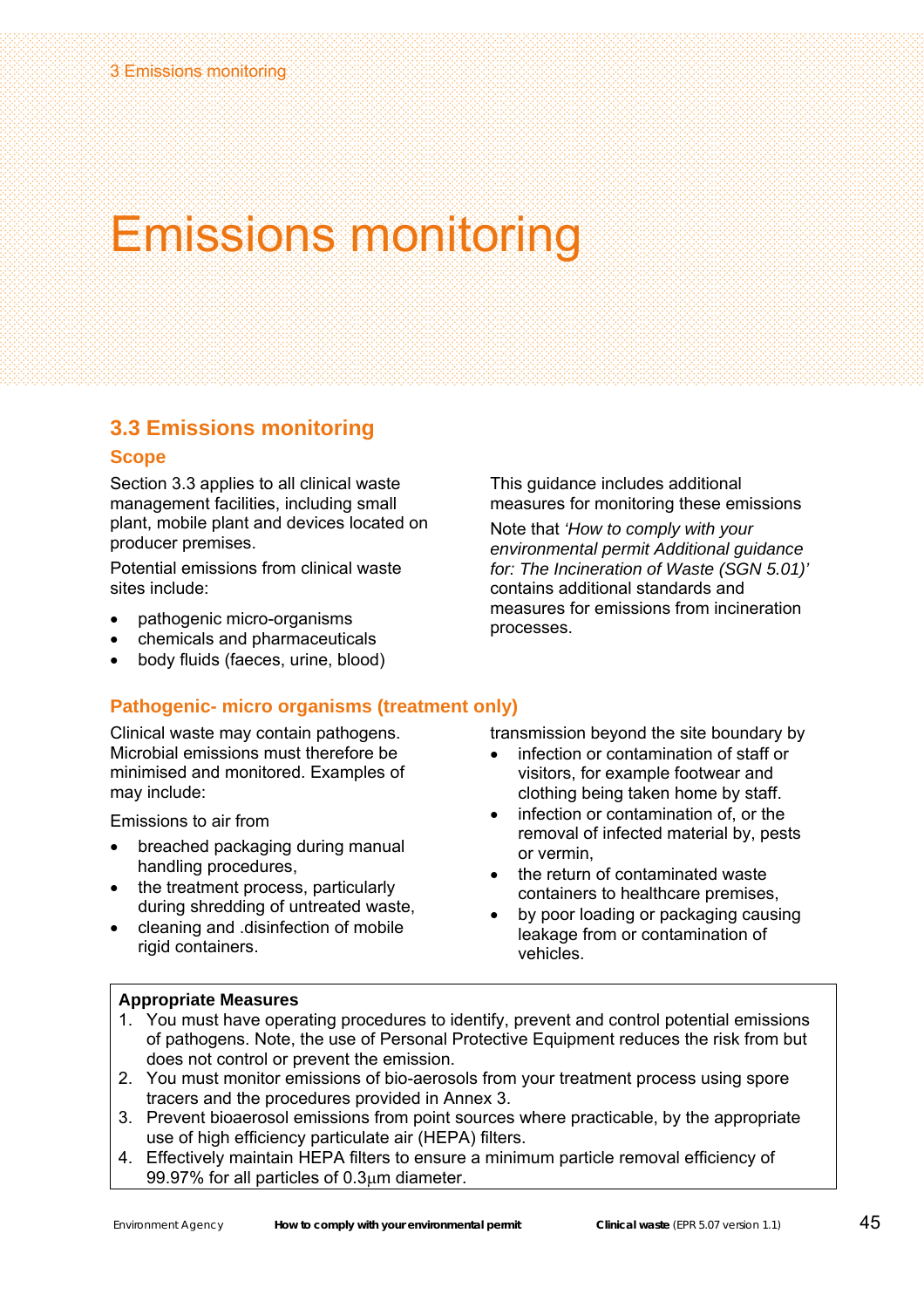### Emissions monitoring

### **3.3 Emissions monitoring**

### **Scope**

Section 3.3 applies to all clinical waste management facilities, including small plant, mobile plant and devices located on producer premises.

Potential emissions from clinical waste sites include:

- pathogenic micro-organisms
- chemicals and pharmaceuticals
- body fluids (faeces, urine, blood)

This guidance includes additional measures for monitoring these emissions

Note that *'How to comply with your environmental permit Additional guidance for: The Incineration of Waste (SGN 5.01)'* contains additional standards and measures for emissions from incineration processes.

### **Pathogenic- micro organisms (treatment only)**

Clinical waste may contain pathogens. Microbial emissions must therefore be minimised and monitored. Examples of may include:

Emissions to air from

- breached packaging during manual handling procedures,
- the treatment process, particularly during shredding of untreated waste,
- cleaning and .disinfection of mobile rigid containers.

transmission beyond the site boundary by

- infection or contamination of staff or visitors, for example footwear and clothing being taken home by staff.
- infection or contamination of, or the removal of infected material by, pests or vermin,
- the return of contaminated waste containers to healthcare premises,
- by poor loading or packaging causing leakage from or contamination of vehicles.

- 1. You must have operating procedures to identify, prevent and control potential emissions of pathogens. Note, the use of Personal Protective Equipment reduces the risk from but does not control or prevent the emission.
- 2. You must monitor emissions of bio-aerosols from your treatment process using spore tracers and the procedures provided in Annex 3.
- 3. Prevent bioaerosol emissions from point sources where practicable, by the appropriate use of high efficiency particulate air (HEPA) filters.
- 4. Effectively maintain HEPA filters to ensure a minimum particle removal efficiency of 99.97% for all particles of 0.3μm diameter.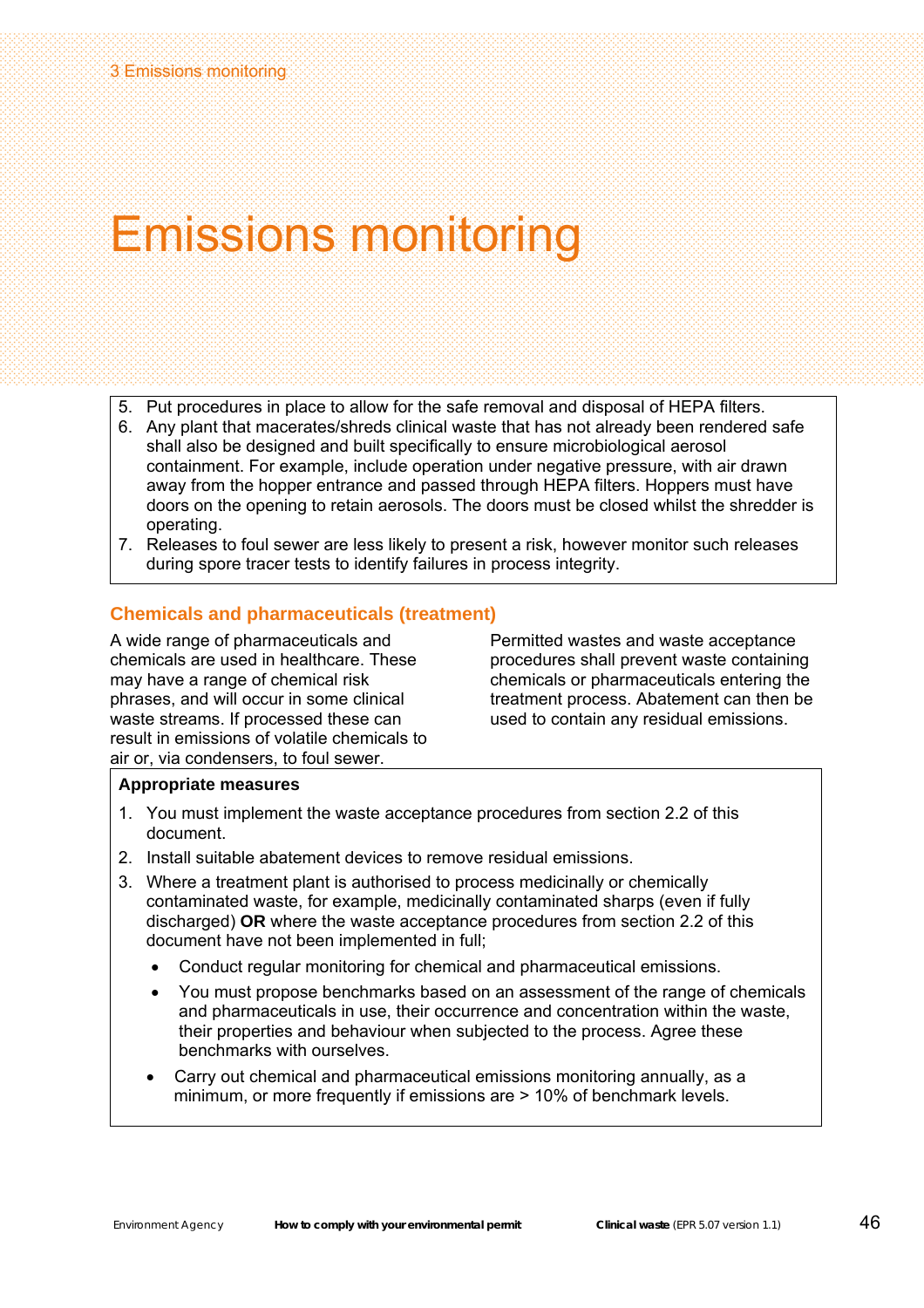### Emissions monitoring

- 5. Put procedures in place to allow for the safe removal and disposal of HEPA filters.
- 6. Any plant that macerates/shreds clinical waste that has not already been rendered safe shall also be designed and built specifically to ensure microbiological aerosol containment. For example, include operation under negative pressure, with air drawn away from the hopper entrance and passed through HEPA filters. Hoppers must have doors on the opening to retain aerosols. The doors must be closed whilst the shredder is operating.
- 7. Releases to foul sewer are less likely to present a risk, however monitor such releases during spore tracer tests to identify failures in process integrity.

### **Chemicals and pharmaceuticals (treatment)**

A wide range of pharmaceuticals and chemicals are used in healthcare. These may have a range of chemical risk phrases, and will occur in some clinical waste streams. If processed these can result in emissions of volatile chemicals to air or, via condensers, to foul sewer.

Permitted wastes and waste acceptance procedures shall prevent waste containing chemicals or pharmaceuticals entering the treatment process. Abatement can then be used to contain any residual emissions.

- 1. You must implement the waste acceptance procedures from section 2.2 of this document.
- 2. Install suitable abatement devices to remove residual emissions.
- 3. Where a treatment plant is authorised to process medicinally or chemically contaminated waste, for example, medicinally contaminated sharps (even if fully discharged) **OR** where the waste acceptance procedures from section 2.2 of this document have not been implemented in full;
	- Conduct regular monitoring for chemical and pharmaceutical emissions.
	- You must propose benchmarks based on an assessment of the range of chemicals and pharmaceuticals in use, their occurrence and concentration within the waste, their properties and behaviour when subjected to the process. Agree these benchmarks with ourselves.
	- Carry out chemical and pharmaceutical emissions monitoring annually, as a minimum, or more frequently if emissions are > 10% of benchmark levels.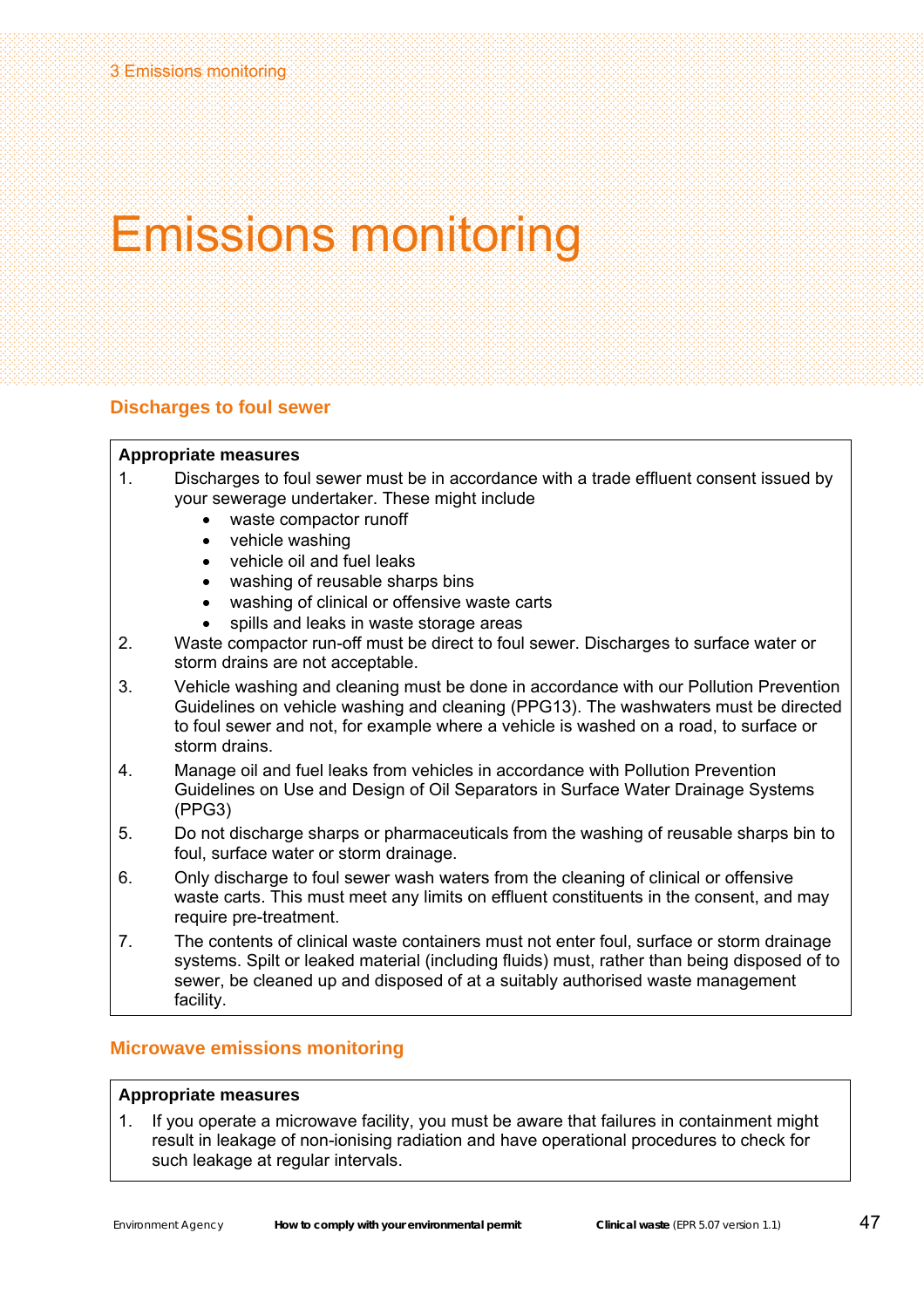### Emissions monitoring

### **Discharges to foul sewer**

### **Appropriate measures**

- 1. Discharges to foul sewer must be in accordance with a trade effluent consent issued by your sewerage undertaker. These might include
	- waste compactor runoff
	- vehicle washing
	- vehicle oil and fuel leaks
	- washing of reusable sharps bins
	- washing of clinical or offensive waste carts
	- spills and leaks in waste storage areas
- 2. Waste compactor run-off must be direct to foul sewer. Discharges to surface water or storm drains are not acceptable.
- 3. Vehicle washing and cleaning must be done in accordance with our Pollution Prevention Guidelines on vehicle washing and cleaning (PPG13). The washwaters must be directed to foul sewer and not, for example where a vehicle is washed on a road, to surface or storm drains.
- 4. Manage oil and fuel leaks from vehicles in accordance with Pollution Prevention Guidelines on Use and Design of Oil Separators in Surface Water Drainage Systems (PPG3)
- 5. Do not discharge sharps or pharmaceuticals from the washing of reusable sharps bin to foul, surface water or storm drainage.
- 6. Only discharge to foul sewer wash waters from the cleaning of clinical or offensive waste carts. This must meet any limits on effluent constituents in the consent, and may require pre-treatment.
- 7. The contents of clinical waste containers must not enter foul, surface or storm drainage systems. Spilt or leaked material (including fluids) must, rather than being disposed of to sewer, be cleaned up and disposed of at a suitably authorised waste management facility.

### **Microwave emissions monitoring**

### **Appropriate measures**

1. If you operate a microwave facility, you must be aware that failures in containment might result in leakage of non-ionising radiation and have operational procedures to check for such leakage at regular intervals.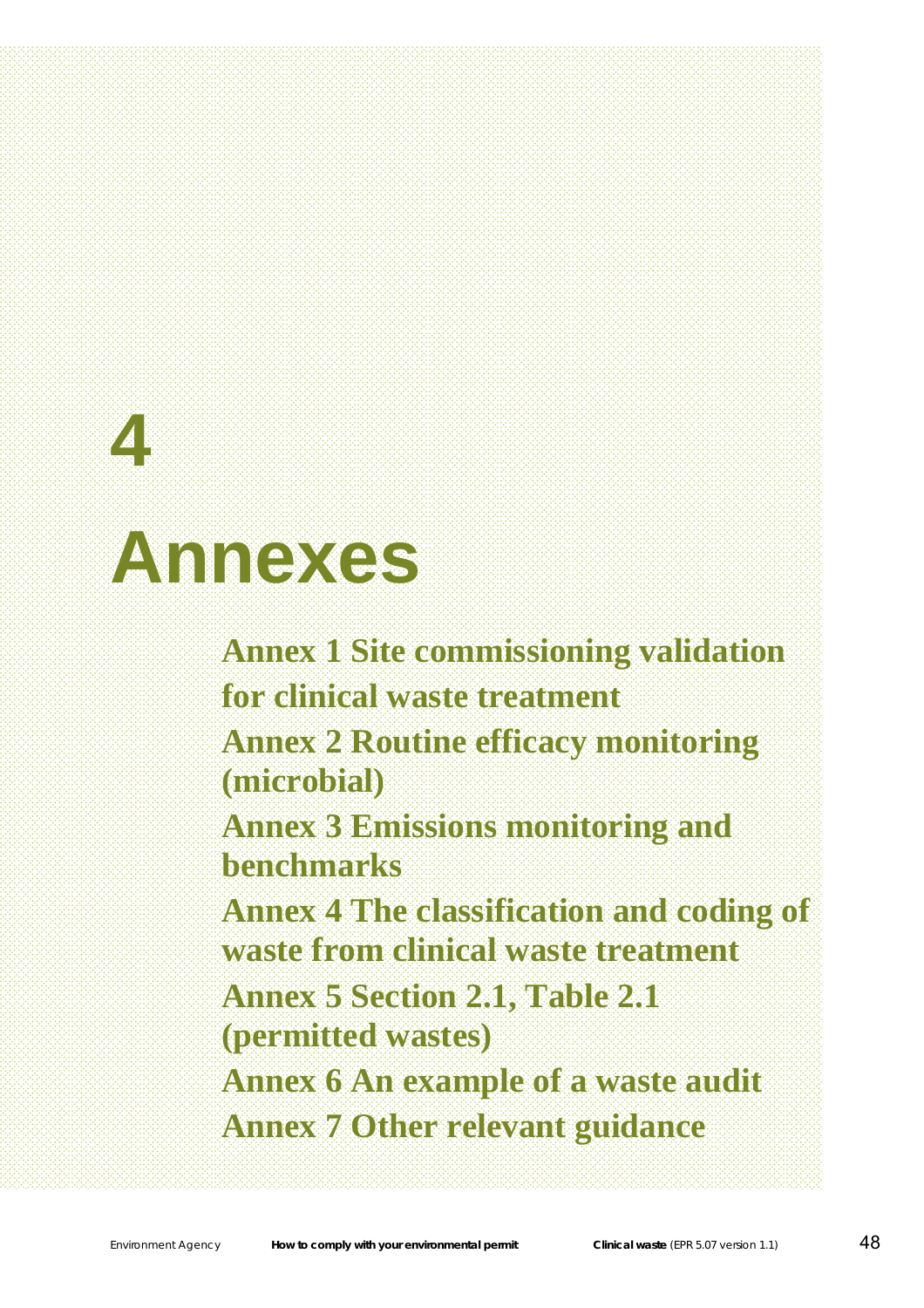# **4 Annexes**

**Annex 1 Site commissioning validation for clinical waste treatment Annex 2 Routine efficacy monitoring (microbial) Annex 3 Emissions monitoring and benchmarks Annex 4 The classification and coding of waste from clinical waste treatment Annex 5 Section 2.1, Table 2.1 (permitted wastes) Annex 6 An example of a waste audit Annex 7 Other relevant guidance**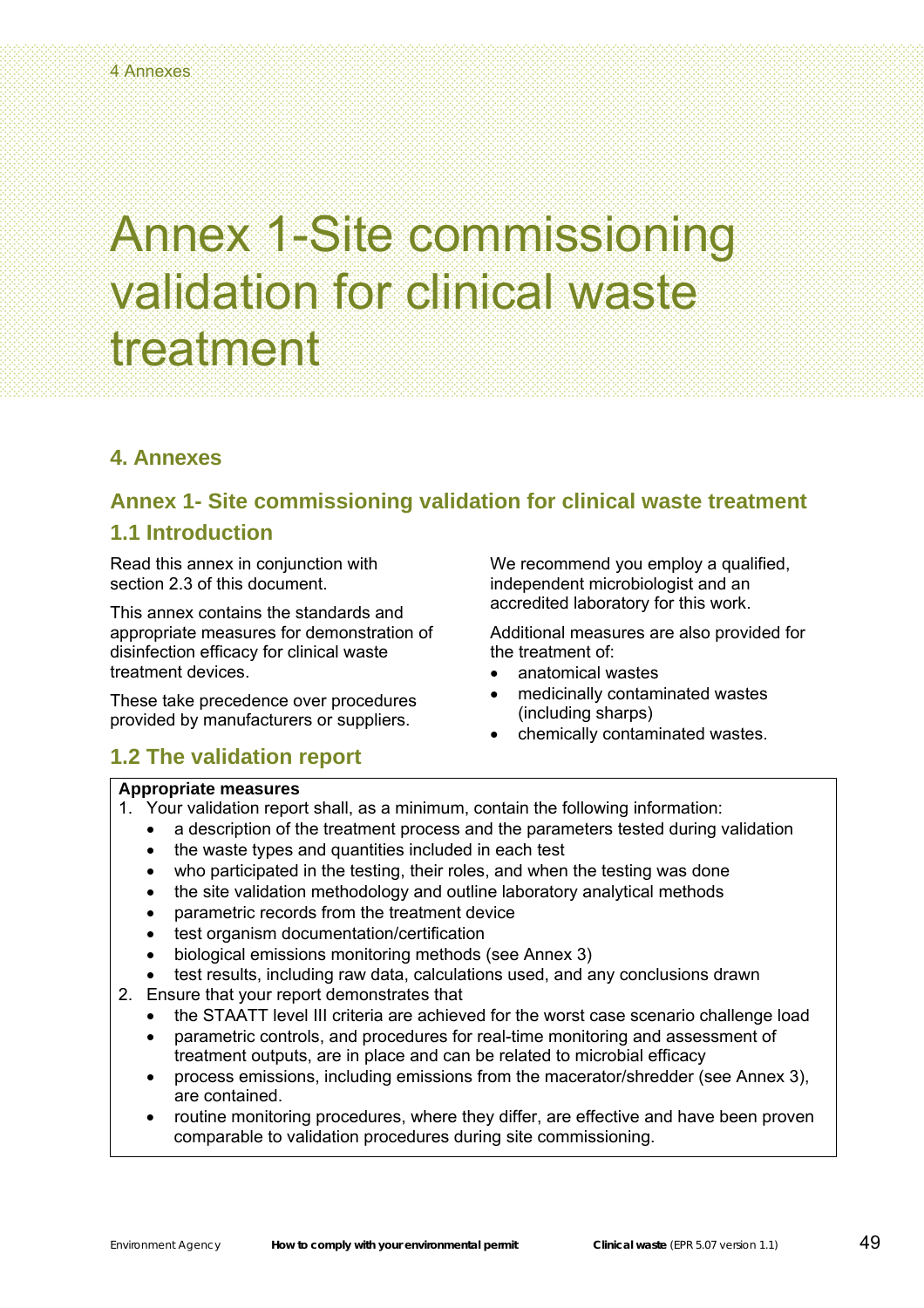### **4. Annexes**

### **Annex 1- Site commissioning validation for clinical waste treatment**

### **1.1 Introduction**

Read this annex in conjunction with section 2.3 of this document.

This annex contains the standards and appropriate measures for demonstration of disinfection efficacy for clinical waste treatment devices.

These take precedence over procedures provided by manufacturers or suppliers.

### **1.2 The validation report**

### **Appropriate measures**

- 1. Your validation report shall, as a minimum, contain the following information:
	- a description of the treatment process and the parameters tested during validation
	- the waste types and quantities included in each test
	- who participated in the testing, their roles, and when the testing was done
	- the site validation methodology and outline laboratory analytical methods
	- parametric records from the treatment device
	- test organism documentation/certification
	- biological emissions monitoring methods (see Annex 3)
- test results, including raw data, calculations used, and any conclusions drawn
- 2. Ensure that your report demonstrates that
	- the STAATT level III criteria are achieved for the worst case scenario challenge load
	- parametric controls, and procedures for real-time monitoring and assessment of treatment outputs, are in place and can be related to microbial efficacy
	- process emissions, including emissions from the macerator/shredder (see Annex 3), are contained.
	- routine monitoring procedures, where they differ, are effective and have been proven comparable to validation procedures during site commissioning.

We recommend you employ a qualified, independent microbiologist and an accredited laboratory for this work.

Additional measures are also provided for

medicinally contaminated wastes

• chemically contaminated wastes.

the treatment of:

• anatomical wastes

(including sharps)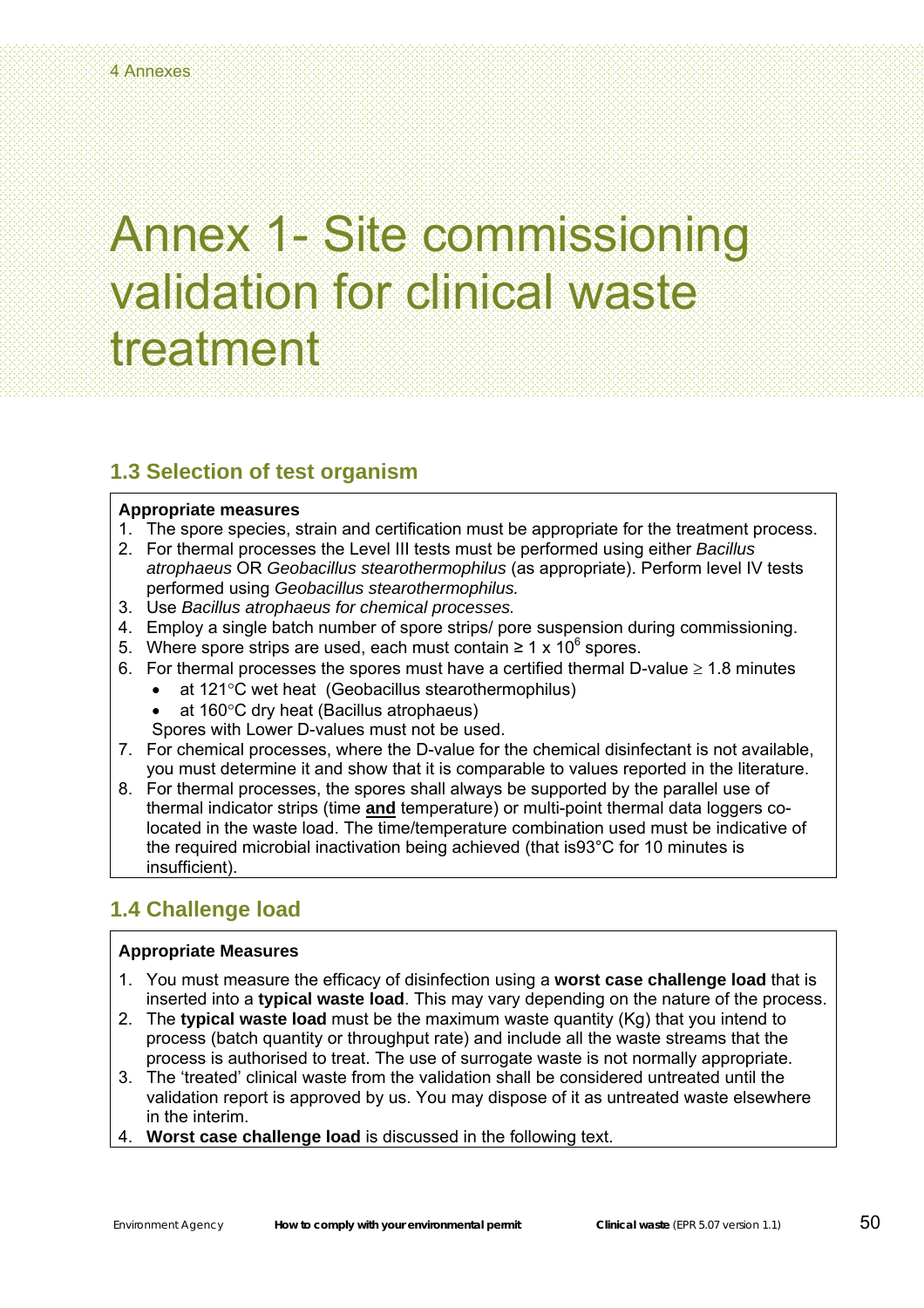### **1.3 Selection of test organism**

### **Appropriate measures**

- 1. The spore species, strain and certification must be appropriate for the treatment process.
- 2. For thermal processes the Level III tests must be performed using either *Bacillus atrophaeus* OR *Geobacillus stearothermophilus* (as appropriate). Perform level IV tests performed using *Geobacillus stearothermophilus.*
- 3. Use *Bacillus atrophaeus for chemical processes.*
- 4. Employ a single batch number of spore strips/ pore suspension during commissioning.
- 5. Where spore strips are used, each must contain ≥ 1 x 10<sup>6</sup> spores.
- 6. For thermal processes the spores must have a certified thermal D-value  $\geq 1.8$  minutes
	- at 121°C wet heat (Geobacillus stearothermophilus)
	- at 160°C dry heat (Bacillus atrophaeus)
	- Spores with Lower D-values must not be used.
- 7. For chemical processes, where the D-value for the chemical disinfectant is not available, you must determine it and show that it is comparable to values reported in the literature.
- 8. For thermal processes, the spores shall always be supported by the parallel use of thermal indicator strips (time **and** temperature) or multi-point thermal data loggers colocated in the waste load. The time/temperature combination used must be indicative of the required microbial inactivation being achieved (that is93°C for 10 minutes is insufficient).

### **1.4 Challenge load**

- 1. You must measure the efficacy of disinfection using a **worst case challenge load** that is inserted into a **typical waste load**. This may vary depending on the nature of the process.
- 2. The **typical waste load** must be the maximum waste quantity (Kg) that you intend to process (batch quantity or throughput rate) and include all the waste streams that the process is authorised to treat. The use of surrogate waste is not normally appropriate.
- 3. The 'treated' clinical waste from the validation shall be considered untreated until the validation report is approved by us. You may dispose of it as untreated waste elsewhere in the interim.
- 4. **Worst case challenge load** is discussed in the following text.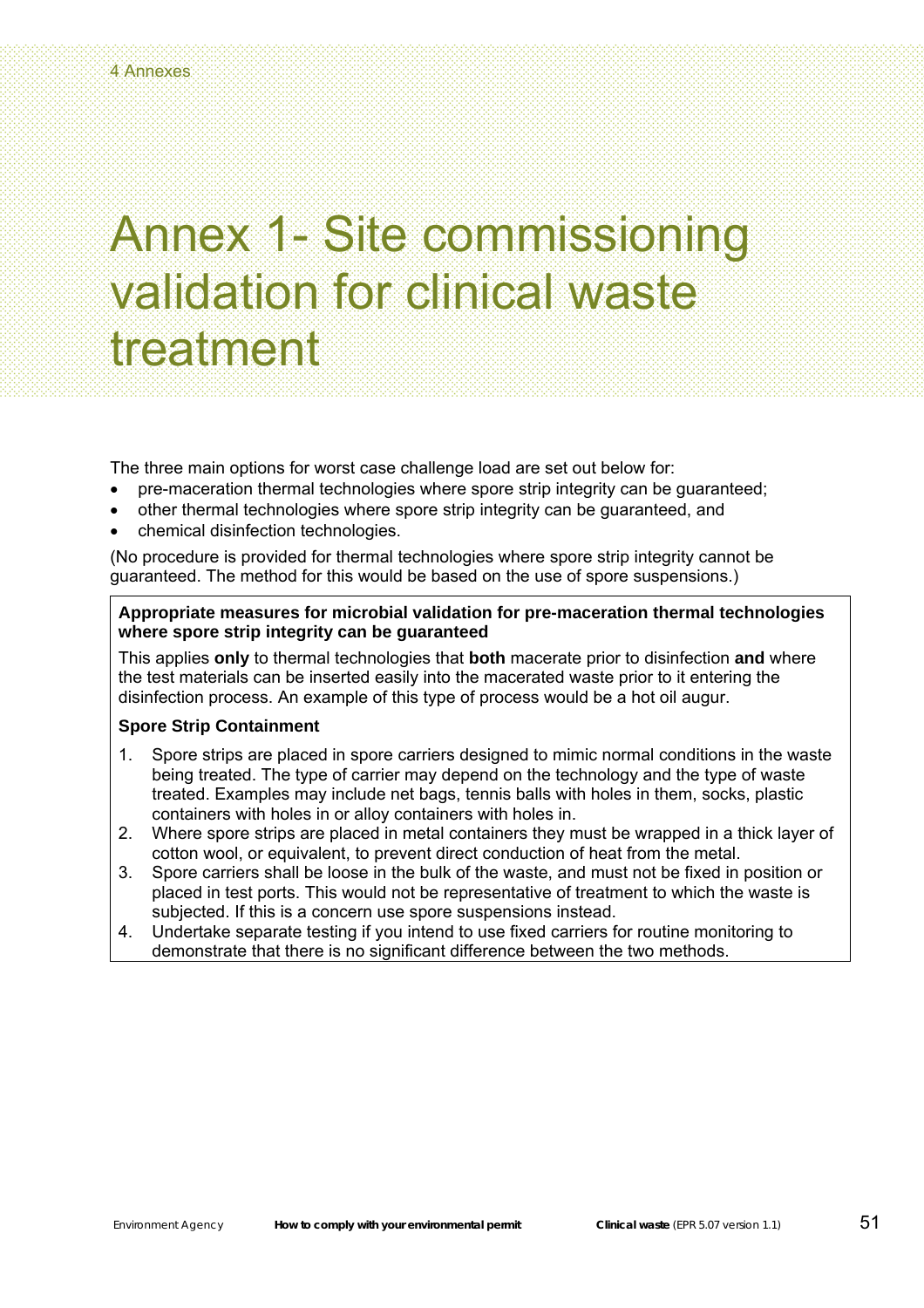The three main options for worst case challenge load are set out below for:

- pre-maceration thermal technologies where spore strip integrity can be guaranteed;
- other thermal technologies where spore strip integrity can be guaranteed, and
- chemical disinfection technologies.

(No procedure is provided for thermal technologies where spore strip integrity cannot be guaranteed. The method for this would be based on the use of spore suspensions.)

### **Appropriate measures for microbial validation for pre-maceration thermal technologies where spore strip integrity can be guaranteed**

This applies **only** to thermal technologies that **both** macerate prior to disinfection **and** where the test materials can be inserted easily into the macerated waste prior to it entering the disinfection process. An example of this type of process would be a hot oil augur.

### **Spore Strip Containment**

- 1. Spore strips are placed in spore carriers designed to mimic normal conditions in the waste being treated. The type of carrier may depend on the technology and the type of waste treated. Examples may include net bags, tennis balls with holes in them, socks, plastic containers with holes in or alloy containers with holes in.
- 2. Where spore strips are placed in metal containers they must be wrapped in a thick layer of cotton wool, or equivalent, to prevent direct conduction of heat from the metal.
- 3. Spore carriers shall be loose in the bulk of the waste, and must not be fixed in position or placed in test ports. This would not be representative of treatment to which the waste is subjected. If this is a concern use spore suspensions instead.
- 4. Undertake separate testing if you intend to use fixed carriers for routine monitoring to demonstrate that there is no significant difference between the two methods.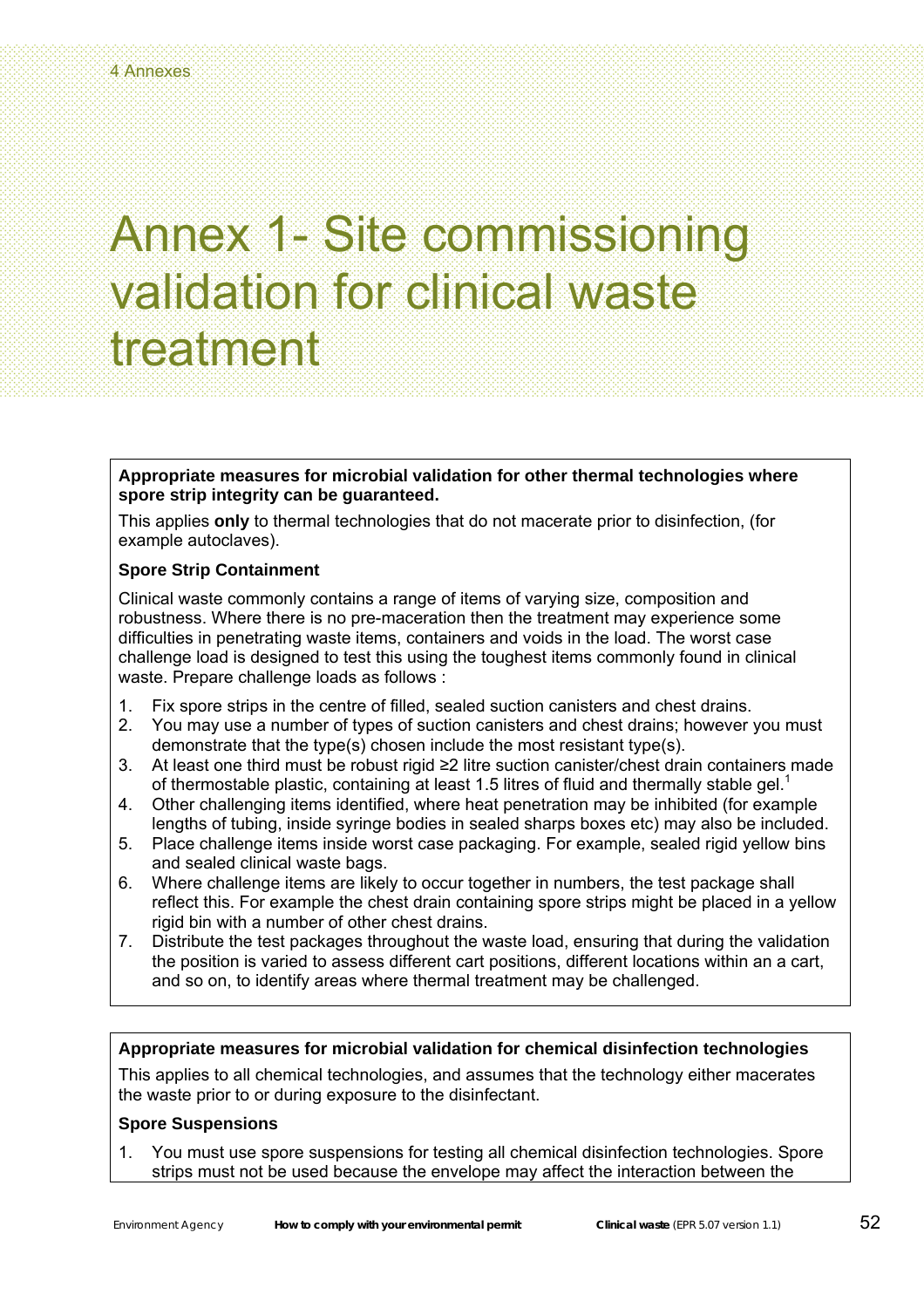**Appropriate measures for microbial validation for other thermal technologies where spore strip integrity can be guaranteed.** 

This applies **only** to thermal technologies that do not macerate prior to disinfection, (for example autoclaves).

### **Spore Strip Containment**

Clinical waste commonly contains a range of items of varying size, composition and robustness. Where there is no pre-maceration then the treatment may experience some difficulties in penetrating waste items, containers and voids in the load. The worst case challenge load is designed to test this using the toughest items commonly found in clinical waste. Prepare challenge loads as follows :

- 1. Fix spore strips in the centre of filled, sealed suction canisters and chest drains.
- 2. You may use a number of types of suction canisters and chest drains; however you must demonstrate that the type(s) chosen include the most resistant type(s).
- 3. At least one third must be robust rigid ≥2 litre suction canister/chest drain containers made of thermostable plastic, containing at least 1.5 litres of fluid and thermally stable gel.<sup>1</sup>
- 4. Other challenging items identified, where heat penetration may be inhibited (for example lengths of tubing, inside syringe bodies in sealed sharps boxes etc) may also be included.
- 5. Place challenge items inside worst case packaging. For example, sealed rigid yellow bins and sealed clinical waste bags.
- 6. Where challenge items are likely to occur together in numbers, the test package shall reflect this. For example the chest drain containing spore strips might be placed in a yellow rigid bin with a number of other chest drains.
- 7. Distribute the test packages throughout the waste load, ensuring that during the validation the position is varied to assess different cart positions, different locations within an a cart, and so on, to identify areas where thermal treatment may be challenged.

### **Appropriate measures for microbial validation for chemical disinfection technologies**

This applies to all chemical technologies, and assumes that the technology either macerates the waste prior to or during exposure to the disinfectant.

### **Spore Suspensions**

1. You must use spore suspensions for testing all chemical disinfection technologies. Spore strips must not be used because the envelope may affect the interaction between the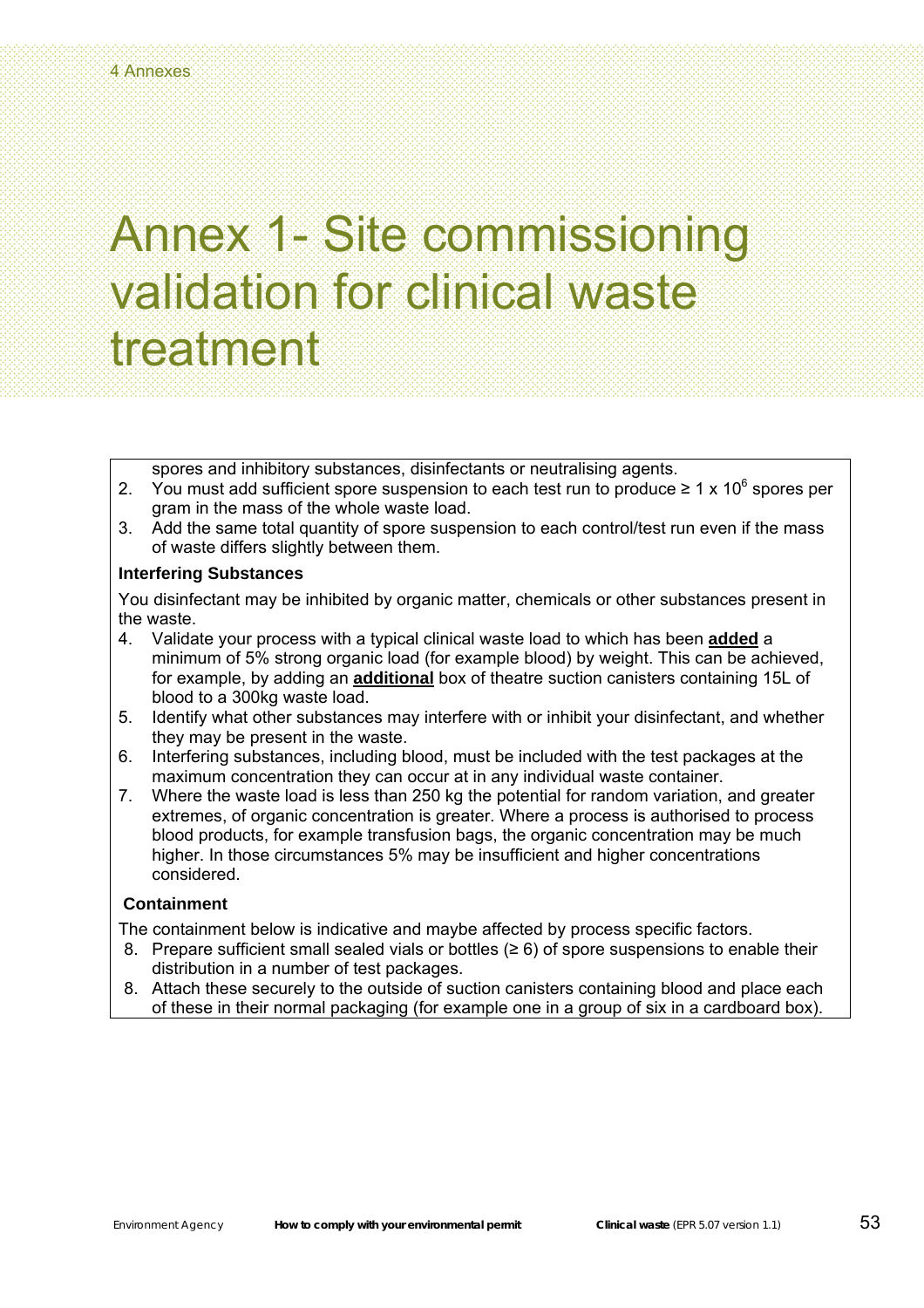spores and inhibitory substances, disinfectants or neutralising agents.

- 2. You must add sufficient spore suspension to each test run to produce  $\geq 1 \times 10^6$  spores per gram in the mass of the whole waste load.
- 3. Add the same total quantity of spore suspension to each control/test run even if the mass of waste differs slightly between them.

#### **Interfering Substances**

You disinfectant may be inhibited by organic matter, chemicals or other substances present in the waste.

- 4. Validate your process with a typical clinical waste load to which has been **added** a minimum of 5% strong organic load (for example blood) by weight. This can be achieved, for example, by adding an **additional** box of theatre suction canisters containing 15L of blood to a 300kg waste load.
- 5. Identify what other substances may interfere with or inhibit your disinfectant, and whether they may be present in the waste.
- 6. Interfering substances, including blood, must be included with the test packages at the maximum concentration they can occur at in any individual waste container.
- 7. Where the waste load is less than 250 kg the potential for random variation, and greater extremes, of organic concentration is greater. Where a process is authorised to process blood products, for example transfusion bags, the organic concentration may be much higher. In those circumstances 5% may be insufficient and higher concentrations considered.

#### **Containment**

The containment below is indicative and maybe affected by process specific factors.

- 8. Prepare sufficient small sealed vials or bottles ( $\geq 6$ ) of spore suspensions to enable their distribution in a number of test packages.
- 8. Attach these securely to the outside of suction canisters containing blood and place each of these in their normal packaging (for example one in a group of six in a cardboard box).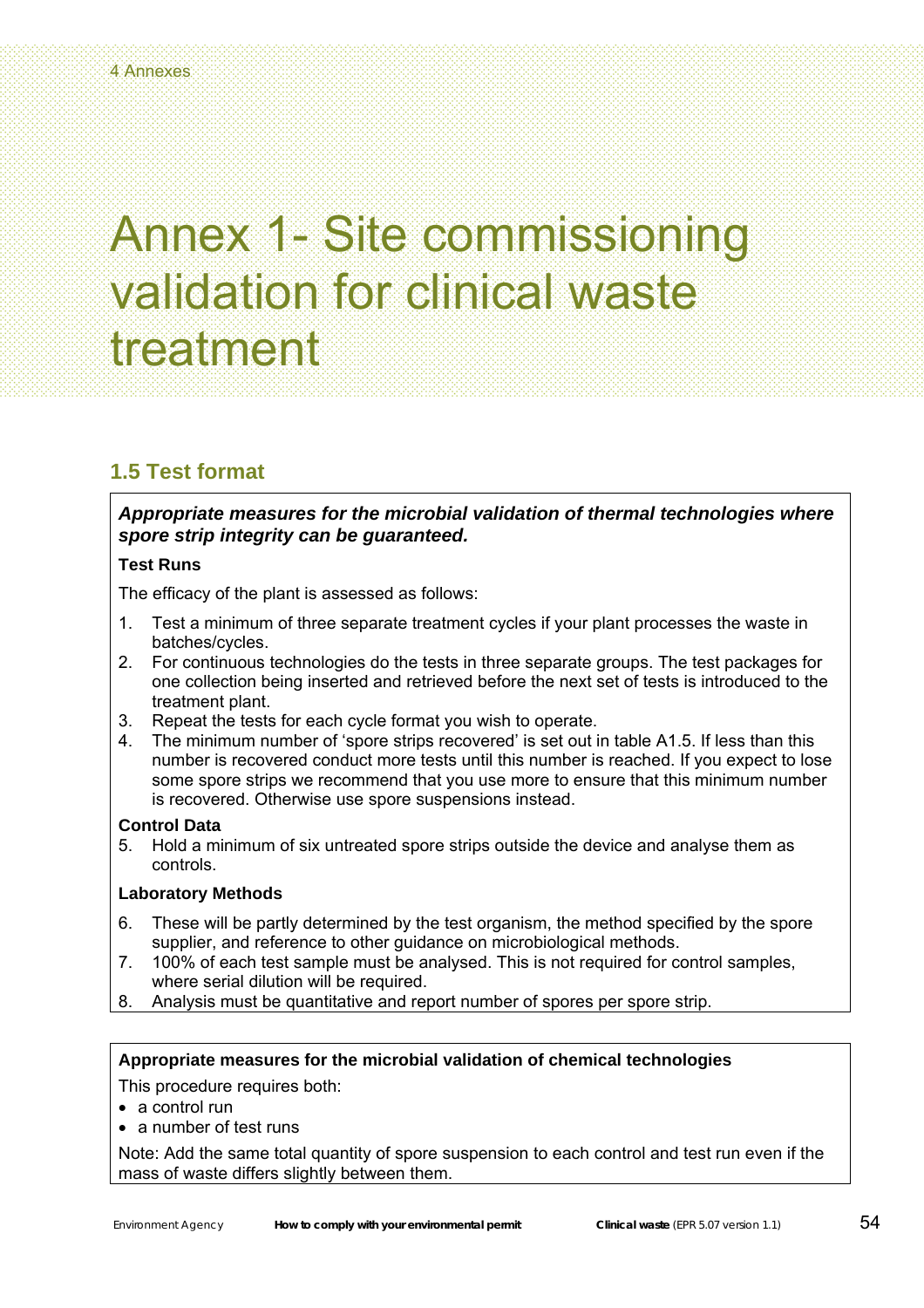### **1.5 Test format**

*Appropriate measures for the microbial validation of thermal technologies where spore strip integrity can be guaranteed.* 

### **Test Runs**

The efficacy of the plant is assessed as follows:

- 1. Test a minimum of three separate treatment cycles if your plant processes the waste in batches/cycles.
- 2. For continuous technologies do the tests in three separate groups. The test packages for one collection being inserted and retrieved before the next set of tests is introduced to the treatment plant.
- 3. Repeat the tests for each cycle format you wish to operate.
- 4. The minimum number of 'spore strips recovered' is set out in table A1.5. If less than this number is recovered conduct more tests until this number is reached. If you expect to lose some spore strips we recommend that you use more to ensure that this minimum number is recovered. Otherwise use spore suspensions instead.

### **Control Data**

5. Hold a minimum of six untreated spore strips outside the device and analyse them as controls.

### **Laboratory Methods**

- 6. These will be partly determined by the test organism, the method specified by the spore supplier, and reference to other guidance on microbiological methods.
- 7. 100% of each test sample must be analysed. This is not required for control samples, where serial dilution will be required.
- 8. Analysis must be quantitative and report number of spores per spore strip.

### **Appropriate measures for the microbial validation of chemical technologies**

This procedure requires both:

- a control run
- a number of test runs

Note: Add the same total quantity of spore suspension to each control and test run even if the mass of waste differs slightly between them.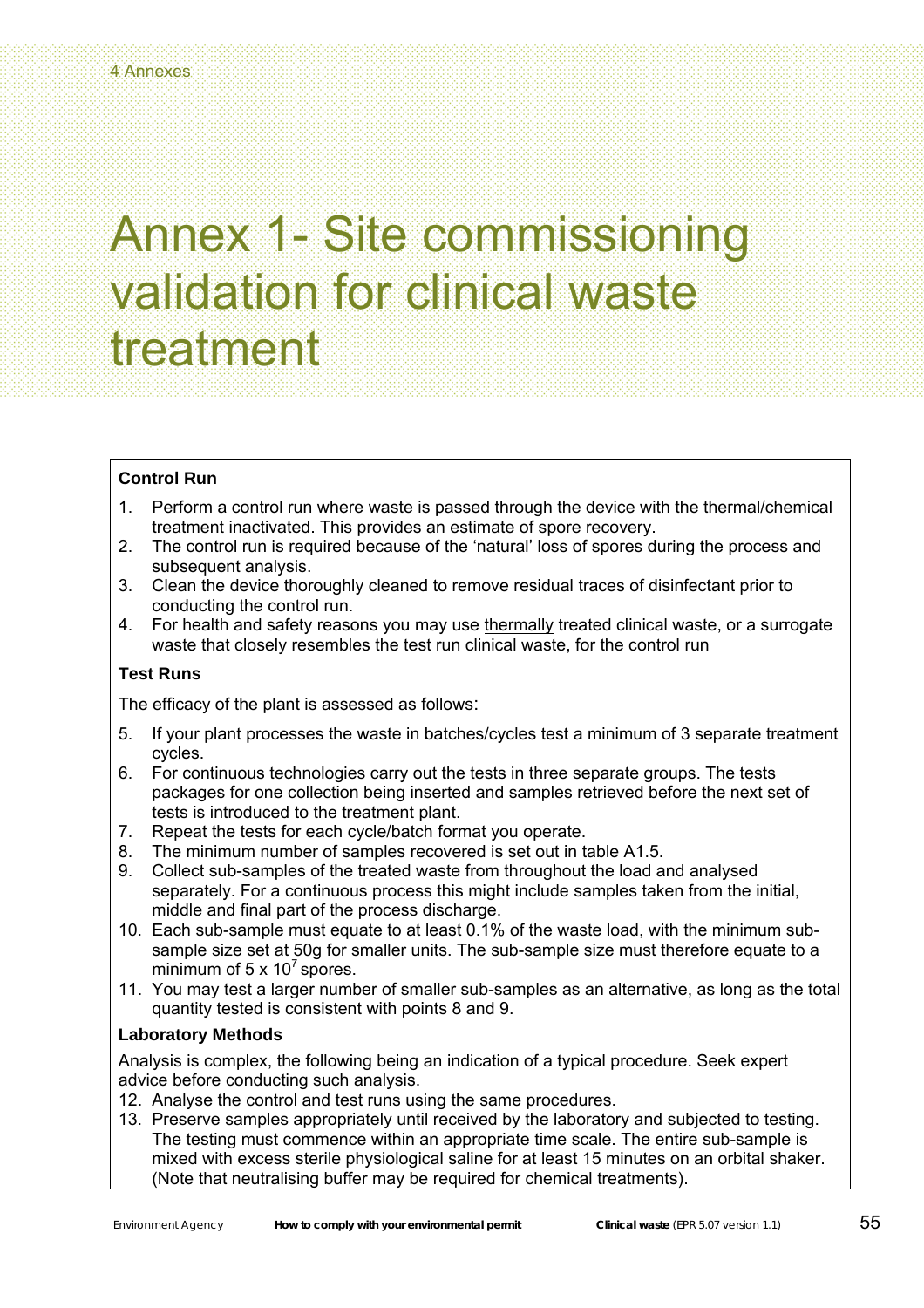### **Control Run**

- 1. Perform a control run where waste is passed through the device with the thermal/chemical treatment inactivated. This provides an estimate of spore recovery.
- 2. The control run is required because of the 'natural' loss of spores during the process and subsequent analysis.
- 3. Clean the device thoroughly cleaned to remove residual traces of disinfectant prior to conducting the control run.
- 4. For health and safety reasons you may use thermally treated clinical waste, or a surrogate waste that closely resembles the test run clinical waste, for the control run

### **Test Runs**

The efficacy of the plant is assessed as follows:

- 5. If your plant processes the waste in batches/cycles test a minimum of 3 separate treatment cycles.
- 6. For continuous technologies carry out the tests in three separate groups. The tests packages for one collection being inserted and samples retrieved before the next set of tests is introduced to the treatment plant.
- 7. Repeat the tests for each cycle/batch format you operate.
- 8. The minimum number of samples recovered is set out in table A1.5.
- 9. Collect sub-samples of the treated waste from throughout the load and analysed separately. For a continuous process this might include samples taken from the initial, middle and final part of the process discharge.
- 10. Each sub-sample must equate to at least 0.1% of the waste load, with the minimum subsample size set at 50g for smaller units. The sub-sample size must therefore equate to a minimum of 5  $\times$  10<sup>7</sup> spores.
- 11. You may test a larger number of smaller sub-samples as an alternative, as long as the total quantity tested is consistent with points 8 and 9.

### **Laboratory Methods**

Analysis is complex, the following being an indication of a typical procedure. Seek expert advice before conducting such analysis.

- 12. Analyse the control and test runs using the same procedures.
- 13. Preserve samples appropriately until received by the laboratory and subjected to testing. The testing must commence within an appropriate time scale. The entire sub-sample is mixed with excess sterile physiological saline for at least 15 minutes on an orbital shaker. (Note that neutralising buffer may be required for chemical treatments).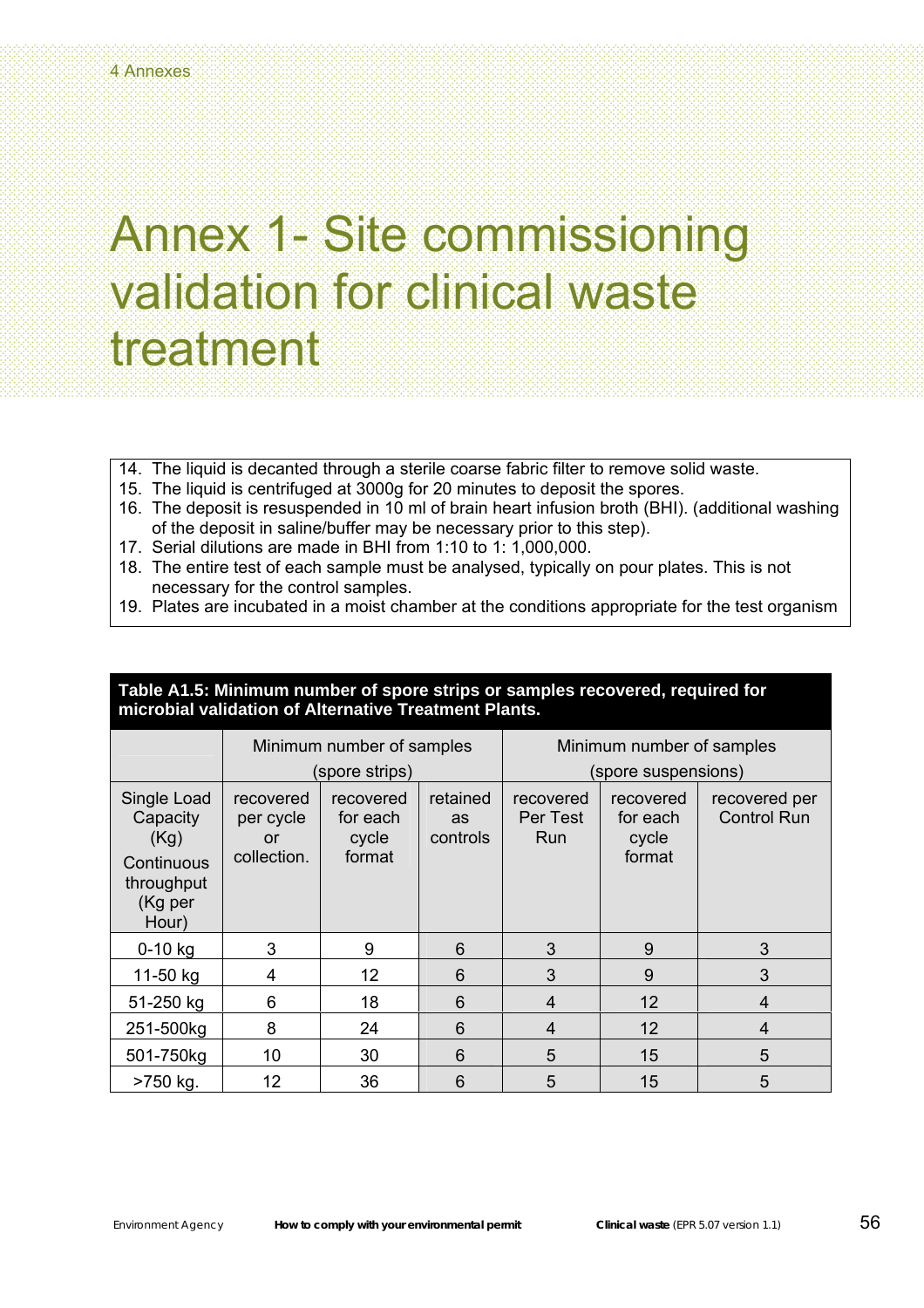- 14. The liquid is decanted through a sterile coarse fabric filter to remove solid waste.
- 15. The liquid is centrifuged at 3000g for 20 minutes to deposit the spores.
- 16. The deposit is resuspended in 10 ml of brain heart infusion broth (BHI). (additional washing of the deposit in saline/buffer may be necessary prior to this step).
- 17. Serial dilutions are made in BHI from 1:10 to 1: 1,000,000.
- 18. The entire test of each sample must be analysed, typically on pour plates. This is not necessary for the control samples.
- 19. Plates are incubated in a moist chamber at the conditions appropriate for the test organism

### **Table A1.5: Minimum number of spore strips or samples recovered, required for microbial validation of Alternative Treatment Plants.**

|                                                                                 | Minimum number of samples                   |                                          |                                   | Minimum number of samples    |                                          |                                     |
|---------------------------------------------------------------------------------|---------------------------------------------|------------------------------------------|-----------------------------------|------------------------------|------------------------------------------|-------------------------------------|
|                                                                                 | (spore strips)                              |                                          |                                   | (spore suspensions)          |                                          |                                     |
| Single Load<br>Capacity<br>(Kg)<br>Continuous<br>throughput<br>(Kg per<br>Hour) | recovered<br>per cycle<br>or<br>collection. | recovered<br>for each<br>cycle<br>format | retained<br><b>as</b><br>controls | recovered<br>Per Test<br>Run | recovered<br>for each<br>cycle<br>format | recovered per<br><b>Control Run</b> |
| $0 - 10$ kg                                                                     | 3                                           | 9                                        | 6                                 | 3                            | 9                                        | 3                                   |
| 11-50 kg                                                                        | 4                                           | 12                                       | 6                                 | 3                            | 9                                        | 3                                   |
| 51-250 kg                                                                       | 6                                           | 18                                       | 6                                 | $\overline{4}$               | 12                                       | $\overline{4}$                      |
| 251-500kg                                                                       | 8                                           | 24                                       | 6                                 | $\overline{4}$               | 12                                       | 4                                   |
| 501-750kg                                                                       | 10                                          | 30                                       | 6                                 | 5                            | 15                                       | 5                                   |
| >750 kg.                                                                        | 12                                          | 36                                       | 6                                 | 5                            | 15                                       | 5                                   |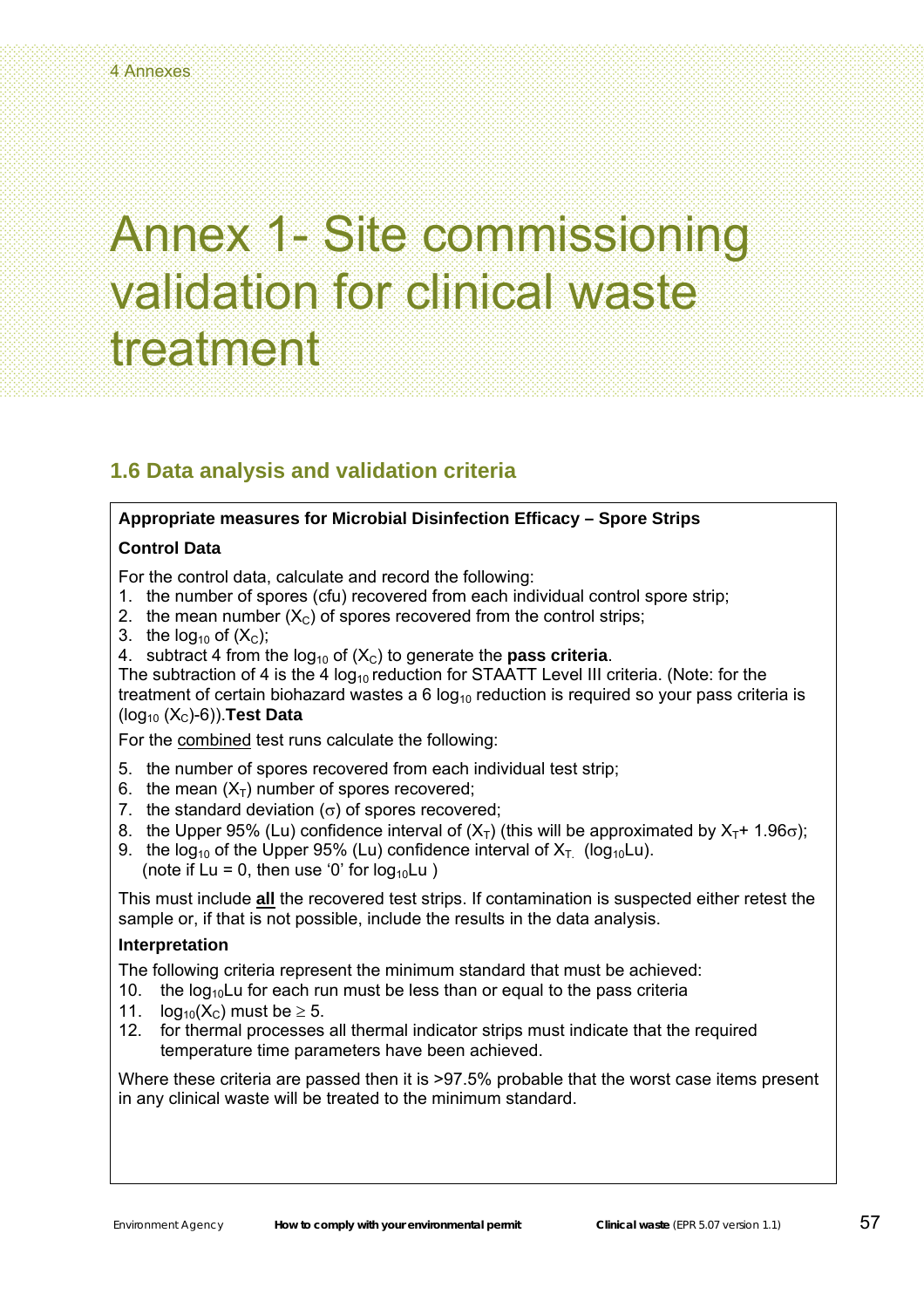### **1.6 Data analysis and validation criteria**

### **Appropriate measures for Microbial Disinfection Efficacy – Spore Strips**

### **Control Data**

For the control data, calculate and record the following:

- 1. the number of spores (cfu) recovered from each individual control spore strip;
- 2. the mean number  $(X<sub>C</sub>)$  of spores recovered from the control strips;
- 3. the  $log_{10}$  of  $(X<sub>C</sub>)$ ;
- 4. subtract 4 from the  $log_{10}$  of  $(X<sub>C</sub>)$  to generate the **pass criteria**.

The subtraction of 4 is the 4  $log_{10}$  reduction for STAATT Level III criteria. (Note: for the treatment of certain biohazard wastes a 6  $log_{10}$  reduction is required so your pass criteria is (log10 (XC)-6)).**Test Data** 

For the combined test runs calculate the following:

- 5. the number of spores recovered from each individual test strip;
- 6. the mean  $(X_T)$  number of spores recovered:
- 7. the standard deviation  $(\sigma)$  of spores recovered;
- 8. the Upper 95% (Lu) confidence interval of  $(X<sub>T</sub>)$  (this will be approximated by  $X<sub>T</sub>$ + 1.96 $\sigma$ );
- 9. the log<sub>10</sub> of the Upper 95% (Lu) confidence interval of  $X_T$  (log<sub>10</sub>Lu). (note if  $Lu = 0$ , then use '0' for  $log_{10}Lu$ )

This must include **all** the recovered test strips. If contamination is suspected either retest the sample or, if that is not possible, include the results in the data analysis.

### **Interpretation**

The following criteria represent the minimum standard that must be achieved:

- 10. the  $log_{10}$ Lu for each run must be less than or equal to the pass criteria
- 11.  $log_{10}(X_C)$  must be  $\geq 5$ .
- 12. for thermal processes all thermal indicator strips must indicate that the required temperature time parameters have been achieved.

Where these criteria are passed then it is >97.5% probable that the worst case items present in any clinical waste will be treated to the minimum standard.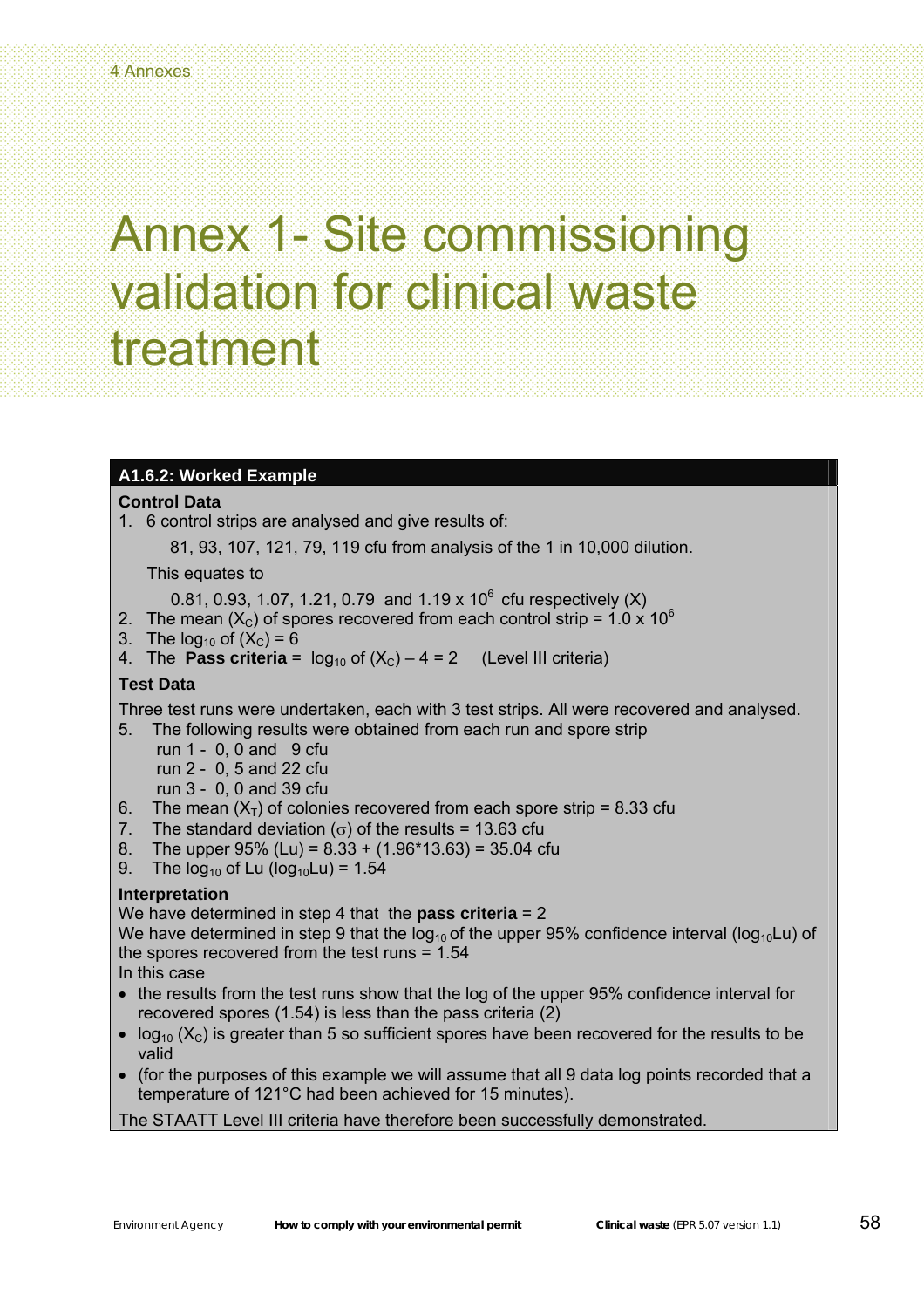### **A1.6.2: Worked Example**

### **Control Data**

1. 6 control strips are analysed and give results of:

81, 93, 107, 121, 79, 119 cfu from analysis of the 1 in 10,000 dilution.

This equates to

0.81, 0.93, 1.07, 1.21, 0.79 and 1.19 x 10<sup>6</sup> cfu respectively (X)

- 2. The mean  $(X<sub>C</sub>)$  of spores recovered from each control strip = 1.0 x 10<sup>6</sup>
- 3. The  $log_{10}$  of  $(X_C) = 6$
- 4. The **Pass criteria** =  $log_{10}$  of  $(X_C) 4 = 2$  (Level III criteria)

### **Test Data**

Three test runs were undertaken, each with 3 test strips. All were recovered and analysed. 5. The following results were obtained from each run and spore strip

- run  $1 0$ , 0 and  $9$  cfu run 2 - 0, 5 and 22 cfu run 3 - 0, 0 and 39 cfu
- 6. The mean  $(X_T)$  of colonies recovered from each spore strip = 8.33 cfu
- 7. The standard deviation ( $\sigma$ ) of the results = 13.63 cfu
- 8. The upper  $95\%$  (Lu) =  $8.33 + (1.96*13.63) = 35.04$  cfu
- 9. The  $log_{10}$  of Lu ( $log_{10}$ Lu) = 1.54

### **Interpretation**

We have determined in step 4 that the **pass criteria** = 2

We have determined in step 9 that the log<sub>10</sub> of the upper 95% confidence interval (log<sub>10</sub>Lu) of the spores recovered from the test runs = 1.54

In this case

- the results from the test runs show that the log of the upper 95% confidence interval for recovered spores (1.54) is less than the pass criteria (2)
- $log_{10}$  (X<sub>C</sub>) is greater than 5 so sufficient spores have been recovered for the results to be valid
- (for the purposes of this example we will assume that all 9 data log points recorded that a temperature of 121°C had been achieved for 15 minutes).

The STAATT Level III criteria have therefore been successfully demonstrated.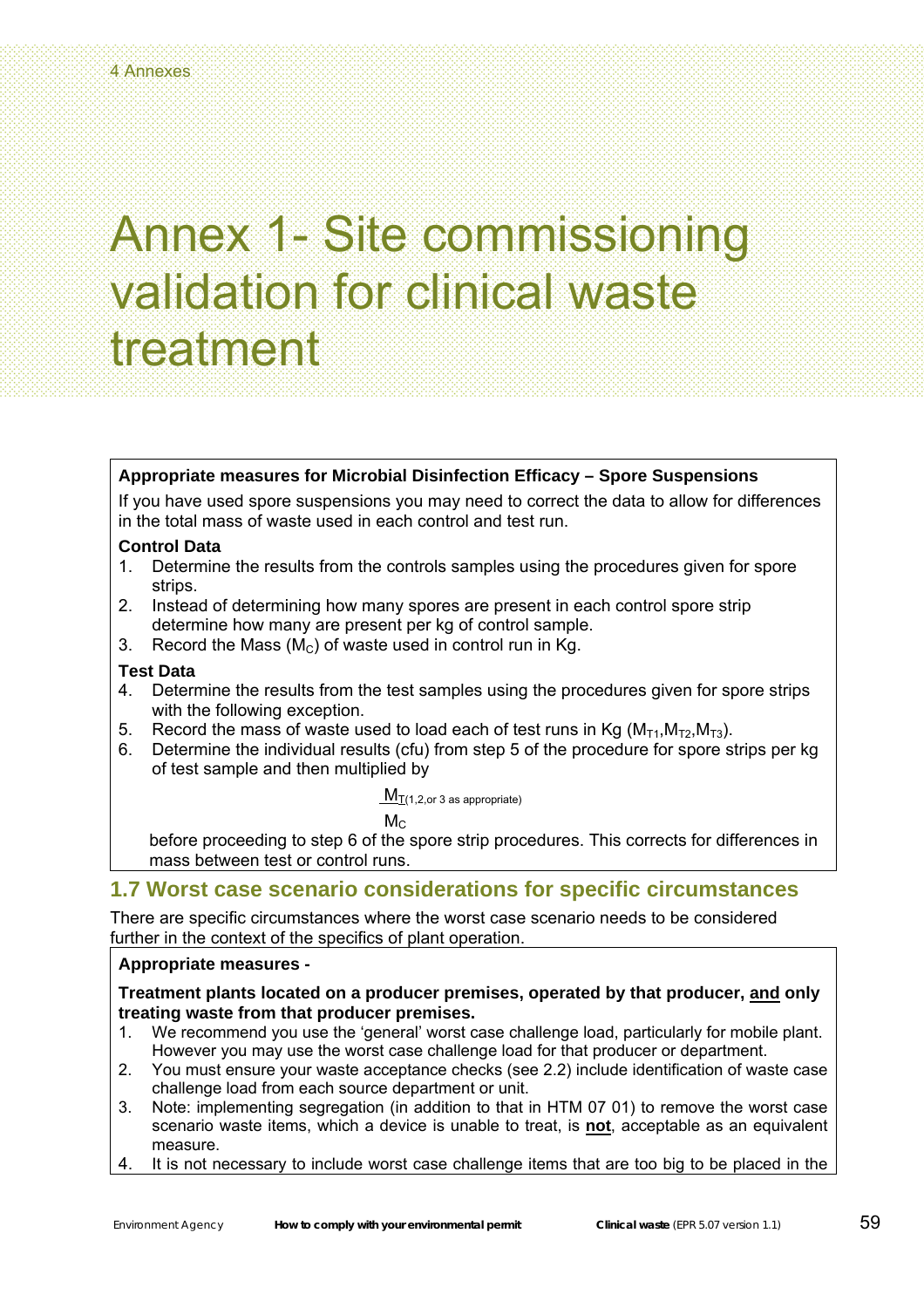### **Appropriate measures for Microbial Disinfection Efficacy – Spore Suspensions**

If you have used spore suspensions you may need to correct the data to allow for differences in the total mass of waste used in each control and test run.

#### **Control Data**

- 1. Determine the results from the controls samples using the procedures given for spore strips.
- 2. Instead of determining how many spores are present in each control spore strip determine how many are present per kg of control sample.
- 3. Record the Mass  $(M<sub>C</sub>)$  of waste used in control run in Kg.

### **Test Data**

- 4. Determine the results from the test samples using the procedures given for spore strips with the following exception.
- 5. Record the mass of waste used to load each of test runs in Kg  $(M_{T1}, M_{T2}, M_{T3})$ .
- 6. Determine the individual results (cfu) from step 5 of the procedure for spore strips per kg of test sample and then multiplied by

 $M_{T(1,2,or 3 as appropriate)}$ 

 $M_{\rm C}$  and  $M_{\rm C}$ 

before proceeding to step 6 of the spore strip procedures. This corrects for differences in mass between test or control runs.

### **1.7 Worst case scenario considerations for specific circumstances**

There are specific circumstances where the worst case scenario needs to be considered further in the context of the specifics of plant operation.

### **Appropriate measures -**

#### **Treatment plants located on a producer premises, operated by that producer, and only treating waste from that producer premises.**

- 1. We recommend you use the 'general' worst case challenge load, particularly for mobile plant. However you may use the worst case challenge load for that producer or department.
- 2. You must ensure your waste acceptance checks (see 2.2) include identification of waste case challenge load from each source department or unit.
- 3. Note: implementing segregation (in addition to that in HTM 07 01) to remove the worst case scenario waste items, which a device is unable to treat, is **not**, acceptable as an equivalent measure.
- 4. It is not necessary to include worst case challenge items that are too big to be placed in the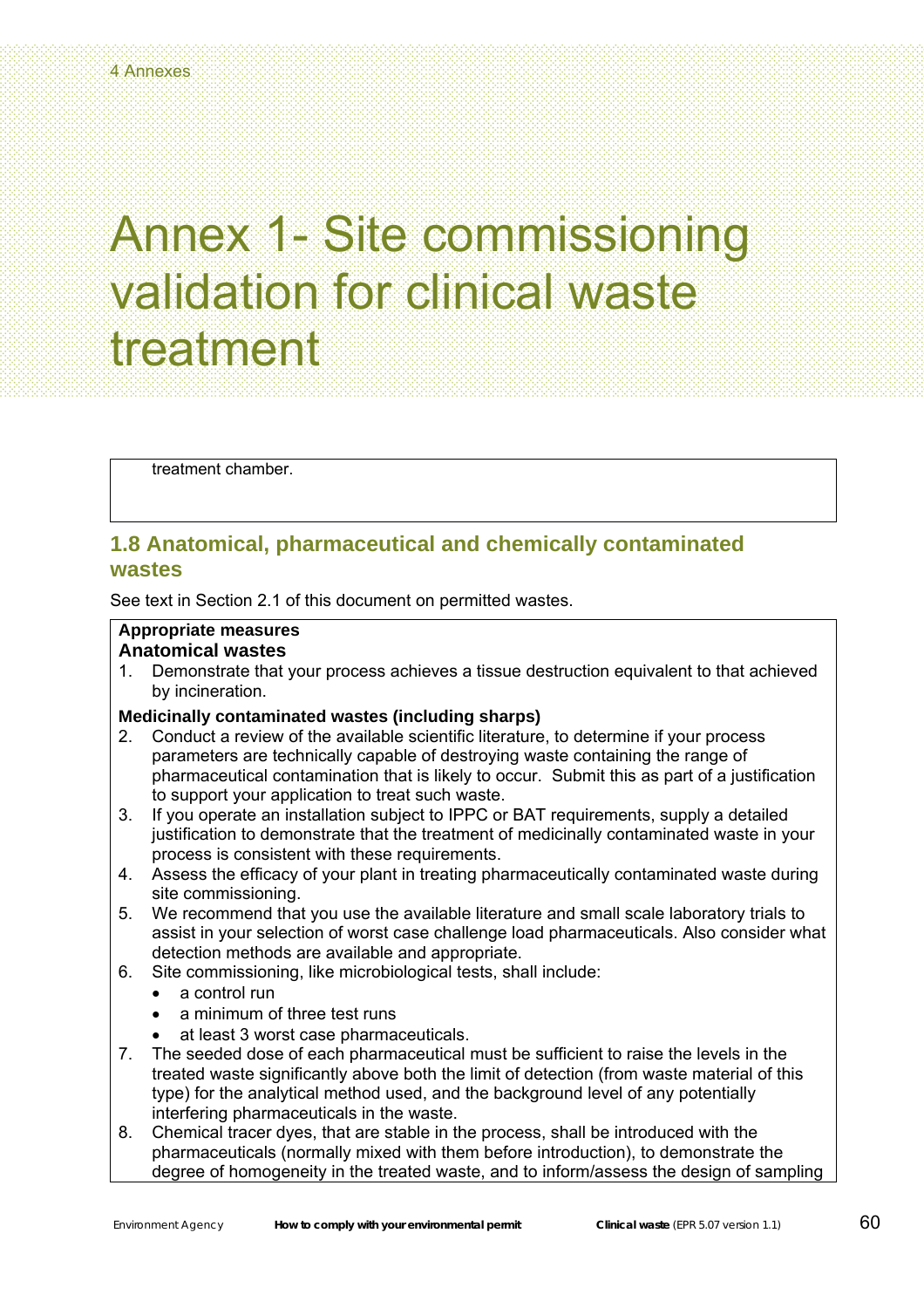treatment chamber.

### **1.8 Anatomical, pharmaceutical and chemically contaminated wastes**

See text in Section 2.1 of this document on permitted wastes.

#### **Appropriate measures Anatomical wastes**

1. Demonstrate that your process achieves a tissue destruction equivalent to that achieved by incineration.

### **Medicinally contaminated wastes (including sharps)**

- 2. Conduct a review of the available scientific literature, to determine if your process parameters are technically capable of destroying waste containing the range of pharmaceutical contamination that is likely to occur. Submit this as part of a justification to support your application to treat such waste.
- 3. If you operate an installation subject to IPPC or BAT requirements, supply a detailed justification to demonstrate that the treatment of medicinally contaminated waste in your process is consistent with these requirements.
- 4. Assess the efficacy of your plant in treating pharmaceutically contaminated waste during site commissioning.
- 5. We recommend that you use the available literature and small scale laboratory trials to assist in your selection of worst case challenge load pharmaceuticals. Also consider what detection methods are available and appropriate.
- 6. Site commissioning, like microbiological tests, shall include:
	- a control run
	- a minimum of three test runs
	- at least 3 worst case pharmaceuticals.
- 7. The seeded dose of each pharmaceutical must be sufficient to raise the levels in the treated waste significantly above both the limit of detection (from waste material of this type) for the analytical method used, and the background level of any potentially interfering pharmaceuticals in the waste.
- 8. Chemical tracer dyes, that are stable in the process, shall be introduced with the pharmaceuticals (normally mixed with them before introduction), to demonstrate the degree of homogeneity in the treated waste, and to inform/assess the design of sampling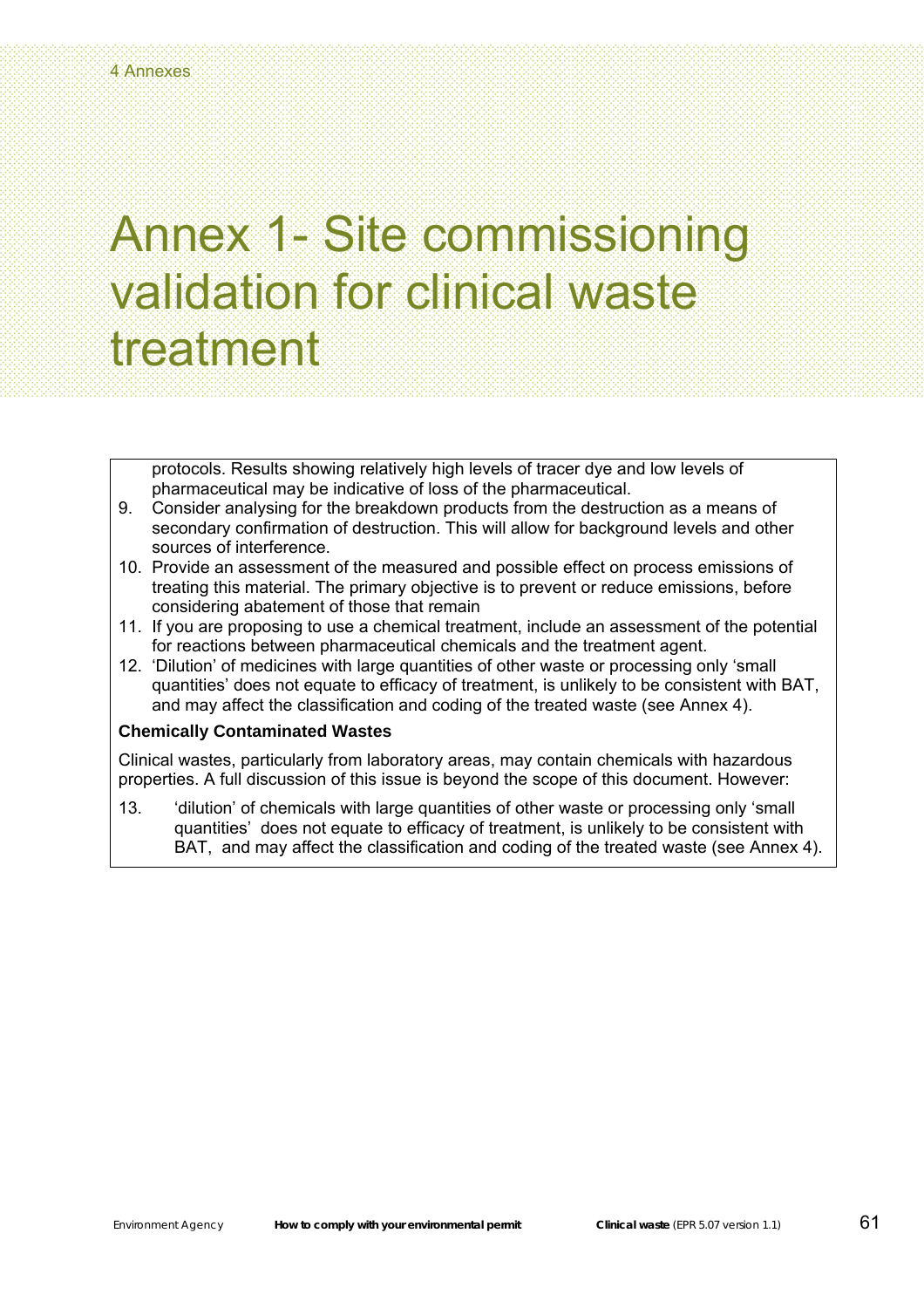protocols. Results showing relatively high levels of tracer dye and low levels of pharmaceutical may be indicative of loss of the pharmaceutical.

- 9. Consider analysing for the breakdown products from the destruction as a means of secondary confirmation of destruction. This will allow for background levels and other sources of interference.
- 10. Provide an assessment of the measured and possible effect on process emissions of treating this material. The primary objective is to prevent or reduce emissions, before considering abatement of those that remain
- 11. If you are proposing to use a chemical treatment, include an assessment of the potential for reactions between pharmaceutical chemicals and the treatment agent.
- 12. 'Dilution' of medicines with large quantities of other waste or processing only 'small quantities' does not equate to efficacy of treatment, is unlikely to be consistent with BAT, and may affect the classification and coding of the treated waste (see Annex 4).

#### **Chemically Contaminated Wastes**

Clinical wastes, particularly from laboratory areas, may contain chemicals with hazardous properties. A full discussion of this issue is beyond the scope of this document. However:

13. 'dilution' of chemicals with large quantities of other waste or processing only 'small quantities' does not equate to efficacy of treatment, is unlikely to be consistent with BAT, and may affect the classification and coding of the treated waste (see Annex 4).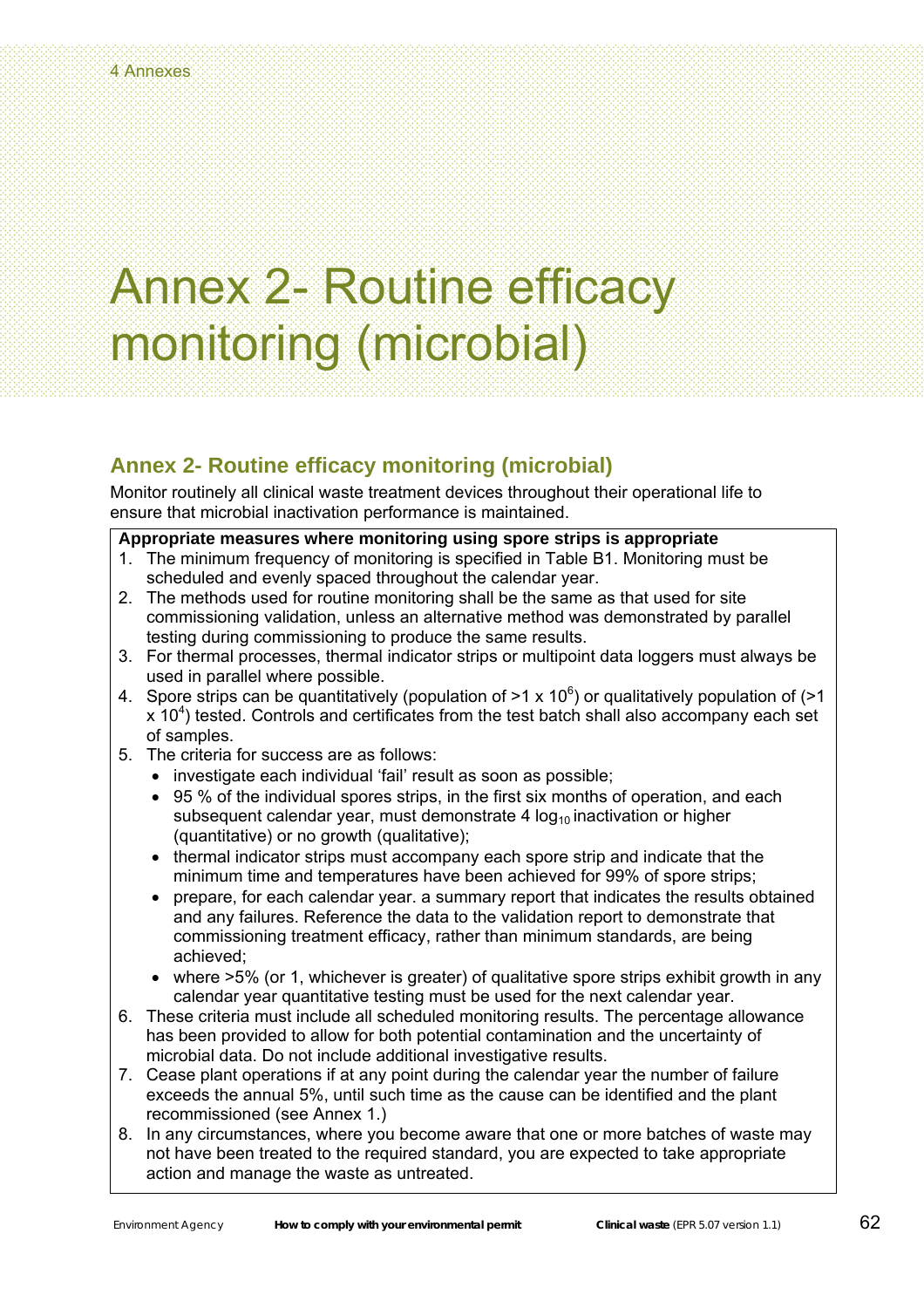# Annex 2- Routine efficacy monitoring (microbial)

### **Annex 2- Routine efficacy monitoring (microbial)**

Monitor routinely all clinical waste treatment devices throughout their operational life to ensure that microbial inactivation performance is maintained.

### **Appropriate measures where monitoring using spore strips is appropriate**

- 1. The minimum frequency of monitoring is specified in Table B1. Monitoring must be scheduled and evenly spaced throughout the calendar year.
- 2. The methods used for routine monitoring shall be the same as that used for site commissioning validation, unless an alternative method was demonstrated by parallel testing during commissioning to produce the same results.
- 3. For thermal processes, thermal indicator strips or multipoint data loggers must always be used in parallel where possible.
- 4. Spore strips can be quantitatively (population of  $>1 \times 10^6$ ) or qualitatively population of ( $>1$  $x$  10<sup>4</sup>) tested. Controls and certificates from the test batch shall also accompany each set of samples.
- 5. The criteria for success are as follows:
	- investigate each individual 'fail' result as soon as possible;
	- 95 % of the individual spores strips, in the first six months of operation, and each subsequent calendar year, must demonstrate 4  $log_{10}$  inactivation or higher (quantitative) or no growth (qualitative);
	- thermal indicator strips must accompany each spore strip and indicate that the minimum time and temperatures have been achieved for 99% of spore strips;
	- prepare, for each calendar year. a summary report that indicates the results obtained and any failures. Reference the data to the validation report to demonstrate that commissioning treatment efficacy, rather than minimum standards, are being achieved;
	- where  $>5\%$  (or 1, whichever is greater) of qualitative spore strips exhibit growth in any calendar year quantitative testing must be used for the next calendar year.
- 6. These criteria must include all scheduled monitoring results. The percentage allowance has been provided to allow for both potential contamination and the uncertainty of microbial data. Do not include additional investigative results.
- 7. Cease plant operations if at any point during the calendar year the number of failure exceeds the annual 5%, until such time as the cause can be identified and the plant recommissioned (see Annex 1.)
- 8. In any circumstances, where you become aware that one or more batches of waste may not have been treated to the required standard, you are expected to take appropriate action and manage the waste as untreated.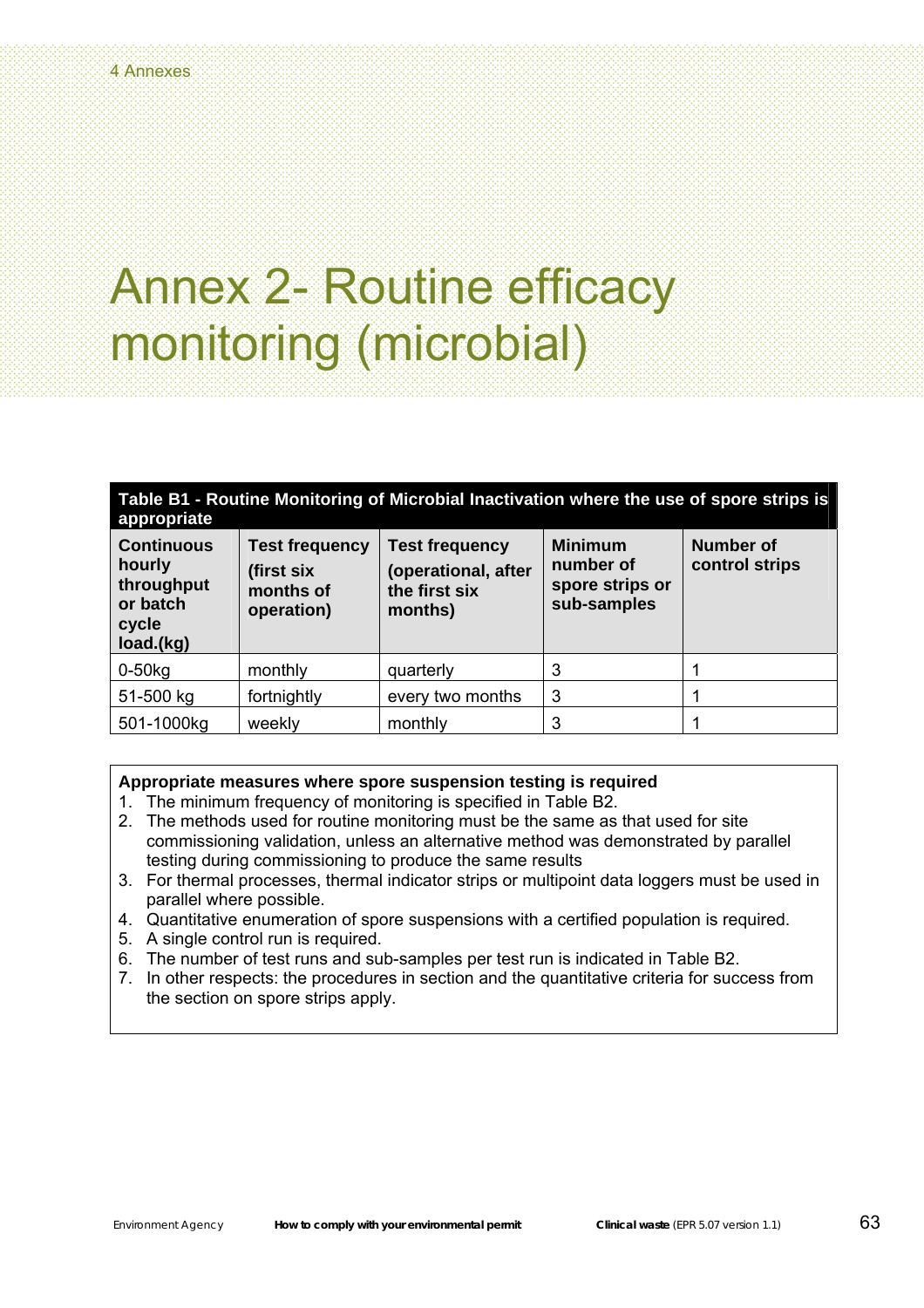# Annex 2- Routine efficacy monitoring (microbial)

| Table B1 - Routine Monitoring of Microbial Inactivation where the use of spore strips is<br>appropriate |                                                                |                                                                          |                                                               |                             |
|---------------------------------------------------------------------------------------------------------|----------------------------------------------------------------|--------------------------------------------------------------------------|---------------------------------------------------------------|-----------------------------|
| <b>Continuous</b><br>hourly<br>throughput<br>or batch<br>cycle<br>load.(kg)                             | <b>Test frequency</b><br>(first six<br>months of<br>operation) | <b>Test frequency</b><br>(operational, after<br>the first six<br>months) | <b>Minimum</b><br>number of<br>spore strips or<br>sub-samples | Number of<br>control strips |
| $0-50$ <sub>kg</sub>                                                                                    | monthly                                                        | quarterly                                                                | 3                                                             |                             |
| 51-500 kg                                                                                               | fortnightly                                                    | every two months                                                         | 3                                                             |                             |
| 501-1000kg                                                                                              | weekly                                                         | monthly                                                                  | 3                                                             |                             |

### **Appropriate measures where spore suspension testing is required**

- 1. The minimum frequency of monitoring is specified in Table B2.
- 2. The methods used for routine monitoring must be the same as that used for site commissioning validation, unless an alternative method was demonstrated by parallel testing during commissioning to produce the same results
- 3. For thermal processes, thermal indicator strips or multipoint data loggers must be used in parallel where possible.
- 4. Quantitative enumeration of spore suspensions with a certified population is required.
- 5. A single control run is required.
- 6. The number of test runs and sub-samples per test run is indicated in Table B2.
- 7. In other respects: the procedures in section and the quantitative criteria for success from the section on spore strips apply.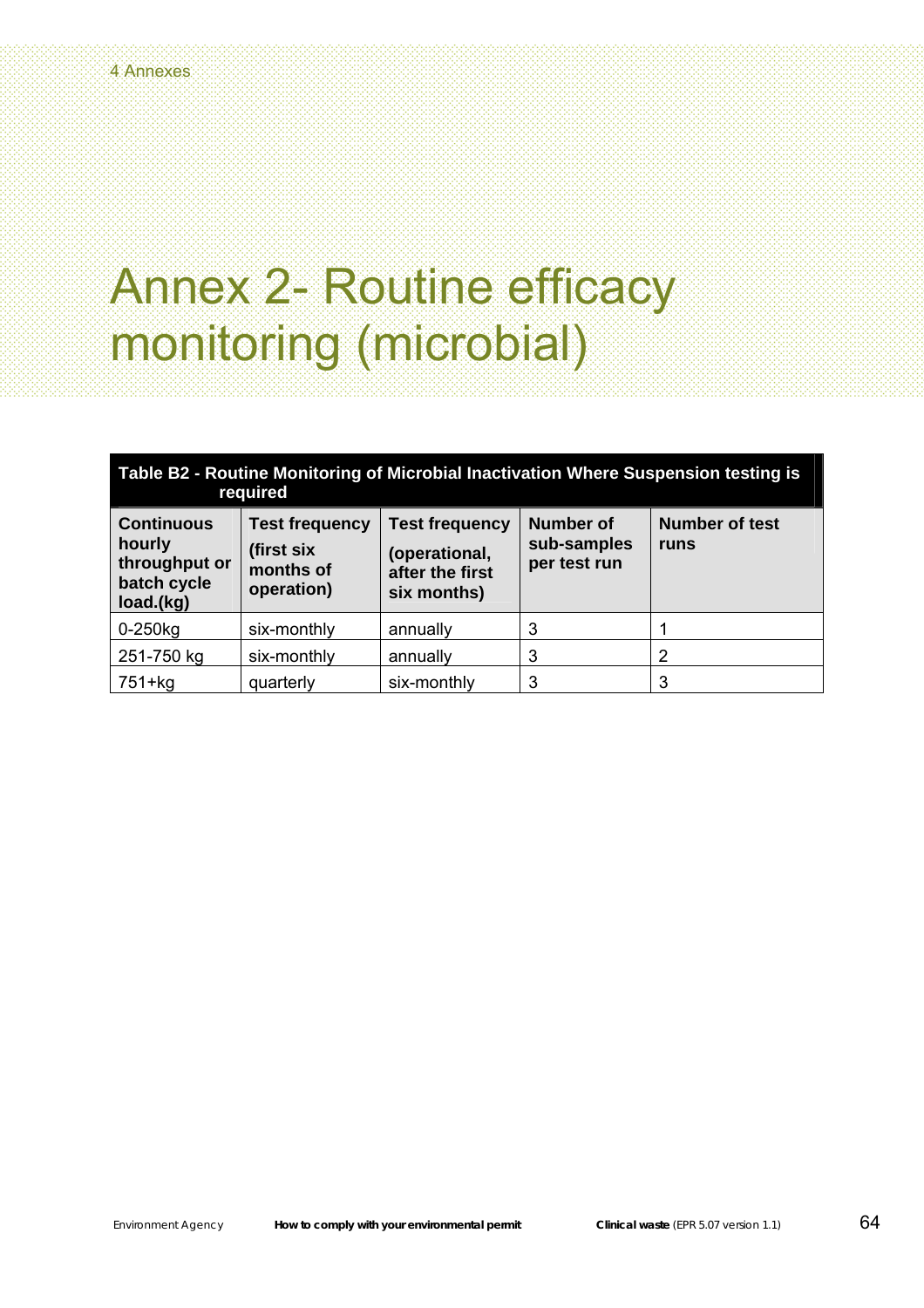# Annex 2- Routine efficacy monitoring (microbial)

| Table B2 - Routine Monitoring of Microbial Inactivation Where Suspension testing is<br>required |                                                                |                                                                          |                                                 |                               |  |
|-------------------------------------------------------------------------------------------------|----------------------------------------------------------------|--------------------------------------------------------------------------|-------------------------------------------------|-------------------------------|--|
| <b>Continuous</b><br>hourly<br>throughput or<br>batch cycle<br>load.(kg)                        | <b>Test frequency</b><br>(first six<br>months of<br>operation) | <b>Test frequency</b><br>(operational,<br>after the first<br>six months) | <b>Number of</b><br>sub-samples<br>per test run | <b>Number of test</b><br>runs |  |
| $0-250$ <sub>kg</sub>                                                                           | six-monthly                                                    | annually                                                                 | 3                                               |                               |  |
| 251-750 kg                                                                                      | six-monthly                                                    | annually                                                                 | 3                                               | 2                             |  |
| $751+ka$                                                                                        | quarterly                                                      | six-monthly                                                              | 3                                               | 3                             |  |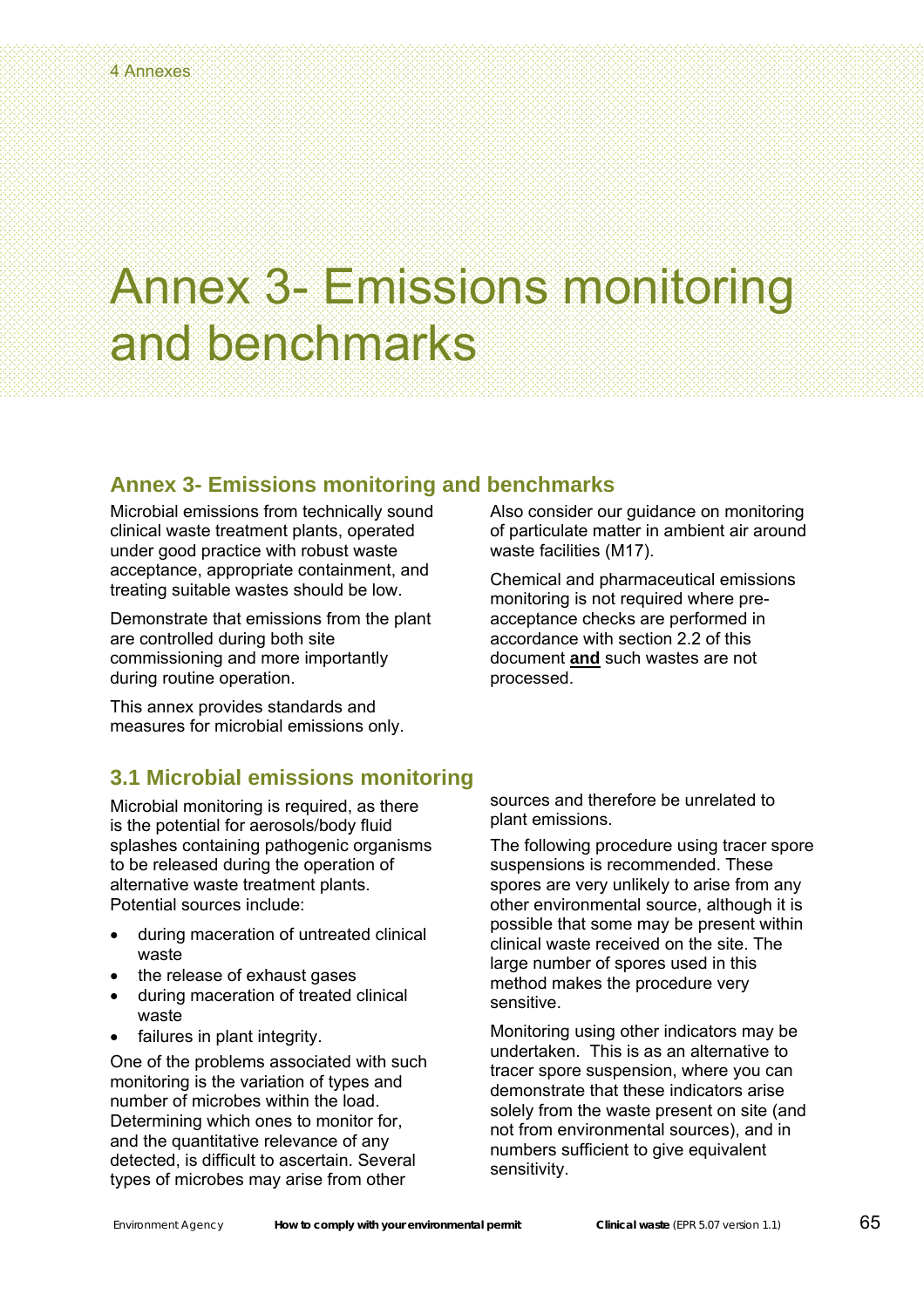### **Annex 3- Emissions monitoring and benchmarks**

Microbial emissions from technically sound clinical waste treatment plants, operated under good practice with robust waste acceptance, appropriate containment, and treating suitable wastes should be low.

Demonstrate that emissions from the plant are controlled during both site commissioning and more importantly during routine operation.

This annex provides standards and measures for microbial emissions only.

### **3.1 Microbial emissions monitoring**

Microbial monitoring is required, as there is the potential for aerosols/body fluid splashes containing pathogenic organisms to be released during the operation of alternative waste treatment plants. Potential sources include:

- during maceration of untreated clinical waste
- the release of exhaust gases
- during maceration of treated clinical waste
- failures in plant integrity.

One of the problems associated with such monitoring is the variation of types and number of microbes within the load. Determining which ones to monitor for, and the quantitative relevance of any detected, is difficult to ascertain. Several types of microbes may arise from other

Also consider our guidance on monitoring of particulate matter in ambient air around waste facilities (M17).

Chemical and pharmaceutical emissions monitoring is not required where preacceptance checks are performed in accordance with section 2.2 of this document **and** such wastes are not processed.

sources and therefore be unrelated to plant emissions.

The following procedure using tracer spore suspensions is recommended. These spores are very unlikely to arise from any other environmental source, although it is possible that some may be present within clinical waste received on the site. The large number of spores used in this method makes the procedure very sensitive.

Monitoring using other indicators may be undertaken. This is as an alternative to tracer spore suspension, where you can demonstrate that these indicators arise solely from the waste present on site (and not from environmental sources), and in numbers sufficient to give equivalent sensitivity.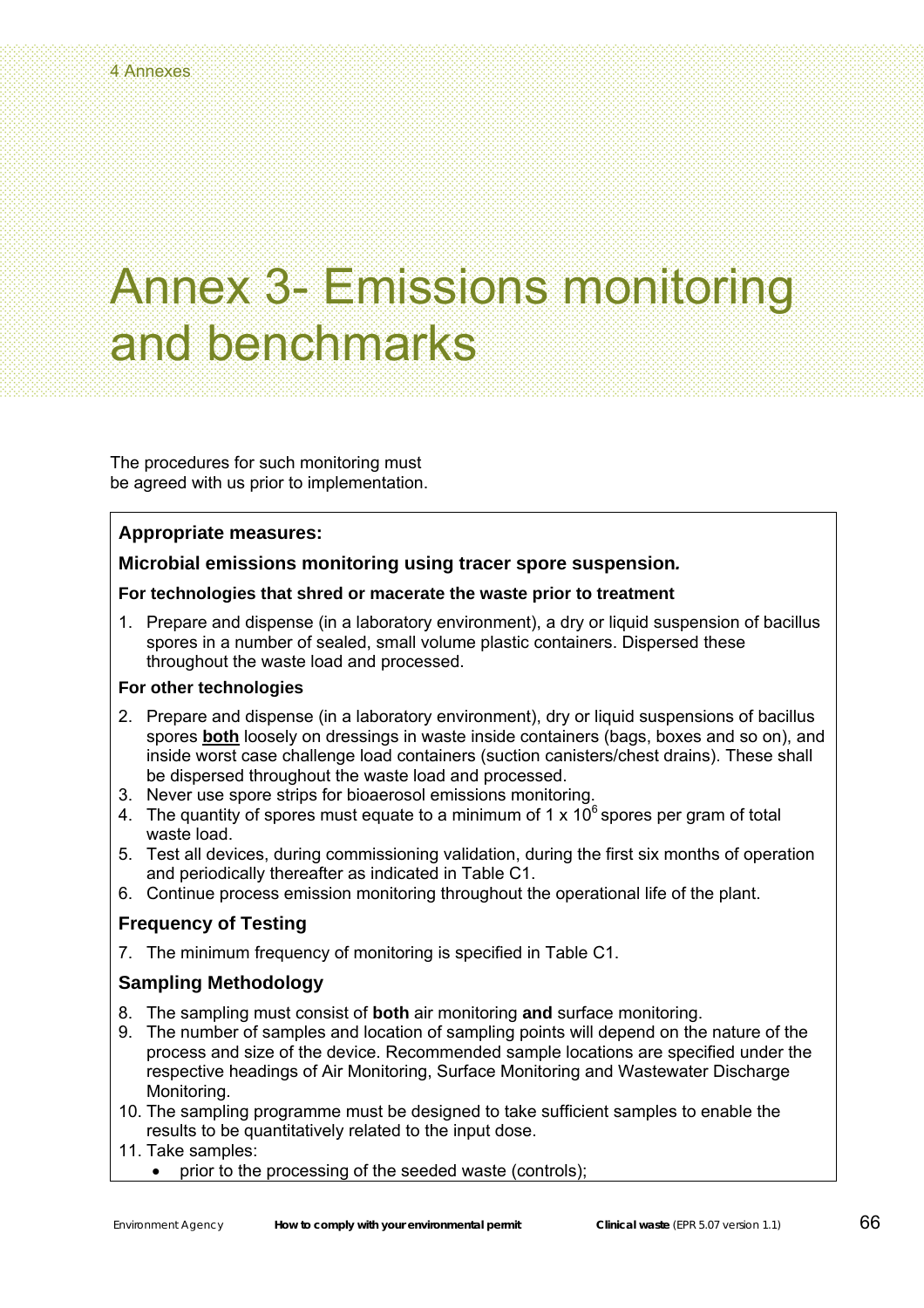The procedures for such monitoring must be agreed with us prior to implementation.

### **Appropriate measures:**

### **Microbial emissions monitoring using tracer spore suspension***.*

### **For technologies that shred or macerate the waste prior to treatment**

1. Prepare and dispense (in a laboratory environment), a dry or liquid suspension of bacillus spores in a number of sealed, small volume plastic containers. Dispersed these throughout the waste load and processed.

### **For other technologies**

- 2. Prepare and dispense (in a laboratory environment), dry or liquid suspensions of bacillus spores **both** loosely on dressings in waste inside containers (bags, boxes and so on), and inside worst case challenge load containers (suction canisters/chest drains). These shall be dispersed throughout the waste load and processed.
- 3. Never use spore strips for bioaerosol emissions monitoring.
- 4. The quantity of spores must equate to a minimum of 1 x  $10^6$  spores per gram of total waste load.
- 5. Test all devices, during commissioning validation, during the first six months of operation and periodically thereafter as indicated in Table C1.
- 6. Continue process emission monitoring throughout the operational life of the plant.

### **Frequency of Testing**

7. The minimum frequency of monitoring is specified in Table C1.

### **Sampling Methodology**

- 8. The sampling must consist of **both** air monitoring **and** surface monitoring.
- 9. The number of samples and location of sampling points will depend on the nature of the process and size of the device. Recommended sample locations are specified under the respective headings of Air Monitoring, Surface Monitoring and Wastewater Discharge Monitoring.
- 10. The sampling programme must be designed to take sufficient samples to enable the results to be quantitatively related to the input dose.
- 11. Take samples:
	- prior to the processing of the seeded waste (controls);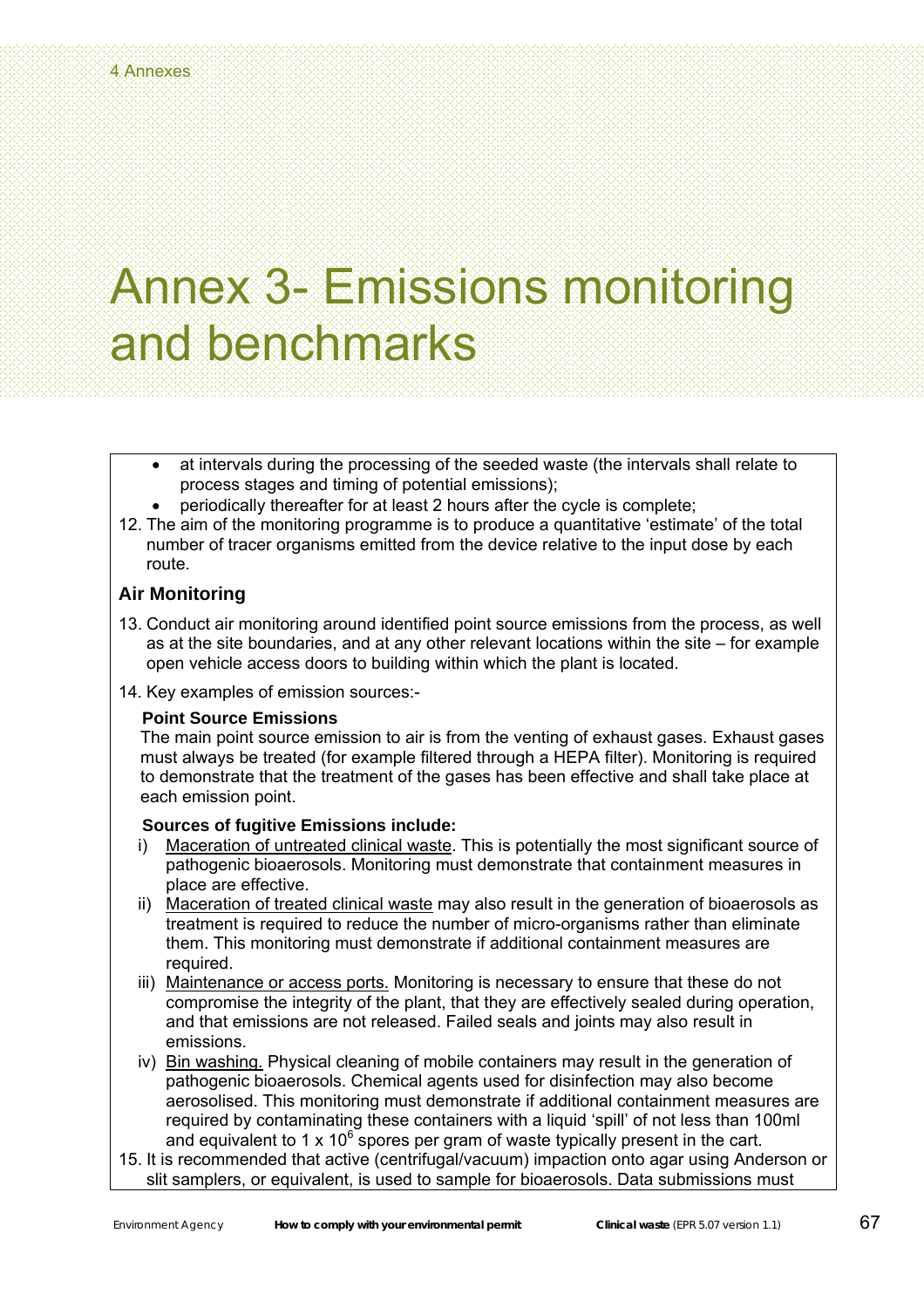- at intervals during the processing of the seeded waste (the intervals shall relate to process stages and timing of potential emissions);
- periodically thereafter for at least 2 hours after the cycle is complete;
- 12. The aim of the monitoring programme is to produce a quantitative 'estimate' of the total number of tracer organisms emitted from the device relative to the input dose by each route.

### **Air Monitoring**

- 13. Conduct air monitoring around identified point source emissions from the process, as well as at the site boundaries, and at any other relevant locations within the site – for example open vehicle access doors to building within which the plant is located.
- 14. Key examples of emission sources:-

### **Point Source Emissions**

The main point source emission to air is from the venting of exhaust gases. Exhaust gases must always be treated (for example filtered through a HEPA filter). Monitoring is required to demonstrate that the treatment of the gases has been effective and shall take place at each emission point.

### **Sources of fugitive Emissions include:**

- i) Maceration of untreated clinical waste. This is potentially the most significant source of pathogenic bioaerosols. Monitoring must demonstrate that containment measures in place are effective.
- ii) Maceration of treated clinical waste may also result in the generation of bioaerosols as treatment is required to reduce the number of micro-organisms rather than eliminate them. This monitoring must demonstrate if additional containment measures are required.
- iii) Maintenance or access ports. Monitoring is necessary to ensure that these do not compromise the integrity of the plant, that they are effectively sealed during operation, and that emissions are not released. Failed seals and joints may also result in emissions.
- iv) Bin washing. Physical cleaning of mobile containers may result in the generation of pathogenic bioaerosols. Chemical agents used for disinfection may also become aerosolised. This monitoring must demonstrate if additional containment measures are required by contaminating these containers with a liquid 'spill' of not less than 100ml and equivalent to 1 x 10<sup>6</sup> spores per gram of waste typically present in the cart.
- 15. It is recommended that active (centrifugal/vacuum) impaction onto agar using Anderson or slit samplers, or equivalent, is used to sample for bioaerosols. Data submissions must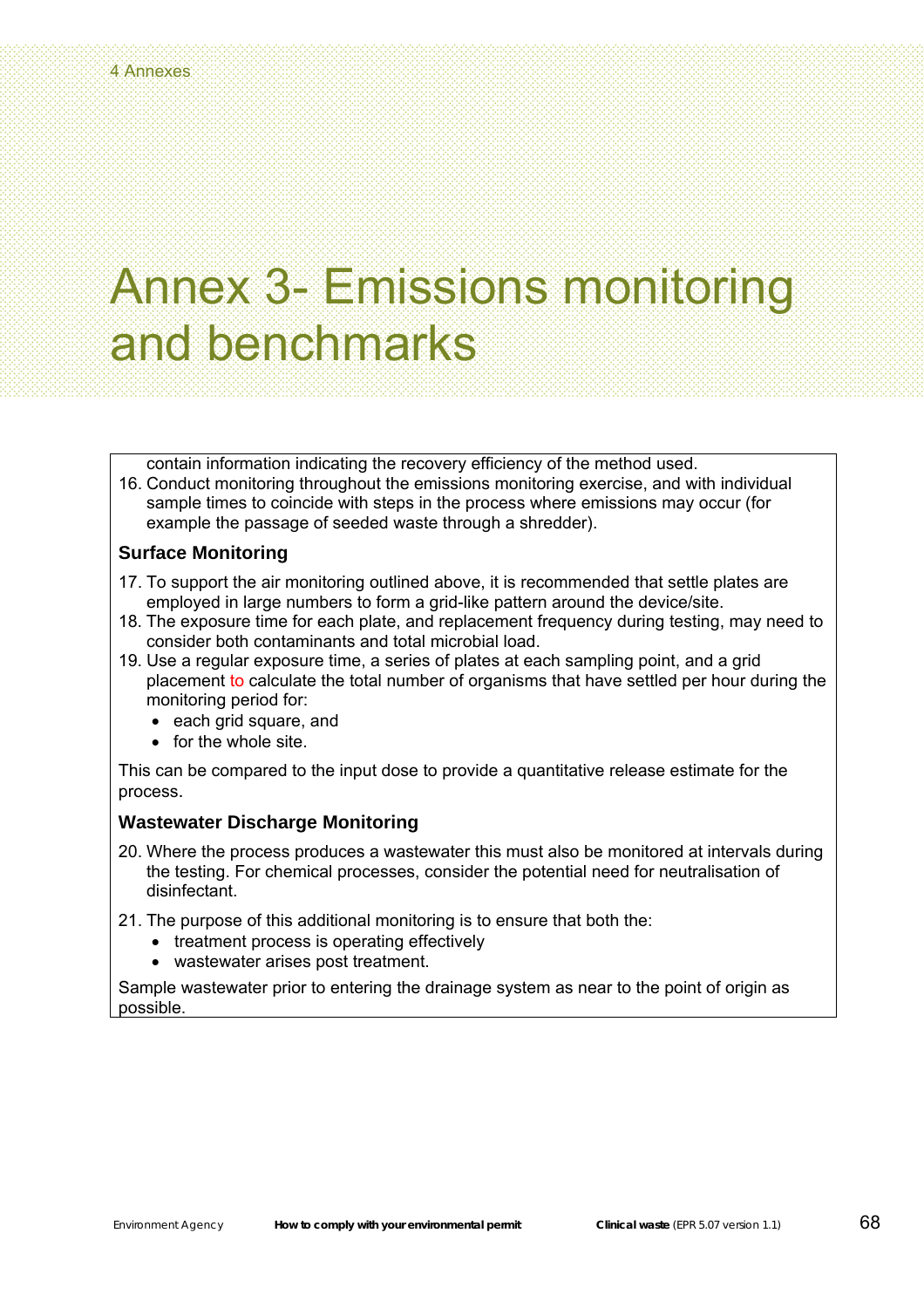contain information indicating the recovery efficiency of the method used.

16. Conduct monitoring throughout the emissions monitoring exercise, and with individual sample times to coincide with steps in the process where emissions may occur (for example the passage of seeded waste through a shredder).

### **Surface Monitoring**

- 17. To support the air monitoring outlined above, it is recommended that settle plates are employed in large numbers to form a grid-like pattern around the device/site.
- 18. The exposure time for each plate, and replacement frequency during testing, may need to consider both contaminants and total microbial load.
- 19. Use a regular exposure time, a series of plates at each sampling point, and a grid placement to calculate the total number of organisms that have settled per hour during the monitoring period for:
	- each grid square, and
	- for the whole site.

This can be compared to the input dose to provide a quantitative release estimate for the process.

#### **Wastewater Discharge Monitoring**

- 20. Where the process produces a wastewater this must also be monitored at intervals during the testing. For chemical processes, consider the potential need for neutralisation of disinfectant.
- 21. The purpose of this additional monitoring is to ensure that both the:
	- treatment process is operating effectively
	- wastewater arises post treatment.

Sample wastewater prior to entering the drainage system as near to the point of origin as possible.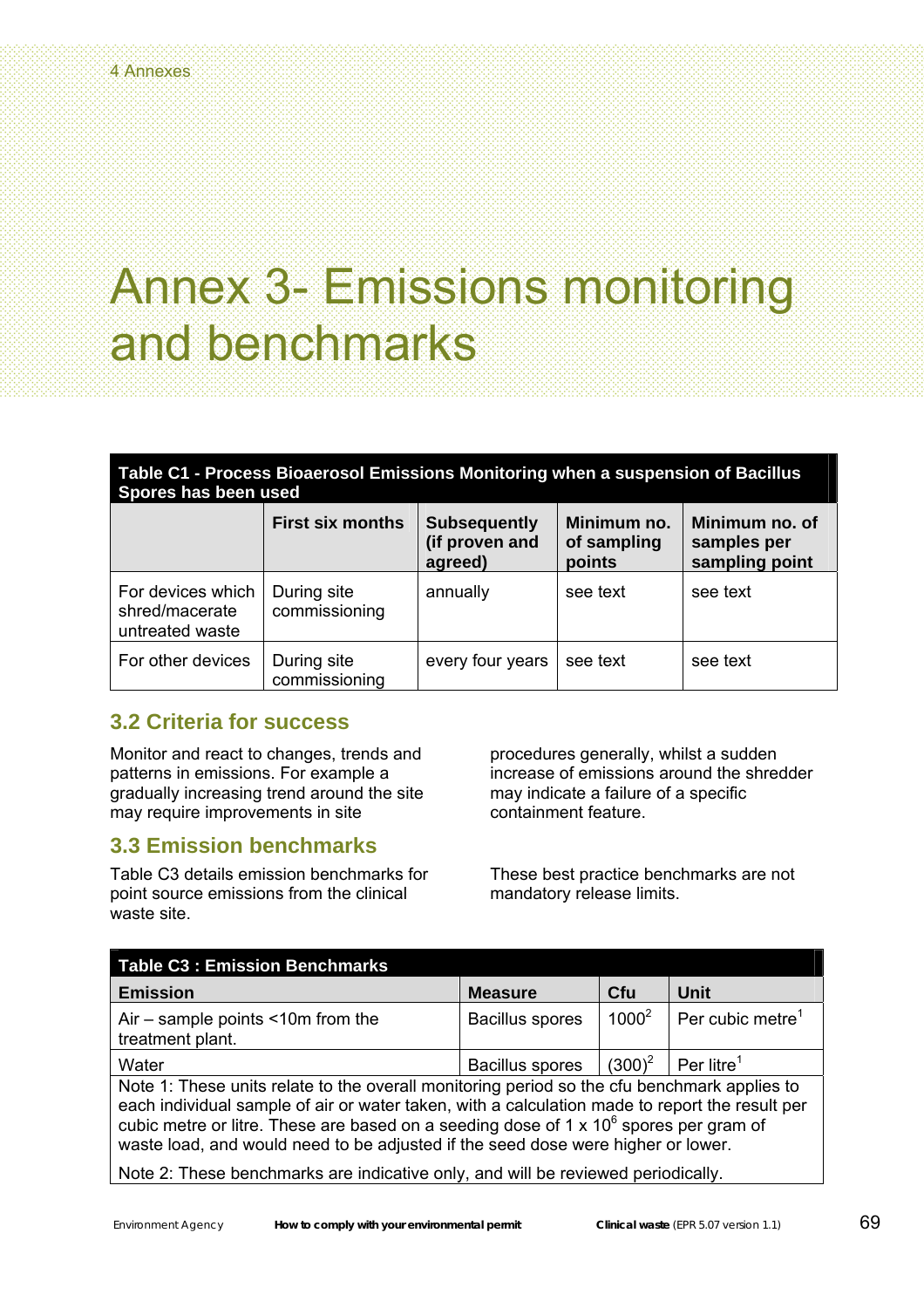### **Table C1 - Process Bioaerosol Emissions Monitoring when a suspension of Bacillus Spores has been used**

| Spores nas been used                                   |                              |                                                  |                                      |                                                 |  |
|--------------------------------------------------------|------------------------------|--------------------------------------------------|--------------------------------------|-------------------------------------------------|--|
|                                                        | <b>First six months</b>      | <b>Subsequently</b><br>(if proven and<br>agreed) | Minimum no.<br>of sampling<br>points | Minimum no. of<br>samples per<br>sampling point |  |
| For devices which<br>shred/macerate<br>untreated waste | During site<br>commissioning | annually                                         | see text                             | see text                                        |  |
| For other devices                                      | During site<br>commissioning | every four years                                 | see text                             | see text                                        |  |

### **3.2 Criteria for success**

Monitor and react to changes, trends and patterns in emissions. For example a gradually increasing trend around the site may require improvements in site

### **3.3 Emission benchmarks**

Table C3 details emission benchmarks for point source emissions from the clinical waste site.

procedures generally, whilst a sudden increase of emissions around the shredder may indicate a failure of a specific containment feature.

These best practice benchmarks are not mandatory release limits.

| <b>Table C3: Emission Benchmarks</b>                                                                                                                                                                                                                                                                                                                                               |                        |            |                              |  |  |
|------------------------------------------------------------------------------------------------------------------------------------------------------------------------------------------------------------------------------------------------------------------------------------------------------------------------------------------------------------------------------------|------------------------|------------|------------------------------|--|--|
| <b>Emission</b>                                                                                                                                                                                                                                                                                                                                                                    | <b>Measure</b>         | <b>Cfu</b> | Unit                         |  |  |
| Air $-$ sample points $\leq 10$ m from the<br>treatment plant.                                                                                                                                                                                                                                                                                                                     | <b>Bacillus spores</b> | $1000^2$   | Per cubic metre <sup>1</sup> |  |  |
| Water                                                                                                                                                                                                                                                                                                                                                                              | <b>Bacillus spores</b> | $(300)^2$  | Per litre <sup>1</sup>       |  |  |
| Note 1: These units relate to the overall monitoring period so the cfu benchmark applies to<br>each individual sample of air or water taken, with a calculation made to report the result per<br>cubic metre or litre. These are based on a seeding dose of $1 \times 10^6$ spores per gram of<br>waste load, and would need to be adjusted if the seed dose were higher or lower. |                        |            |                              |  |  |
| Note 2: These benchmarks are indicative only, and will be reviewed periodically.                                                                                                                                                                                                                                                                                                   |                        |            |                              |  |  |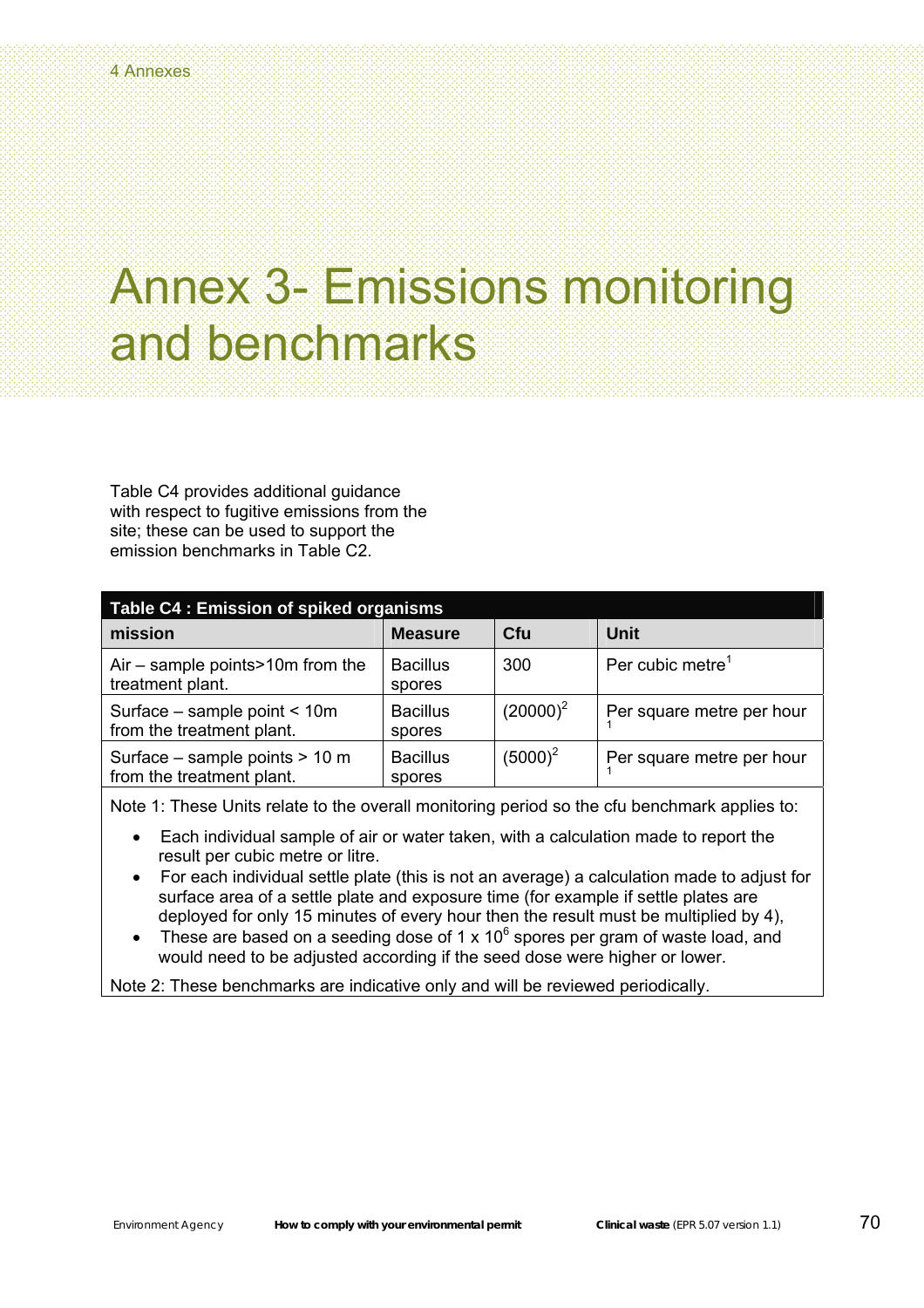Table C4 provides additional guidance with respect to fugitive emissions from the site; these can be used to support the emission benchmarks in Table C2.

| Table C4 : Emission of spiked organisms                     |                           |             |                              |  |  |
|-------------------------------------------------------------|---------------------------|-------------|------------------------------|--|--|
| mission                                                     | <b>Measure</b>            | Cfu         | Unit                         |  |  |
| Air $-$ sample points > 10m from the<br>treatment plant.    | <b>Bacillus</b><br>spores | 300         | Per cubic metre <sup>1</sup> |  |  |
| Surface - sample point < 10m<br>from the treatment plant.   | <b>Bacillus</b><br>spores | $(20000)^2$ | Per square metre per hour    |  |  |
| Surface – sample points > 10 m<br>from the treatment plant. | <b>Bacillus</b><br>spores | $(5000)^2$  | Per square metre per hour    |  |  |

Note 1: These Units relate to the overall monitoring period so the cfu benchmark applies to:

- Each individual sample of air or water taken, with a calculation made to report the result per cubic metre or litre.
- For each individual settle plate (this is not an average) a calculation made to adjust for surface area of a settle plate and exposure time (for example if settle plates are deployed for only 15 minutes of every hour then the result must be multiplied by 4),
- These are based on a seeding dose of 1 x 10<sup>6</sup> spores per gram of waste load, and would need to be adjusted according if the seed dose were higher or lower.

Note 2: These benchmarks are indicative only and will be reviewed periodically.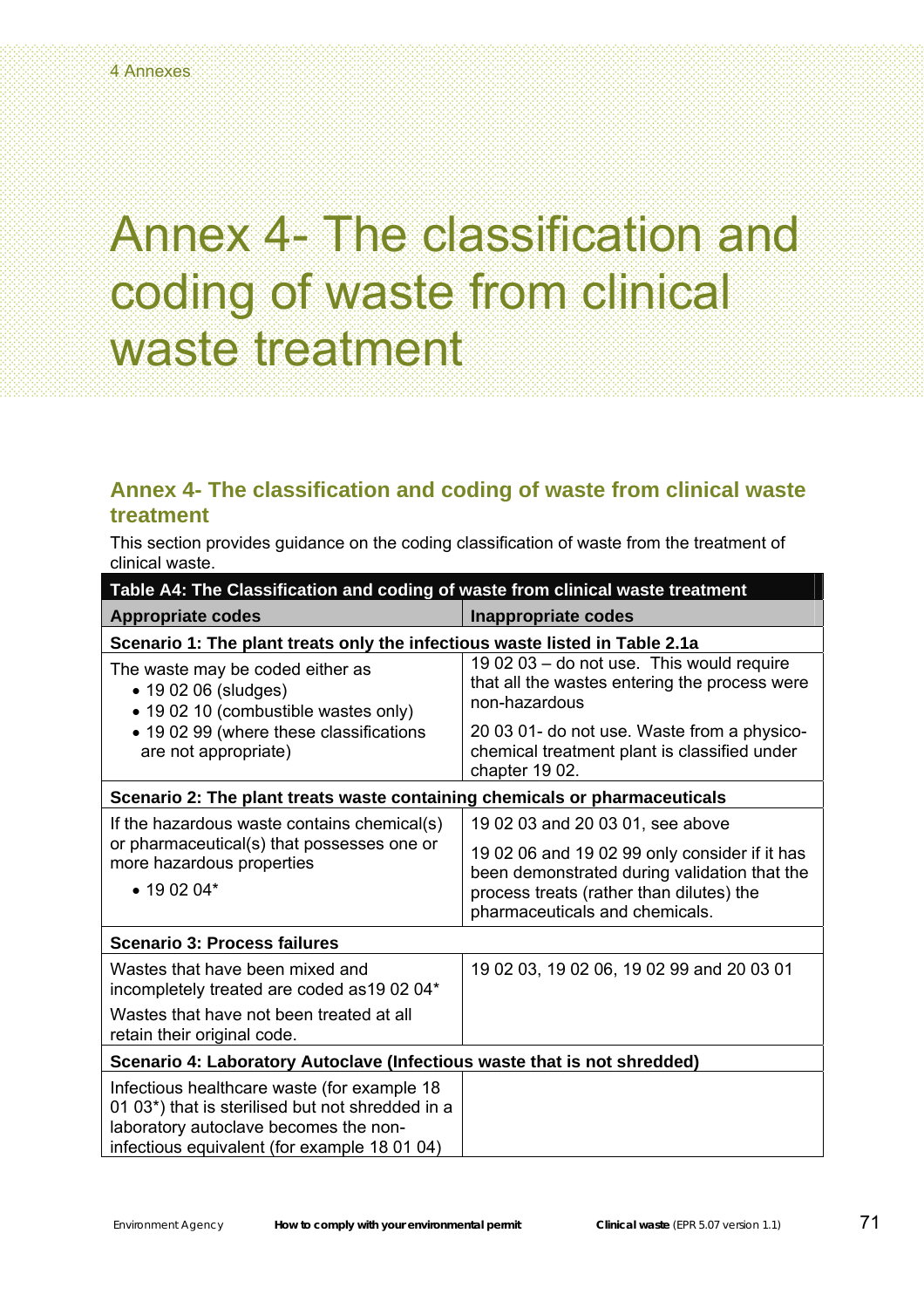### Annex 4- The classification and coding of waste from clinical waste treatment

### **Annex 4- The classification and coding of waste from clinical waste treatment**

This section provides guidance on the coding classification of waste from the treatment of clinical waste.

| Table A4: The Classification and coding of waste from clinical waste treatment                                                                                                           |                                                                                                               |  |  |
|------------------------------------------------------------------------------------------------------------------------------------------------------------------------------------------|---------------------------------------------------------------------------------------------------------------|--|--|
| <b>Appropriate codes</b>                                                                                                                                                                 | <b>Inappropriate codes</b>                                                                                    |  |  |
| Scenario 1: The plant treats only the infectious waste listed in Table 2.1a                                                                                                              |                                                                                                               |  |  |
| The waste may be coded either as<br>• 19 02 06 (sludges)<br>• 19 02 10 (combustible wastes only)<br>• 19 02 99 (where these classifications<br>are not appropriate)                      | 19 02 03 - do not use. This would require<br>that all the wastes entering the process were<br>non-hazardous   |  |  |
|                                                                                                                                                                                          | 20 03 01- do not use. Waste from a physico-<br>chemical treatment plant is classified under<br>chapter 19 02. |  |  |
| Scenario 2: The plant treats waste containing chemicals or pharmaceuticals                                                                                                               |                                                                                                               |  |  |
| If the hazardous waste contains chemical(s)                                                                                                                                              | 19 02 03 and 20 03 01, see above                                                                              |  |  |
| or pharmaceutical(s) that possesses one or<br>more hazardous properties<br>$\bullet$ 19 02 04*                                                                                           | 19 02 06 and 19 02 99 only consider if it has<br>been demonstrated during validation that the                 |  |  |
|                                                                                                                                                                                          | process treats (rather than dilutes) the<br>pharmaceuticals and chemicals.                                    |  |  |
| <b>Scenario 3: Process failures</b>                                                                                                                                                      |                                                                                                               |  |  |
| Wastes that have been mixed and<br>incompletely treated are coded as 19 02 04*                                                                                                           | 19 02 03, 19 02 06, 19 02 99 and 20 03 01                                                                     |  |  |
| Wastes that have not been treated at all<br>retain their original code.                                                                                                                  |                                                                                                               |  |  |
| Scenario 4: Laboratory Autoclave (Infectious waste that is not shredded)                                                                                                                 |                                                                                                               |  |  |
| Infectious healthcare waste (for example 18<br>01 03*) that is sterilised but not shredded in a<br>laboratory autoclave becomes the non-<br>infectious equivalent (for example 18 01 04) |                                                                                                               |  |  |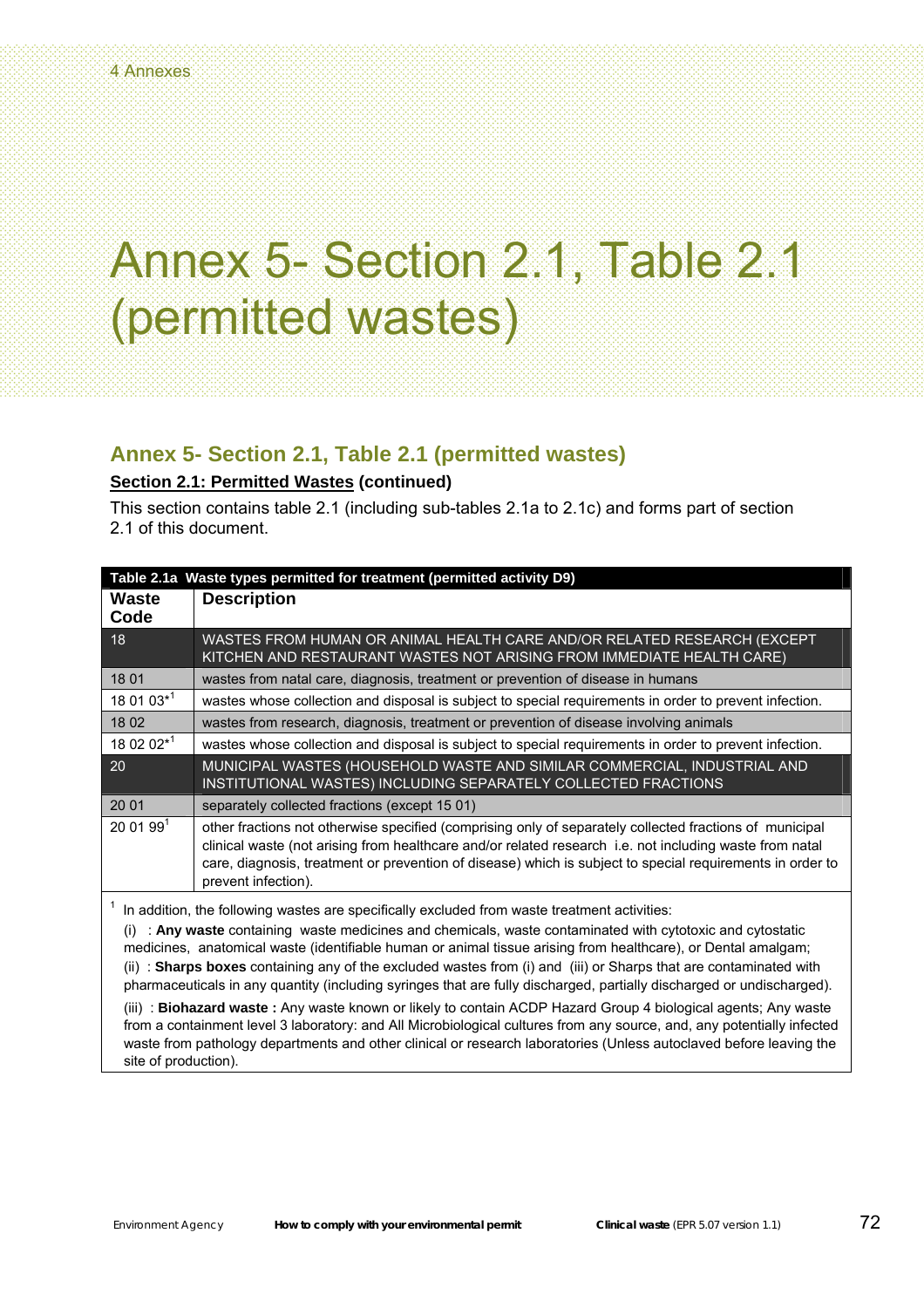#### **Annex 5- Section 2.1, Table 2.1 (permitted wastes)**

#### **Section 2.1: Permitted Wastes (continued)**

This section contains table 2.1 (including sub-tables 2.1a to 2.1c) and forms part of section 2.1 of this document.

| Table 2.1a Waste types permitted for treatment (permitted activity D9)                                                                                                                                                                                                                                                                                                                                                                                                                                                                                                                                                                                                                                                                                                                                             |                                                                                                                                                                                                                                                                                                                                                        |  |
|--------------------------------------------------------------------------------------------------------------------------------------------------------------------------------------------------------------------------------------------------------------------------------------------------------------------------------------------------------------------------------------------------------------------------------------------------------------------------------------------------------------------------------------------------------------------------------------------------------------------------------------------------------------------------------------------------------------------------------------------------------------------------------------------------------------------|--------------------------------------------------------------------------------------------------------------------------------------------------------------------------------------------------------------------------------------------------------------------------------------------------------------------------------------------------------|--|
| Waste<br>Code                                                                                                                                                                                                                                                                                                                                                                                                                                                                                                                                                                                                                                                                                                                                                                                                      | <b>Description</b>                                                                                                                                                                                                                                                                                                                                     |  |
| 18                                                                                                                                                                                                                                                                                                                                                                                                                                                                                                                                                                                                                                                                                                                                                                                                                 | WASTES FROM HUMAN OR ANIMAL HEALTH CARE AND/OR RELATED RESEARCH (EXCEPT<br>KITCHEN AND RESTAURANT WASTES NOT ARISING FROM IMMEDIATE HEALTH CARE)                                                                                                                                                                                                       |  |
| 18 01                                                                                                                                                                                                                                                                                                                                                                                                                                                                                                                                                                                                                                                                                                                                                                                                              | wastes from natal care, diagnosis, treatment or prevention of disease in humans                                                                                                                                                                                                                                                                        |  |
| 18 01 03*1                                                                                                                                                                                                                                                                                                                                                                                                                                                                                                                                                                                                                                                                                                                                                                                                         | wastes whose collection and disposal is subject to special requirements in order to prevent infection.                                                                                                                                                                                                                                                 |  |
| 18 02                                                                                                                                                                                                                                                                                                                                                                                                                                                                                                                                                                                                                                                                                                                                                                                                              | wastes from research, diagnosis, treatment or prevention of disease involving animals                                                                                                                                                                                                                                                                  |  |
| 18 02 02*1                                                                                                                                                                                                                                                                                                                                                                                                                                                                                                                                                                                                                                                                                                                                                                                                         | wastes whose collection and disposal is subject to special requirements in order to prevent infection.                                                                                                                                                                                                                                                 |  |
| 20                                                                                                                                                                                                                                                                                                                                                                                                                                                                                                                                                                                                                                                                                                                                                                                                                 | MUNICIPAL WASTES (HOUSEHOLD WASTE AND SIMILAR COMMERCIAL, INDUSTRIAL AND<br>INSTITUTIONAL WASTES) INCLUDING SEPARATELY COLLECTED FRACTIONS                                                                                                                                                                                                             |  |
| 20 01                                                                                                                                                                                                                                                                                                                                                                                                                                                                                                                                                                                                                                                                                                                                                                                                              | separately collected fractions (except 15 01)                                                                                                                                                                                                                                                                                                          |  |
| 200199 <sup>1</sup>                                                                                                                                                                                                                                                                                                                                                                                                                                                                                                                                                                                                                                                                                                                                                                                                | other fractions not otherwise specified (comprising only of separately collected fractions of municipal<br>clinical waste (not arising from healthcare and/or related research i.e. not including waste from natal<br>care, diagnosis, treatment or prevention of disease) which is subject to special requirements in order to<br>prevent infection). |  |
| In addition, the following wastes are specifically excluded from waste treatment activities:<br>: Any waste containing waste medicines and chemicals, waste contaminated with cytotoxic and cytostatic<br>medicines, anatomical waste (identifiable human or animal tissue arising from healthcare), or Dental amalgam;<br>(ii) : Sharps boxes containing any of the excluded wastes from (i) and (iii) or Sharps that are contaminated with<br>pharmaceuticals in any quantity (including syringes that are fully discharged, partially discharged or undischarged).<br>(iii) : Biohazard waste : Any waste known or likely to contain ACDP Hazard Group 4 biological agents; Any waste<br>from a containment level 3 laboratory: and All Microbiological cultures from any source, and, any potentially infected |                                                                                                                                                                                                                                                                                                                                                        |  |
| waste from pathology departments and other clinical or research laboratories (Unless autoclaved before leaving the<br>site of production).                                                                                                                                                                                                                                                                                                                                                                                                                                                                                                                                                                                                                                                                         |                                                                                                                                                                                                                                                                                                                                                        |  |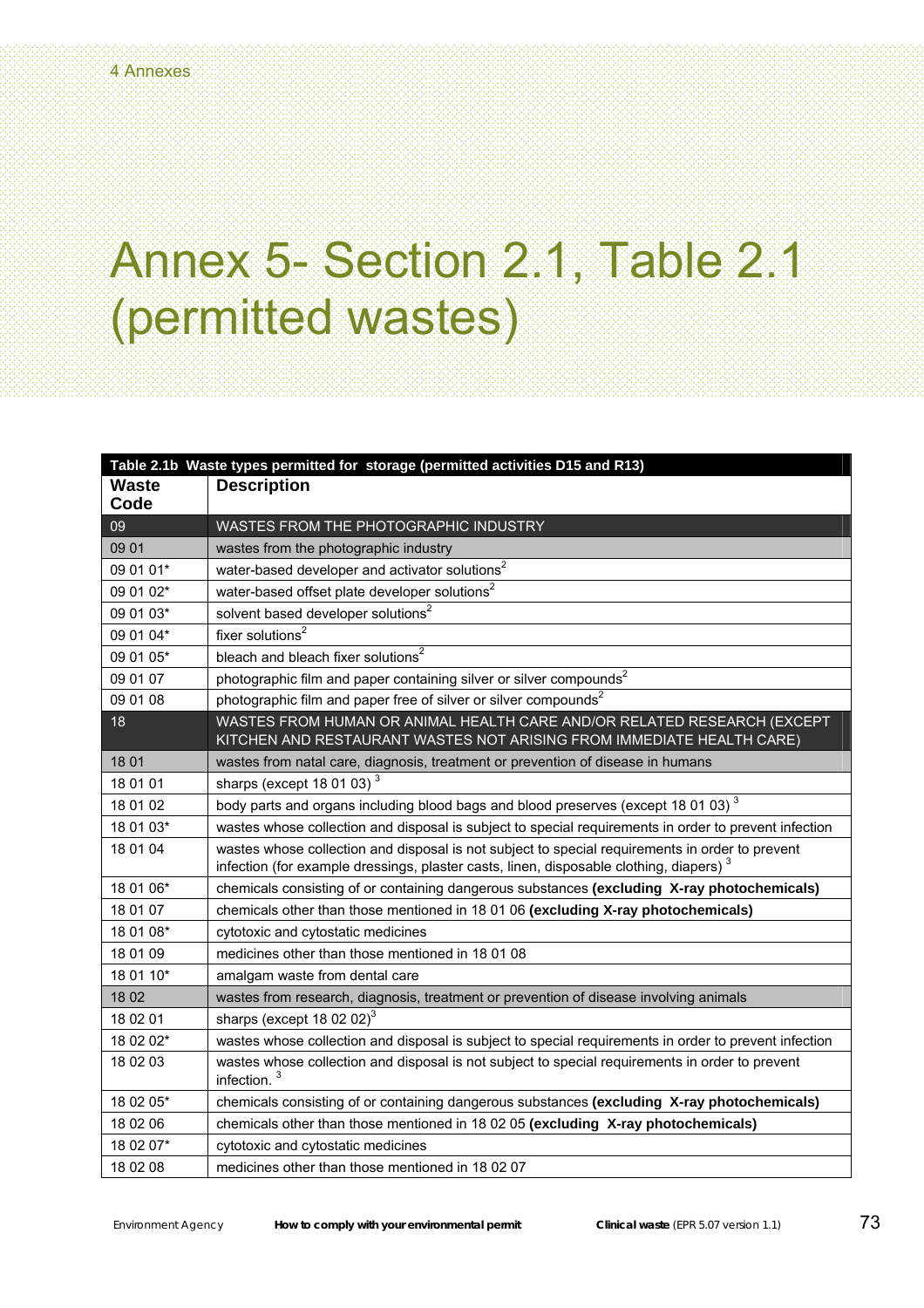| Table 2.1b Waste types permitted for storage (permitted activities D15 and R13) |                                                                                                                                                                                                       |  |
|---------------------------------------------------------------------------------|-------------------------------------------------------------------------------------------------------------------------------------------------------------------------------------------------------|--|
| <b>Waste</b><br>Code                                                            | <b>Description</b>                                                                                                                                                                                    |  |
| 09                                                                              | WASTES FROM THE PHOTOGRAPHIC INDUSTRY                                                                                                                                                                 |  |
| 09 01                                                                           | wastes from the photographic industry                                                                                                                                                                 |  |
| 09 01 01*                                                                       | water-based developer and activator solutions <sup>2</sup>                                                                                                                                            |  |
| 09 01 02*                                                                       | water-based offset plate developer solutions <sup>2</sup>                                                                                                                                             |  |
| 09 01 03*                                                                       | solvent based developer solutions <sup>2</sup>                                                                                                                                                        |  |
| 09 01 04*                                                                       | fixer solutions $2$                                                                                                                                                                                   |  |
| 09 01 05*                                                                       | bleach and bleach fixer solutions <sup>2</sup>                                                                                                                                                        |  |
| 09 01 07                                                                        | photographic film and paper containing silver or silver compounds <sup>2</sup>                                                                                                                        |  |
| 09 01 08                                                                        | photographic film and paper free of silver or silver compounds <sup>2</sup>                                                                                                                           |  |
| 18                                                                              | WASTES FROM HUMAN OR ANIMAL HEALTH CARE AND/OR RELATED RESEARCH (EXCEPT<br>KITCHEN AND RESTAURANT WASTES NOT ARISING FROM IMMEDIATE HEALTH CARE)                                                      |  |
| 18 01                                                                           | wastes from natal care, diagnosis, treatment or prevention of disease in humans                                                                                                                       |  |
| 18 01 01                                                                        | sharps (except 18 01 03) <sup>3</sup>                                                                                                                                                                 |  |
| 18 01 02                                                                        | body parts and organs including blood bags and blood preserves (except 18 01 03) <sup>3</sup>                                                                                                         |  |
| 18 01 03*                                                                       | wastes whose collection and disposal is subject to special requirements in order to prevent infection                                                                                                 |  |
| 18 01 04                                                                        | wastes whose collection and disposal is not subject to special requirements in order to prevent<br>infection (for example dressings, plaster casts, linen, disposable clothing, diapers) <sup>3</sup> |  |
| 18 01 06*                                                                       | chemicals consisting of or containing dangerous substances (excluding X-ray photochemicals)                                                                                                           |  |
| 18 01 07                                                                        | chemicals other than those mentioned in 18 01 06 (excluding X-ray photochemicals)                                                                                                                     |  |
| 18 01 08*                                                                       | cytotoxic and cytostatic medicines                                                                                                                                                                    |  |
| 18 01 09                                                                        | medicines other than those mentioned in 18 01 08                                                                                                                                                      |  |
| 18 01 10*                                                                       | amalgam waste from dental care                                                                                                                                                                        |  |
| 18 02                                                                           | wastes from research, diagnosis, treatment or prevention of disease involving animals                                                                                                                 |  |
| 18 02 01                                                                        | sharps (except 18 02 02) $^3$                                                                                                                                                                         |  |
| 18 02 02*                                                                       | wastes whose collection and disposal is subject to special requirements in order to prevent infection                                                                                                 |  |
| 18 02 03                                                                        | wastes whose collection and disposal is not subject to special requirements in order to prevent<br>infection. <sup>3</sup>                                                                            |  |
| 18 02 05*                                                                       | chemicals consisting of or containing dangerous substances (excluding X-ray photochemicals)                                                                                                           |  |
| 18 02 06                                                                        | chemicals other than those mentioned in 18 02 05 (excluding X-ray photochemicals)                                                                                                                     |  |
| 18 02 07*                                                                       | cytotoxic and cytostatic medicines                                                                                                                                                                    |  |
| 18 02 08                                                                        | medicines other than those mentioned in 18 02 07                                                                                                                                                      |  |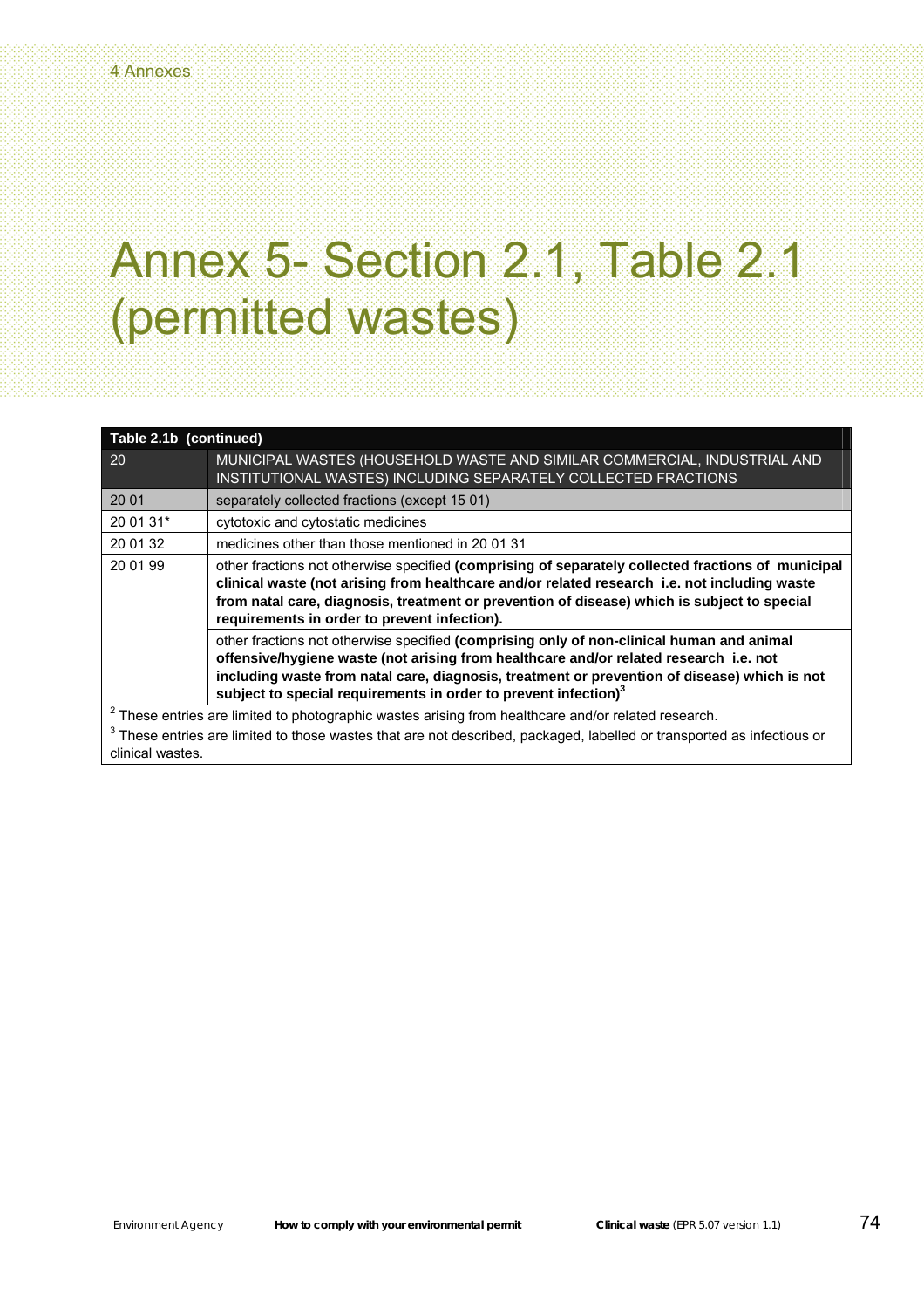| Table 2.1b (continued)                                                                                                            |                                                                                                                                                                                                                                                                                                                                                                   |  |
|-----------------------------------------------------------------------------------------------------------------------------------|-------------------------------------------------------------------------------------------------------------------------------------------------------------------------------------------------------------------------------------------------------------------------------------------------------------------------------------------------------------------|--|
| <b>20</b>                                                                                                                         | MUNICIPAL WASTES (HOUSEHOLD WASTE AND SIMILAR COMMERCIAL, INDUSTRIAL AND<br>INSTITUTIONAL WASTES) INCLUDING SEPARATELY COLLECTED FRACTIONS                                                                                                                                                                                                                        |  |
| 20 01                                                                                                                             | separately collected fractions (except 15 01)                                                                                                                                                                                                                                                                                                                     |  |
| 20 01 31*                                                                                                                         | cytotoxic and cytostatic medicines                                                                                                                                                                                                                                                                                                                                |  |
| 20 01 32                                                                                                                          | medicines other than those mentioned in 20 01 31                                                                                                                                                                                                                                                                                                                  |  |
| 20 01 99                                                                                                                          | other fractions not otherwise specified (comprising of separately collected fractions of municipal<br>clinical waste (not arising from healthcare and/or related research i.e. not including waste<br>from natal care, diagnosis, treatment or prevention of disease) which is subject to special<br>requirements in order to prevent infection).                 |  |
|                                                                                                                                   | other fractions not otherwise specified (comprising only of non-clinical human and animal<br>offensive/hygiene waste (not arising from healthcare and/or related research i.e. not<br>including waste from natal care, diagnosis, treatment or prevention of disease) which is not<br>subject to special requirements in order to prevent infection) <sup>3</sup> |  |
| $2$ These entries are limited to photographic wastes arising from healthcare and/or related research.                             |                                                                                                                                                                                                                                                                                                                                                                   |  |
| <sup>3</sup> These entries are limited to those wastes that are not described, packaged, labelled or transported as infectious or |                                                                                                                                                                                                                                                                                                                                                                   |  |
| clinical wastes.                                                                                                                  |                                                                                                                                                                                                                                                                                                                                                                   |  |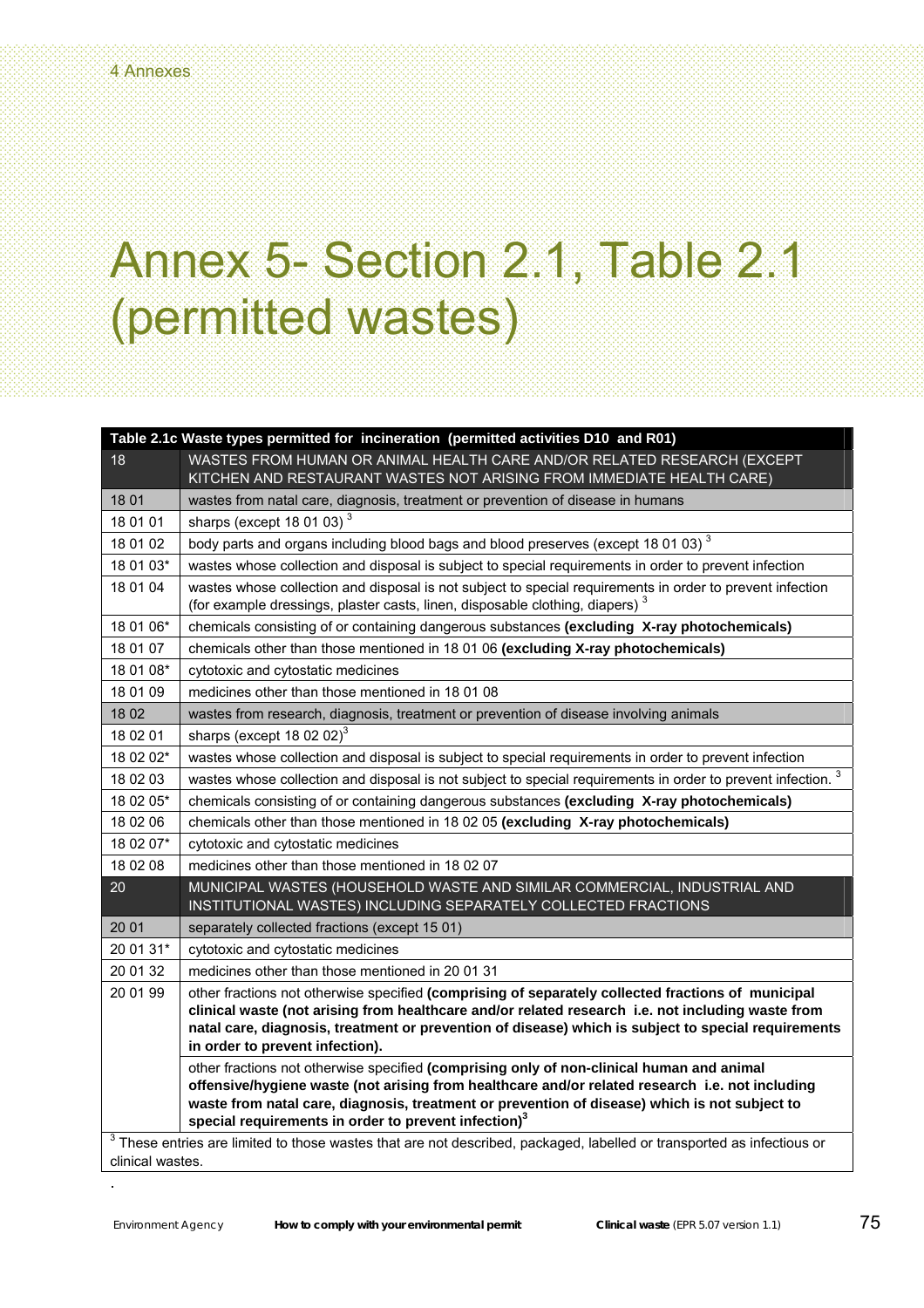| Table 2.1c Waste types permitted for incineration (permitted activities D10 and R01)                                     |                                                                                                                                                                                                                                                                                                                                                   |  |
|--------------------------------------------------------------------------------------------------------------------------|---------------------------------------------------------------------------------------------------------------------------------------------------------------------------------------------------------------------------------------------------------------------------------------------------------------------------------------------------|--|
| 18                                                                                                                       | WASTES FROM HUMAN OR ANIMAL HEALTH CARE AND/OR RELATED RESEARCH (EXCEPT                                                                                                                                                                                                                                                                           |  |
|                                                                                                                          | KITCHEN AND RESTAURANT WASTES NOT ARISING FROM IMMEDIATE HEALTH CARE)                                                                                                                                                                                                                                                                             |  |
| 18 01                                                                                                                    | wastes from natal care, diagnosis, treatment or prevention of disease in humans                                                                                                                                                                                                                                                                   |  |
| 18 01 01                                                                                                                 | sharps (except 18 01 03) $3$                                                                                                                                                                                                                                                                                                                      |  |
| 18 01 02                                                                                                                 | body parts and organs including blood bags and blood preserves (except 18 01 03) <sup>3</sup>                                                                                                                                                                                                                                                     |  |
| 18 01 03*                                                                                                                | wastes whose collection and disposal is subject to special requirements in order to prevent infection                                                                                                                                                                                                                                             |  |
| 18 01 04                                                                                                                 | wastes whose collection and disposal is not subject to special requirements in order to prevent infection<br>(for example dressings, plaster casts, linen, disposable clothing, diapers) <sup>3</sup>                                                                                                                                             |  |
| 18 01 06*                                                                                                                | chemicals consisting of or containing dangerous substances (excluding X-ray photochemicals)                                                                                                                                                                                                                                                       |  |
| 18 01 07                                                                                                                 | chemicals other than those mentioned in 18 01 06 (excluding X-ray photochemicals)                                                                                                                                                                                                                                                                 |  |
| 18 01 08*                                                                                                                | cytotoxic and cytostatic medicines                                                                                                                                                                                                                                                                                                                |  |
| 18 01 09                                                                                                                 | medicines other than those mentioned in 18 01 08                                                                                                                                                                                                                                                                                                  |  |
| 18 02                                                                                                                    | wastes from research, diagnosis, treatment or prevention of disease involving animals                                                                                                                                                                                                                                                             |  |
| 18 02 01                                                                                                                 | sharps (except 18 02 02) $^3$                                                                                                                                                                                                                                                                                                                     |  |
| 18 02 02*                                                                                                                | wastes whose collection and disposal is subject to special requirements in order to prevent infection                                                                                                                                                                                                                                             |  |
| 18 02 03                                                                                                                 | 3<br>wastes whose collection and disposal is not subject to special requirements in order to prevent infection.                                                                                                                                                                                                                                   |  |
| 18 02 05*                                                                                                                | chemicals consisting of or containing dangerous substances (excluding X-ray photochemicals)                                                                                                                                                                                                                                                       |  |
| 18 02 06                                                                                                                 | chemicals other than those mentioned in 18 02 05 (excluding X-ray photochemicals)                                                                                                                                                                                                                                                                 |  |
| 18 02 07*                                                                                                                | cytotoxic and cytostatic medicines                                                                                                                                                                                                                                                                                                                |  |
| 18 02 08                                                                                                                 | medicines other than those mentioned in 18 02 07                                                                                                                                                                                                                                                                                                  |  |
| 20                                                                                                                       | MUNICIPAL WASTES (HOUSEHOLD WASTE AND SIMILAR COMMERCIAL, INDUSTRIAL AND<br>INSTITUTIONAL WASTES) INCLUDING SEPARATELY COLLECTED FRACTIONS                                                                                                                                                                                                        |  |
| 20 01                                                                                                                    | separately collected fractions (except 15 01)                                                                                                                                                                                                                                                                                                     |  |
| 20 01 31*                                                                                                                | cytotoxic and cytostatic medicines                                                                                                                                                                                                                                                                                                                |  |
| 20 01 32                                                                                                                 | medicines other than those mentioned in 20 01 31                                                                                                                                                                                                                                                                                                  |  |
| 20 01 99                                                                                                                 | other fractions not otherwise specified (comprising of separately collected fractions of municipal<br>clinical waste (not arising from healthcare and/or related research i.e. not including waste from<br>natal care, diagnosis, treatment or prevention of disease) which is subject to special requirements<br>in order to prevent infection). |  |
|                                                                                                                          | other fractions not otherwise specified (comprising only of non-clinical human and animal                                                                                                                                                                                                                                                         |  |
|                                                                                                                          | offensive/hygiene waste (not arising from healthcare and/or related research i.e. not including<br>waste from natal care, diagnosis, treatment or prevention of disease) which is not subject to<br>special requirements in order to prevent infection) <sup>3</sup>                                                                              |  |
| $3$ These entries are limited to those wastes that are not described, packaged, labelled or transported as infectious or |                                                                                                                                                                                                                                                                                                                                                   |  |
|                                                                                                                          | clinical wastes.                                                                                                                                                                                                                                                                                                                                  |  |

.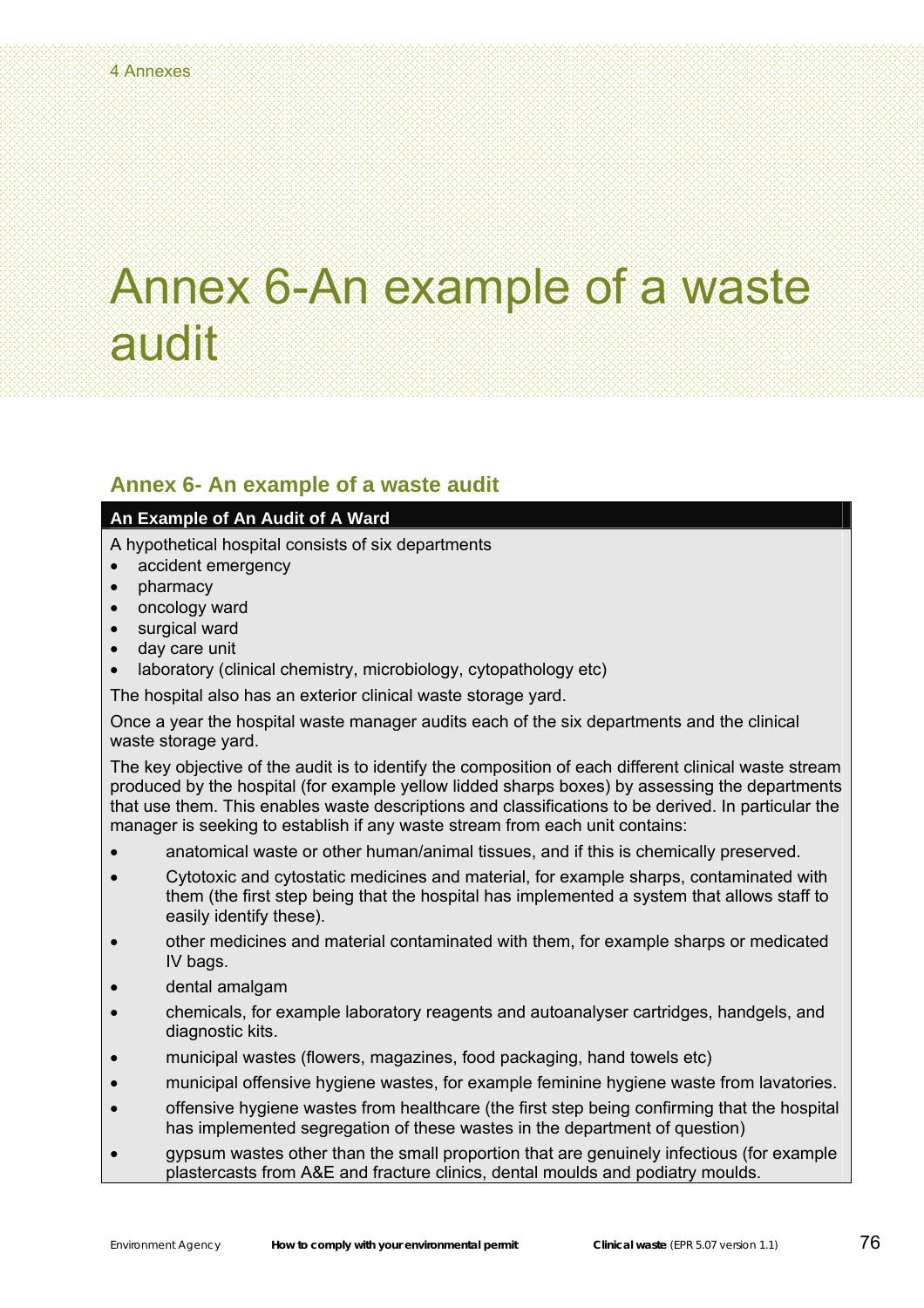# Annex 6-An example of a waste audit

### **Annex 6- An example of a waste audit**

#### **An Example of An Audit of A Ward**

A hypothetical hospital consists of six departments

- accident emergency
- pharmacy
- oncology ward
- surgical ward
- day care unit
- laboratory (clinical chemistry, microbiology, cytopathology etc)

The hospital also has an exterior clinical waste storage yard.

Once a year the hospital waste manager audits each of the six departments and the clinical waste storage yard.

The key objective of the audit is to identify the composition of each different clinical waste stream produced by the hospital (for example yellow lidded sharps boxes) by assessing the departments that use them. This enables waste descriptions and classifications to be derived. In particular the manager is seeking to establish if any waste stream from each unit contains:

- anatomical waste or other human/animal tissues, and if this is chemically preserved.
- Cytotoxic and cytostatic medicines and material, for example sharps, contaminated with them (the first step being that the hospital has implemented a system that allows staff to easily identify these).
- other medicines and material contaminated with them, for example sharps or medicated IV bags.
- dental amalgam
- chemicals, for example laboratory reagents and autoanalyser cartridges, handgels, and diagnostic kits.
- municipal wastes (flowers, magazines, food packaging, hand towels etc)
- municipal offensive hygiene wastes, for example feminine hygiene waste from lavatories.
- offensive hygiene wastes from healthcare (the first step being confirming that the hospital has implemented segregation of these wastes in the department of question)
- gypsum wastes other than the small proportion that are genuinely infectious (for example plastercasts from A&E and fracture clinics, dental moulds and podiatry moulds.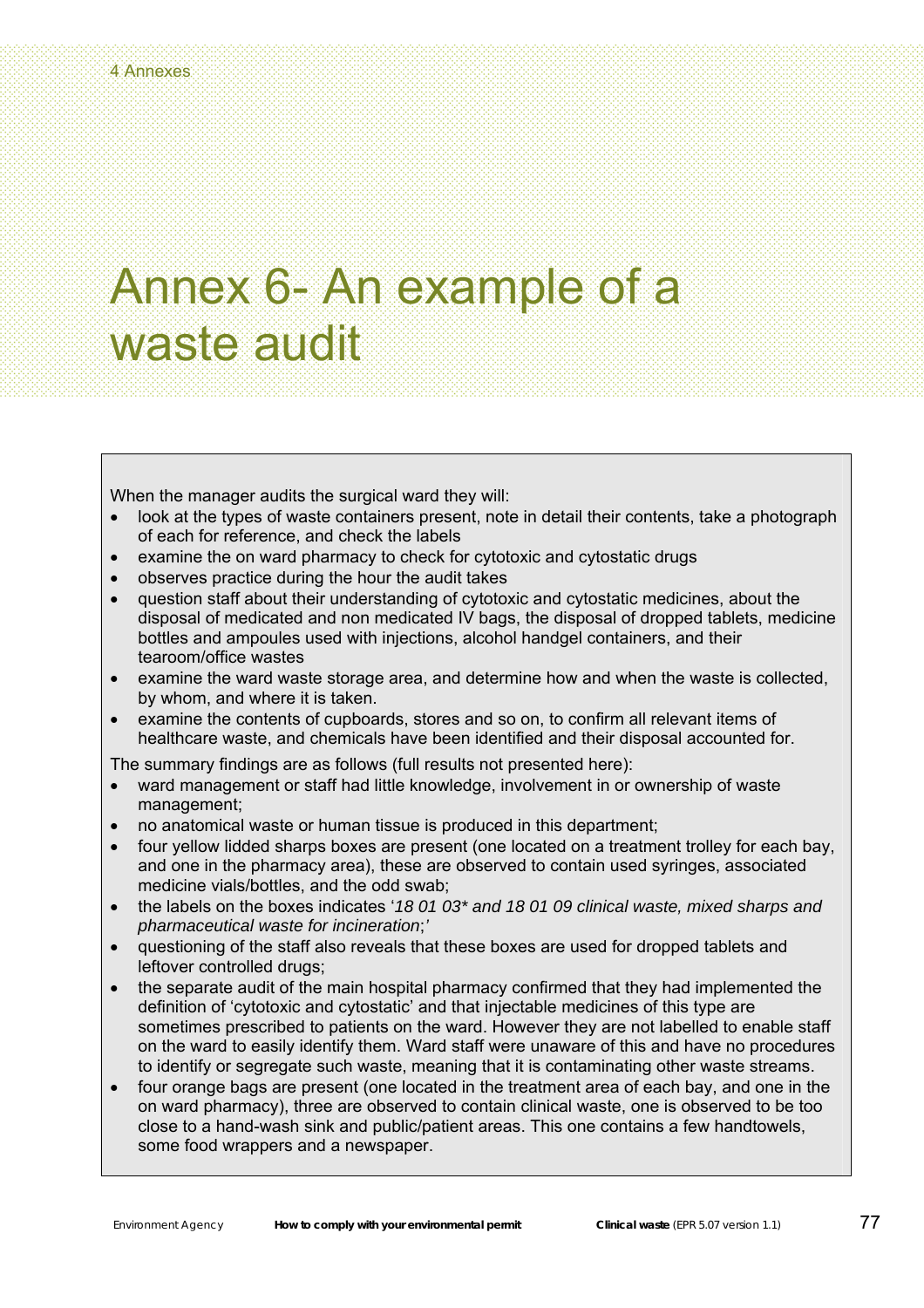# Annex 6- An example of a waste audit

When the manager audits the surgical ward they will:

- look at the types of waste containers present, note in detail their contents, take a photograph of each for reference, and check the labels
- examine the on ward pharmacy to check for cytotoxic and cytostatic drugs
- observes practice during the hour the audit takes
- question staff about their understanding of cytotoxic and cytostatic medicines, about the disposal of medicated and non medicated IV bags, the disposal of dropped tablets, medicine bottles and ampoules used with injections, alcohol handgel containers, and their tearoom/office wastes
- examine the ward waste storage area, and determine how and when the waste is collected, by whom, and where it is taken.
- examine the contents of cupboards, stores and so on, to confirm all relevant items of healthcare waste, and chemicals have been identified and their disposal accounted for.

The summary findings are as follows (full results not presented here):

- ward management or staff had little knowledge, involvement in or ownership of waste management;
- no anatomical waste or human tissue is produced in this department;
- four yellow lidded sharps boxes are present (one located on a treatment trolley for each bay, and one in the pharmacy area), these are observed to contain used syringes, associated medicine vials/bottles, and the odd swab;
- the labels on the boxes indicates '*18 01 03\* and 18 01 09 clinical waste, mixed sharps and pharmaceutical waste for incineration*;*'*
- questioning of the staff also reveals that these boxes are used for dropped tablets and leftover controlled drugs;
- the separate audit of the main hospital pharmacy confirmed that they had implemented the definition of 'cytotoxic and cytostatic' and that injectable medicines of this type are sometimes prescribed to patients on the ward. However they are not labelled to enable staff on the ward to easily identify them. Ward staff were unaware of this and have no procedures to identify or segregate such waste, meaning that it is contaminating other waste streams.
- four orange bags are present (one located in the treatment area of each bay, and one in the on ward pharmacy), three are observed to contain clinical waste, one is observed to be too close to a hand-wash sink and public/patient areas. This one contains a few handtowels, some food wrappers and a newspaper.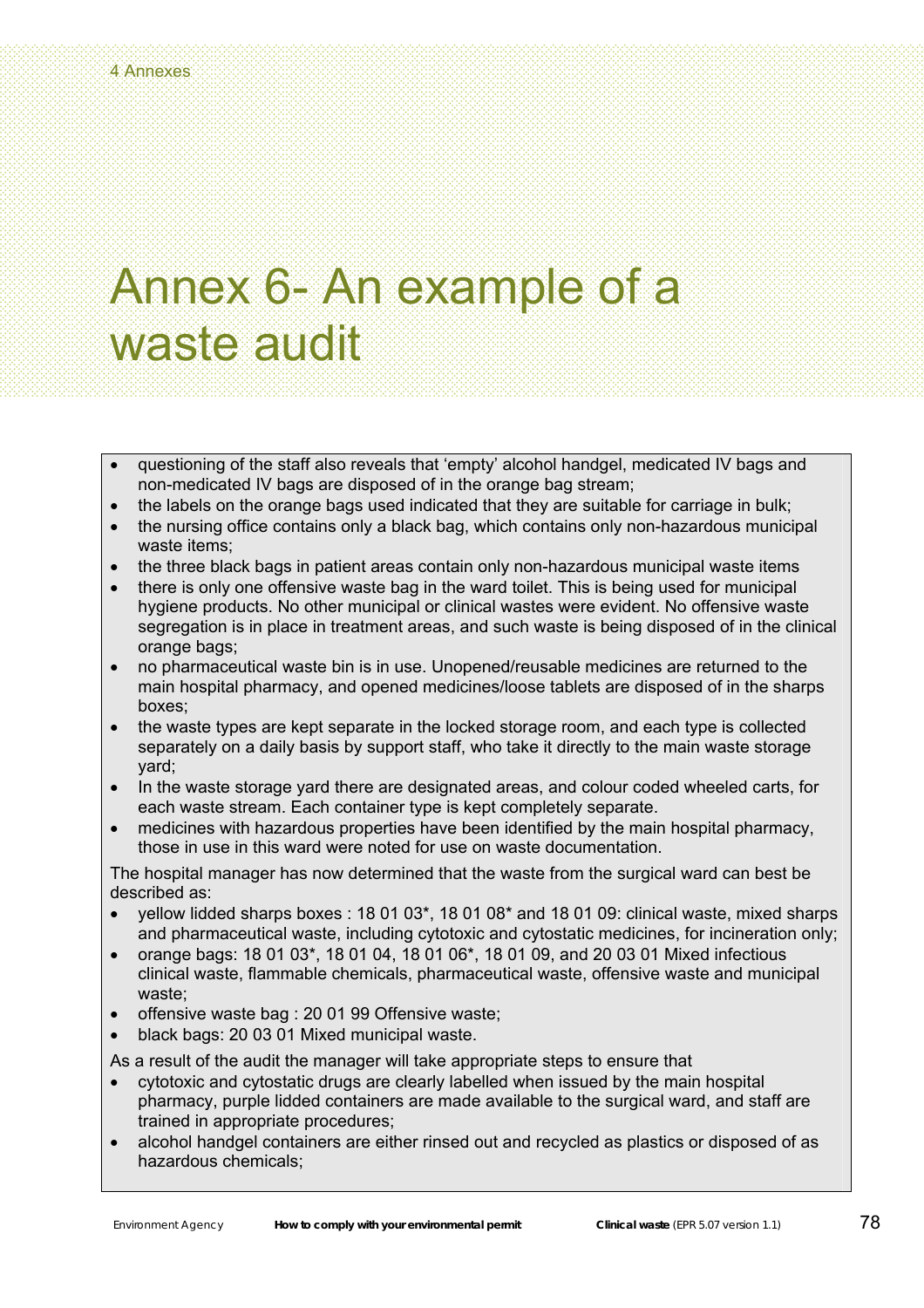# Annex 6- An example of a waste audit

- questioning of the staff also reveals that 'empty' alcohol handgel, medicated IV bags and non-medicated IV bags are disposed of in the orange bag stream;
- the labels on the orange bags used indicated that they are suitable for carriage in bulk;
- the nursing office contains only a black bag, which contains only non-hazardous municipal waste items;
- the three black bags in patient areas contain only non-hazardous municipal waste items
- there is only one offensive waste bag in the ward toilet. This is being used for municipal hygiene products. No other municipal or clinical wastes were evident. No offensive waste segregation is in place in treatment areas, and such waste is being disposed of in the clinical orange bags;
- no pharmaceutical waste bin is in use. Unopened/reusable medicines are returned to the main hospital pharmacy, and opened medicines/loose tablets are disposed of in the sharps boxes;
- the waste types are kept separate in the locked storage room, and each type is collected separately on a daily basis by support staff, who take it directly to the main waste storage yard;
- In the waste storage yard there are designated areas, and colour coded wheeled carts, for each waste stream. Each container type is kept completely separate.
- medicines with hazardous properties have been identified by the main hospital pharmacy, those in use in this ward were noted for use on waste documentation.

The hospital manager has now determined that the waste from the surgical ward can best be described as:

- yellow lidded sharps boxes : 18 01 03\*, 18 01 08\* and 18 01 09: clinical waste, mixed sharps and pharmaceutical waste, including cytotoxic and cytostatic medicines, for incineration only;
- orange bags: 18 01 03\*, 18 01 04, 18 01 06\*, 18 01 09, and 20 03 01 Mixed infectious clinical waste, flammable chemicals, pharmaceutical waste, offensive waste and municipal waste;
- offensive waste bag : 20 01 99 Offensive waste;
- black bags: 20 03 01 Mixed municipal waste.

As a result of the audit the manager will take appropriate steps to ensure that

- cytotoxic and cytostatic drugs are clearly labelled when issued by the main hospital pharmacy, purple lidded containers are made available to the surgical ward, and staff are trained in appropriate procedures;
- alcohol handgel containers are either rinsed out and recycled as plastics or disposed of as hazardous chemicals;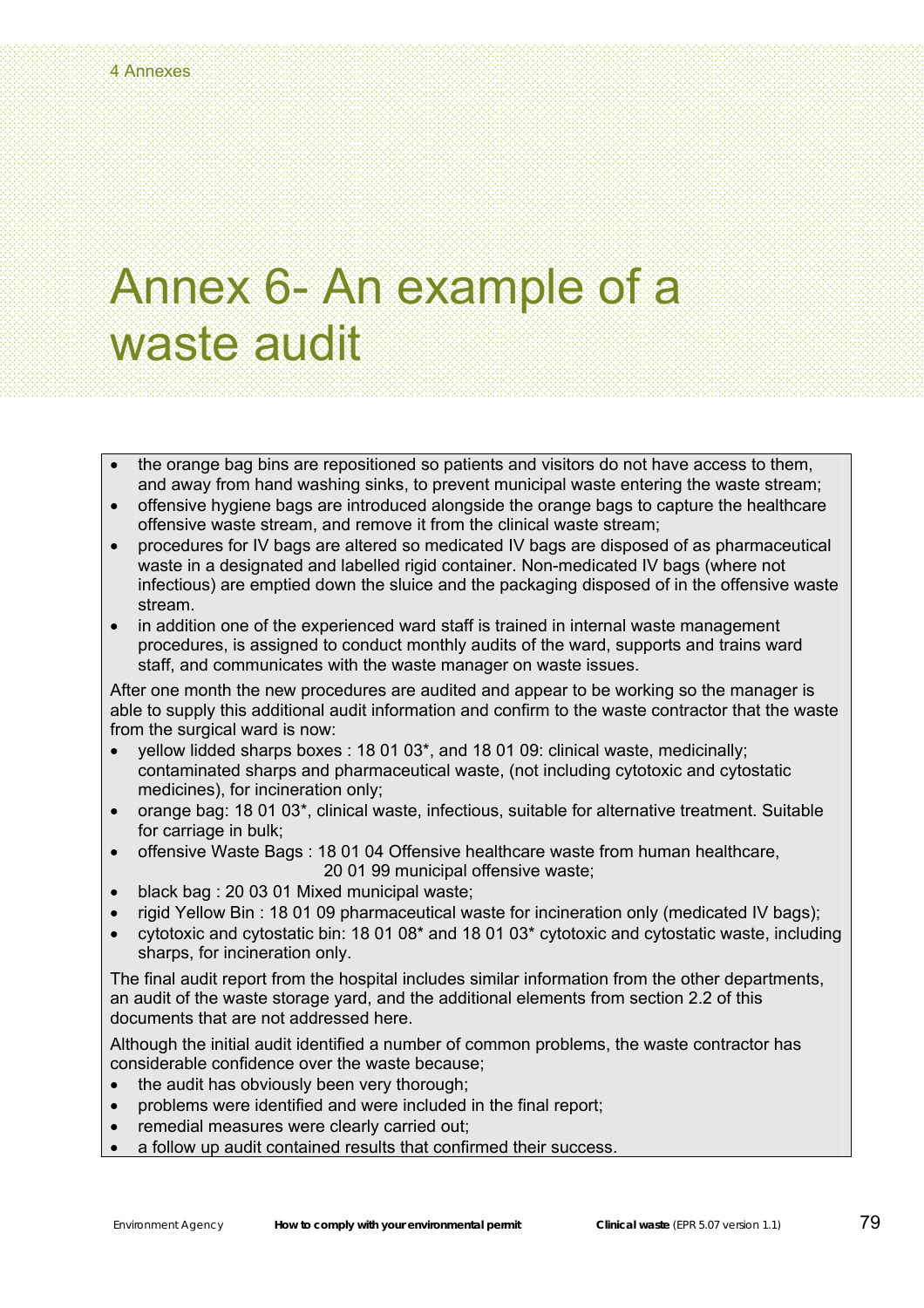# Annex 6- An example of a waste audit

- the orange bag bins are repositioned so patients and visitors do not have access to them, and away from hand washing sinks, to prevent municipal waste entering the waste stream;
- offensive hygiene bags are introduced alongside the orange bags to capture the healthcare offensive waste stream, and remove it from the clinical waste stream;
- procedures for IV bags are altered so medicated IV bags are disposed of as pharmaceutical waste in a designated and labelled rigid container. Non-medicated IV bags (where not infectious) are emptied down the sluice and the packaging disposed of in the offensive waste stream.
- in addition one of the experienced ward staff is trained in internal waste management procedures, is assigned to conduct monthly audits of the ward, supports and trains ward staff, and communicates with the waste manager on waste issues.

After one month the new procedures are audited and appear to be working so the manager is able to supply this additional audit information and confirm to the waste contractor that the waste from the surgical ward is now:

- yellow lidded sharps boxes : 18 01 03\*, and 18 01 09: clinical waste, medicinally; contaminated sharps and pharmaceutical waste, (not including cytotoxic and cytostatic medicines), for incineration only;
- orange bag: 18 01 03\*, clinical waste, infectious, suitable for alternative treatment. Suitable for carriage in bulk;
- offensive Waste Bags : 18 01 04 Offensive healthcare waste from human healthcare, 20 01 99 municipal offensive waste;
- black bag : 20 03 01 Mixed municipal waste;
- rigid Yellow Bin : 18 01 09 pharmaceutical waste for incineration only (medicated IV bags);
- cytotoxic and cytostatic bin: 18 01 08\* and 18 01 03\* cytotoxic and cytostatic waste, including sharps, for incineration only.

The final audit report from the hospital includes similar information from the other departments, an audit of the waste storage yard, and the additional elements from section 2.2 of this documents that are not addressed here.

Although the initial audit identified a number of common problems, the waste contractor has considerable confidence over the waste because;

- the audit has obviously been very thorough:
- problems were identified and were included in the final report;
- remedial measures were clearly carried out;
- a follow up audit contained results that confirmed their success.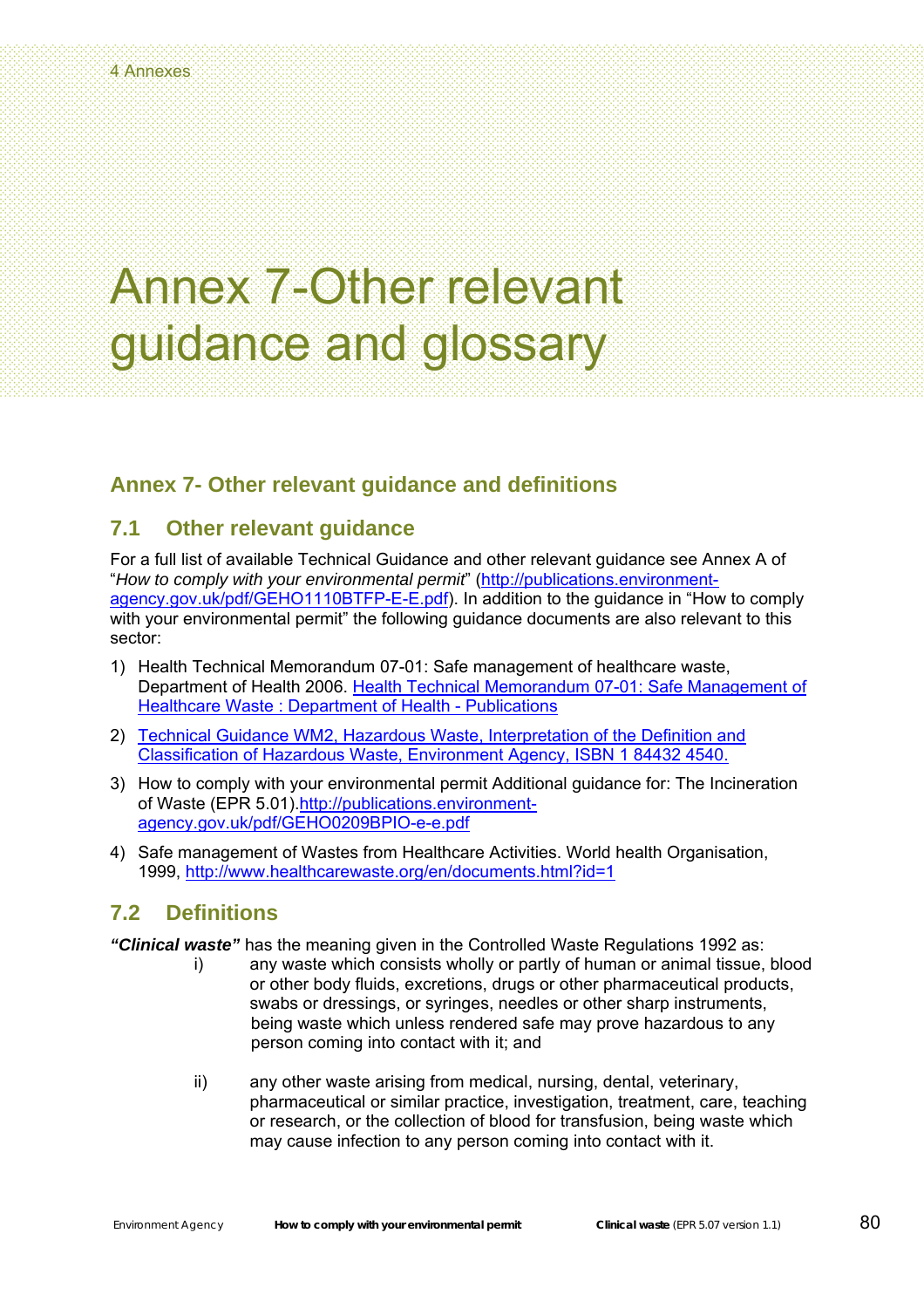### Annex 7-Other relevant guidance and glossary

### **Annex 7- Other relevant guidance and definitions**

#### **7.1 Other relevant guidance**

For a full list of available Technical Guidance and other relevant guidance see Annex A of "*How to comply with your environmental permit*" ([http://publications.environment](http://publications.environment-agency.gov.uk/pdf/GEHO1110BTFP-E-E.pdf)[agency.gov.uk/pdf/GEHO1110BTFP-E-E.pdf\)](http://publications.environment-agency.gov.uk/pdf/GEHO1110BTFP-E-E.pdf). In addition to the guidance in "How to comply with your environmental permit" the following guidance documents are also relevant to this sector:

- 1) Health Technical Memorandum 07-01: Safe management of healthcare waste, Department of Health 2006. Health Technical Memorandum 07-01: Safe Management of [Healthcare Waste : Department of Health - Publications](http://www.dh.gov.uk/en/Publicationsandstatistics/Publications/PublicationsPolicyAndGuidance/DH_063274)
- 2) [Technical Guidance WM2, Hazardous Waste, Interpretation of the Definition and](http://publications.environment-agency.gov.uk/pdf/GEHO0603BIRB-e-e.pdf)  [Classification of Hazardous Waste, Environment Agency, ISBN 1 84432 4540.](http://publications.environment-agency.gov.uk/pdf/GEHO0603BIRB-e-e.pdf)
- 3) How to comply with your environmental permit Additional guidance for: The Incineration of Waste (EPR 5.01).[http://publications.environment](http://publications.environment-agency.gov.uk/pdf/GEHO0209BPIO-e-e.pdf)[agency.gov.uk/pdf/GEHO0209BPIO-e-e.pdf](http://publications.environment-agency.gov.uk/pdf/GEHO0209BPIO-e-e.pdf)
- 4) Safe management of Wastes from Healthcare Activities. World health Organisation, 1999, <http://www.healthcarewaste.org/en/documents.html?id=1>

#### **7.2 Definitions**

*"Clinical waste"* has the meaning given in the Controlled Waste Regulations 1992 as:

- i) any waste which consists wholly or partly of human or animal tissue, blood or other body fluids, excretions, drugs or other pharmaceutical products, swabs or dressings, or syringes, needles or other sharp instruments, being waste which unless rendered safe may prove hazardous to any person coming into contact with it; and
- ii) any other waste arising from medical, nursing, dental, veterinary, pharmaceutical or similar practice, investigation, treatment, care, teaching or research, or the collection of blood for transfusion, being waste which may cause infection to any person coming into contact with it.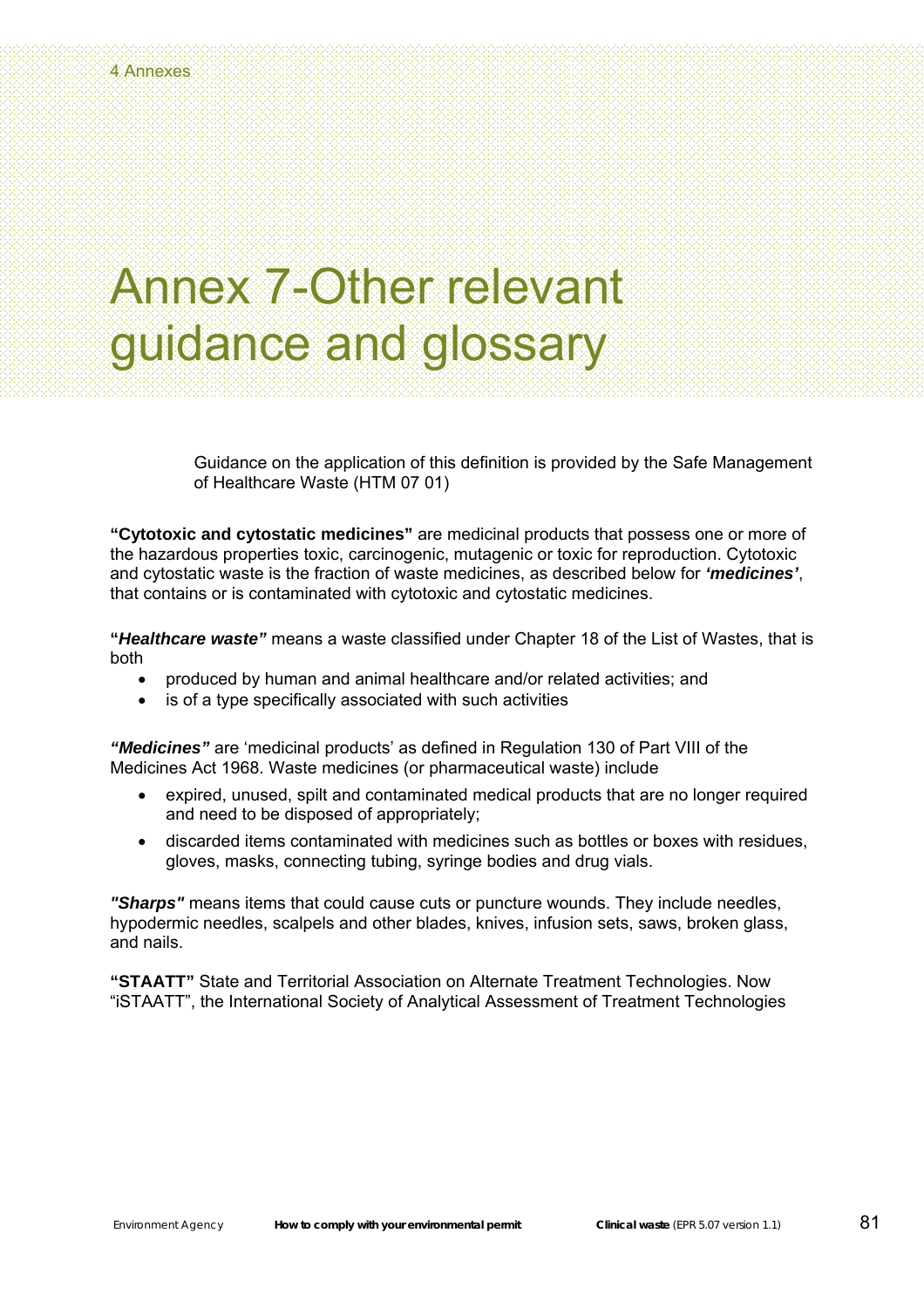### Annex 7-Other relevant guidance and glossary

Guidance on the application of this definition is provided by the Safe Management of Healthcare Waste (HTM 07 01)

**"Cytotoxic and cytostatic medicines"** are medicinal products that possess one or more of the hazardous properties toxic, carcinogenic, mutagenic or toxic for reproduction. Cytotoxic and cytostatic waste is the fraction of waste medicines, as described below for *'medicines'*, that contains or is contaminated with cytotoxic and cytostatic medicines.

**"***Healthcare waste"* means a waste classified under Chapter 18 of the List of Wastes, that is both

- produced by human and animal healthcare and/or related activities; and
- is of a type specifically associated with such activities

*"Medicines"* are 'medicinal products' as defined in Regulation 130 of Part VIII of the Medicines Act 1968. Waste medicines (or pharmaceutical waste) include

- expired, unused, spilt and contaminated medical products that are no longer required and need to be disposed of appropriately;
- discarded items contaminated with medicines such as bottles or boxes with residues, gloves, masks, connecting tubing, syringe bodies and drug vials.

*"Sharps"* means items that could cause cuts or puncture wounds. They include needles, hypodermic needles, scalpels and other blades, knives, infusion sets, saws, broken glass, and nails.

**"STAATT"** State and Territorial Association on Alternate Treatment Technologies. Now "iSTAATT", the International Society of Analytical Assessment of Treatment Technologies